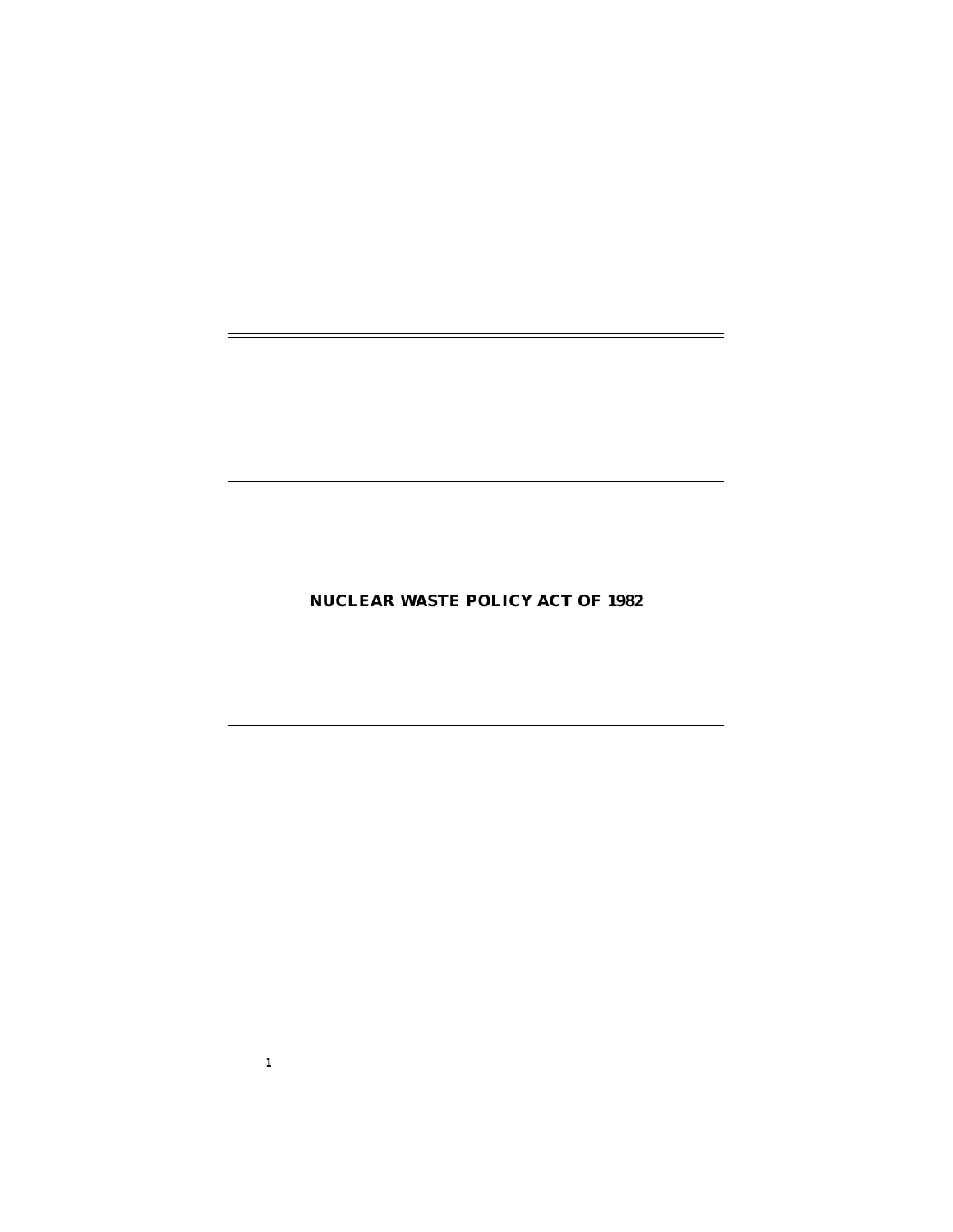**NUCLEAR WASTE POLICY ACT OF 1982**

 $=$ 

í.

L

**1**

 $\equiv$ 

 $=$ 

 $\equiv$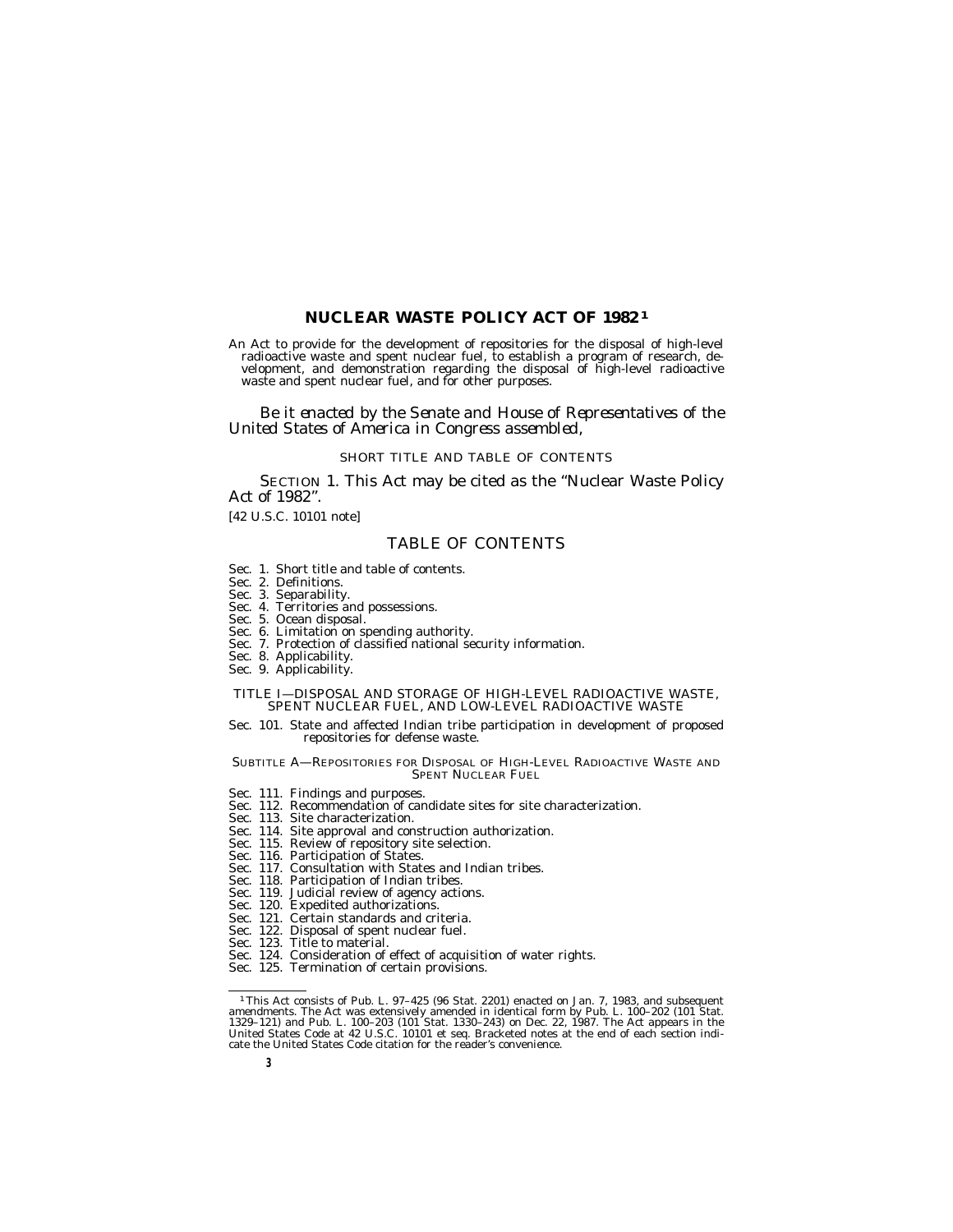# **NUCLEAR WASTE POLICY ACT OF 1982 1**

An Act to provide for the development of repositories for the disposal of high-level radioactive waste and spent nuclear fuel, to establish a program of research, development, and demonstration regarding the disposal of high-level radioactive waste and spent nuclear fuel, and for other purposes.

*Be it enacted by the Senate and House of Representatives of the United States of America in Congress assembled,*

### SHORT TITLE AND TABLE OF CONTENTS

SECTION 1. This Act may be cited as the ''Nuclear Waste Policy Act of 1982''.

[42 U.S.C. 10101 note]

# TABLE OF CONTENTS

- Sec. 1. Short title and table of contents.
- Sec. 2. Definitions.
- Sec. 3. Separability.
- Sec. 4. Territories and possessions.
- Sec. 5. Ocean disposal.
- Sec. 6. Limitation on spending authority.
- Sec. 7. Protection of classified national security information.
- Sec. 8. Applicability.
- Sec. 9. Applicability.

### TITLE I—DISPOSAL AND STORAGE OF HIGH-LEVEL RADIOACTIVE WASTE, SPENT NUCLEAR FUEL, AND LOW-LEVEL RADIOACTIVE WASTE

Sec. 101. State and affected Indian tribe participation in development of proposed repositories for defense waste.

SUBTITLE A—REPOSITORIES FOR DISPOSAL OF HIGH-LEVEL RADIOACTIVE WASTE AND SPENT NUCLEAR FUEL

- Sec. 111. Findings and purposes.
- Sec. 112. Recommendation of candidate sites for site characterization.
- Sec. 113. Site characterization.
- Sec. 114. Site approval and construction authorization.
- Sec. 115. Review of repository site selection.
- Sec. 116. Participation of States.
- Sec. 117. Consultation with States and Indian tribes.
- Sec. 118. Participation of Indian tribes.
- Sec. 119. Judicial review of agency actions.
- Sec. 120. Expedited authorizations.
- Sec. 121. Certain standards and criteria.
- Sec. 122. Disposal of spent nuclear fuel.
- Sec. 123. Title to material.
- Sec. 124. Consideration of effect of acquisition of water rights.
- Sec. 125. Termination of certain provisions.

<sup>1</sup>This Act consists of Pub. L. 97–425 (96 Stat. 2201) enacted on Jan. 7, 1983, and subsequent amendments. The Act was extensively amended in identical form by Pub. L. 100–202 (101 Stat.<br>1329–121) and Pub. L. 100–203 (101 Stat. 1330–243) on Dec. 22, 1987. The Act appears in the<br>United States Code at 42 U.S.C. 10101 cate the United States Code citation for the reader's convenience.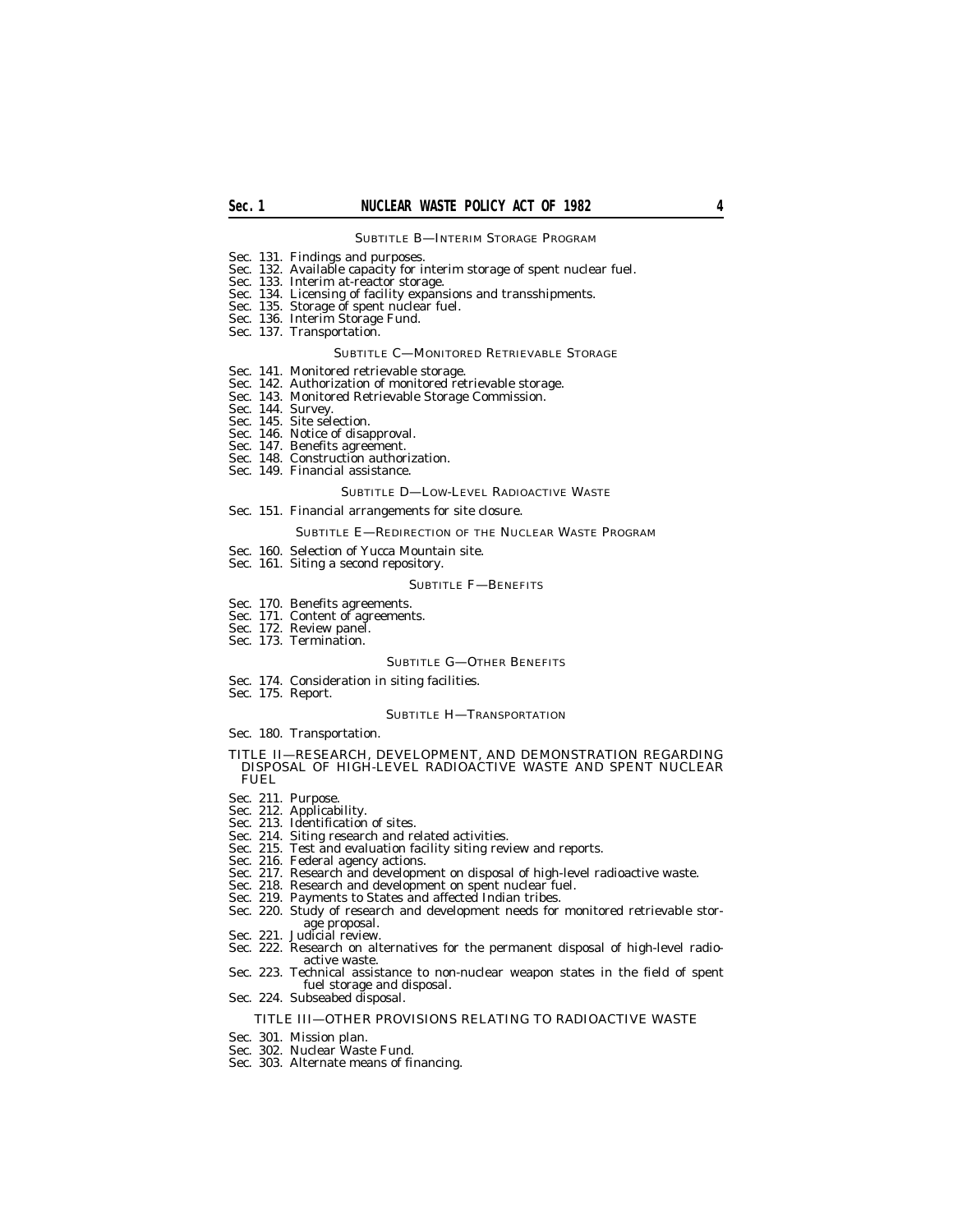#### SUBTITLE B—INTERIM STORAGE PROGRAM

- Sec. 131. Findings and purposes.
- Sec. 132. Available capacity for interim storage of spent nuclear fuel.
- Sec. 133. Interim at-reactor storage.
- Sec. 134. Licensing of facility expansions and transshipments.
- Sec. 135. Storage of spent nuclear fuel.
- Sec. 136. Interim Storage Fund.
- Sec. 137. Transportation.

### SUBTITLE C—MONITORED RETRIEVABLE STORAGE

- Sec. 141. Monitored retrievable storage.
- Sec. 142. Authorization of monitored retrievable storage.
- Sec. 143. Monitored Retrievable Storage Commission.<br>Sec. 144. Survey.
- Sec. 144.
- Sec. 145. Site selection.
- Sec. 146. Notice of disapproval.
- Sec. 147. Benefits agreement.
- Sec. 148. Construction authorization.
- Sec. 149. Financial assistance.

## SUBTITLE D—LOW-LEVEL RADIOACTIVE WASTE

Sec. 151. Financial arrangements for site closure.

#### SUBTITLE E—REDIRECTION OF THE NUCLEAR WASTE PROGRAM

- Sec. 160. Selection of Yucca Mountain site.
- Sec. 161. Siting a second repository.

#### SUBTITLE F—BENEFITS

- Sec. 170. Benefits agreements.
- Sec. 171. Content of agreements.
- Sec. 172. Review panel.
- Sec. 173. Termination.

## SUBTITLE G—OTHER BENEFITS

- Sec. 174. Consideration in siting facilities.
- Sec. 175. Report.

#### SUBTITLE H—TRANSPORTATION

Sec. 180. Transportation.

- TITLE II—RESEARCH, DEVELOPMENT, AND DEMONSTRATION REGARDING DISPOSAL OF HIGH-LEVEL RADIOACTIVE WASTE AND SPENT NUCLEAR FUEL
- Sec. 211. Purpose.
- Sec. 212. Applicability.
- Sec. 213. Identification of sites.
- Sec. 214. Siting research and related activities.
- Sec. 215. Test and evaluation facility siting review and reports.
- Sec. 216. Federal agency actions.
- Sec. 217. Research and development on disposal of high-level radioactive waste.
- Sec. 218. Research and development on spent nuclear fuel.
- Sec. 219. Payments to States and affected Indian tribes.
- Sec. 220. Study of research and development needs for monitored retrievable storage proposal.
- Sec. 221. Judicial review.
- Sec. 222. Research on alternatives for the permanent disposal of high-level radioactive waste.
- Sec. 223. Technical assistance to non-nuclear weapon states in the field of spent fuel storage and disposal.
- Sec. 224. Subseabed disposal.

# TITLE III—OTHER PROVISIONS RELATING TO RADIOACTIVE WASTE

- Sec. 301. Mission plan.
- Sec. 302. Nuclear Waste Fund.
- Sec. 303. Alternate means of financing.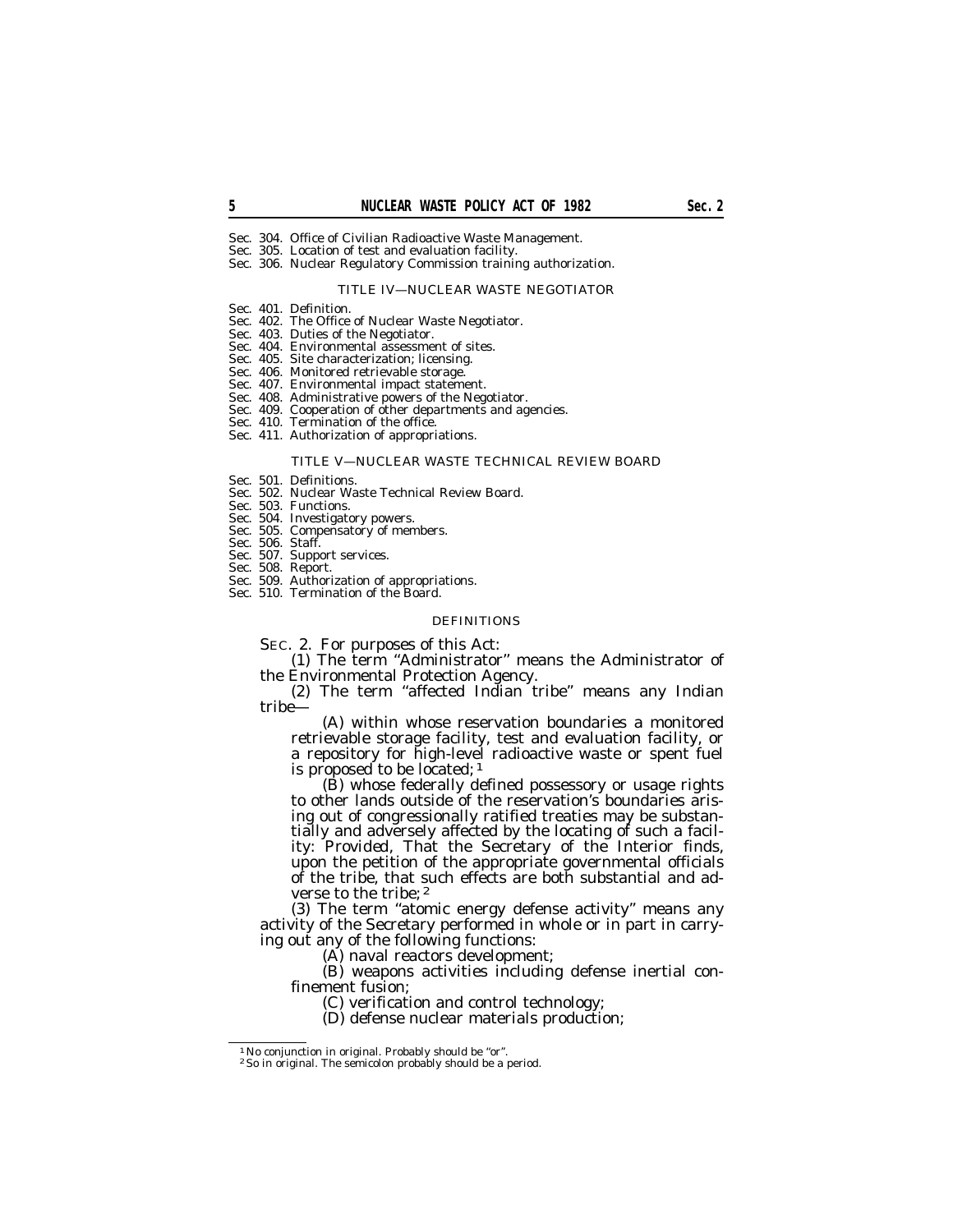Sec. 305. Location of test and evaluation facility.

Sec. 306. Nuclear Regulatory Commission training authorization.

### TITLE IV—NUCLEAR WASTE NEGOTIATOR

Sec. 401. Definition.

Sec. 402. The Office of Nuclear Waste Negotiator.

Sec. 403. Duties of the Negotiator.

Sec. 404. Environmental assessment of sites.

- Sec. 405. Site characterization; licensing.
- Sec. 406. Monitored retrievable storage.
- Sec. 407. Environmental impact statement.
- Sec. 408. Administrative powers of the Negotiator.
- Sec. 409. Cooperation of other departments and agencies.
- Sec. 410. Termination of the office.
- Sec. 411. Authorization of appropriations.

### TITLE V—NUCLEAR WASTE TECHNICAL REVIEW BOARD

- Sec. 501. Definitions. Nuclear Waste Technical Review Board.
- Sec. 502. Nuclear W<br>Sec. 503. Functions.
- 
- Sec. 504. Investigatory powers.<br>Sec. 505. Compensatory of men Sec. 505. Compensatory of members.
- Sec. 506. Staff.
- Sec. 507. Support services.
- Sec. 508. Report.
- Sec. 509. Authorization of appropriations.
- Sec. 510. Termination of the Board.

# DEFINITIONS

SEC. 2. For purposes of this Act:

(1) The term ''Administrator'' means the Administrator of the Environmental Protection Agency.

(2) The term "affected Indian tribe" means any Indian tribe—

(A) within whose reservation boundaries a monitored retrievable storage facility, test and evaluation facility, or a repository for high-level radioactive waste or spent fuel is proposed to be located; 1

(B) whose federally defined possessory or usage rights to other lands outside of the reservation's boundaries arising out of congressionally ratified treaties may be substantially and adversely affected by the locating of such a facility: *Provided,* That the Secretary of the Interior finds, upon the petition of the appropriate governmental officials of the tribe, that such effects are both substantial and adverse to the tribe; 2

(3) The term ''atomic energy defense activity'' means any activity of the Secretary performed in whole or in part in carrying out any of the following functions:

(A) naval reactors development;

(B) weapons activities including defense inertial confinement fusion;

- (C) verification and control technology;
- (D) defense nuclear materials production;

2So in original. The semicolon probably should be a period.

<sup>&</sup>lt;sup>1</sup> No conjunction in original. Probably should be "or".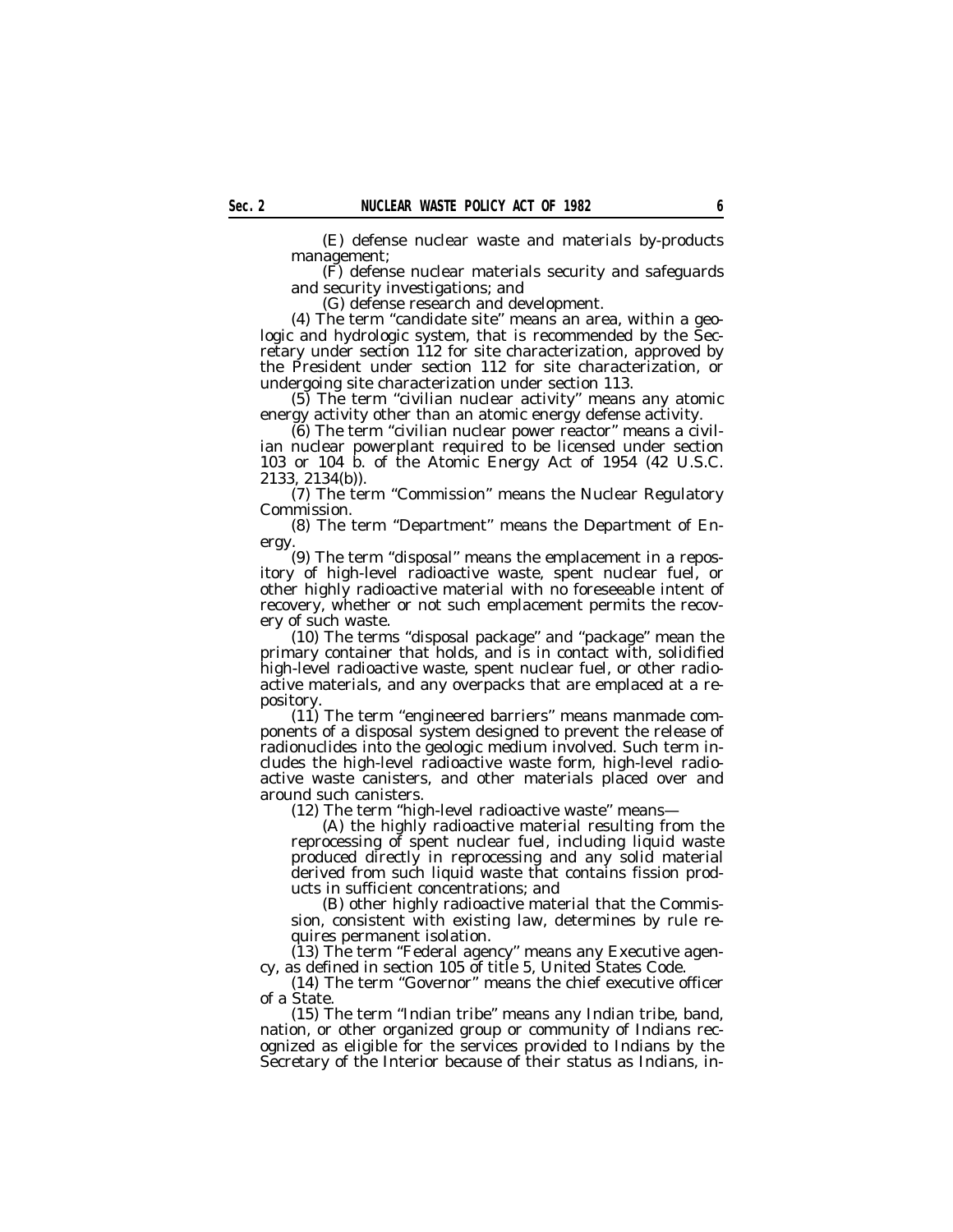(E) defense nuclear waste and materials by-products management;

(F) defense nuclear materials security and safeguards and security investigations; and

(G) defense research and development.

(4) The term ''candidate site'' means an area, within a geologic and hydrologic system, that is recommended by the Secretary under section 112 for site characterization, approved by the President under section 112 for site characterization, or undergoing site characterization under section 113.

(5) The term ''civilian nuclear activity'' means any atomic energy activity other than an atomic energy defense activity.

(6) The term ''civilian nuclear power reactor'' means a civilian nuclear powerplant required to be licensed under section 103 or 104 b. of the Atomic Energy Act of 1954 (42 U.S.C. 2133, 2134(b)).

(7) The term ''Commission'' means the Nuclear Regulatory Commission.

(8) The term "Department" means the Department of Energy.

(9) The term ''disposal'' means the emplacement in a repository of high-level radioactive waste, spent nuclear fuel, or other highly radioactive material with no foreseeable intent of recovery, whether or not such emplacement permits the recovery of such waste.

(10) The terms ''disposal package'' and ''package'' mean the primary container that holds, and is in contact with, solidified high-level radioactive waste, spent nuclear fuel, or other radioactive materials, and any overpacks that are emplaced at a repository.

 $(11)$  The term "engineered barriers" means manmade components of a disposal system designed to prevent the release of radionuclides into the geologic medium involved. Such term includes the high-level radioactive waste form, high-level radioactive waste canisters, and other materials placed over and around such canisters.

(12) The term ''high-level radioactive waste'' means—

(A) the highly radioactive material resulting from the reprocessing of spent nuclear fuel, including liquid waste produced directly in reprocessing and any solid material derived from such liquid waste that contains fission products in sufficient concentrations; and

(B) other highly radioactive material that the Commission, consistent with existing law, determines by rule requires permanent isolation.

(13) The term ''Federal agency'' means any Executive agency, as defined in section 105 of title 5, United States Code.

(14) The term ''Governor'' means the chief executive officer of a State.

(15) The term ''Indian tribe'' means any Indian tribe, band, nation, or other organized group or community of Indians recognized as eligible for the services provided to Indians by the Secretary of the Interior because of their status as Indians, in-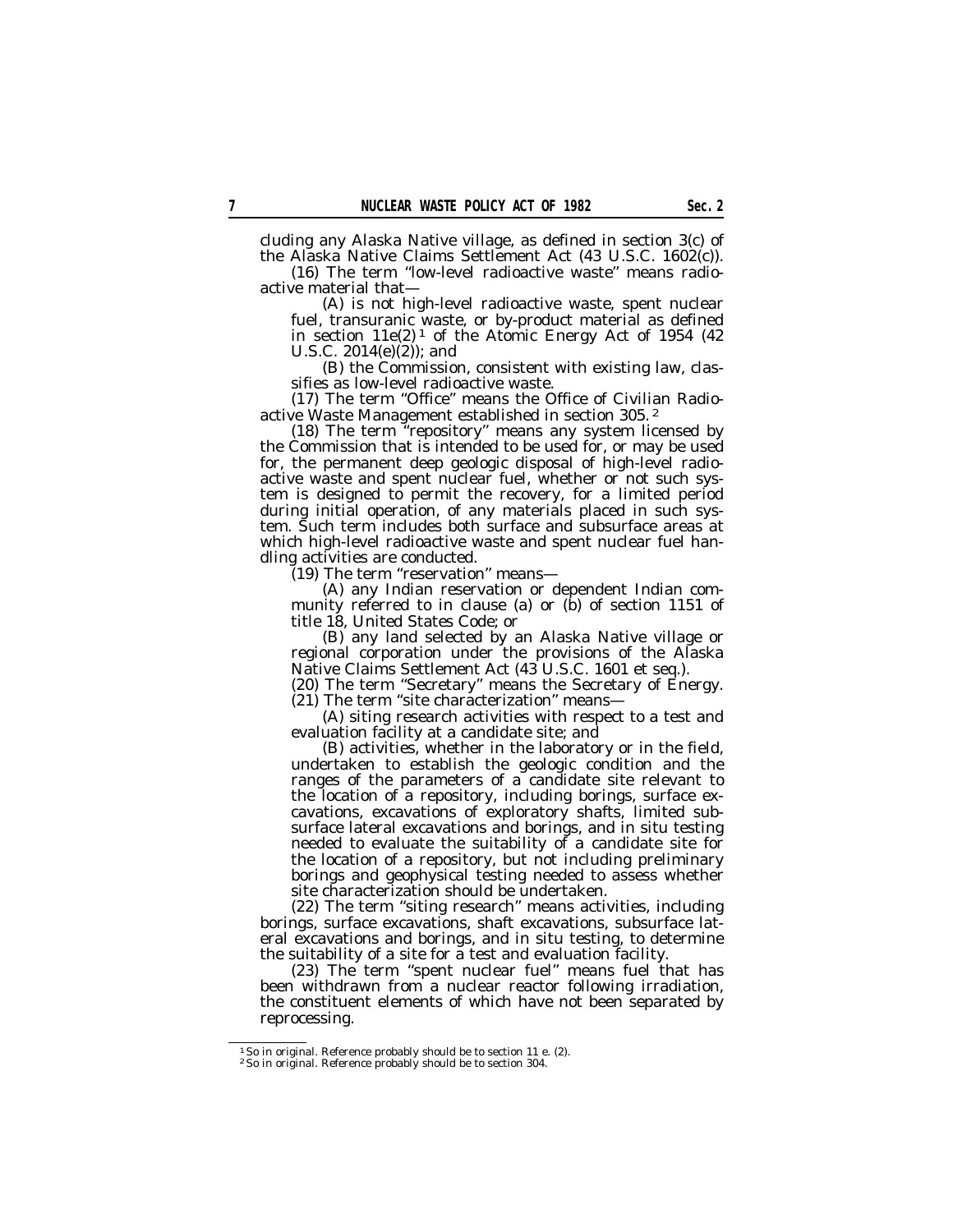cluding any Alaska Native village, as defined in section 3(c) of the Alaska Native Claims Settlement Act (43 U.S.C. 1602(c)).

(16) The term ''low-level radioactive waste'' means radioactive material that—

(A) is not high-level radioactive waste, spent nuclear fuel, transuranic waste, or by-product material as defined in section  $11e(2)^1$  of the Atomic Energy Act of 1954 (42) U.S.C.  $2014(e)(2)$ ; and

(B) the Commission, consistent with existing law, classifies as low-level radioactive waste.

(17) The term ''Office'' means the Office of Civilian Radioactive Waste Management established in section 305. 2

(18) The term ''repository'' means any system licensed by the Commission that is intended to be used for, or may be used for, the permanent deep geologic disposal of high-level radioactive waste and spent nuclear fuel, whether or not such system is designed to permit the recovery, for a limited period during initial operation, of any materials placed in such system. Such term includes both surface and subsurface areas at which high-level radioactive waste and spent nuclear fuel handling activities are conducted.

(19) The term ''reservation'' means—

(A) any Indian reservation or dependent Indian community referred to in clause (a) or (b) of section 1151 of title 18, United States Code; or

(B) any land selected by an Alaska Native village or regional corporation under the provisions of the Alaska Native Claims Settlement Act (43 U.S.C. 1601 et seq.).

(20) The term ''Secretary'' means the Secretary of Energy. (21) The term ''site characterization'' means—

(A) siting research activities with respect to a test and evaluation facility at a candidate site; and

(B) activities, whether in the laboratory or in the field, undertaken to establish the geologic condition and the ranges of the parameters of a candidate site relevant to the location of a repository, including borings, surface excavations, excavations of exploratory shafts, limited subsurface lateral excavations and borings, and in situ testing needed to evaluate the suitability of a candidate site for the location of a repository, but not including preliminary borings and geophysical testing needed to assess whether site characterization should be undertaken.

(22) The term ''siting research'' means activities, including borings, surface excavations, shaft excavations, subsurface lateral excavations and borings, and in situ testing, to determine the suitability of a site for a test and evaluation facility.

(23) The term ''spent nuclear fuel'' means fuel that has been withdrawn from a nuclear reactor following irradiation, the constituent elements of which have not been separated by reprocessing.

 $1$  So in original. Reference probably should be to section 11 e. (2).

<sup>2</sup>So in original. Reference probably should be to section 304.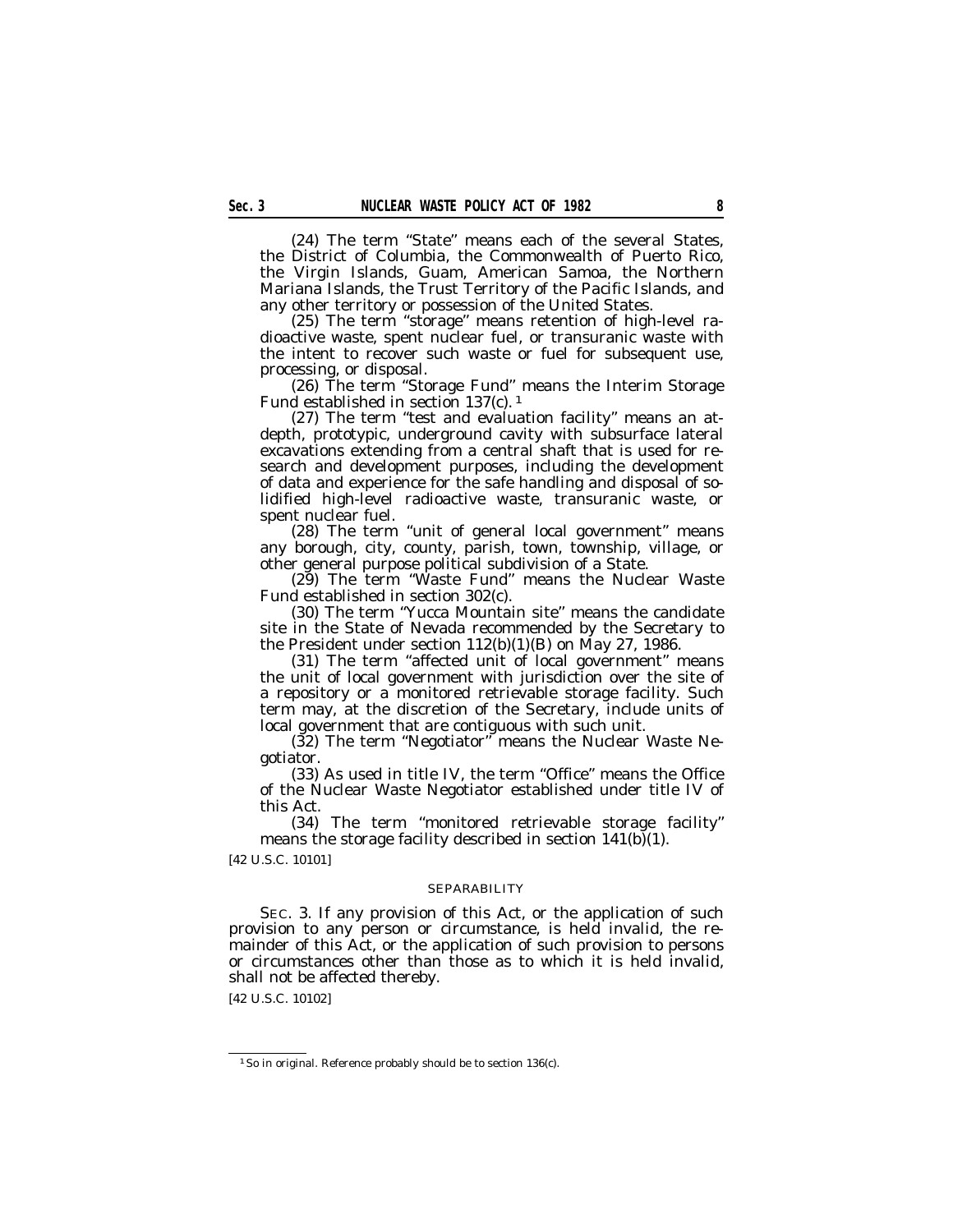(24) The term ''State'' means each of the several States, the District of Columbia, the Commonwealth of Puerto Rico, the Virgin Islands, Guam, American Samoa, the Northern Mariana Islands, the Trust Territory of the Pacific Islands, and any other territory or possession of the United States.

(25) The term ''storage'' means retention of high-level radioactive waste, spent nuclear fuel, or transuranic waste with the intent to recover such waste or fuel for subsequent use, processing, or disposal.

(26) The term ''Storage Fund'' means the Interim Storage Fund established in section 137(c). 1

(27) The term ''test and evaluation facility'' means an atdepth, prototypic, underground cavity with subsurface lateral excavations extending from a central shaft that is used for research and development purposes, including the development of data and experience for the safe handling and disposal of solidified high-level radioactive waste, transuranic waste, or spent nuclear fuel.

(28) The term ''unit of general local government'' means any borough, city, county, parish, town, township, village, or other general purpose political subdivision of a State.

(29) The term ''Waste Fund'' means the Nuclear Waste Fund established in section 302(c).

(30) The term ''Yucca Mountain site'' means the candidate site in the State of Nevada recommended by the Secretary to the President under section  $112(b)(1)(B)$  on May 27, 1986.

(31) The term ''affected unit of local government'' means the unit of local government with jurisdiction over the site of a repository or a monitored retrievable storage facility. Such term may, at the discretion of the Secretary, include units of local government that are contiguous with such unit.

(32) The term ''Negotiator'' means the Nuclear Waste Negotiator.

(33) As used in title IV, the term ''Office'' means the Office of the Nuclear Waste Negotiator established under title IV of this Act.

(34) The term ''monitored retrievable storage facility'' means the storage facility described in section 141(b)(1).

[42 U.S.C. 10101]

# SEPARABILITY

SEC. 3. If any provision of this Act, or the application of such provision to any person or circumstance, is held invalid, the remainder of this Act, or the application of such provision to persons or circumstances other than those as to which it is held invalid, shall not be affected thereby.

[42 U.S.C. 10102]

<sup>1</sup>So in original. Reference probably should be to section 136(c).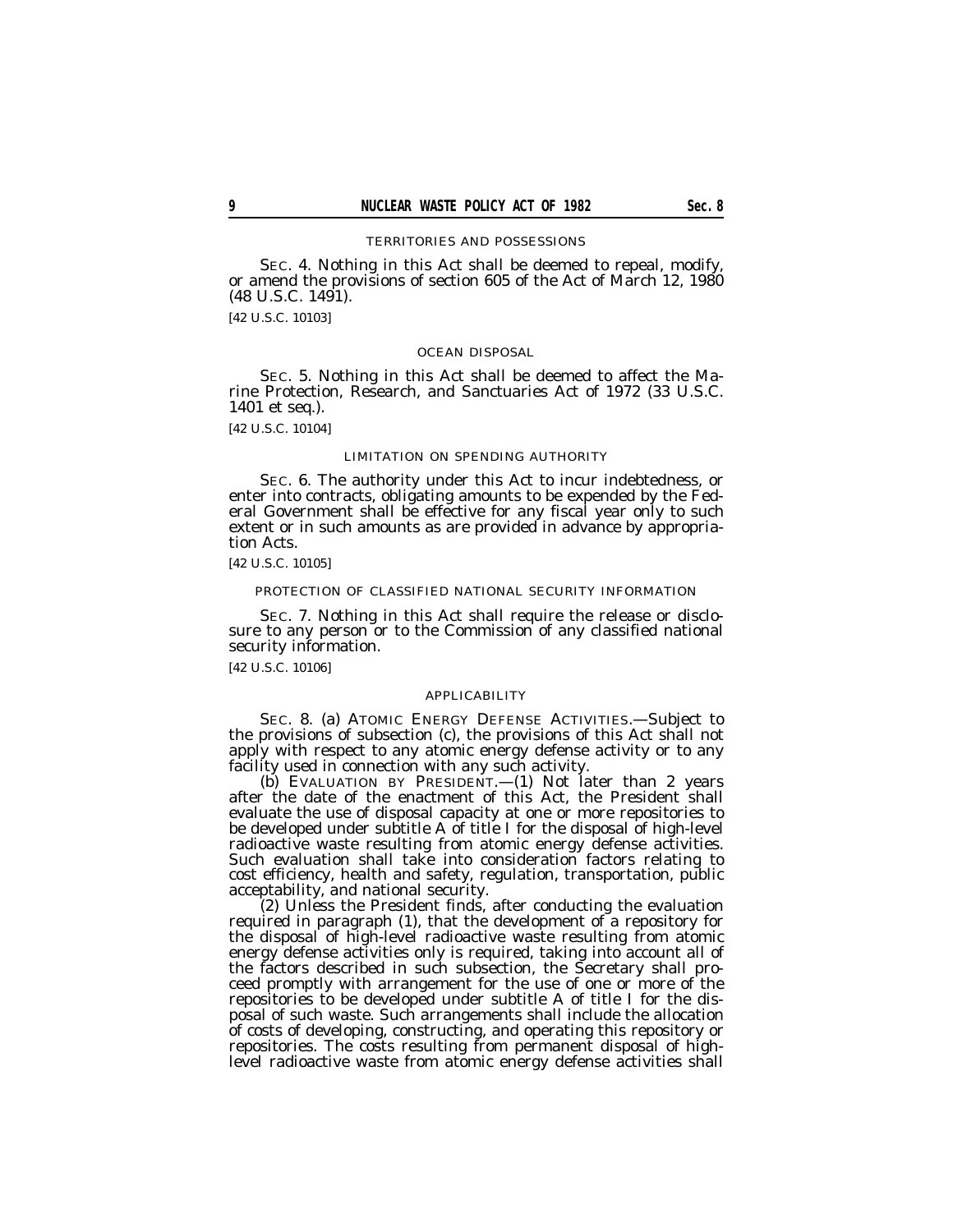#### TERRITORIES AND POSSESSIONS

SEC. 4. Nothing in this Act shall be deemed to repeal, modify, or amend the provisions of section 605 of the Act of March 12, 1980 (48 U.S.C. 1491).

[42 U.S.C. 10103]

### OCEAN DISPOSAL

SEC. 5. Nothing in this Act shall be deemed to affect the Marine Protection, Research, and Sanctuaries Act of 1972 (33 U.S.C. 1401 et seq.).

[42 U.S.C. 10104]

#### LIMITATION ON SPENDING AUTHORITY

SEC. 6. The authority under this Act to incur indebtedness, or enter into contracts, obligating amounts to be expended by the Federal Government shall be effective for any fiscal year only to such extent or in such amounts as are provided in advance by appropriation Acts.

[42 U.S.C. 10105]

#### PROTECTION OF CLASSIFIED NATIONAL SECURITY INFORMATION

SEC. 7. Nothing in this Act shall require the release or disclosure to any person or to the Commission of any classified national security information.

[42 U.S.C. 10106]

### APPLICABILITY

SEC. 8. (a) ATOMIC ENERGY DEFENSE ACTIVITIES.—Subject to the provisions of subsection (c), the provisions of this Act shall not apply with respect to any atomic energy defense activity or to any facility used in connection with any such activity.

(b) EVALUATION BY PRESIDENT.—(1) Not later than 2 years after the date of the enactment of this Act, the President shall evaluate the use of disposal capacity at one or more repositories to be developed under subtitle A of title I for the disposal of high-level radioactive waste resulting from atomic energy defense activities. Such evaluation shall take into consideration factors relating to cost efficiency, health and safety, regulation, transportation, public acceptability, and national security.

(2) Unless the President finds, after conducting the evaluation required in paragraph (1), that the development of a repository for the disposal of high-level radioactive waste resulting from atomic energy defense activities only is required, taking into account all of the factors described in such subsection, the Secretary shall proceed promptly with arrangement for the use of one or more of the repositories to be developed under subtitle A of title I for the disposal of such waste. Such arrangements shall include the allocation of costs of developing, constructing, and operating this repository or repositories. The costs resulting from permanent disposal of highlevel radioactive waste from atomic energy defense activities shall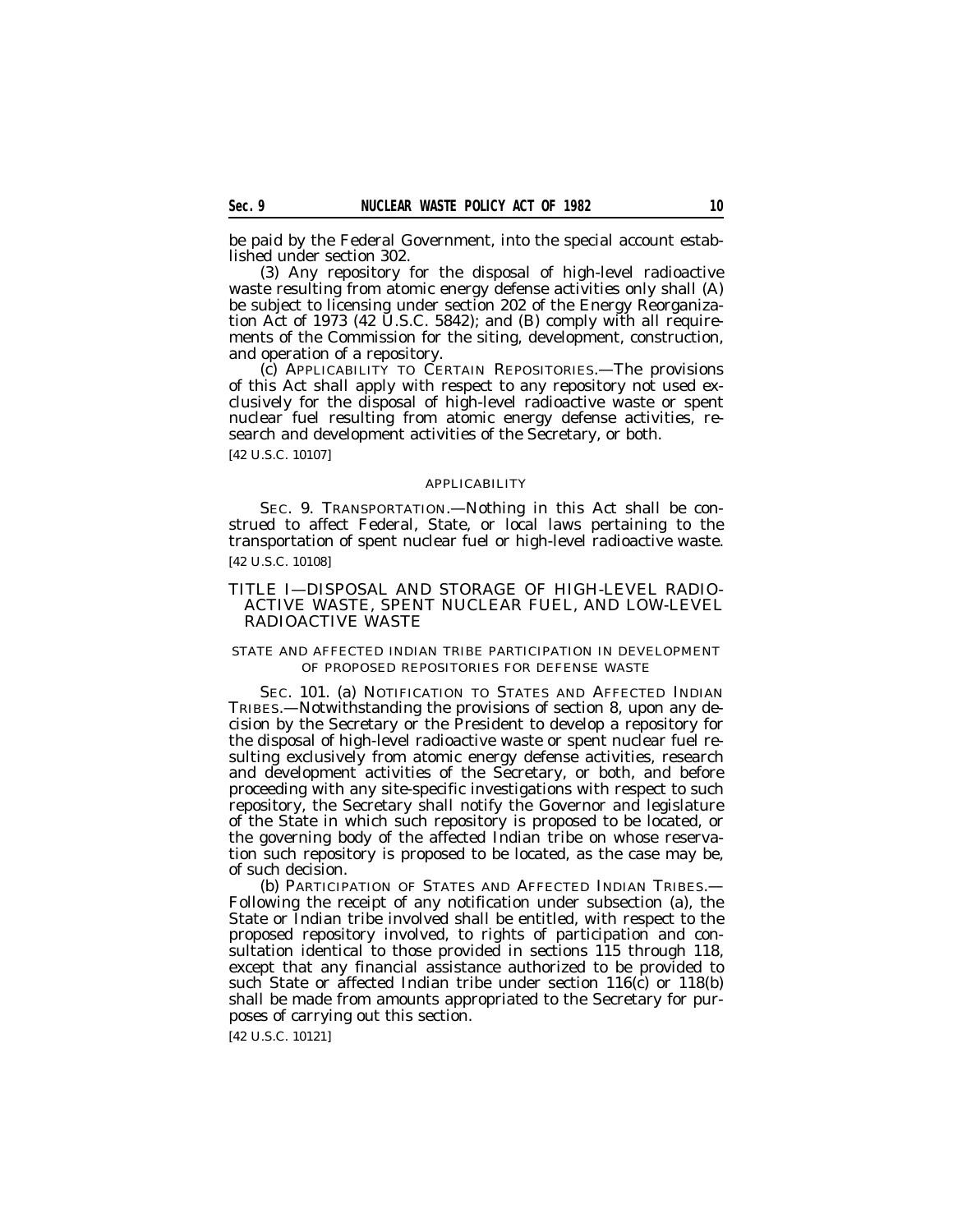be paid by the Federal Government, into the special account established under section 302.

(3) Any repository for the disposal of high-level radioactive waste resulting from atomic energy defense activities only shall (A) be subject to licensing under section 202 of the Energy Reorganization Act of 1973 (42 U.S.C. 5842); and (B) comply with all requirements of the Commission for the siting, development, construction, and operation of a repository.

(c) APPLICABILITY TO CERTAIN REPOSITORIES.—The provisions of this Act shall apply with respect to any repository not used exclusively for the disposal of high-level radioactive waste or spent nuclear fuel resulting from atomic energy defense activities, research and development activities of the Secretary, or both.

[42 U.S.C. 10107]

#### APPLICABILITY

SEC. 9. TRANSPORTATION.—Nothing in this Act shall be construed to affect Federal, State, or local laws pertaining to the transportation of spent nuclear fuel or high-level radioactive waste. [42 U.S.C. 10108]

# TITLE I—DISPOSAL AND STORAGE OF HIGH-LEVEL RADIO-ACTIVE WASTE, SPENT NUCLEAR FUEL, AND LOW-LEVEL RADIOACTIVE WASTE

## STATE AND AFFECTED INDIAN TRIBE PARTICIPATION IN DEVELOPMENT OF PROPOSED REPOSITORIES FOR DEFENSE WASTE

SEC. 101. (a) NOTIFICATION TO STATES AND AFFECTED INDIAN TRIBES.—Notwithstanding the provisions of section 8, upon any decision by the Secretary or the President to develop a repository for the disposal of high-level radioactive waste or spent nuclear fuel resulting exclusively from atomic energy defense activities, research and development activities of the Secretary, or both, and before proceeding with any site-specific investigations with respect to such repository, the Secretary shall notify the Governor and legislature of the State in which such repository is proposed to be located, or the governing body of the affected Indian tribe on whose reservation such repository is proposed to be located, as the case may be, of such decision.

(b) PARTICIPATION OF STATES AND AFFECTED INDIAN TRIBES.— Following the receipt of any notification under subsection (a), the State or Indian tribe involved shall be entitled, with respect to the proposed repository involved, to rights of participation and consultation identical to those provided in sections 115 through 118, except that any financial assistance authorized to be provided to such State or affected Indian tribe under section 116(c) or 118(b) shall be made from amounts appropriated to the Secretary for purposes of carrying out this section.

[42 U.S.C. 10121]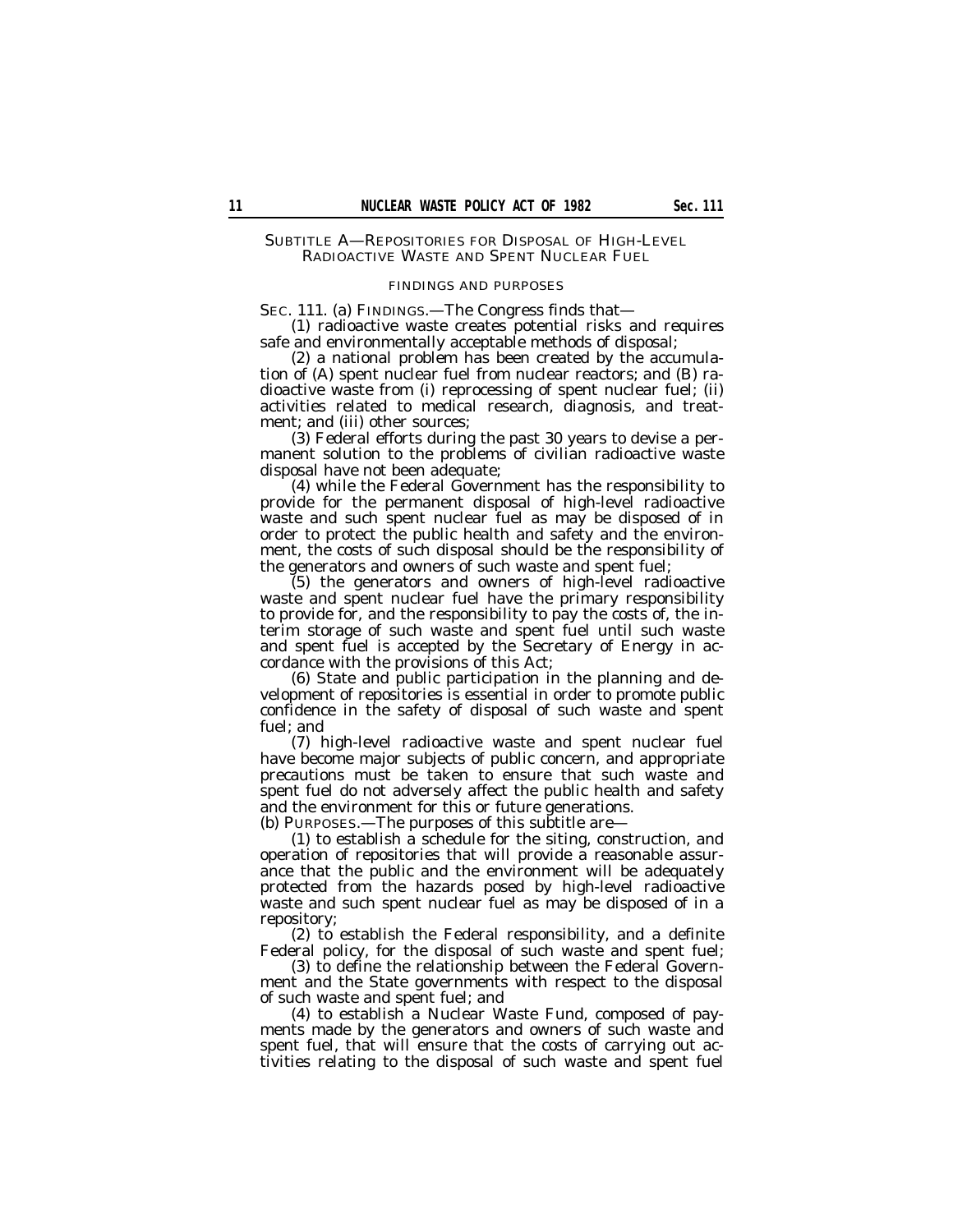## SUBTITLE A—REPOSITORIES FOR DISPOSAL OF HIGH-LEVEL RADIOACTIVE WASTE AND SPENT NUCLEAR FUEL

### FINDINGS AND PURPOSES

SEC. 111. (a) FINDINGS.—The Congress finds that— (1) radioactive waste creates potential risks and requires safe and environmentally acceptable methods of disposal;

(2) a national problem has been created by the accumulation of (A) spent nuclear fuel from nuclear reactors; and (B) radioactive waste from (i) reprocessing of spent nuclear fuel; (ii) activities related to medical research, diagnosis, and treatment; and (iii) other sources;

(3) Federal efforts during the past 30 years to devise a permanent solution to the problems of civilian radioactive waste disposal have not been adequate;

(4) while the Federal Government has the responsibility to provide for the permanent disposal of high-level radioactive waste and such spent nuclear fuel as may be disposed of in order to protect the public health and safety and the environment, the costs of such disposal should be the responsibility of the generators and owners of such waste and spent fuel;

(5) the generators and owners of high-level radioactive waste and spent nuclear fuel have the primary responsibility to provide for, and the responsibility to pay the costs of, the interim storage of such waste and spent fuel until such waste and spent fuel is accepted by the Secretary of Energy in accordance with the provisions of this Act;

(6) State and public participation in the planning and development of repositories is essential in order to promote public confidence in the safety of disposal of such waste and spent fuel; and

(7) high-level radioactive waste and spent nuclear fuel have become major subjects of public concern, and appropriate precautions must be taken to ensure that such waste and spent fuel do not adversely affect the public health and safety and the environment for this or future generations.

(b) PURPOSES.—The purposes of this subtitle are—

(1) to establish a schedule for the siting, construction, and operation of repositories that will provide a reasonable assurance that the public and the environment will be adequately protected from the hazards posed by high-level radioactive waste and such spent nuclear fuel as may be disposed of in a repository;

(2) to establish the Federal responsibility, and a definite Federal policy, for the disposal of such waste and spent fuel;

(3) to define the relationship between the Federal Government and the State governments with respect to the disposal of such waste and spent fuel; and

(4) to establish a Nuclear Waste Fund, composed of payments made by the generators and owners of such waste and spent fuel, that will ensure that the costs of carrying out activities relating to the disposal of such waste and spent fuel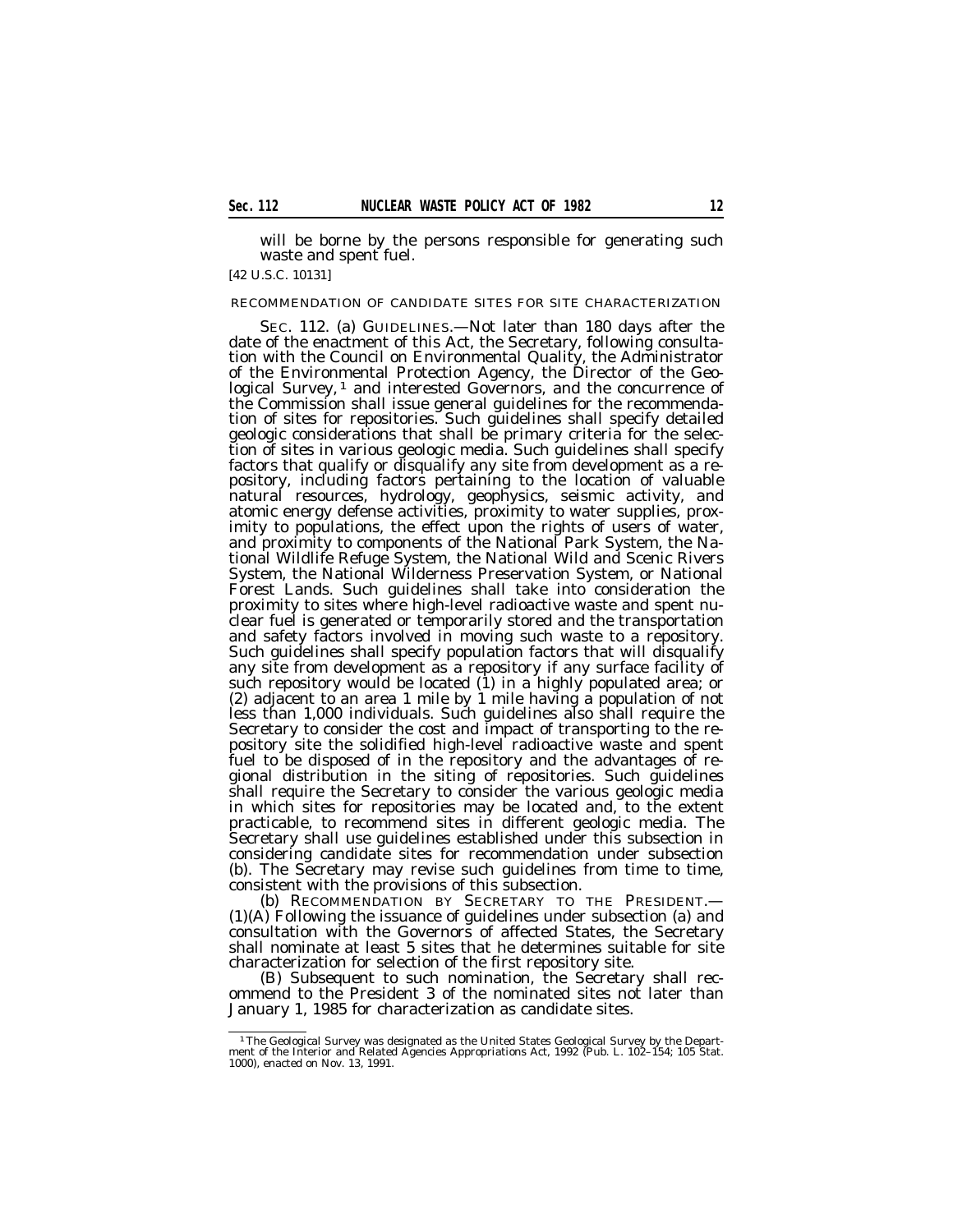will be borne by the persons responsible for generating such waste and spent fuel.

[42 U.S.C. 10131]

# RECOMMENDATION OF CANDIDATE SITES FOR SITE CHARACTERIZATION

SEC. 112. (a) GUIDELINES.—Not later than 180 days after the date of the enactment of this Act, the Secretary, following consultation with the Council on Environmental Quality, the Administrator of the Environmental Protection Agency, the Director of the Geological Survey, 1 and interested Governors, and the concurrence of the Commission shall issue general guidelines for the recommendation of sites for repositories. Such guidelines shall specify detailed geologic considerations that shall be primary criteria for the selection of sites in various geologic media. Such guidelines shall specify factors that qualify or disqualify any site from development as a repository, including factors pertaining to the location of valuable natural resources, hydrology, geophysics, seismic activity, and atomic energy defense activities, proximity to water supplies, proximity to populations, the effect upon the rights of users of water, and proximity to components of the National Park System, the National Wildlife Refuge System, the National Wild and Scenic Rivers System, the National Wilderness Preservation System, or National Forest Lands. Such guidelines shall take into consideration the proximity to sites where high-level radioactive waste and spent nuclear fuel is generated or temporarily stored and the transportation and safety factors involved in moving such waste to a repository. Such guidelines shall specify population factors that will disqualify any site from development as a repository if any surface facility of such repository would be located (1) in a highly populated area; or (2) adjacent to an area 1 mile by 1 mile having a population of not less than 1,000 individuals. Such guidelines also shall require the Secretary to consider the cost and impact of transporting to the repository site the solidified high-level radioactive waste and spent fuel to be disposed of in the repository and the advantages of regional distribution in the siting of repositories. Such guidelines shall require the Secretary to consider the various geologic media in which sites for repositories may be located and, to the extent practicable, to recommend sites in different geologic media. The Secretary shall use guidelines established under this subsection in considering candidate sites for recommendation under subsection (b). The Secretary may revise such guidelines from time to time, consistent with the provisions of this subsection.

(b) RECOMMENDATION BY SECRETARY TO THE PRESIDENT.— (1)(A) Following the issuance of guidelines under subsection (a) and consultation with the Governors of affected States, the Secretary shall nominate at least 5 sites that he determines suitable for site characterization for selection of the first repository site.

(B) Subsequent to such nomination, the Secretary shall recommend to the President 3 of the nominated sites not later than January 1, 1985 for characterization as candidate sites.

<sup>1</sup>The Geological Survey was designated as the United States Geological Survey by the Depart-ment of the Interior and Related Agencies Appropriations Act, 1992 (Pub. L. 102–154; 105 Stat. 1000), enacted on Nov. 13, 1991.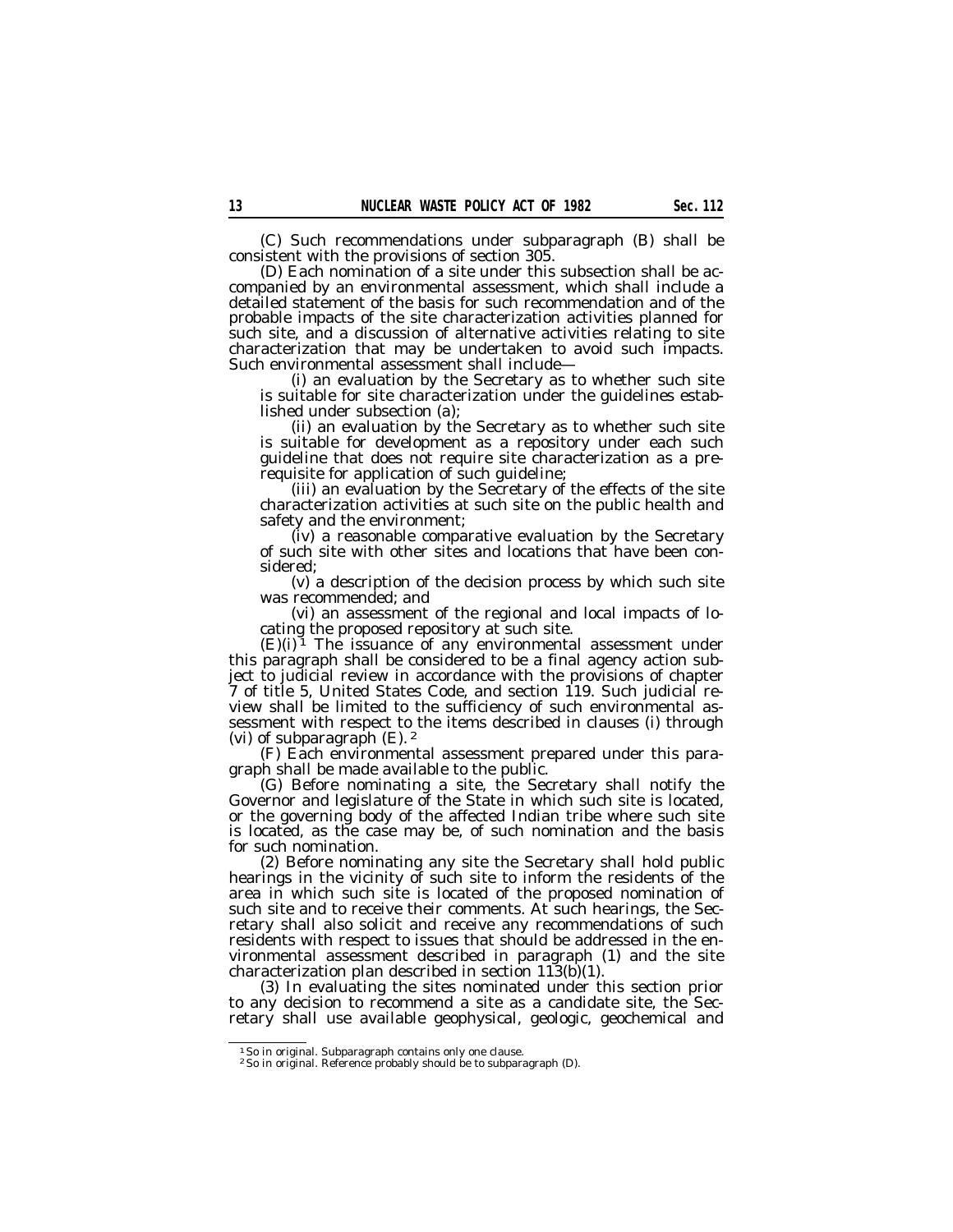(C) Such recommendations under subparagraph (B) shall be consistent with the provisions of section 305.

(D) Each nomination of a site under this subsection shall be accompanied by an environmental assessment, which shall include a detailed statement of the basis for such recommendation and of the probable impacts of the site characterization activities planned for such site, and a discussion of alternative activities relating to site characterization that may be undertaken to avoid such impacts. Such environmental assessment shall include—

(i) an evaluation by the Secretary as to whether such site is suitable for site characterization under the guidelines established under subsection (a);

(ii) an evaluation by the Secretary as to whether such site is suitable for development as a repository under each such guideline that does not require site characterization as a prerequisite for application of such guideline;

(iii) an evaluation by the Secretary of the effects of the site characterization activities at such site on the public health and safety and the environment;

(iv) a reasonable comparative evaluation by the Secretary of such site with other sites and locations that have been considered;

(v) a description of the decision process by which such site was recommended; and

(vi) an assessment of the regional and local impacts of locating the proposed repository at such site.

 $(E)(i)$ <sup>1</sup> The issuance of any environmental assessment under this paragraph shall be considered to be a final agency action subject to judicial review in accordance with the provisions of chapter 7 of title 5, United States Code, and section 119. Such judicial review shall be limited to the sufficiency of such environmental assessment with respect to the items described in clauses (i) through (vi) of subparagraph  $(E)$ . <sup>2</sup>

(F) Each environmental assessment prepared under this paragraph shall be made available to the public.

(G) Before nominating a site, the Secretary shall notify the Governor and legislature of the State in which such site is located, or the governing body of the affected Indian tribe where such site is located, as the case may be, of such nomination and the basis for such nomination.

(2) Before nominating any site the Secretary shall hold public hearings in the vicinity of such site to inform the residents of the area in which such site is located of the proposed nomination of such site and to receive their comments. At such hearings, the Secretary shall also solicit and receive any recommendations of such residents with respect to issues that should be addressed in the environmental assessment described in paragraph (1) and the site characterization plan described in section  $11\overline{3}$ (b)(1).

(3) In evaluating the sites nominated under this section prior to any decision to recommend a site as a candidate site, the Secretary shall use available geophysical, geologic, geochemical and

<sup>&</sup>lt;sup>1</sup>So in original. Subparagraph contains only one clause.

<sup>2</sup>So in original. Reference probably should be to subparagraph (D).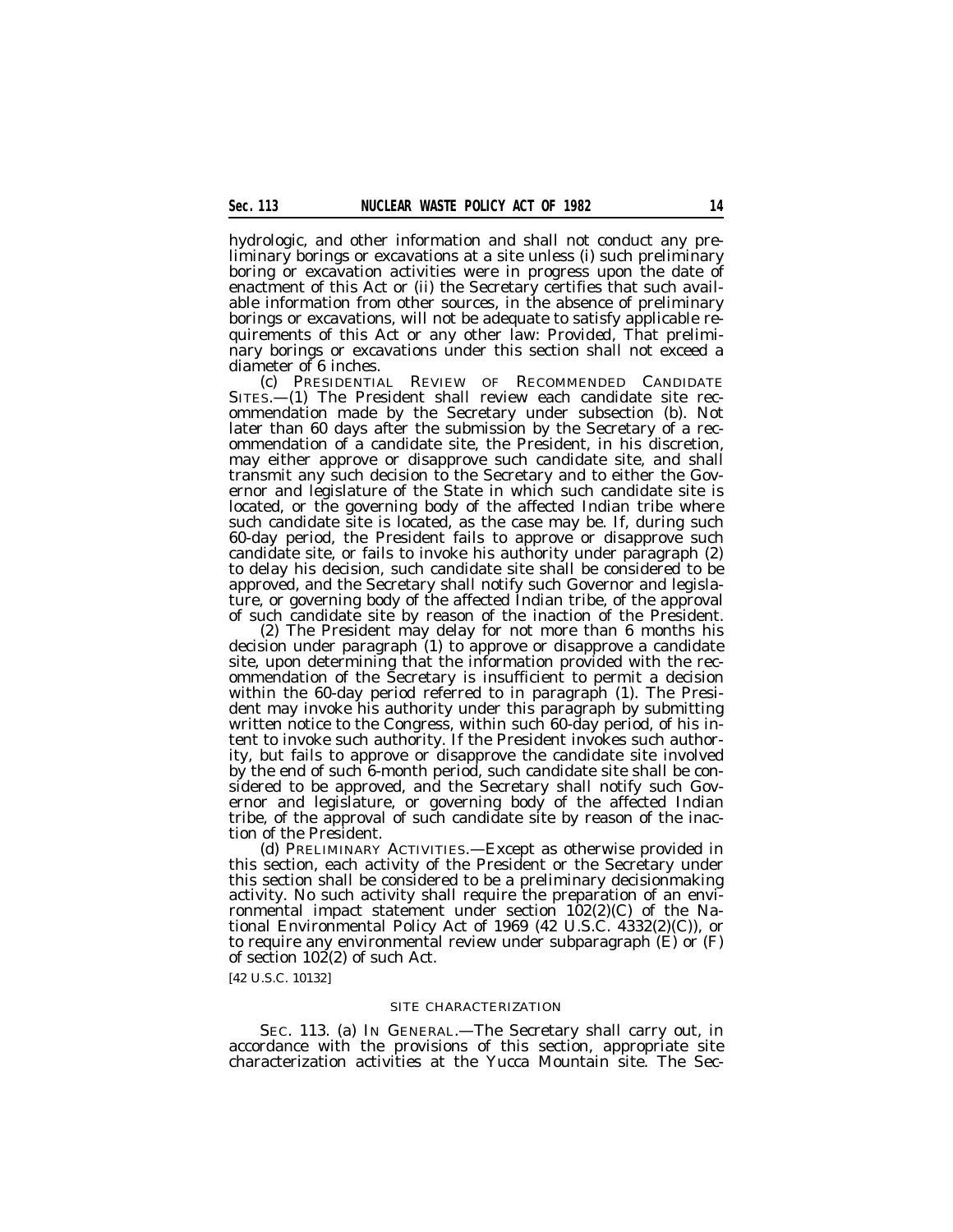hydrologic, and other information and shall not conduct any preliminary borings or excavations at a site unless (i) such preliminary boring or excavation activities were in progress upon the date of enactment of this Act or (ii) the Secretary certifies that such available information from other sources, in the absence of preliminary borings or excavations, will not be adequate to satisfy applicable requirements of this Act or any other law: *Provided,* That preliminary borings or excavations under this section shall not exceed a diameter of 6 inches.

(c) PRESIDENTIAL REVIEW OF RECOMMENDED CANDIDATE SITES.—(1) The President shall review each candidate site recommendation made by the Secretary under subsection (b). Not later than 60 days after the submission by the Secretary of a recommendation of a candidate site, the President, in his discretion, may either approve or disapprove such candidate site, and shall transmit any such decision to the Secretary and to either the Governor and legislature of the State in which such candidate site is located, or the governing body of the affected Indian tribe where such candidate site is located, as the case may be. If, during such 60-day period, the President fails to approve or disapprove such candidate site, or fails to invoke his authority under paragraph (2) to delay his decision, such candidate site shall be considered to be approved, and the Secretary shall notify such Governor and legislature, or governing body of the affected Indian tribe, of the approval of such candidate site by reason of the inaction of the President.

(2) The President may delay for not more than 6 months his decision under paragraph (1) to approve or disapprove a candidate site, upon determining that the information provided with the recommendation of the Secretary is insufficient to permit a decision within the 60-day period referred to in paragraph (1). The President may invoke his authority under this paragraph by submitting written notice to the Congress, within such 60-day period, of his intent to invoke such authority. If the President invokes such authority, but fails to approve or disapprove the candidate site involved by the end of such 6-month period, such candidate site shall be considered to be approved, and the Secretary shall notify such Governor and legislature, or governing body of the affected Indian tribe, of the approval of such candidate site by reason of the inaction of the President.

(d) PRELIMINARY ACTIVITIES.—Except as otherwise provided in this section, each activity of the President or the Secretary under this section shall be considered to be a preliminary decisionmaking activity. No such activity shall require the preparation of an environmental impact statement under section 102(2)(C) of the National Environmental Policy Act of 1969 (42 U.S.C. 4332(2)(C)), or to require any environmental review under subparagraph (E) or (F) of section  $10\frac{2}{2}$  of such Act.

[42 U.S.C. 10132]

## SITE CHARACTERIZATION

SEC. 113. (a) IN GENERAL.—The Secretary shall carry out, in accordance with the provisions of this section, appropriate site characterization activities at the Yucca Mountain site. The Sec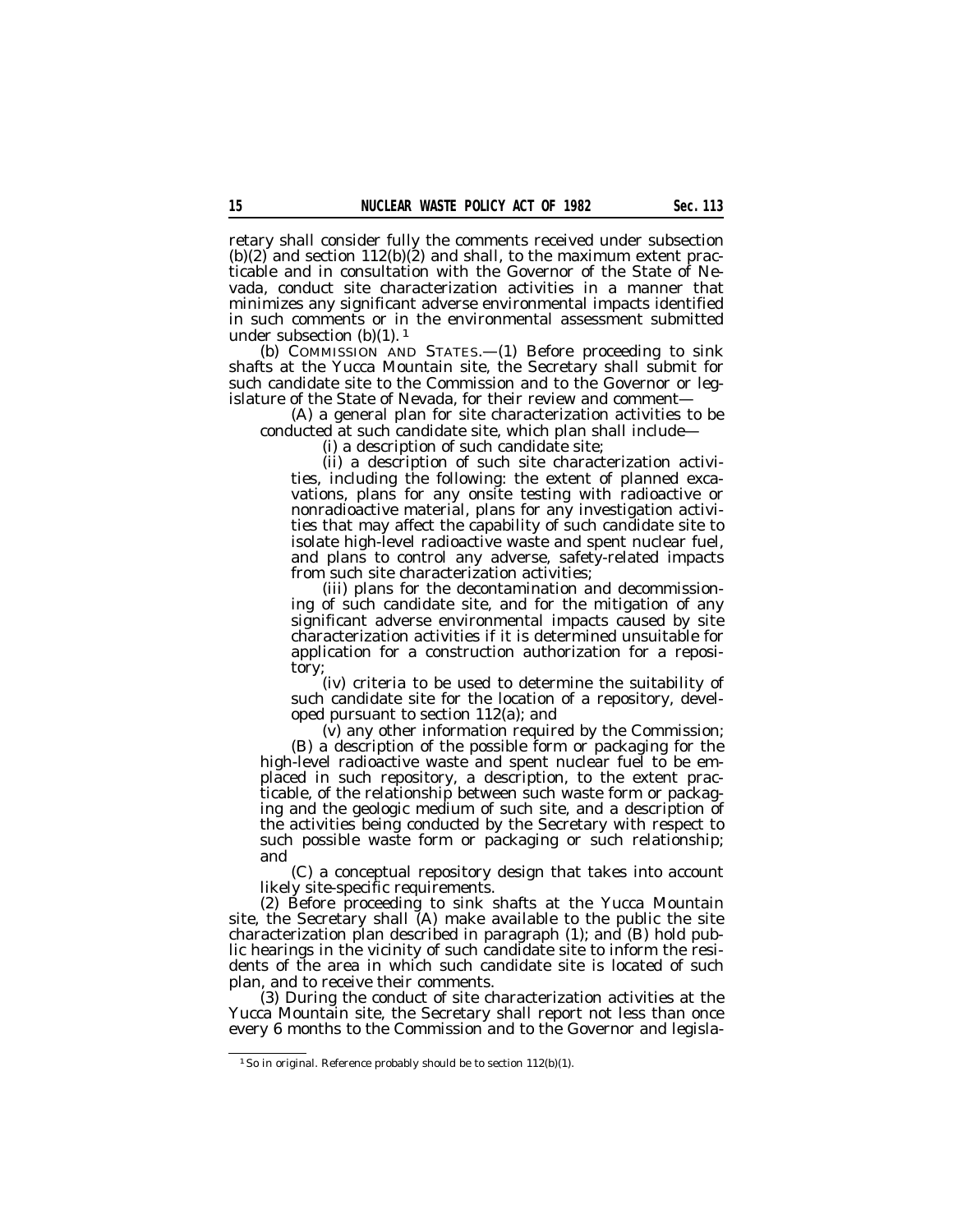retary shall consider fully the comments received under subsection  $(b)(2)$  and section 112 $(b)(2)$  and shall, to the maximum extent practicable and in consultation with the Governor of the State of Nevada, conduct site characterization activities in a manner that minimizes any significant adverse environmental impacts identified in such comments or in the environmental assessment submitted under subsection  $(b)(1)$ . <sup>1</sup>

(b) COMMISSION AND STATES.—(1) Before proceeding to sink shafts at the Yucca Mountain site, the Secretary shall submit for such candidate site to the Commission and to the Governor or legislature of the State of Nevada, for their review and comment—

(A) a general plan for site characterization activities to be conducted at such candidate site, which plan shall include—

(i) a description of such candidate site;

(ii) a description of such site characterization activities, including the following: the extent of planned excavations, plans for any onsite testing with radioactive or nonradioactive material, plans for any investigation activities that may affect the capability of such candidate site to isolate high-level radioactive waste and spent nuclear fuel, and plans to control any adverse, safety-related impacts from such site characterization activities;

(iii) plans for the decontamination and decommissioning of such candidate site, and for the mitigation of any significant adverse environmental impacts caused by site characterization activities if it is determined unsuitable for application for a construction authorization for a repository;

(iv) criteria to be used to determine the suitability of such candidate site for the location of a repository, developed pursuant to section 112(a); and

(v) any other information required by the Commission; (B) a description of the possible form or packaging for the high-level radioactive waste and spent nuclear fuel to be emplaced in such repository, a description, to the extent practicable, of the relationship between such waste form or packaging and the geologic medium of such site, and a description of the activities being conducted by the Secretary with respect to such possible waste form or packaging or such relationship; and

(C) a conceptual repository design that takes into account likely site-specific requirements.

(2) Before proceeding to sink shafts at the Yucca Mountain site, the Secretary shall (A) make available to the public the site characterization plan described in paragraph (1); and (B) hold public hearings in the vicinity of such candidate site to inform the residents of the area in which such candidate site is located of such plan, and to receive their comments.

(3) During the conduct of site characterization activities at the Yucca Mountain site, the Secretary shall report not less than once every 6 months to the Commission and to the Governor and legisla-

<sup>1</sup>So in original. Reference probably should be to section 112(b)(1).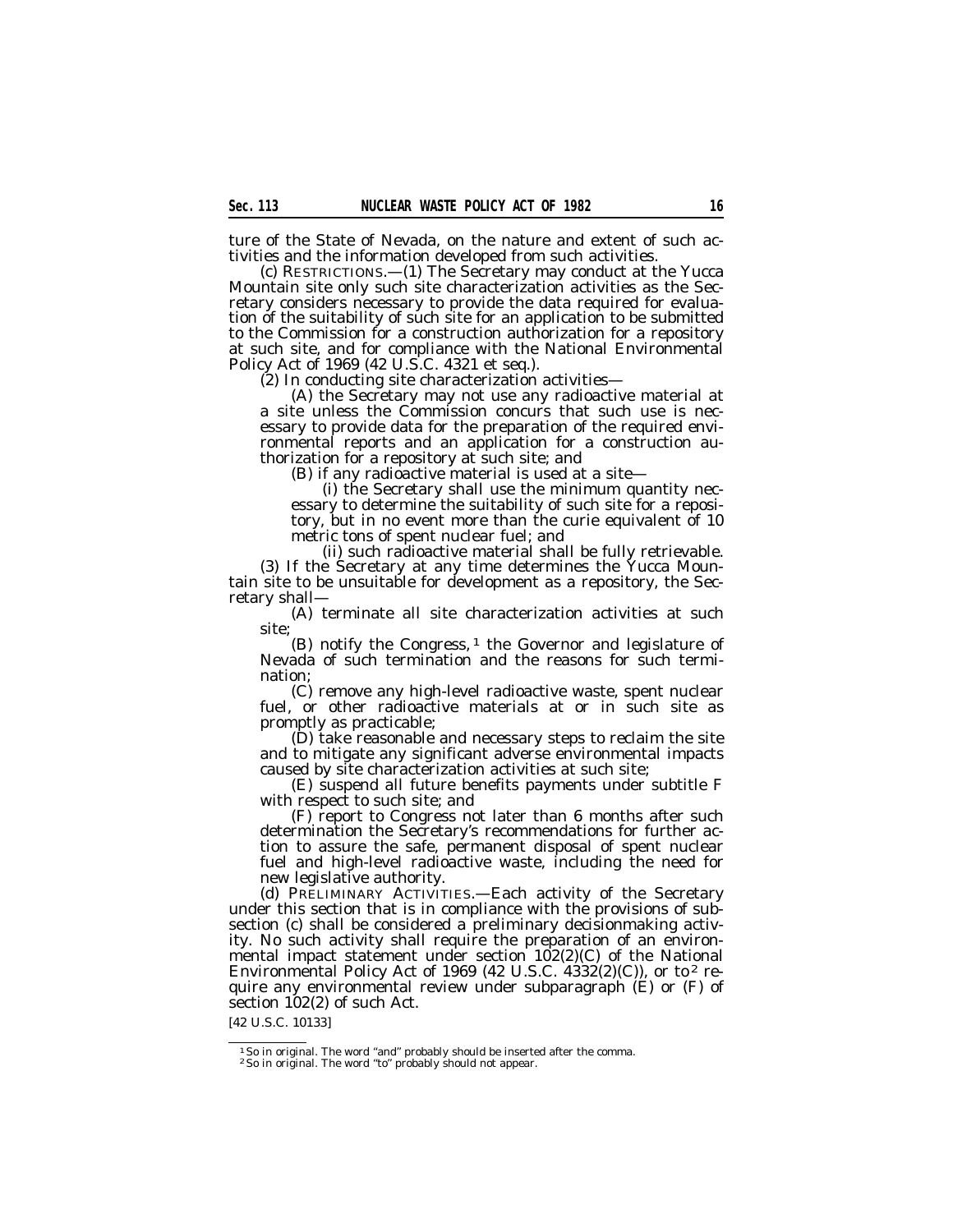ture of the State of Nevada, on the nature and extent of such activities and the information developed from such activities.

(c) RESTRICTIONS.—(1) The Secretary may conduct at the Yucca Mountain site only such site characterization activities as the Secretary considers necessary to provide the data required for evaluation of the suitability of such site for an application to be submitted to the Commission for a construction authorization for a repository at such site, and for compliance with the National Environmental Policy Act of 1969 (42 U.S.C. 4321 et seq.).

(2) In conducting site characterization activities—

(A) the Secretary may not use any radioactive material at a site unless the Commission concurs that such use is necessary to provide data for the preparation of the required environmental reports and an application for a construction authorization for a repository at such site; and

(B) if any radioactive material is used at a site—

(i) the Secretary shall use the minimum quantity necessary to determine the suitability of such site for a repository, but in no event more than the curie equivalent of 10 metric tons of spent nuclear fuel; and

(ii) such radioactive material shall be fully retrievable. (3) If the Secretary at any time determines the Yucca Mountain site to be unsuitable for development as a repository, the Secretary shall—

(A) terminate all site characterization activities at such site;

 $(B)$  notify the Congress,  $<sup>1</sup>$  the Governor and legislature of</sup> Nevada of such termination and the reasons for such termination;

(C) remove any high-level radioactive waste, spent nuclear fuel, or other radioactive materials at or in such site as promptly as practicable;

(D) take reasonable and necessary steps to reclaim the site and to mitigate any significant adverse environmental impacts caused by site characterization activities at such site;

(E) suspend all future benefits payments under subtitle F with respect to such site; and

(F) report to Congress not later than 6 months after such determination the Secretary's recommendations for further action to assure the safe, permanent disposal of spent nuclear fuel and high-level radioactive waste, including the need for new legislative authority.

(d) PRELIMINARY ACTIVITIES.—Each activity of the Secretary under this section that is in compliance with the provisions of subsection (c) shall be considered a preliminary decisionmaking activity. No such activity shall require the preparation of an environmental impact statement under section 102(2)(C) of the National Environmental Policy Act of 1969 (42 U.S.C. 4332(2)(C)), or to  $2$  require any environmental review under subparagraph (E) or (F) of section 102(2) of such Act.

[42 U.S.C. 10133]

<sup>&</sup>lt;sup>1</sup> So in original. The word "and" probably should be inserted after the comma.

<sup>2</sup>So in original. The word ''to'' probably should not appear.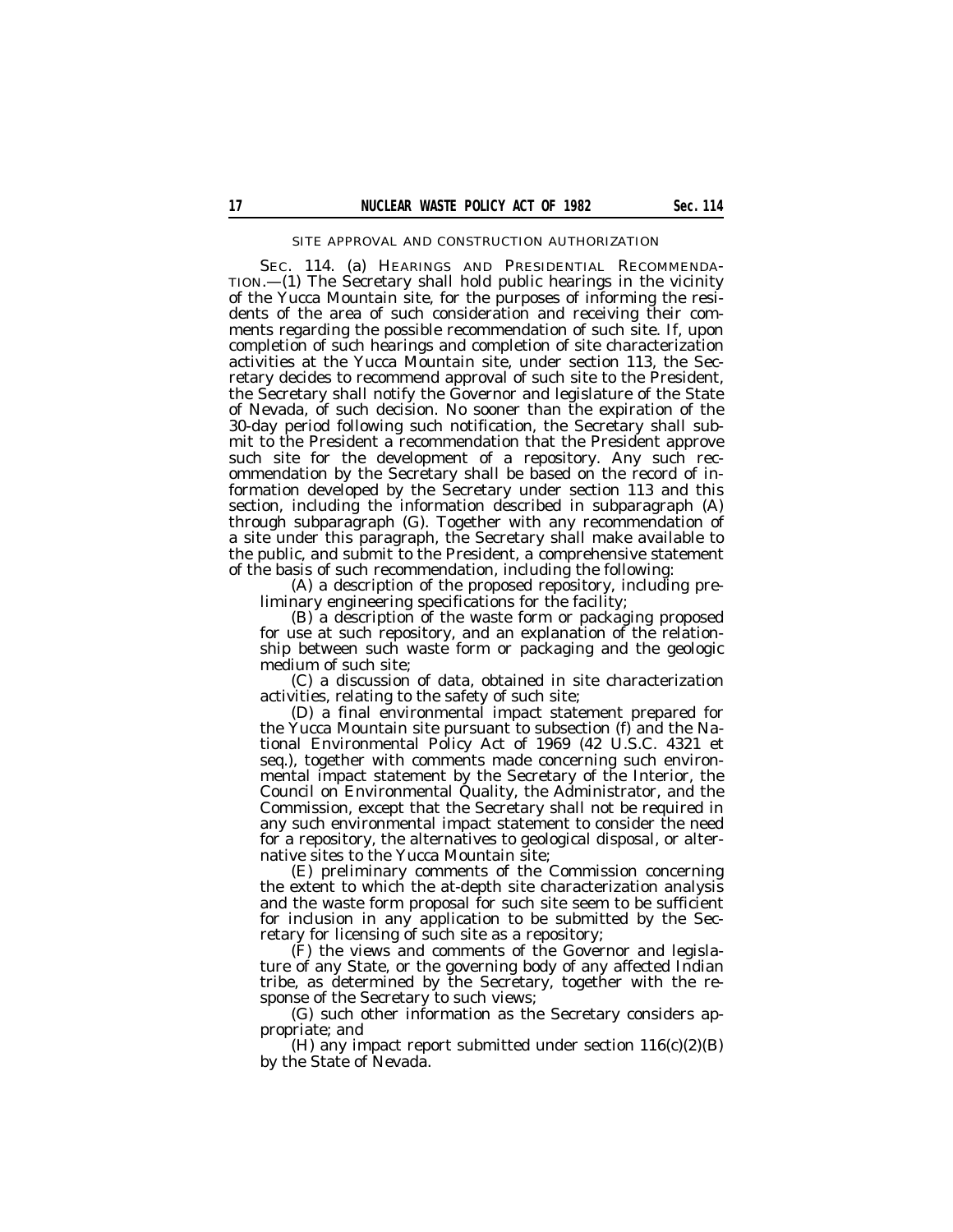## SITE APPROVAL AND CONSTRUCTION AUTHORIZATION

SEC. 114. (a) HEARINGS AND PRESIDENTIAL RECOMMENDA-TION.—(1) The Secretary shall hold public hearings in the vicinity of the Yucca Mountain site, for the purposes of informing the residents of the area of such consideration and receiving their comments regarding the possible recommendation of such site. If, upon completion of such hearings and completion of site characterization activities at the Yucca Mountain site, under section 113, the Secretary decides to recommend approval of such site to the President, the Secretary shall notify the Governor and legislature of the State of Nevada, of such decision. No sooner than the expiration of the 30-day period following such notification, the Secretary shall submit to the President a recommendation that the President approve such site for the development of a repository. Any such recommendation by the Secretary shall be based on the record of information developed by the Secretary under section 113 and this section, including the information described in subparagraph (A) through subparagraph (G). Together with any recommendation of a site under this paragraph, the Secretary shall make available to the public, and submit to the President, a comprehensive statement of the basis of such recommendation, including the following:

(A) a description of the proposed repository, including preliminary engineering specifications for the facility;

(B) a description of the waste form or packaging proposed for use at such repository, and an explanation of the relationship between such waste form or packaging and the geologic medium of such site;

(C) a discussion of data, obtained in site characterization activities, relating to the safety of such site;

(D) a final environmental impact statement prepared for the Yucca Mountain site pursuant to subsection (f) and the National Environmental Policy Act of 1969 (42 U.S.C. 4321 et seq.), together with comments made concerning such environmental impact statement by the Secretary of the Interior, the Council on Environmental Quality, the Administrator, and the Commission, except that the Secretary shall not be required in any such environmental impact statement to consider the need for a repository, the alternatives to geological disposal, or alternative sites to the Yucca Mountain site;

(E) preliminary comments of the Commission concerning the extent to which the at-depth site characterization analysis and the waste form proposal for such site seem to be sufficient for inclusion in any application to be submitted by the Secretary for licensing of such site as a repository;

(F) the views and comments of the Governor and legislature of any State, or the governing body of any affected Indian tribe, as determined by the Secretary, together with the response of the Secretary to such views;

(G) such other information as the Secretary considers appropriate; and

(H) any impact report submitted under section  $116(c)(2)(B)$ by the State of Nevada.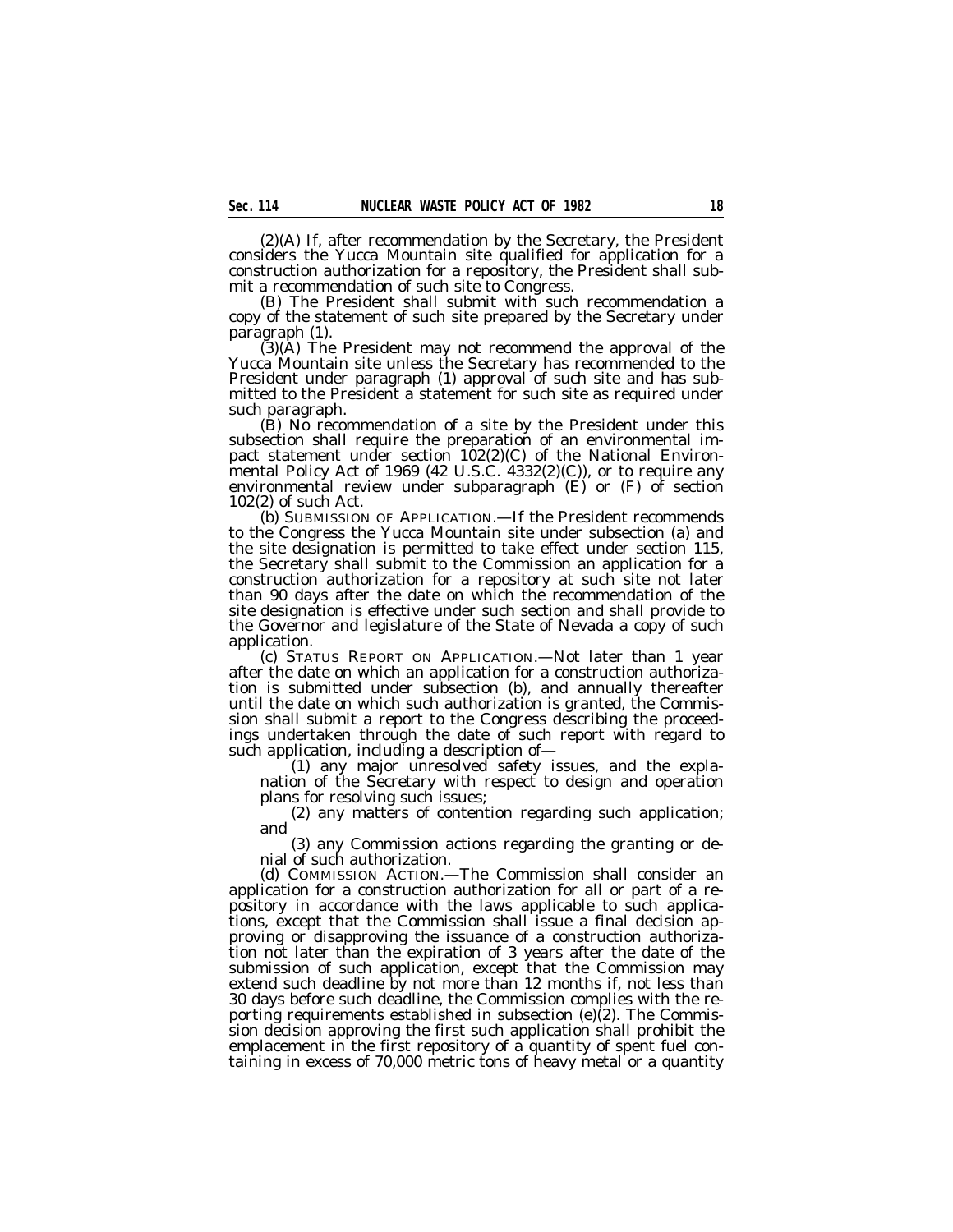(2)(A) If, after recommendation by the Secretary, the President considers the Yucca Mountain site qualified for application for a construction authorization for a repository, the President shall sub-

mit a recommendation of such site to Congress. (B) The President shall submit with such recommendation a copy of the statement of such site prepared by the Secretary under paragraph (1).

 $\tilde{f}$  (3)(A) The President may not recommend the approval of the Yucca Mountain site unless the Secretary has recommended to the President under paragraph (1) approval of such site and has submitted to the President a statement for such site as required under

such paragraph. (B) No recommendation of a site by the President under this subsection shall require the preparation of an environmental impact statement under section 102(2)(C) of the National Environmental Policy Act of 1969 (42 U.S.C. 4332(2)(C)), or to require any environmental review under subparagraph (E) or (F) of section 102(2) of such Act.

(b) SUBMISSION OF APPLICATION.—If the President recommends to the Congress the Yucca Mountain site under subsection (a) and the site designation is permitted to take effect under section 115, the Secretary shall submit to the Commission an application for a construction authorization for a repository at such site not later than 90 days after the date on which the recommendation of the site designation is effective under such section and shall provide to the Governor and legislature of the State of Nevada a copy of such application.

(c) STATUS REPORT ON APPLICATION.—Not later than 1 year after the date on which an application for a construction authorization is submitted under subsection (b), and annually thereafter until the date on which such authorization is granted, the Commission shall submit a report to the Congress describing the proceedings undertaken through the date of such report with regard to such application, including a description of—

(1) any major unresolved safety issues, and the explanation of the Secretary with respect to design and operation plans for resolving such issues;

(2) any matters of contention regarding such application; and

(3) any Commission actions regarding the granting or denial of such authorization.

(d) COMMISSION ACTION.—The Commission shall consider an application for a construction authorization for all or part of a repository in accordance with the laws applicable to such applications, except that the Commission shall issue a final decision approving or disapproving the issuance of a construction authorization not later than the expiration of 3 years after the date of the submission of such application, except that the Commission may extend such deadline by not more than 12 months if, not less than 30 days before such deadline, the Commission complies with the reporting requirements established in subsection (e)(2). The Commission decision approving the first such application shall prohibit the emplacement in the first repository of a quantity of spent fuel containing in excess of 70,000 metric tons of heavy metal or a quantity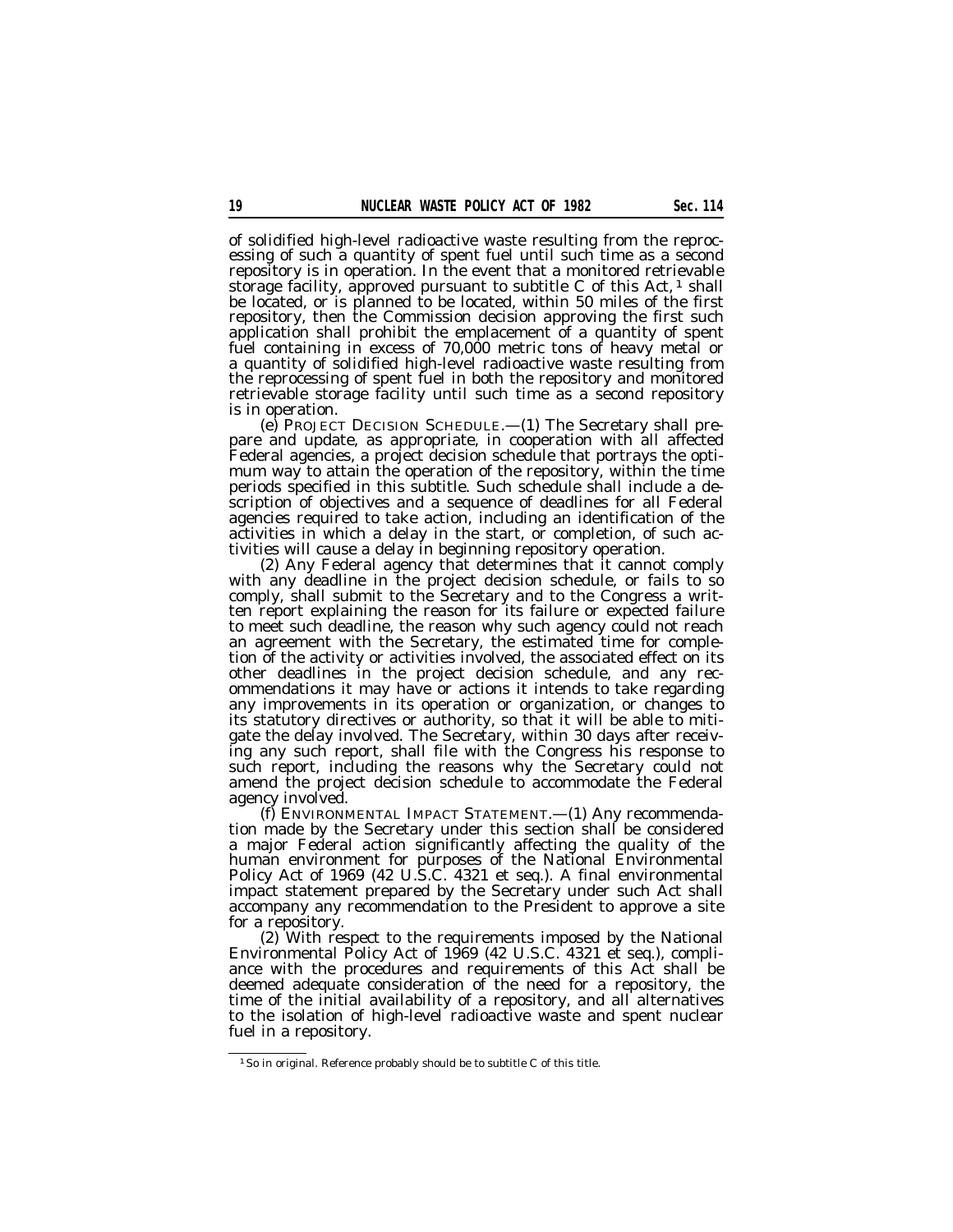of solidified high-level radioactive waste resulting from the reprocessing of such a quantity of spent fuel until such time as a second repository is in operation. In the event that a monitored retrievable storage facility, approved pursuant to subtitle C of this Act, <sup>1</sup> shall be located, or is planned to be located, within 50 miles of the first repository, then the Commission decision approving the first such application shall prohibit the emplacement of a quantity of spent fuel containing in excess of 70,000 metric tons of heavy metal or a quantity of solidified high-level radioactive waste resulting from the reprocessing of spent fuel in both the repository and monitored retrievable storage facility until such time as a second repository

is in operation. (e) PROJECT DECISION SCHEDULE.—(1) The Secretary shall pre- pare and update, as appropriate, in cooperation with all affected Federal agencies, a project decision schedule that portrays the optimum way to attain the operation of the repository, within the time periods specified in this subtitle. Such schedule shall include a description of objectives and a sequence of deadlines for all Federal agencies required to take action, including an identification of the activities in which a delay in the start, or completion, of such activities will cause a delay in beginning repository operation.

(2) Any Federal agency that determines that it cannot comply with any deadline in the project decision schedule, or fails to so comply, shall submit to the Secretary and to the Congress a written report explaining the reason for its failure or expected failure to meet such deadline, the reason why such agency could not reach an agreement with the Secretary, the estimated time for completion of the activity or activities involved, the associated effect on its other deadlines in the project decision schedule, and any recommendations it may have or actions it intends to take regarding any improvements in its operation or organization, or changes to its statutory directives or authority, so that it will be able to mitigate the delay involved. The Secretary, within 30 days after receiving any such report, shall file with the Congress his response to such report, including the reasons why the Secretary could not amend the project decision schedule to accommodate the Federal

agency involved. (f) ENVIRONMENTAL IMPACT STATEMENT.—(1) Any recommendation made by the Secretary under this section shall be considered a major Federal action significantly affecting the quality of the human environment for purposes of the National Environmental Policy Act of 1969 (42 U.S.C. 4321 et seq.). A final environmental impact statement prepared by the Secretary under such Act shall accompany any recommendation to the President to approve a site

for a repository. (2) With respect to the requirements imposed by the National Environmental Policy Act of 1969 (42 U.S.C. 4321 et seq.), compliance with the procedures and requirements of this Act shall be deemed adequate consideration of the need for a repository, the time of the initial availability of a repository, and all alternatives to the isolation of high-level radioactive waste and spent nuclear fuel in a repository.

<sup>&</sup>lt;sup>1</sup> So in original. Reference probably should be to subtitle C of this title.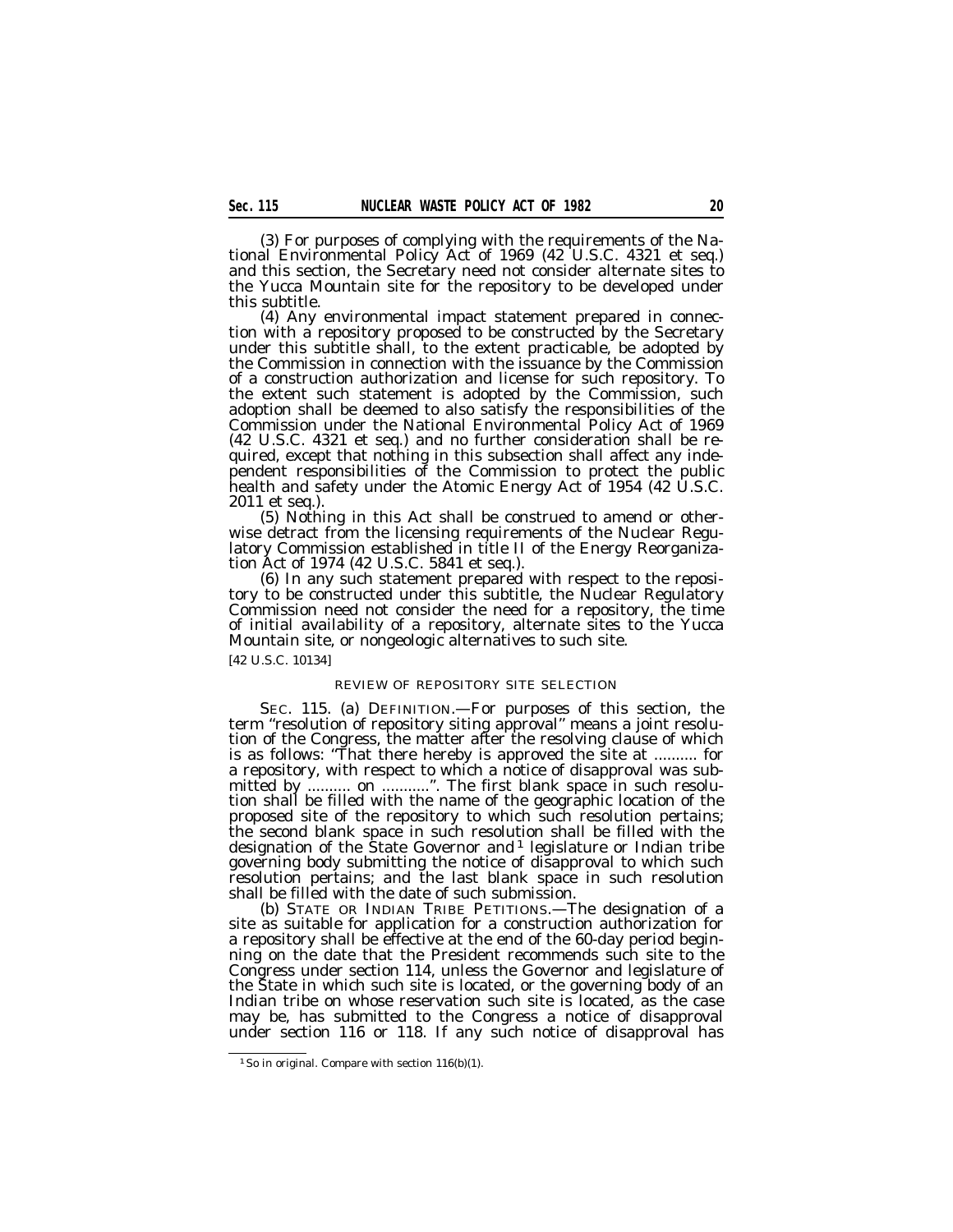(3) For purposes of complying with the requirements of the Na- tional Environmental Policy Act of 1969 (42 U.S.C. 4321 et seq.) and this section, the Secretary need not consider alternate sites to the Yucca Mountain site for the repository to be developed under this subtitle.

(4) Any environmental impact statement prepared in connec- tion with a repository proposed to be constructed by the Secretary under this subtitle shall, to the extent practicable, be adopted by the Commission in connection with the issuance by the Commission of a construction authorization and license for such repository. To the extent such statement is adopted by the Commission, such adoption shall be deemed to also satisfy the responsibilities of the Commission under the National Environmental Policy Act of 1969 (42 U.S.C. 4321 et seq.) and no further consideration shall be required, except that nothing in this subsection shall affect any independent responsibilities of the Commission to protect the public health and safety under the Atomic Energy Act of 1954 (42 U.S.C.<br>2011 et seq.).

(5) Nothing in this Act shall be construed to amend or other-<br>wise detract from the licensing requirements of the Nuclear Regulatory Commission established in title II of the Energy Reorganiza-<br>tion Act of 1974 (42 U.S.C. 5841 et seq.).

(6) In any such statement prepared with respect to the repository to be constructed under this subtitle, the Nuclear Regulatory Commission need not consider the need for a repository, the time of initial availability of a repository, alternate sites to the Yucca Mountain site, or nongeologic alternatives to such site.

[42 U.S.C. 10134]

## REVIEW OF REPOSITORY SITE SELECTION

SEC. 115. (a) DEFINITION.—For purposes of this section, the term "resolution of repository siting approval" means a joint resolution of the Congress, the matter after the resolving clause of which is as follows: "That there hereby is approved the site at ........... for a repository, with respect to which a notice of disapproval was submitted by .......... on ...........". The first blank space in such resolution shall be filled with the name of the geographic location of the proposed site of the repository to which such resolution pertains; the second blank space in such resolution shall be filled with the designation of the State Governor and <sup>1</sup> legislature or Indian tribe governing body submitting the notice of disapproval to which such resolution pertains; and the last blank space in such resolution shall be filled with the date of such submission.

(b) STATE OR INDIAN TRIBE PETITIONS.—The designation of a site as suitable for application for a construction authorization for a repository shall be effective at the end of the 60-day period beginning on the date that the President recommends such site to the Congress under section 114, unless the Governor and legislature of the State in which such site is located, or the governing body of an Indian tribe on whose reservation such site is located, as the case may be, has submitted to the Congress a notice of disapproval under section 116 or 118. If any such notice of disapproval has

<sup>&</sup>lt;sup>1</sup>So in original. Compare with section 116(b)(1).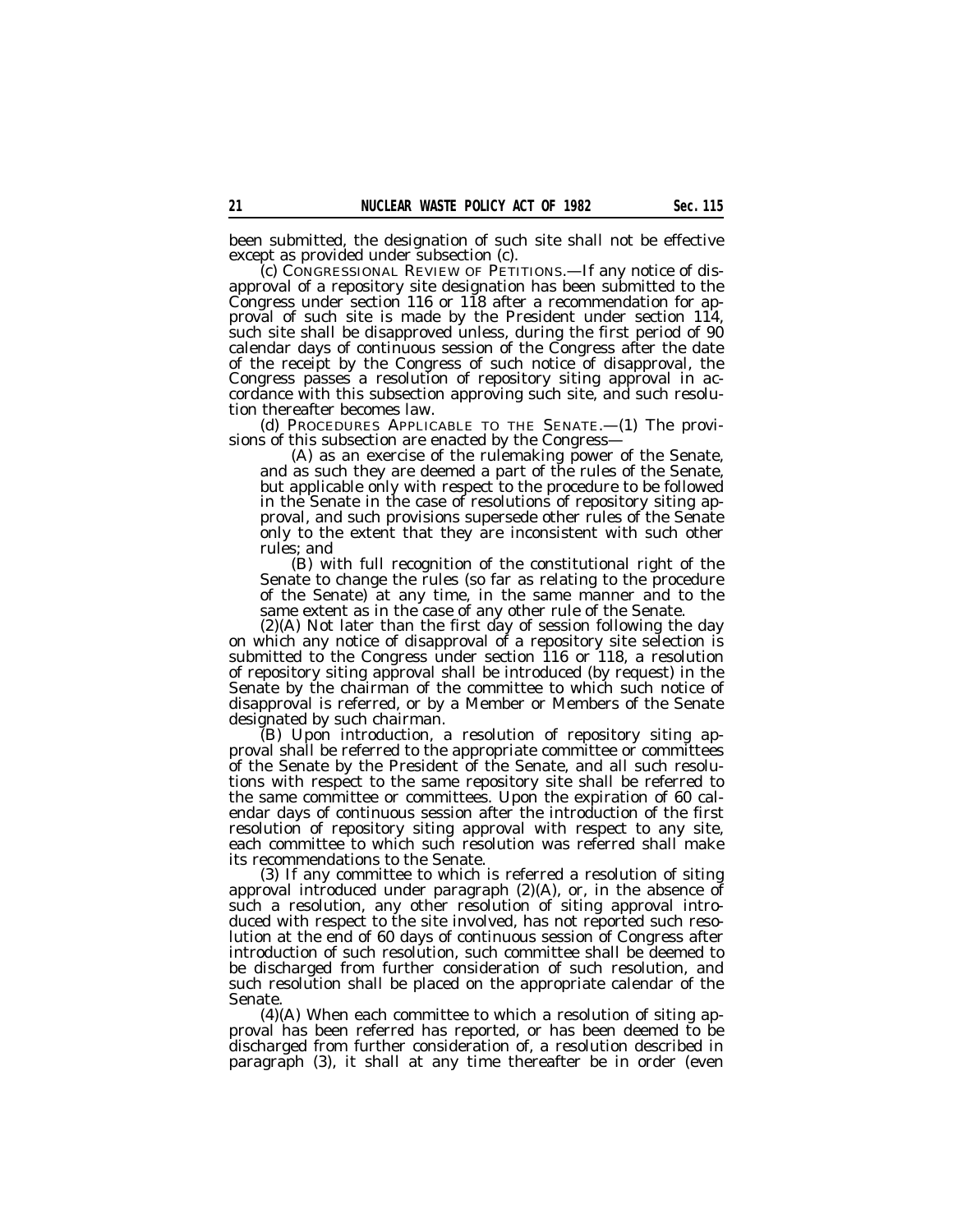been submitted, the designation of such site shall not be effective<br>except as provided under subsection (c).

except as provided under subsection (c). (c) CONGRESSIONAL REVIEW OF PETITIONS.—If any notice of dis- approval of a repository site designation has been submitted to the Congress under section 116 or 118 after a recommendation for approval of such site is made by the President under section 114, such site shall be disapproved unless, during the first period of 90 calendar days of continuous session of the Congress after the date of the receipt by the Congress of such notice of disapproval, the Congress passes a resolution of repository siting approval in accordance with this subsection approving such site, and such resolution thereafter becomes law.

(d) PROCEDURES APPLICABLE TO THE SENATE.— $(1)$  The provisions of this subsection are enacted by the Congress—

(A) as an exercise of the rulemaking power of the Senate, and as such they are deemed a part of the rules of the Senate, but applicable only with respect to the procedure to be followed in the Senate in the case of resolutions of repository siting approval, and such provisions supersede other rules of the Senate only to the extent that they are inconsistent with such other rules; and

(B) with full recognition of the constitutional right of the Senate to change the rules (so far as relating to the procedure of the Senate) at any time, in the same manner and to the same extent as in the case of any other rule of the Senate.

(2)(A) Not later than the first day of session following the day on which any notice of disapproval of a repository site selection is submitted to the Congress under section 116 or 118, a resolution of repository siting approval shall be introduced (by request) in the Senate by the chairman of the committee to which such notice of disapproval is referred, or by a Member or Members of the Senate designated by such chairman.

 $\overline{B}$ ) Upon introduction, a resolution of repository siting approval shall be referred to the appropriate committee or committees of the Senate by the President of the Senate, and all such resolutions with respect to the same repository site shall be referred to the same committee or committees. Upon the expiration of 60 calendar days of continuous session after the introduction of the first resolution of repository siting approval with respect to any site, each committee to which such resolution was referred shall make

its recommendations to the Senate.<br>(3) If any committee to which is referred a resolution of siting approval introduced under paragraph  $(2)(A)$ , or, in the absence of such a resolution, any other resolution of siting approval introduced with respect to the site involved, has not reported such resolution at the end of 60 days of continuous session of Congress after introduction of such resolution, such committee shall be deemed to be discharged from further consideration of such resolution, and such resolution shall be placed on the appropriate calendar of the Senate.

(4)(A) When each committee to which a resolution of siting approval has been referred has reported, or has been deemed to be discharged from further consideration of, a resolution described in paragraph (3), it shall at any time thereafter be in order (even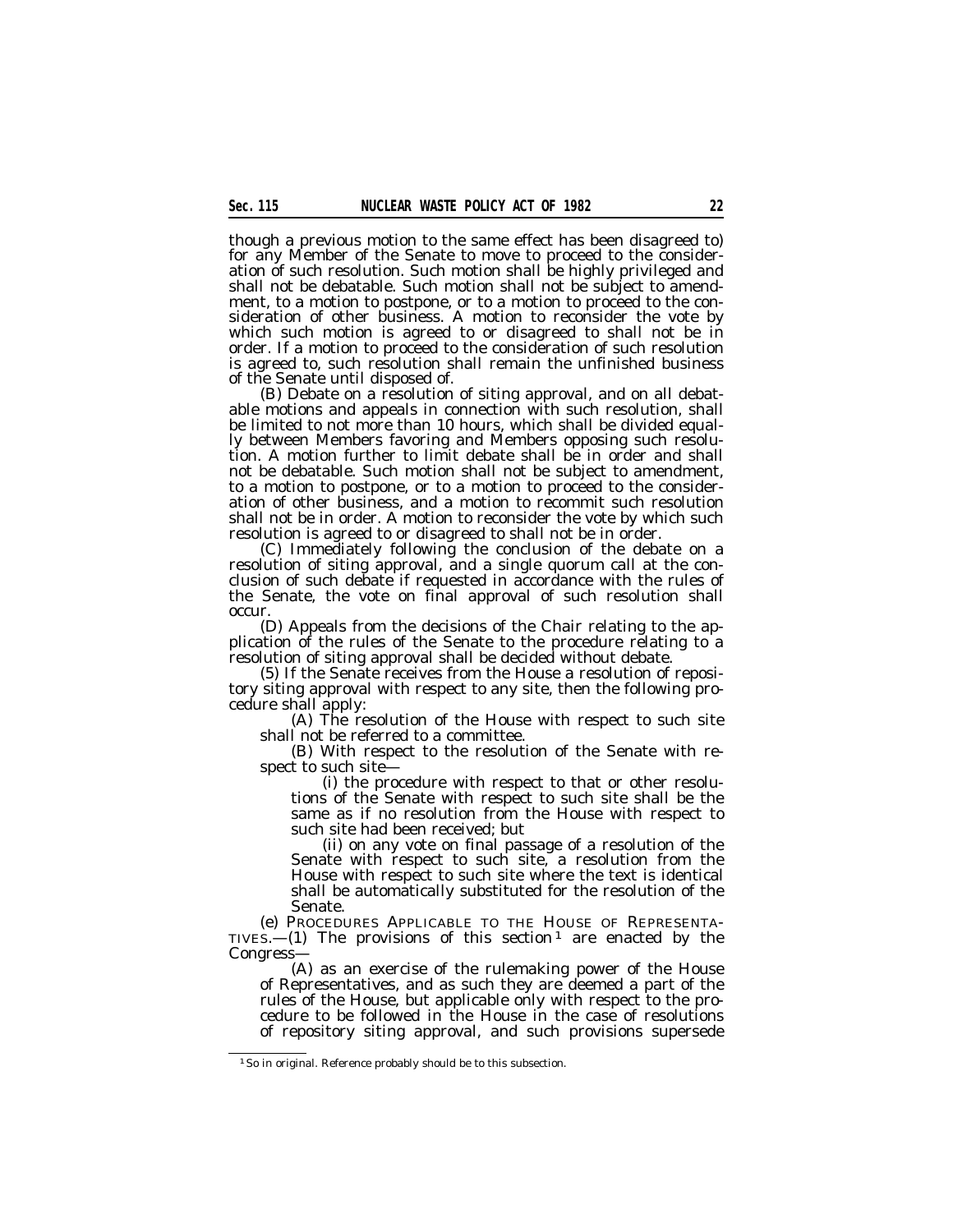though a previous motion to the same effect has been disagreed to) for any Member of the Senate to move to proceed to the consideration of such resolution. Such motion shall be highly privileged and shall not be debatable. Such motion shall not be subject to amendment, to a motion to postpone, or to a motion to proceed to the consideration of other business. A motion to reconsider the vote by which such motion is agreed to or disagreed to shall not be in order. If a motion to proceed to the consideration of such resolution is agreed to, such resolution shall remain the unfinished business

(B) Debate on a resolution of siting approval, and on all debat- able motions and appeals in connection with such resolution, shall be limited to not more than 10 hours, which shall be divided equally between Members favoring and Members opposing such resolution. A motion further to limit debate shall be in order and shall not be debatable. Such motion shall not be subject to amendment, to a motion to postpone, or to a motion to proceed to the consideration of other business, and a motion to recommit such resolution shall not be in order. A motion to reconsider the vote by which such resolution is agreed to or disagreed to shall not be in order.

(C) Immediately following the conclusion of the debate on a resolution of siting approval, and a single quorum call at the conclusion of such debate if requested in accordance with the rules of the Senate, the vote on final approval of such resolution shall occur.

(D) Appeals from the decisions of the Chair relating to the application of the rules of the Senate to the procedure relating to a resolution of siting approval shall be decided without debate.

(5) If the Senate receives from the House a resolution of repository siting approval with respect to any site, then the following procedure shall apply:

(A) The resolution of the House with respect to such site shall not be referred to a committee.

(B) With respect to the resolution of the Senate with respect to such site-

(i) the procedure with respect to that or other resolutions of the Senate with respect to such site shall be the same as if no resolution from the House with respect to such site had been received; but

(ii) on any vote on final passage of a resolution of the Senate with respect to such site, a resolution from the House with respect to such site where the text is identical shall be automatically substituted for the resolution of the Senate.

(e) PROCEDURES APPLICABLE TO THE HOUSE OF REPRESENTA-TIVES.—(1) The provisions of this section<sup>1</sup> are enacted by the Congress—(A) as an exercise of the rulemaking power of the House

of Representatives, and as such they are deemed a part of the rules of the House, but applicable only with respect to the procedure to be followed in the House in the case of resolutions of repository siting approval, and such provisions supersede

<sup>1</sup>So in original. Reference probably should be to this subsection.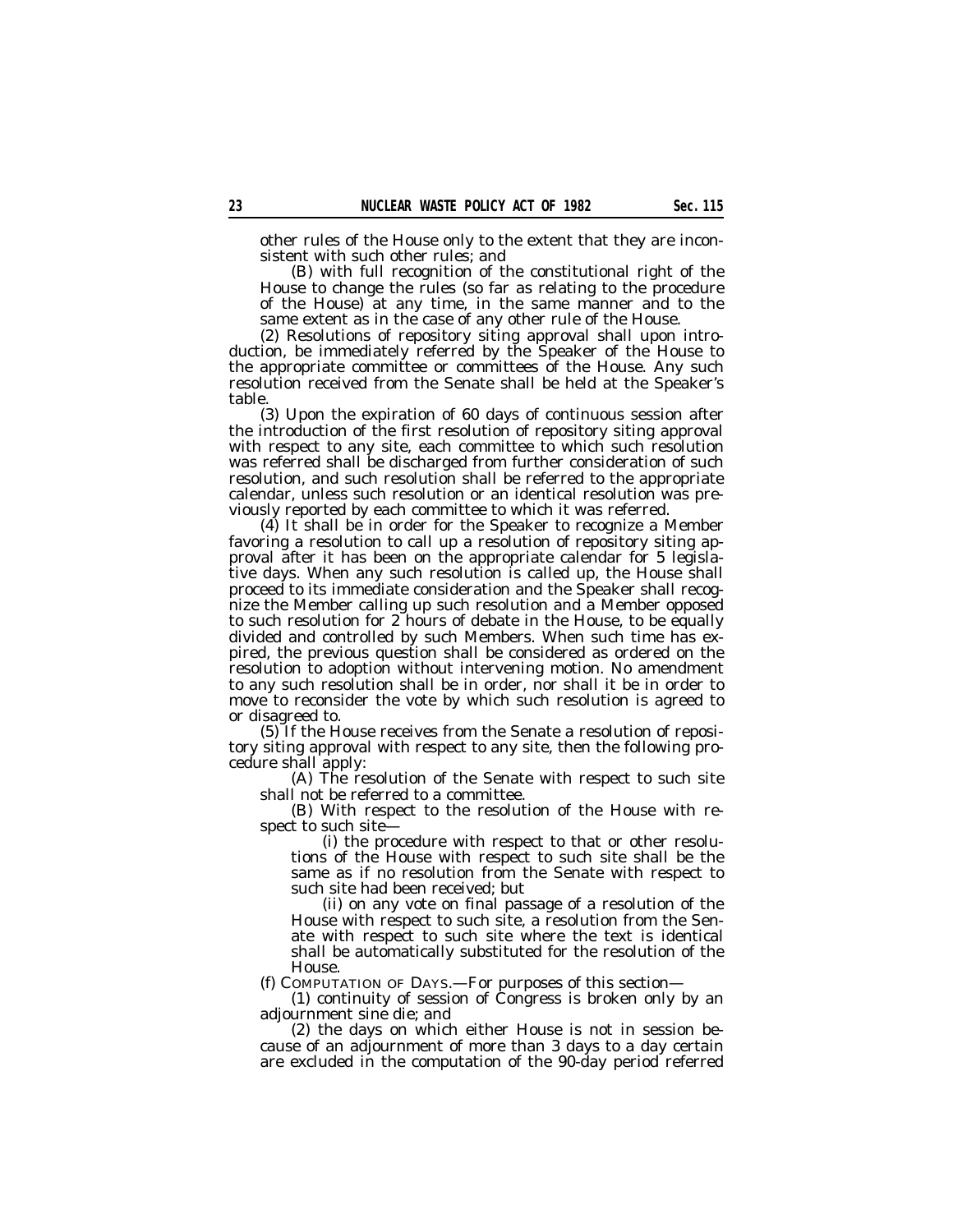other rules of the House only to the extent that they are inconsistent with such other rules; and

(B) with full recognition of the constitutional right of the House to change the rules (so far as relating to the procedure of the House) at any time, in the same manner and to the same extent as in the case of any other rule of the House.

(2) Resolutions of repository siting approval shall upon introduction, be immediately referred by the Speaker of the House to the appropriate committee or committees of the House. Any such resolution received from the Senate shall be held at the Speaker's table.

(3) Upon the expiration of 60 days of continuous session after the introduction of the first resolution of repository siting approval with respect to any site, each committee to which such resolution was referred shall be discharged from further consideration of such resolution, and such resolution shall be referred to the appropriate calendar, unless such resolution or an identical resolution was previously reported by each committee to which it was referred.

(4) It shall be in order for the Speaker to recognize a Member favoring a resolution to call up a resolution of repository siting approval after it has been on the appropriate calendar for 5 legislative days. When any such resolution is called up, the House shall proceed to its immediate consideration and the Speaker shall recognize the Member calling up such resolution and a Member opposed to such resolution for 2 hours of debate in the House, to be equally divided and controlled by such Members. When such time has expired, the previous question shall be considered as ordered on the resolution to adoption without intervening motion. No amendment to any such resolution shall be in order, nor shall it be in order to move to reconsider the vote by which such resolution is agreed to or disagreed to.

(5) If the House receives from the Senate a resolution of repository siting approval with respect to any site, then the following procedure shall apply:

(A) The resolution of the Senate with respect to such site shall not be referred to a committee.

(B) With respect to the resolution of the House with respect to such site—

(i) the procedure with respect to that or other resolutions of the House with respect to such site shall be the same as if no resolution from the Senate with respect to such site had been received; but

(ii) on any vote on final passage of a resolution of the House with respect to such site, a resolution from the Senate with respect to such site where the text is identical shall be automatically substituted for the resolution of the House.

(f) COMPUTATION OF DAYS.—For purposes of this section—

(1) continuity of session of Congress is broken only by an adjournment sine die; and

(2) the days on which either House is not in session because of an adjournment of more than 3 days to a day certain are excluded in the computation of the 90-day period referred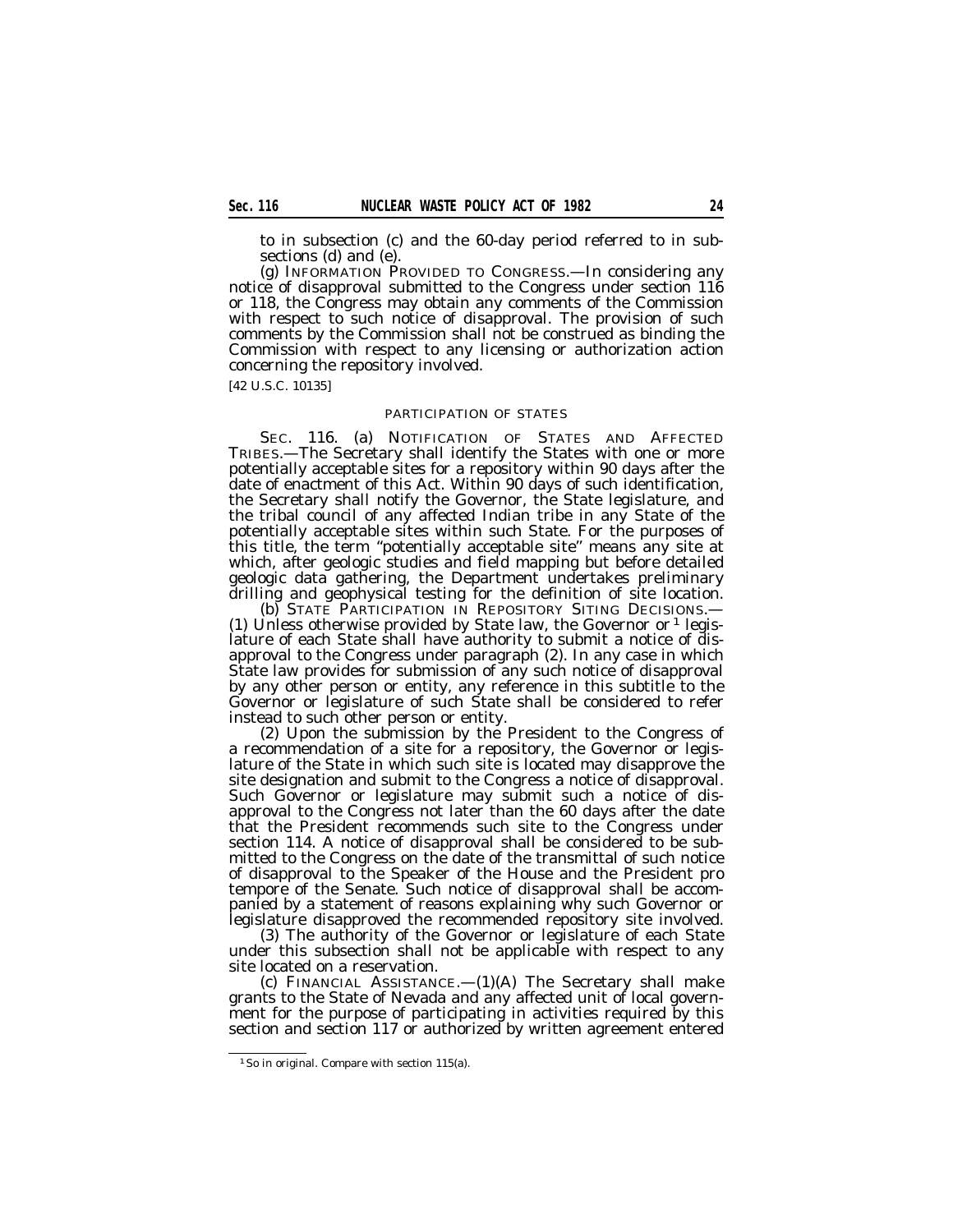to in subsection (c) and the 60-day period referred to in subsections (d) and (e).

(g) INFORMATION PROVIDED TO CONGRESS.—In considering any notice of disapproval submitted to the Congress under section 116 or 118, the Congress may obtain any comments of the Commission with respect to such notice of disapproval. The provision of such comments by the Commission shall not be construed as binding the Commission with respect to any licensing or authorization action concerning the repository involved.

[42 U.S.C. 10135]

### PARTICIPATION OF STATES

SEC. 116. (a) NOTIFICATION OF STATES AND AFFECTED TRIBES.—The Secretary shall identify the States with one or more potentially acceptable sites for a repository within 90 days after the date of enactment of this Act. Within 90 days of such identification, the Secretary shall notify the Governor, the State legislature, and the tribal council of any affected Indian tribe in any State of the potentially acceptable sites within such State. For the purposes of this title, the term "potentially acceptable site" means any site at which, after geologic studies and field mapping but before detailed geologic data gathering, the Department undertakes preliminary drilling and geophysical testing for the definition of site location.

(b) STATE PARTICIPATION IN REPOSITORY SITING DECISIONS.— (1) Unless otherwise provided by State law, the Governor or  $1$  legislature of each State shall have authority to submit a notice of disapproval to the Congress under paragraph (2). In any case in which State law provides for submission of any such notice of disapproval by any other person or entity, any reference in this subtitle to the Governor or legislature of such State shall be considered to refer instead to such other person or entity.

(2) Upon the submission by the President to the Congress of a recommendation of a site for a repository, the Governor or legislature of the State in which such site is located may disapprove the site designation and submit to the Congress a notice of disapproval. Such Governor or legislature may submit such a notice of disapproval to the Congress not later than the 60 days after the date that the President recommends such site to the Congress under section 114. A notice of disapproval shall be considered to be submitted to the Congress on the date of the transmittal of such notice of disapproval to the Speaker of the House and the President pro tempore of the Senate. Such notice of disapproval shall be accompanied by a statement of reasons explaining why such Governor or legislature disapproved the recommended repository site involved.

(3) The authority of the Governor or legislature of each State under this subsection shall not be applicable with respect to any site located on a reservation.

(c) FINANCIAL ASSISTANCE.—(1)(A) The Secretary shall make grants to the State of Nevada and any affected unit of local government for the purpose of participating in activities required by this section and section 117 or authorized by written agreement entered

<sup>1</sup>So in original. Compare with section 115(a).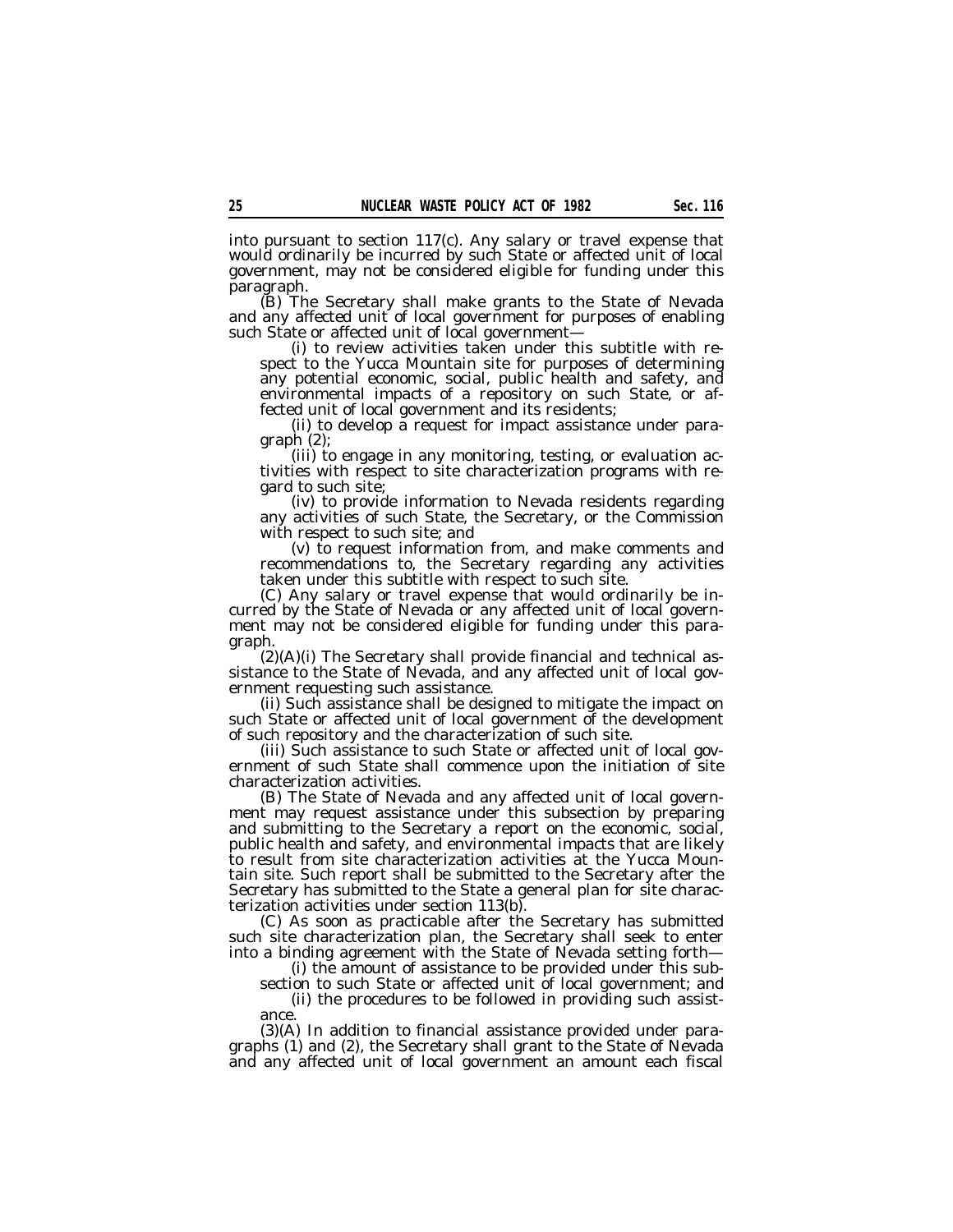into pursuant to section 117(c). Any salary or travel expense that would ordinarily be incurred by such State or affected unit of local government, may not be considered eligible for funding under this

paragraph.<br>
(B) The Secretary shall make grants to the State of Nevada<br>
and any affected unit of local government for purposes of enabling<br>
such State or affected unit of local government—

(i) to review activities taken under this subtitle with respect to the Yucca Mountain site for purposes of determining any potential economic, social, public health and safety, and environmental impacts of a repository on such State, or af-<br>fected unit of local government and its residents;

(ii) to develop a request for impact assistance under paragraph (2);<br>graph (2);<br>(iii) to engage in any monitoring, testing, or evaluation activities with respect to site characterization programs with re-

gard to such site;<br>(iv) to provide information to Nevada residents regarding<br>any activities of such State, the Secretary, or the Commission<br>with respect to such site; and

 $(v)$  to request information from, and make comments and recommendations to, the Secretary regarding any activities taken under this subtitle with respect to such site.

(C) Any salary or travel expense that would ordinarily be incurred by the State of Nevada or any affected unit of local government may not be considered eligible for funding under this paragraph.

(2)(A)(i) The Secretary shall provide financial and technical assistance to the State of Nevada, and any affected unit of local government requesting such assistance.

(ii) Such assistance shall be designed to mitigate the impact on such State or affected unit of local government of the development of such repository and the characterization of such site.

(iii) Such assistance to such State or affected unit of local government of such State shall commence upon the initiation of site characterization activities.

(B) The State of Nevada and any affected unit of local government may request assistance under this subsection by preparing and submitting to the Secretary a report on the economic, social, public health and safety, and environmental impacts that are likely to result from site characterization activities at the Yucca Mountain site. Such report shall be submitted to the Secretary after the Secretary has submitted to the State a general plan for site characterization activities under section 113(b).

(C) As soon as practicable after the Secretary has submitted such site characterization plan, the Secretary shall seek to enter into a binding agreement with the State of Nevada setting forth—

into a binding agreement with the amount of assistance to be provided under this subsection to such State or affected unit of local government; and

(ii) the procedures to be followed in providing such assistance.

(3)(A) In addition to financial assistance provided under paragraphs (1) and (2), the Secretary shall grant to the State of Nevada and any affected unit of local government an amount each fiscal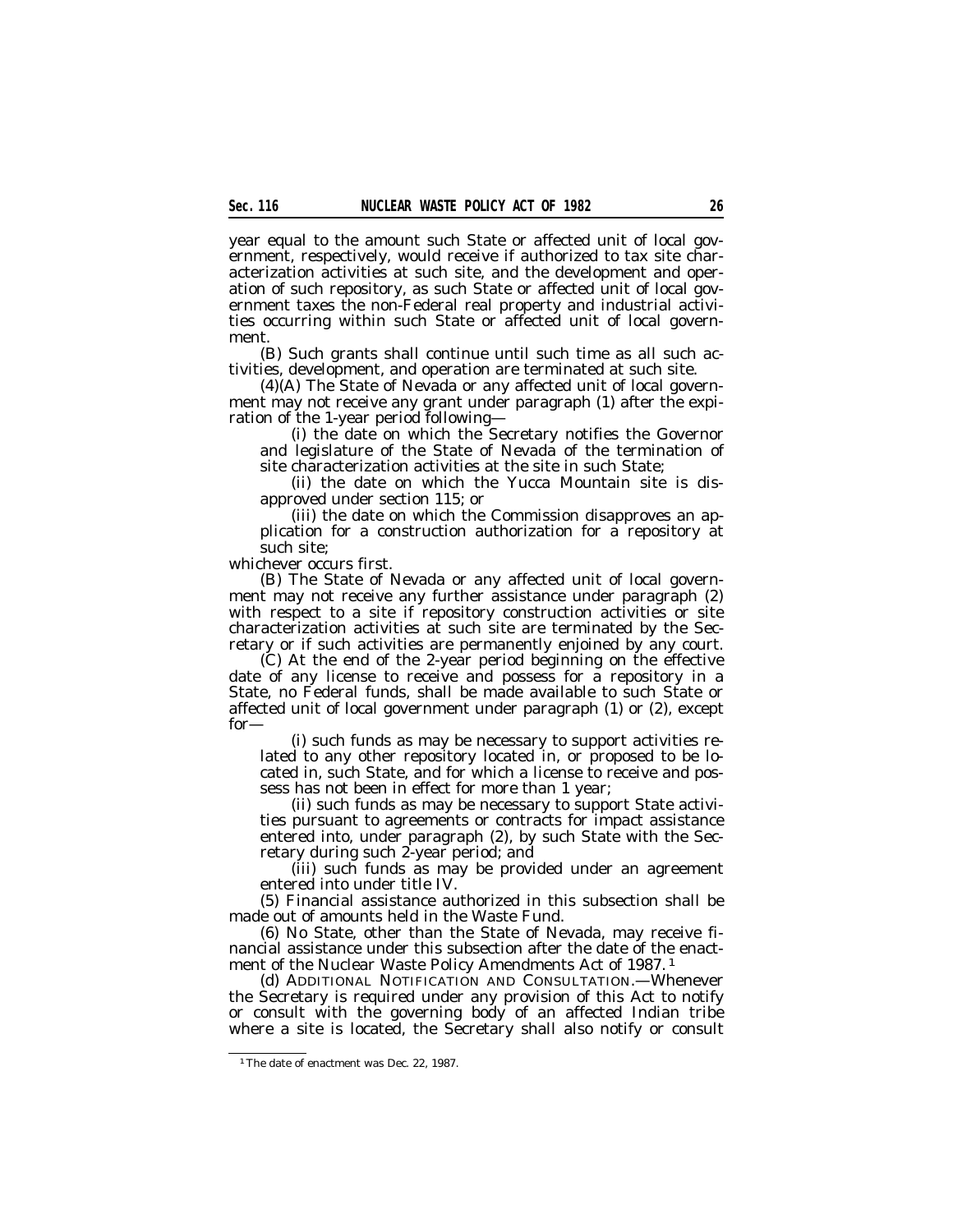year equal to the amount such State or affected unit of local government, respectively, would receive if authorized to tax site characterization activities at such site, and the development and operation of such repository, as such State or affected unit of local government taxes the non-Federal real property and industrial activities occurring within such State or affected unit of local government.

(B) Such grants shall continue until such time as all such activities, development, and operation are terminated at such site.

(4)(A) The State of Nevada or any affected unit of local government may not receive any grant under paragraph (1) after the expiration of the 1-year period following—

(i) the date on which the Secretary notifies the Governor and legislature of the State of Nevada of the termination of site characterization activities at the site in such State;

(ii) the date on which the Yucca Mountain site is disapproved under section 115; or

(iii) the date on which the Commission disapproves an application for a construction authorization for a repository at such site;

whichever occurs first.

(B) The State of Nevada or any affected unit of local government may not receive any further assistance under paragraph (2) with respect to a site if repository construction activities or site characterization activities at such site are terminated by the Secretary or if such activities are permanently enjoined by any court.

(C) At the end of the 2-year period beginning on the effective date of any license to receive and possess for a repository in a State, no Federal funds, shall be made available to such State or affected unit of local government under paragraph (1) or (2), except for—

(i) such funds as may be necessary to support activities related to any other repository located in, or proposed to be located in, such State, and for which a license to receive and possess has not been in effect for more than 1 year;

(ii) such funds as may be necessary to support State activities pursuant to agreements or contracts for impact assistance entered into, under paragraph (2), by such State with the Secretary during such 2-year period; and

(iii) such funds as may be provided under an agreement entered into under title IV.

(5) Financial assistance authorized in this subsection shall be made out of amounts held in the Waste Fund.

(6) No State, other than the State of Nevada, may receive financial assistance under this subsection after the date of the enactment of the Nuclear Waste Policy Amendments Act of 1987. 1

(d) ADDITIONAL NOTIFICATION AND CONSULTATION.—Whenever the Secretary is required under any provision of this Act to notify or consult with the governing body of an affected Indian tribe where a site is located, the Secretary shall also notify or consult

<sup>&</sup>lt;sup>1</sup>The date of enactment was Dec. 22, 1987.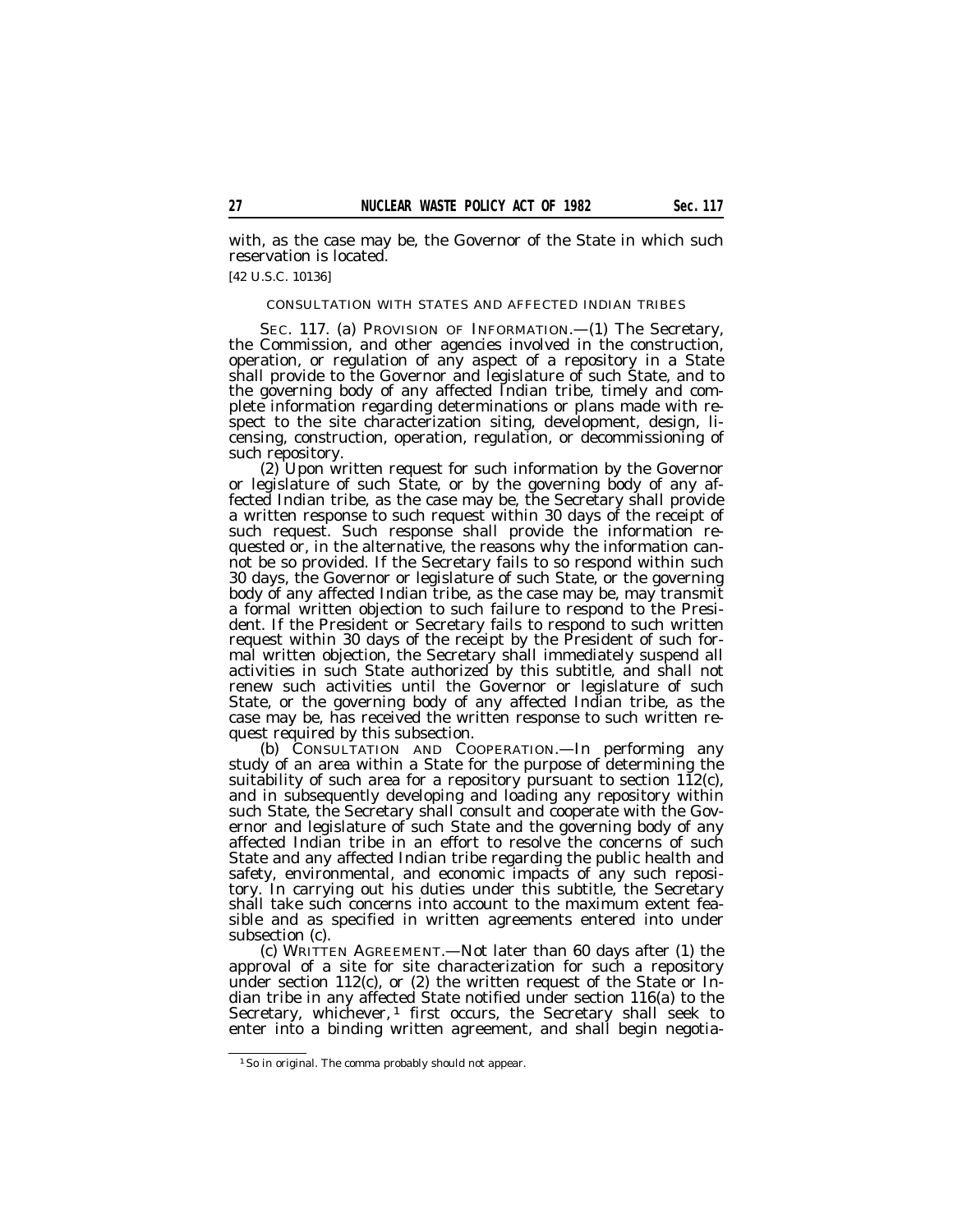with, as the case may be, the Governor of the State in which such reservation is located.

[42 U.S.C. 10136]

# CONSULTATION WITH STATES AND AFFECTED INDIAN TRIBES

SEC. 117. (a) PROVISION OF INFORMATION.—(1) The Secretary, the Commission, and other agencies involved in the construction, operation, or regulation of any aspect of a repository in a State shall provide to the Governor and legislature of such State, and to the governing body of any affected Indian tribe, timely and complete information regarding determinations or plans made with respect to the site characterization siting, development, design, licensing, construction, operation, regulation, or decommissioning of such repository.

(2) Upon written request for such information by the Governor or legislature of such State, or by the governing body of any affected Indian tribe, as the case may be, the Secretary shall provide a written response to such request within 30 days of the receipt of such request. Such response shall provide the information requested or, in the alternative, the reasons why the information cannot be so provided. If the Secretary fails to so respond within such 30 days, the Governor or legislature of such State, or the governing body of any affected Indian tribe, as the case may be, may transmit a formal written objection to such failure to respond to the President. If the President or Secretary fails to respond to such written request within 30 days of the receipt by the President of such formal written objection, the Secretary shall immediately suspend all activities in such State authorized by this subtitle, and shall not renew such activities until the Governor or legislature of such State, or the governing body of any affected Indian tribe, as the case may be, has received the written response to such written request required by this subsection.

(b) CONSULTATION AND COOPERATION.—In performing any study of an area within a State for the purpose of determining the suitability of such area for a repository pursuant to section  $1\overline{12}(c)$ , and in subsequently developing and loading any repository within such State, the Secretary shall consult and cooperate with the Governor and legislature of such State and the governing body of any affected Indian tribe in an effort to resolve the concerns of such State and any affected Indian tribe regarding the public health and safety, environmental, and economic impacts of any such repository. In carrying out his duties under this subtitle, the Secretary shall take such concerns into account to the maximum extent feasible and as specified in written agreements entered into under subsection (c).

(c) WRITTEN AGREEMENT.—Not later than 60 days after (1) the approval of a site for site characterization for such a repository under section 112(c), or (2) the written request of the State or Indian tribe in any affected State notified under section 116(a) to the Secretary, whichever,<sup>1</sup> first occurs, the Secretary shall seek to enter into a binding written agreement, and shall begin negotia-

<sup>1</sup>So in original. The comma probably should not appear.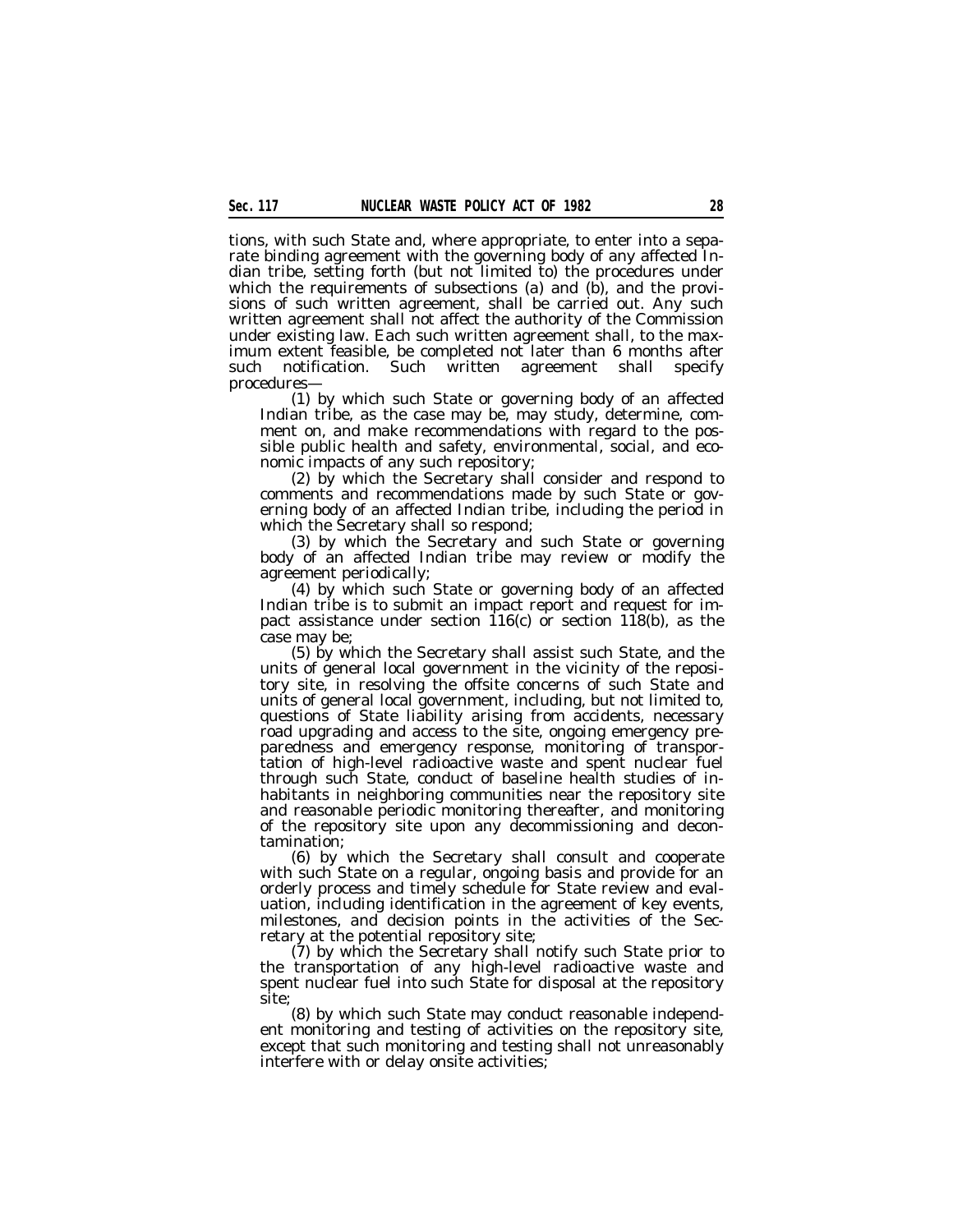tions, with such State and, where appropriate, to enter into a separate binding agreement with the governing body of any affected Indian tribe, setting forth (but not limited to) the procedures under which the requirements of subsections (a) and (b), and the provisions of such written agreement, shall be carried out. Any such written agreement shall not affect the authority of the Commission under existing law. Each such written agreement shall, to the maximum extent feasible, be completed not later than 6 months after such notification. Such written agreement shall specify procedures—

(1) by which such State or governing body of an affected Indian tribe, as the case may be, may study, determine, comment on, and make recommendations with regard to the possible public health and safety, environmental, social, and economic impacts of any such repository;

(2) by which the Secretary shall consider and respond to comments and recommendations made by such State or governing body of an affected Indian tribe, including the period in which the Secretary shall so respond;

(3) by which the Secretary and such State or governing body of an affected Indian tribe may review or modify the agreement periodically;

(4) by which such State or governing body of an affected Indian tribe is to submit an impact report and request for impact assistance under section  $116(c)$  or section  $118(b)$ , as the case may be;

(5) by which the Secretary shall assist such State, and the units of general local government in the vicinity of the repository site, in resolving the offsite concerns of such State and units of general local government, including, but not limited to, questions of State liability arising from accidents, necessary road upgrading and access to the site, ongoing emergency preparedness and emergency response, monitoring of transportation of high-level radioactive waste and spent nuclear fuel through such State, conduct of baseline health studies of inhabitants in neighboring communities near the repository site and reasonable periodic monitoring thereafter, and monitoring of the repository site upon any decommissioning and decontamination;

(6) by which the Secretary shall consult and cooperate with such State on a regular, ongoing basis and provide for an orderly process and timely schedule for State review and evaluation, including identification in the agreement of key events, milestones, and decision points in the activities of the Secretary at the potential repository site;

(7) by which the Secretary shall notify such State prior to the transportation of any high-level radioactive waste and spent nuclear fuel into such State for disposal at the repository site;

(8) by which such State may conduct reasonable independent monitoring and testing of activities on the repository site, except that such monitoring and testing shall not unreasonably interfere with or delay onsite activities;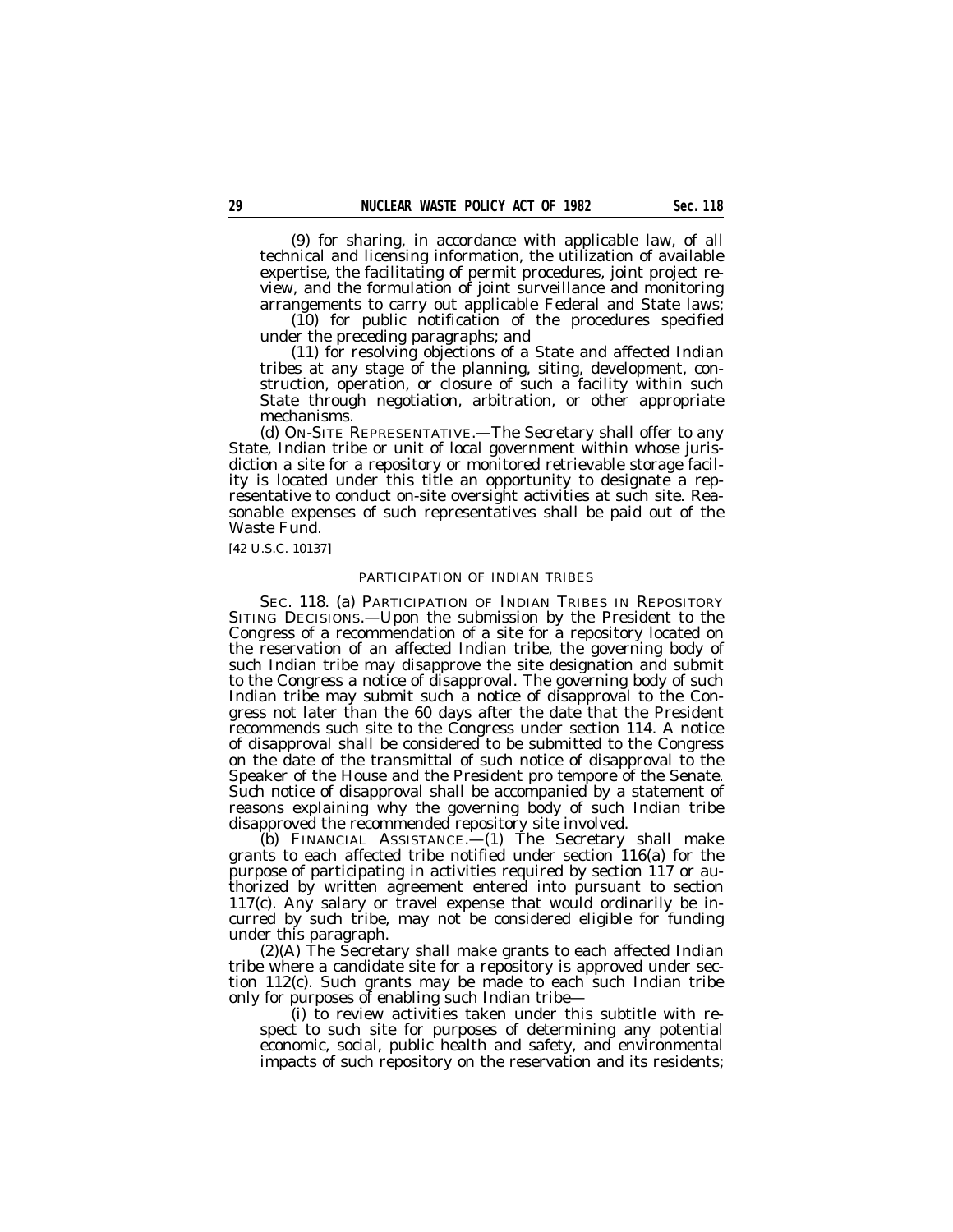(9) for sharing, in accordance with applicable law, of all technical and licensing information, the utilization of available expertise, the facilitating of permit procedures, joint project review, and the formulation of joint surveillance and monitoring arrangements to carry out applicable Federal and State laws;

(10) for public notification of the procedures specified under the preceding paragraphs; and

(11) for resolving objections of a State and affected Indian tribes at any stage of the planning, siting, development, construction, operation, or closure of such a facility within such State through negotiation, arbitration, or other appropriate mechanisms.

(d) ON-SITE REPRESENTATIVE.—The Secretary shall offer to any State, Indian tribe or unit of local government within whose jurisdiction a site for a repository or monitored retrievable storage facility is located under this title an opportunity to designate a representative to conduct on-site oversight activities at such site. Reasonable expenses of such representatives shall be paid out of the Waste Fund.

[42 U.S.C. 10137]

### PARTICIPATION OF INDIAN TRIBES

SEC. 118. (a) PARTICIPATION OF INDIAN TRIBES IN REPOSITORY SITING DECISIONS.—Upon the submission by the President to the Congress of a recommendation of a site for a repository located on the reservation of an affected Indian tribe, the governing body of such Indian tribe may disapprove the site designation and submit to the Congress a notice of disapproval. The governing body of such Indian tribe may submit such a notice of disapproval to the Congress not later than the 60 days after the date that the President recommends such site to the Congress under section 114. A notice of disapproval shall be considered to be submitted to the Congress on the date of the transmittal of such notice of disapproval to the Speaker of the House and the President pro tempore of the Senate. Such notice of disapproval shall be accompanied by a statement of reasons explaining why the governing body of such Indian tribe disapproved the recommended repository site involved.

(b) FINANCIAL ASSISTANCE.—(1) The Secretary shall make grants to each affected tribe notified under section 116(a) for the purpose of participating in activities required by section 117 or authorized by written agreement entered into pursuant to section 117(c). Any salary or travel expense that would ordinarily be incurred by such tribe, may not be considered eligible for funding under this paragraph.

(2)(A) The Secretary shall make grants to each affected Indian tribe where a candidate site for a repository is approved under section 112(c). Such grants may be made to each such Indian tribe only for purposes of enabling such Indian tribe—

(i) to review activities taken under this subtitle with respect to such site for purposes of determining any potential economic, social, public health and safety, and environmental impacts of such repository on the reservation and its residents;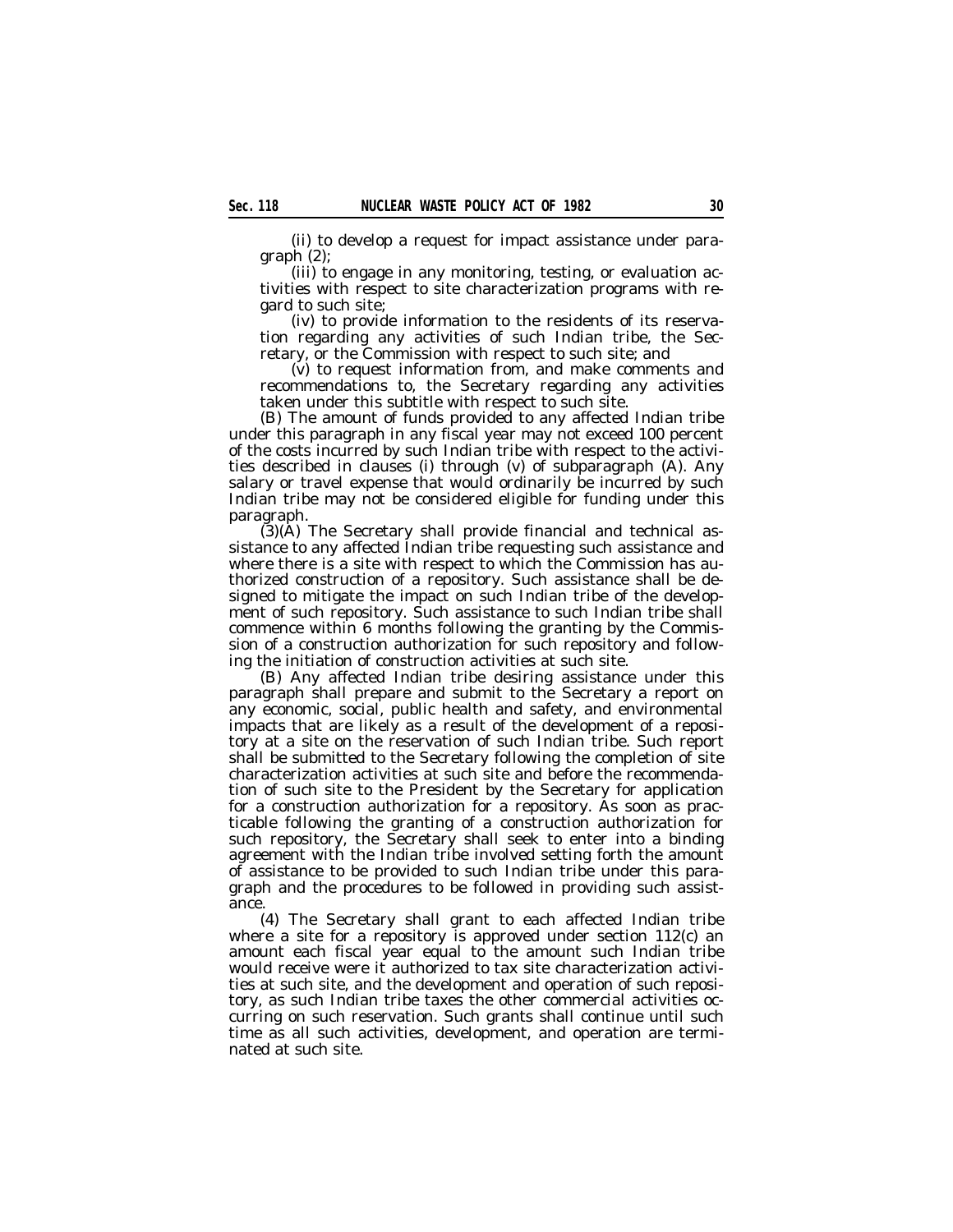(ii) to develop a request for impact assistance under paragraph (2);

(iii) to engage in any monitoring, testing, or evaluation activities with respect to site characterization programs with regard to such site;

(iv) to provide information to the residents of its reservation regarding any activities of such Indian tribe, the Secretary, or the Commission with respect to such site; and

(v) to request information from, and make comments and recommendations to, the Secretary regarding any activities taken under this subtitle with respect to such site.

(B) The amount of funds provided to any affected Indian tribe under this paragraph in any fiscal year may not exceed 100 percent of the costs incurred by such Indian tribe with respect to the activities described in clauses (i) through (v) of subparagraph (A). Any salary or travel expense that would ordinarily be incurred by such Indian tribe may not be considered eligible for funding under this paragraph.

 $\tilde{P}(3)(\tilde{A})$  The Secretary shall provide financial and technical assistance to any affected Indian tribe requesting such assistance and where there is a site with respect to which the Commission has authorized construction of a repository. Such assistance shall be designed to mitigate the impact on such Indian tribe of the development of such repository. Such assistance to such Indian tribe shall commence within 6 months following the granting by the Commission of a construction authorization for such repository and following the initiation of construction activities at such site.

(B) Any affected Indian tribe desiring assistance under this paragraph shall prepare and submit to the Secretary a report on any economic, social, public health and safety, and environmental impacts that are likely as a result of the development of a repository at a site on the reservation of such Indian tribe. Such report shall be submitted to the Secretary following the completion of site characterization activities at such site and before the recommendation of such site to the President by the Secretary for application for a construction authorization for a repository. As soon as practicable following the granting of a construction authorization for such repository, the Secretary shall seek to enter into a binding agreement with the Indian tribe involved setting forth the amount of assistance to be provided to such Indian tribe under this paragraph and the procedures to be followed in providing such assistance.

(4) The Secretary shall grant to each affected Indian tribe where a site for a repository is approved under section 112(c) an amount each fiscal year equal to the amount such Indian tribe would receive were it authorized to tax site characterization activities at such site, and the development and operation of such repository, as such Indian tribe taxes the other commercial activities occurring on such reservation. Such grants shall continue until such time as all such activities, development, and operation are terminated at such site.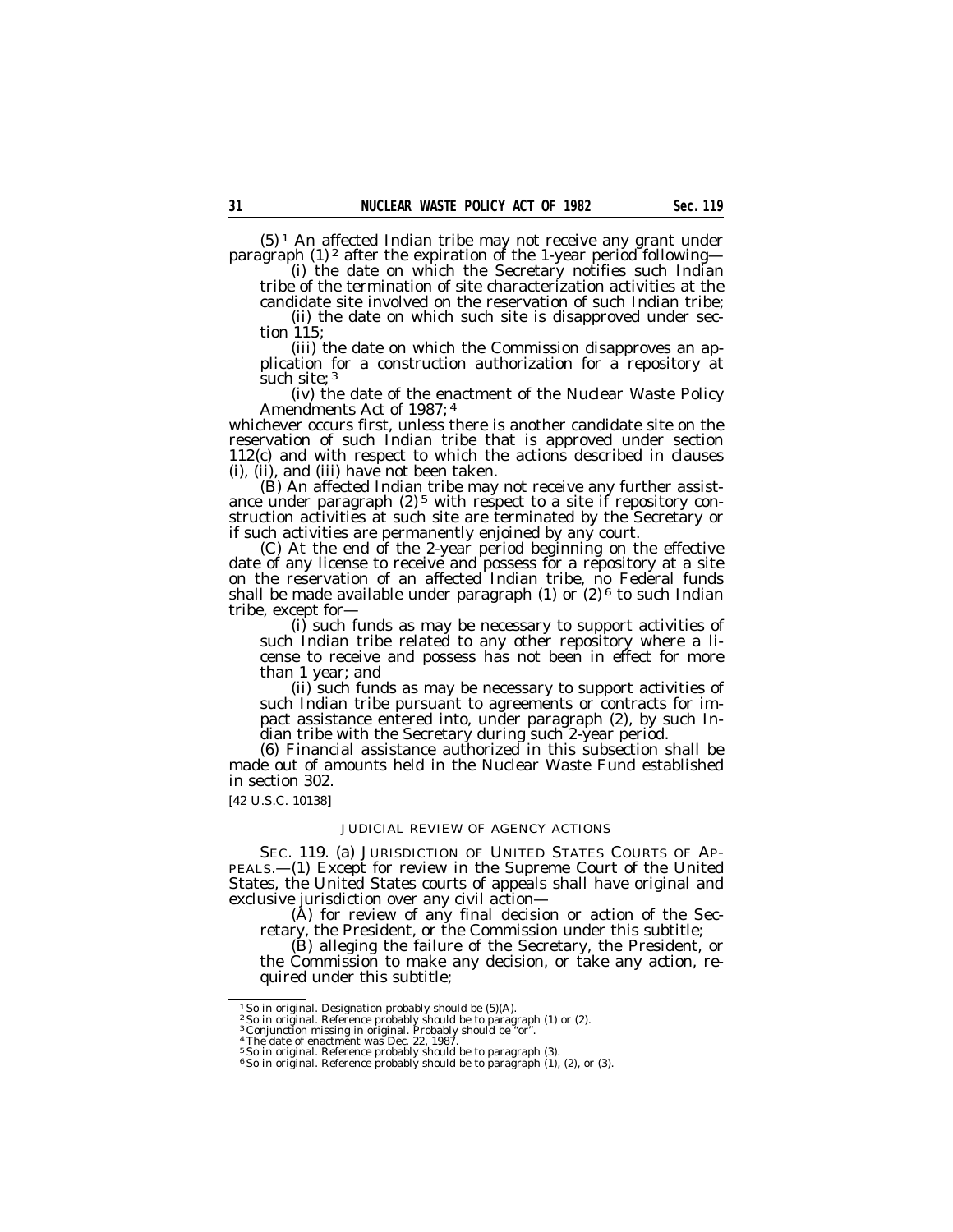$(5)^1$  An affected Indian tribe may not receive any grant under<br>paragraph  $(1)^2$  after the expiration of the 1-year period following—<br>(i) the date on which the Secretary notifies such Indian<br>tribe of the termination of si

candidate site involved on the reservation of such Indian tribe;

(ii) the date on which such site is disapproved under section 115;

(iii) the date on which the Commission disapproves an application for a construction authorization for a repository at such site;<sup>3</sup>

(iv) the date of the enactment of the Nuclear Waste Policy Amendments Act of 1987; <sup>4</sup>

whichever occurs first, unless there is another candidate site on the reservation of such Indian tribe that is approved under section 112(c) and with respect to which the actions described in clauses (i), (ii), and (iii) have not been taken.

(B) An affected Indian tribe may not receive any further assistance under paragraph  $(2)^5$  with respect to a site if repository construction activities at such site are terminated by the Secretary or if such activities ar

if such activities are permanently enjoined by any court. (C) At the end of the 2-year period beginning on the effective date of any license to receive and possess for a repository at a site on the reservation of an affected Indian tribe, no Federal funds shall be made available under paragraph  $(1)$  or  $(2)$ <sup>6</sup> to such Indian tribe, except for—

(i) such funds as may be necessary to support activities of such Indian tribe related to any other repository where a license to receive and possess has not been in effect for more than 1 year; and

(ii) such funds as may be necessary to support activities of such Indian tribe pursuant to agreements or contracts for impact assistance entered into, under paragraph (2), by such Indian tribe with the Secretary during such 2-year period.

(6) Financial assistance authorized in this subsection shall be made out of amounts held in the Nuclear Waste Fund established in section 302.

[42 U.S.C. 10138]

#### JUDICIAL REVIEW OF AGENCY ACTIONS

SEC. 119. (a) JURISDICTION OF UNITED STATES COURTS OF AP- PEALS.—(1) Except for review in the Supreme Court of the United States, the United States courts of appeals shall have original and exclusive jurisdiction over any civil action—

 $(A)$  for review of any final decision or action of the Secretary, the President, or the Commission under this subtitle; (B) alleging the failure of the Secretary, the President, or

the Commission to make any decision, or take any action, required under this subtitle;

<sup>&</sup>lt;sup>1</sup> So in original. Designation probably should be (5)(A).<br><sup>2</sup> So in original. Reference probably should be to paragraph (1) or (2).<br><sup>3</sup> Conjunction missing in original. Probably should be "or".<br><sup>4</sup> The date of enactment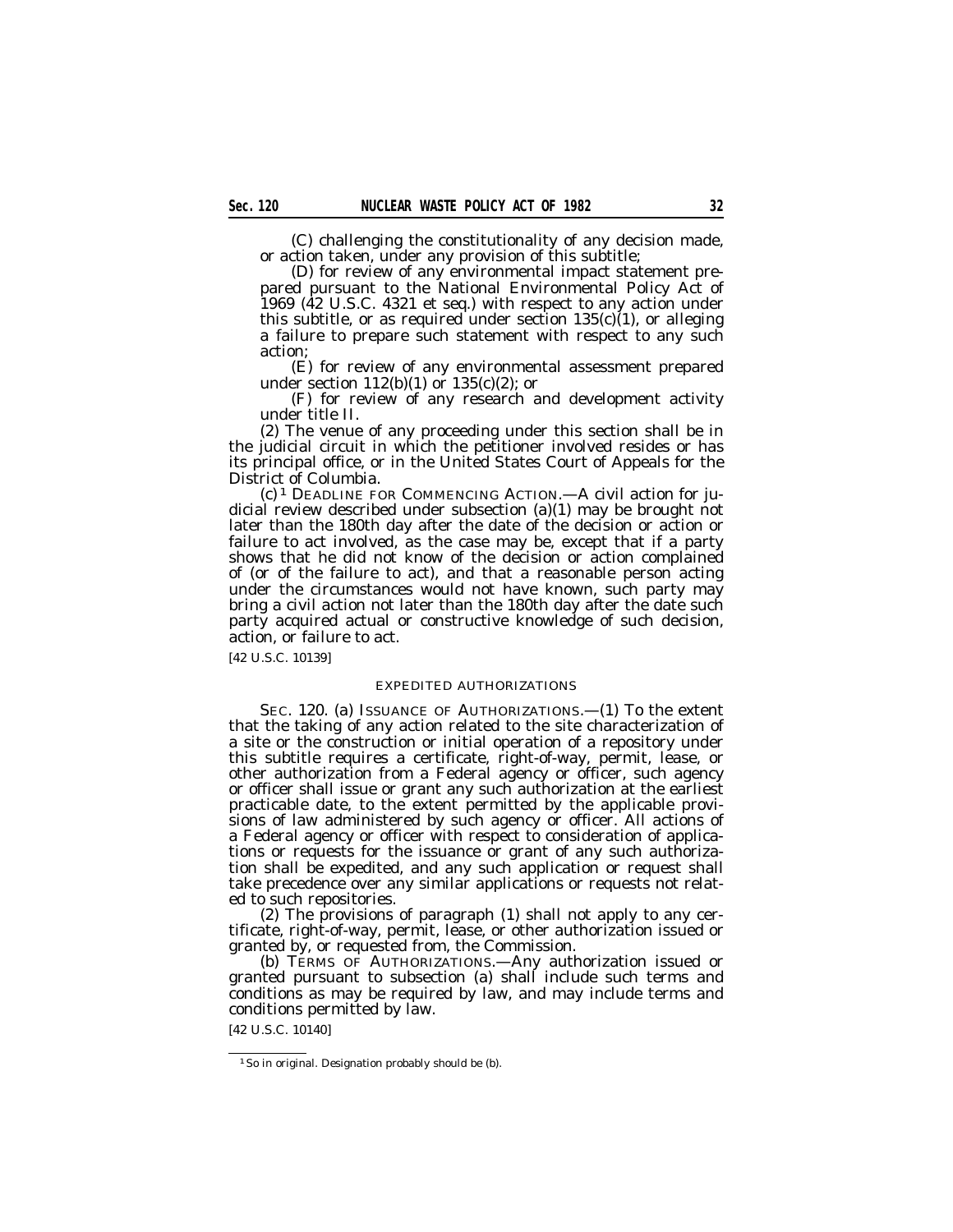(C) challenging the constitutionality of any decision made, or action taken, under any provision of this subtitle;

(D) for review of any environmental impact statement prepared pursuant to the National Environmental Policy Act of 1969 (42 U.S.C. 4321 et seq.) with respect to any action under this subtitle, or as required under section  $135(c)(1)$ , or alleging a failure to prepare such statement with respect to any such action;

(E) for review of any environmental assessment prepared under section  $112(b)(1)$  or  $135(c)(2)$ ; or

(F) for review of any research and development activity under title II.

(2) The venue of any proceeding under this section shall be in the judicial circuit in which the petitioner involved resides or has its principal office, or in the United States Court of Appeals for the District of Columbia.

(c) 1 DEADLINE FOR COMMENCING ACTION.—A civil action for judicial review described under subsection (a)(1) may be brought not later than the 180th day after the date of the decision or action or failure to act involved, as the case may be, except that if a party shows that he did not know of the decision or action complained of (or of the failure to act), and that a reasonable person acting under the circumstances would not have known, such party may bring a civil action not later than the 180th day after the date such party acquired actual or constructive knowledge of such decision, action, or failure to act.

[42 U.S.C. 10139]

### EXPEDITED AUTHORIZATIONS

SEC. 120. (a) ISSUANCE OF AUTHORIZATIONS.—(1) To the extent that the taking of any action related to the site characterization of a site or the construction or initial operation of a repository under this subtitle requires a certificate, right-of-way, permit, lease, or other authorization from a Federal agency or officer, such agency or officer shall issue or grant any such authorization at the earliest practicable date, to the extent permitted by the applicable provisions of law administered by such agency or officer. All actions of a Federal agency or officer with respect to consideration of applications or requests for the issuance or grant of any such authorization shall be expedited, and any such application or request shall take precedence over any similar applications or requests not related to such repositories.

(2) The provisions of paragraph (1) shall not apply to any certificate, right-of-way, permit, lease, or other authorization issued or granted by, or requested from, the Commission.

(b) TERMS OF AUTHORIZATIONS.—Any authorization issued or granted pursuant to subsection (a) shall include such terms and conditions as may be required by law, and may include terms and conditions permitted by law.

[42 U.S.C. 10140]

<sup>&</sup>lt;sup>1</sup> So in original. Designation probably should be (b).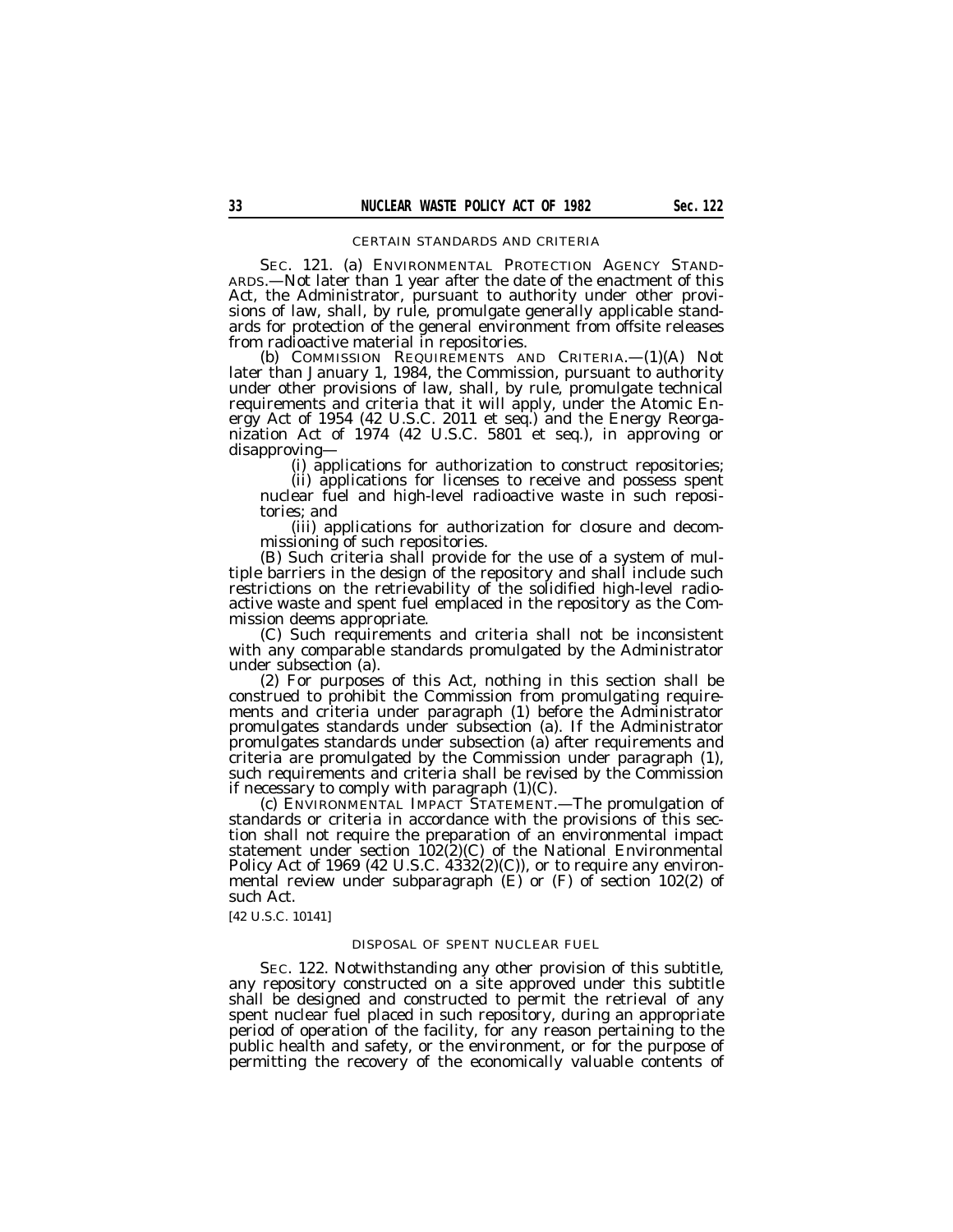### CERTAIN STANDARDS AND CRITERIA

SEC. 121. (a) ENVIRONMENTAL PROTECTION AGENCY STAND-<br>ARDS.—Not later than 1 year after the date of the enactment of this<br>Act, the Administrator, pursuant to authority under other provisions of law, shall, by rule, promulgate generally applicable standards for protection of the general environment from offsite releases<br>from radioactive material in repositories.

(b) COMMISSION REQUIREMENTS AND CRITERIA.— $(1)(A)$  Not later than January 1, 1984, the Commission, pursuant to authority under other provisions of law, shall, by rule, promulgate technical requirements and criteria that it will apply, under the Atomic Energy Act of 1954 (42 U.S.C. 2011 et seq.) and the Energy Reorganization Act of 1974 (42 U.S.C. 5801 et seq.), in approving or

disapproving—<br>
(i) applications for authorization to construct repositories; (ii) applications for licenses to receive and possess spent nuclear fuel and high-level radioactive waste in such repositories; and

(iii) applications for authorization for closure and decom-

missioning of such repositories.<br>(B) Such criteria shall provide for the use of a system of mul-(B) Such criteria shall provide for the use of a system of mul- tiple barriers in the design of the repository and shall include such restrictions on the retrievability of the solidified high-level radioactive waste and spent fuel emplaced in the repository as the Com-

(C) Such requirements and criteria shall not be inconsistent with any comparable standards promulgated by the Administrator under subsection (a).

(2) For purposes of this Act, nothing in this section shall be construed to prohibit the Commission from promulgating requirements and criteria under paragraph (1) before the Administrator promulgates standards under subsection (a). If the Administrator promulgates standards under subsection (a) after requirements and criteria are promulgated by the Commission under paragraph (1), such requirements and criteria shall be revised by the Commission

if necessary to comply with paragraph (1)(C). (c) ENVIRONMENTAL IMPACT STATEMENT.—The promulgation of standards or criteria in accordance with the provisions of this section shall not require the preparation of an environmental impact statement under section 102(2)(C) of the National Environmental Policy Act of 1969 (42 U.S.C. 4332(2)(C)), or to require any environmental review under subparagraph (E) or (F) of section 102(2) of such Act.

[42 U.S.C. 10141]

#### DISPOSAL OF SPENT NUCLEAR FUEL

SEC. 122. Notwithstanding any other provision of this subtitle, any repository constructed on a site approved under this subtitle shall be designed and constructed to permit the retrieval of any spent nuclear fuel placed in such repository, during an appropriate period of operation of the facility, for any reason pertaining to the public health and safety, or the environment, or for the purpose of permitting the recovery of the economically valuable contents of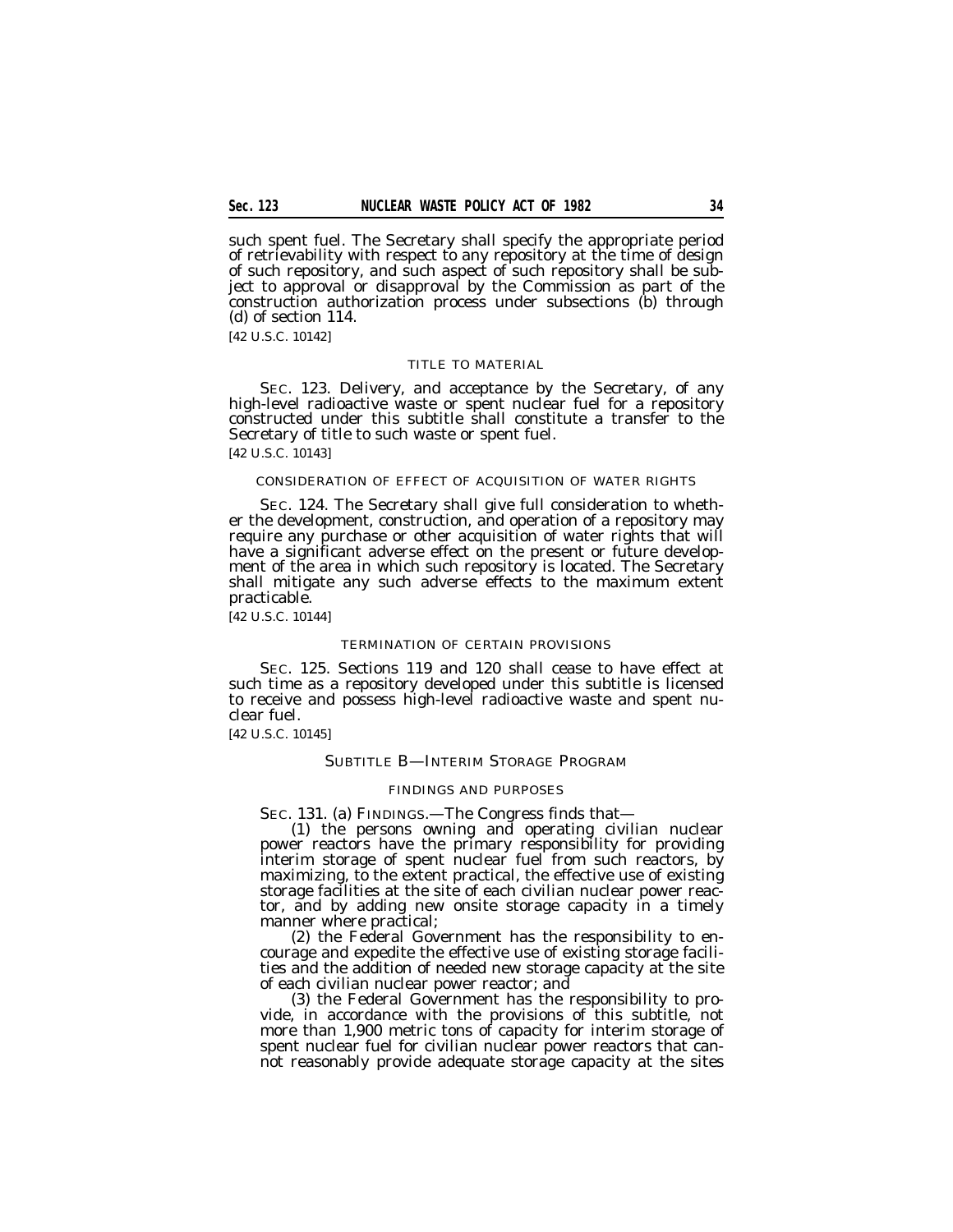such spent fuel. The Secretary shall specify the appropriate period of retrievability with respect to any repository at the time of design of such repository, and such aspect of such repository shall be subject to approval or disapproval by the Commission as part of the construction authorization process under subsections (b) through (d) of section 114.

[42 U.S.C. 10142]

#### TITLE TO MATERIAL

SEC. 123. Delivery, and acceptance by the Secretary, of any high-level radioactive waste or spent nuclear fuel for a repository constructed under this subtitle shall constitute a transfer to the Secretary of title to such waste or spent fuel.

[42 U.S.C. 10143]

## CONSIDERATION OF EFFECT OF ACQUISITION OF WATER RIGHTS

SEC. 124. The Secretary shall give full consideration to whether the development, construction, and operation of a repository may require any purchase or other acquisition of water rights that will have a significant adverse effect on the present or future development of the area in which such repository is located. The Secretary shall mitigate any such adverse effects to the maximum extent practicable.

[42 U.S.C. 10144]

#### TERMINATION OF CERTAIN PROVISIONS

SEC. 125. Sections 119 and 120 shall cease to have effect at such time as a repository developed under this subtitle is licensed to receive and possess high-level radioactive waste and spent nuclear fuel.

[42 U.S.C. 10145]

## SUBTITLE B—INTERIM STORAGE PROGRAM

#### FINDINGS AND PURPOSES

SEC. 131. (a) FINDINGS.—The Congress finds that— (1) the persons owning and operating civilian nuclear power reactors have the primary responsibility for providing interim storage of spent nuclear fuel from such reactors, by maximizing, to the extent practical, the effective use of existing storage facilities at the site of each civilian nuclear power reactor, and by adding new onsite storage capacity in a timely manner where practical;

(2) the Federal Government has the responsibility to encourage and expedite the effective use of existing storage facilities and the addition of needed new storage capacity at the site of each civilian nuclear power reactor; and

(3) the Federal Government has the responsibility to provide, in accordance with the provisions of this subtitle, not more than 1,900 metric tons of capacity for interim storage of spent nuclear fuel for civilian nuclear power reactors that cannot reasonably provide adequate storage capacity at the sites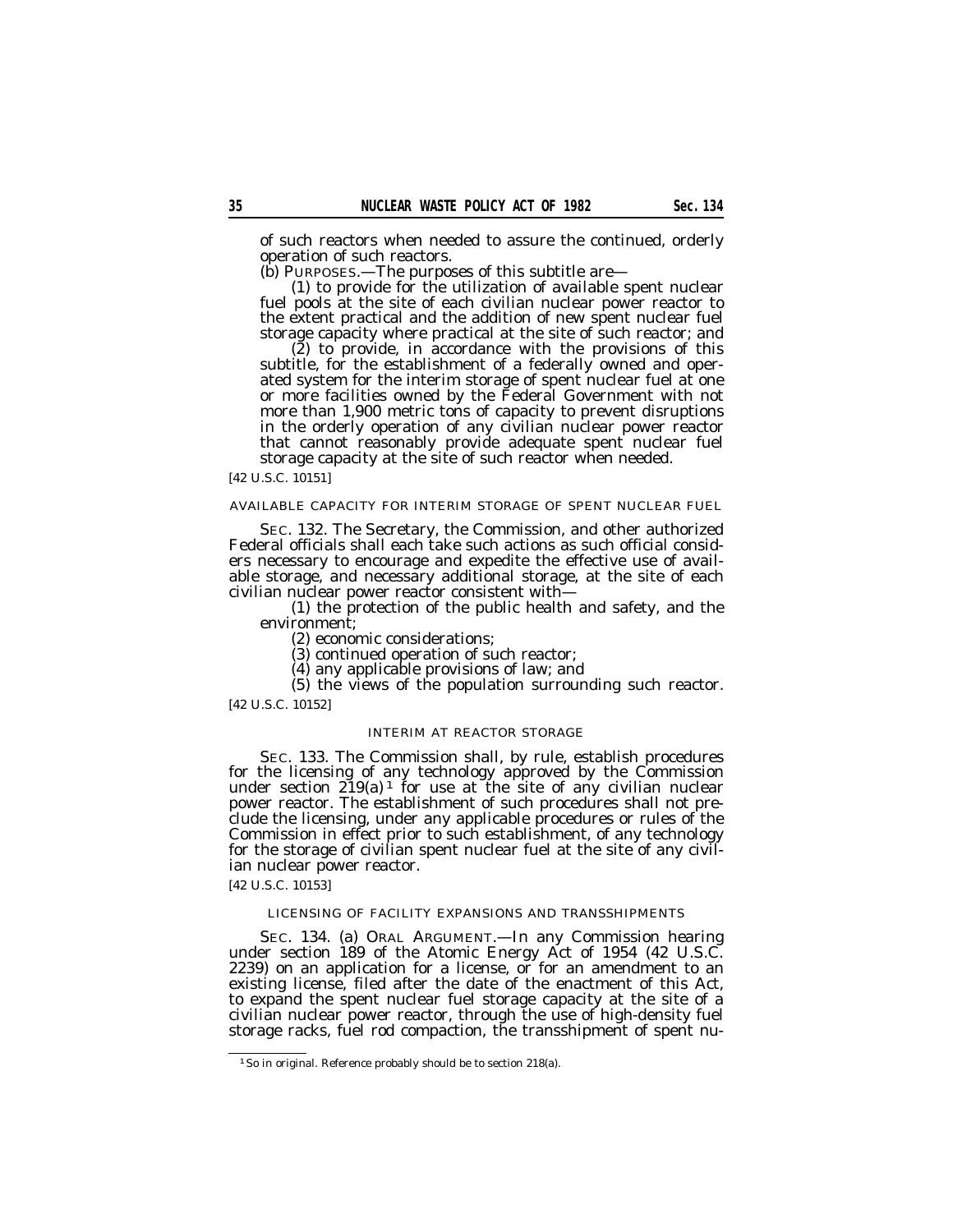of such reactors when needed to assure the continued, orderly operation of such reactors.

(b) PURPOSES.—The purposes of this subtitle are—

(1) to provide for the utilization of available spent nuclear fuel pools at the site of each civilian nuclear power reactor to the extent practical and the addition of new spent nuclear fuel storage capacity where practical at the site of such reactor; and

(2) to provide, in accordance with the provisions of this subtitle, for the establishment of a federally owned and operated system for the interim storage of spent nuclear fuel at one or more facilities owned by the Federal Government with not more than 1,900 metric tons of capacity to prevent disruptions in the orderly operation of any civilian nuclear power reactor that cannot reasonably provide adequate spent nuclear fuel storage capacity at the site of such reactor when needed.

[42 U.S.C. 10151]

### AVAILABLE CAPACITY FOR INTERIM STORAGE OF SPENT NUCLEAR FUEL

SEC. 132. The Secretary, the Commission, and other authorized Federal officials shall each take such actions as such official considers necessary to encourage and expedite the effective use of available storage, and necessary additional storage, at the site of each civilian nuclear power reactor consistent with—

(1) the protection of the public health and safety, and the environment;

(2) economic considerations;

(3) continued operation of such reactor;

(4) any applicable provisions of law; and

(5) the views of the population surrounding such reactor.

[42 U.S.C. 10152]

### INTERIM AT REACTOR STORAGE

SEC. 133. The Commission shall, by rule, establish procedures for the licensing of any technology approved by the Commission under section  $219(a)$ <sup>1</sup> for use at the site of any civilian nuclear power reactor. The establishment of such procedures shall not preclude the licensing, under any applicable procedures or rules of the Commission in effect prior to such establishment, of any technology for the storage of civilian spent nuclear fuel at the site of any civilian nuclear power reactor.

[42 U.S.C. 10153]

## LICENSING OF FACILITY EXPANSIONS AND TRANSSHIPMENTS

SEC. 134. (a) ORAL ARGUMENT.—In any Commission hearing under section 189 of the Atomic Energy Act of 1954 (42 U.S.C. 2239) on an application for a license, or for an amendment to an existing license, filed after the date of the enactment of this Act, to expand the spent nuclear fuel storage capacity at the site of a civilian nuclear power reactor, through the use of high-density fuel storage racks, fuel rod compaction, the transshipment of spent nu-

<sup>1</sup>So in original. Reference probably should be to section 218(a).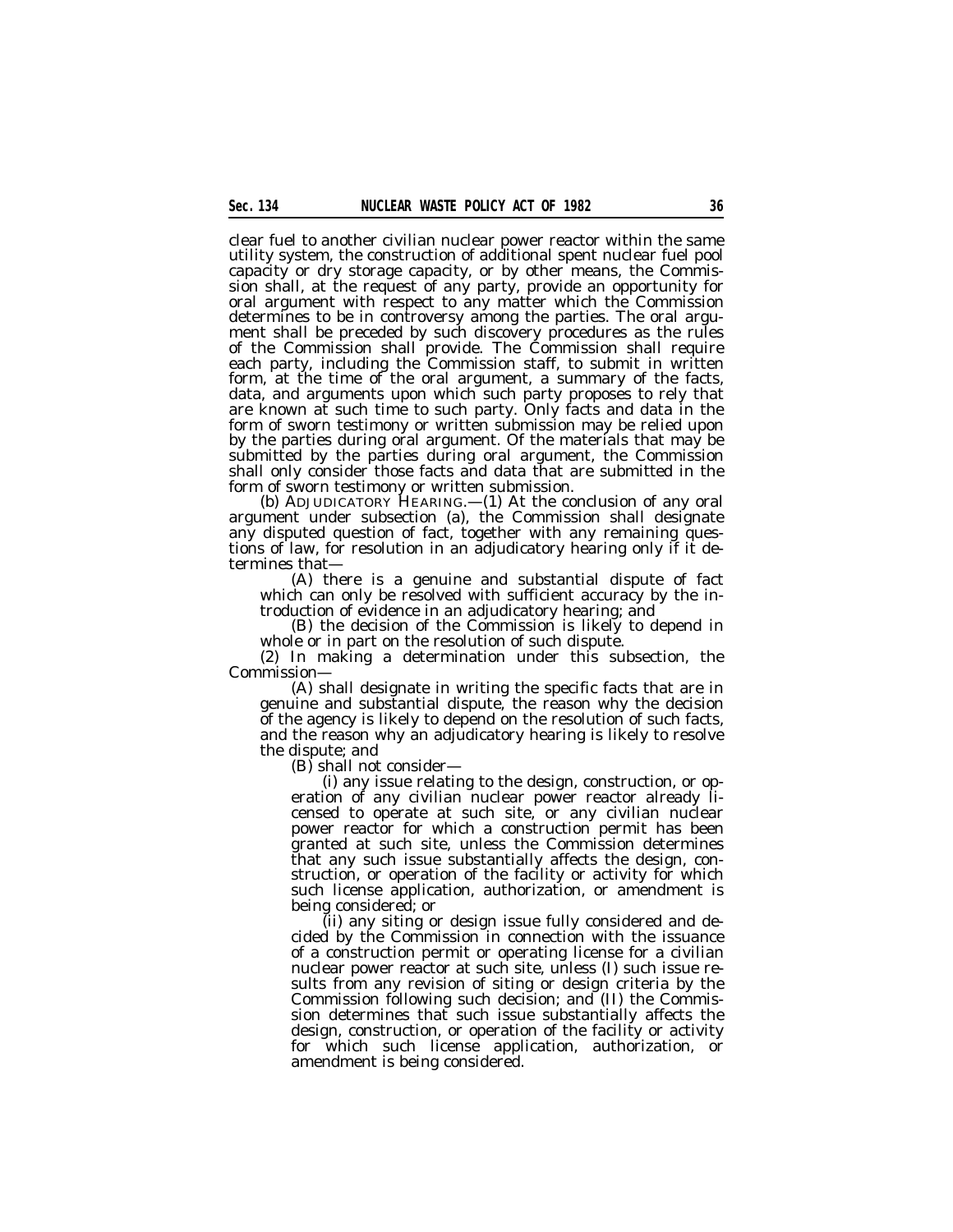clear fuel to another civilian nuclear power reactor within the same utility system, the construction of additional spent nuclear fuel pool capacity or dry storage capacity, or by other means, the Commission shall, at the request of any party, provide an opportunity for oral argument with respect to any matter which the Commission determines to be in controversy among the parties. The oral argument shall be preceded by such discovery procedures as the rules of the Commission shall provide. The Commission shall require each party, including the Commission staff, to submit in written form, at the time of the oral argument, a summary of the facts, data, and arguments upon which such party proposes to rely that are known at such time to such party. Only facts and data in the form of sworn testimony or written submission may be relied upon by the parties during oral argument. Of the materials that may be submitted by the parties during oral argument, the Commission shall only consider those facts and data that are submitted in the

form of sworn testimony or written submission. (b) ADJUDICATORY HEARING.—(1) At the conclusion of any oral argument under subsection (a), the Commission shall designate any disputed question of fact, together with any remaining questions of law, for resolution in an adjudicatory hearing only if it determines that—

(A) there is a genuine and substantial dispute of fact which can only be resolved with sufficient accuracy by the in-

troduction of evidence in an adjudicatory hearing; and (B) the decision of the Commission is likely to depend in whole or in part on the resolution of such dispute.

(2) In making a determination under this subsection, the Commission—

(A) shall designate in writing the specific facts that are in genuine and substantial dispute, the reason why the decision of the agency is likely to depend on the resolution of such facts, and the reason why an adjudicatory hearing is likely to resolve the dispute; and

(B) shall not consider—

(i) any issue relating to the design, construction, or operation of any civilian nuclear power reactor already licensed to operate at such site, or any civilian nuclear power reactor for which a construction permit has been granted at such site, unless the Commission determines that any such issue substantially affects the design, construction, or operation of the facility or activity for which such license application, authorization, or amendment is being considered; or

(ii) any siting or design issue fully considered and decided by the Commission in connection with the issuance of a construction permit or operating license for a civilian nuclear power reactor at such site, unless (I) such issue results from any revision of siting or design criteria by the Commission following such decision; and (II) the Commission determines that such issue substantially affects the design, construction, or operation of the facility or activity for which such license application, authorization, or amendment is being considered.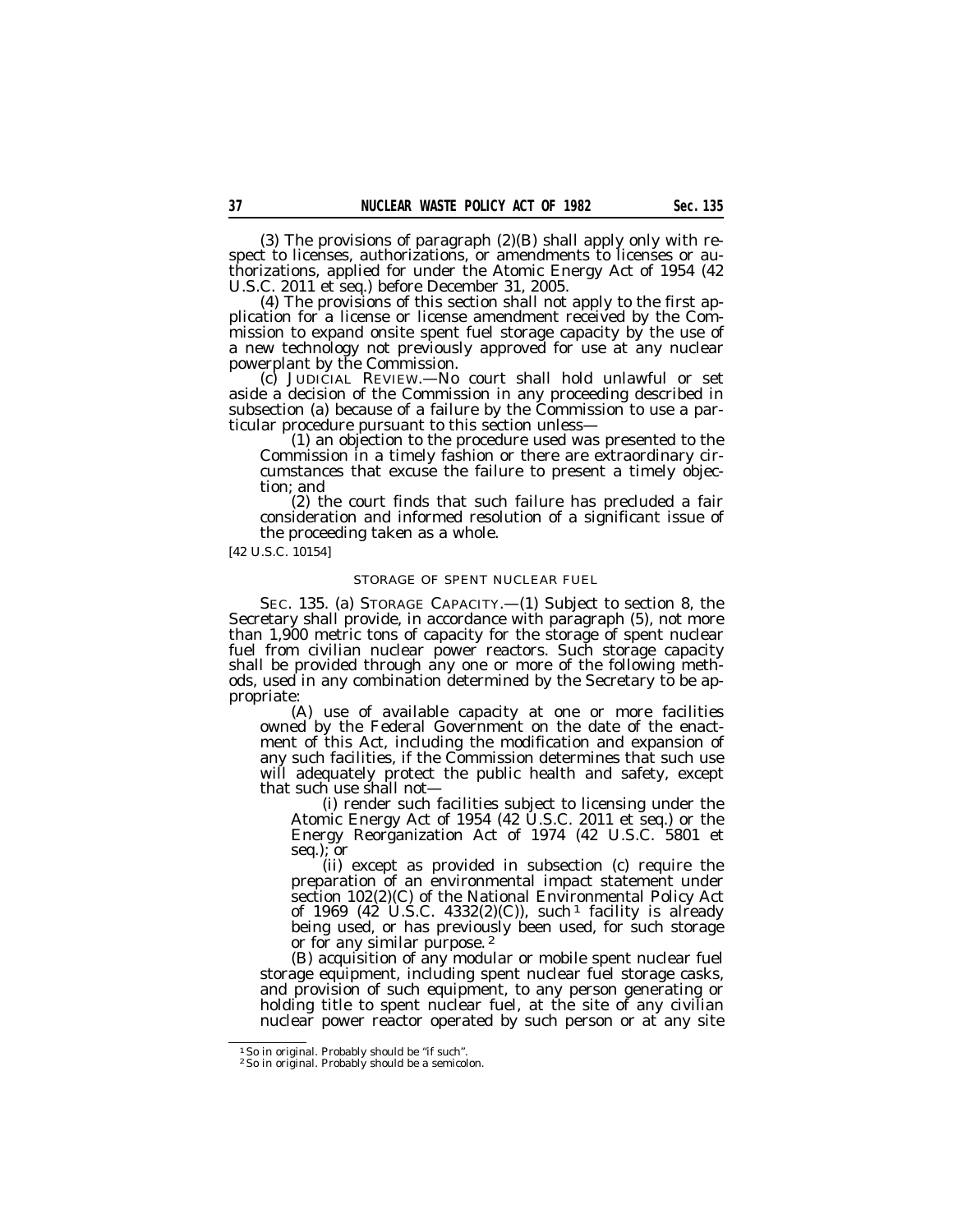(3) The provisions of paragraph (2)(B) shall apply only with re- spect to licenses, authorizations, or amendments to licenses or authorizations, applied for under the Atomic Energy Act of 1954 (42

U.S.C. 2011 et seq.) before December 31, 2005.<br>(4) The provisions of this section shall not apply to the first ap-<br>plication for a license or license amendment received by the Commission to expand onsite spent fuel storage capacity by the use of a new technology not previously approved for use at any nuclear powerplant by the Commission. (c) JUDICIAL REVIEW.—No court shall hold unlawful or set

aside a decision of the Commission in any proceeding described in subsection (a) because of a failure by the Commission to use a par-

ticular procedure pursuant to this section unless— (1) an objection to the procedure used was presented to the Commission in a timely fashion or there are extraordinary circumstances that excuse the failure to present a timely objection; and

(2) the court finds that such failure has precluded a fair consideration and informed resolution of a significant issue of the proceeding taken as a whole.

[42 U.S.C. 10154]

# STORAGE OF SPENT NUCLEAR FUEL

SEC. 135. (a) STORAGE CAPACITY.—(1) Subject to section 8, the Secretary shall provide, in accordance with paragraph (5), not more than 1,900 metric tons of capacity for the storage of spent nuclear fuel from civilian nuclear power reactors. Such storage capacity shall be provided through any one or more of the following methods, used in any combination determined by the Secretary to be ap-

propriate:(A) use of available capacity at one or more facilities owned by the Federal Government on the date of the enactment of this Act, including the modification and expansion of any such facilities, if the Commission determines that such use will adequately protect the public health and safety, except that such use shall not—<br>(i) render such facilities subject to licensing under the

Atomic Energy Act of 1954 (42 U.S.C. 2011 et seq.) or the Energy Reorganization Act of 1974 (42 U.S.C. 5801 et seq.); or

 $\chi$  (ii) except as provided in subsection (c) require the preparation of an environmental impact statement under section 102(2)(C) of the National Environmental Policy Act of 1969 (42 U.S.C. 4332(2)(C)), such<sup>1</sup> facility is already being used, or has previously been used, for such storage or for any similar purpose. 2

(B) acquisition of any modular or mobile spent nuclear fuel storage equipment, including spent nuclear fuel storage casks, and provision of such equipment, to any person generating or holding title to spent nuclear fuel, at the site of any civilian nuclear power reactor operated by such person or at any site

<sup>&</sup>lt;sup>1</sup> So in original. Probably should be "if such".

<sup>2</sup>So in original. Probably should be a semicolon.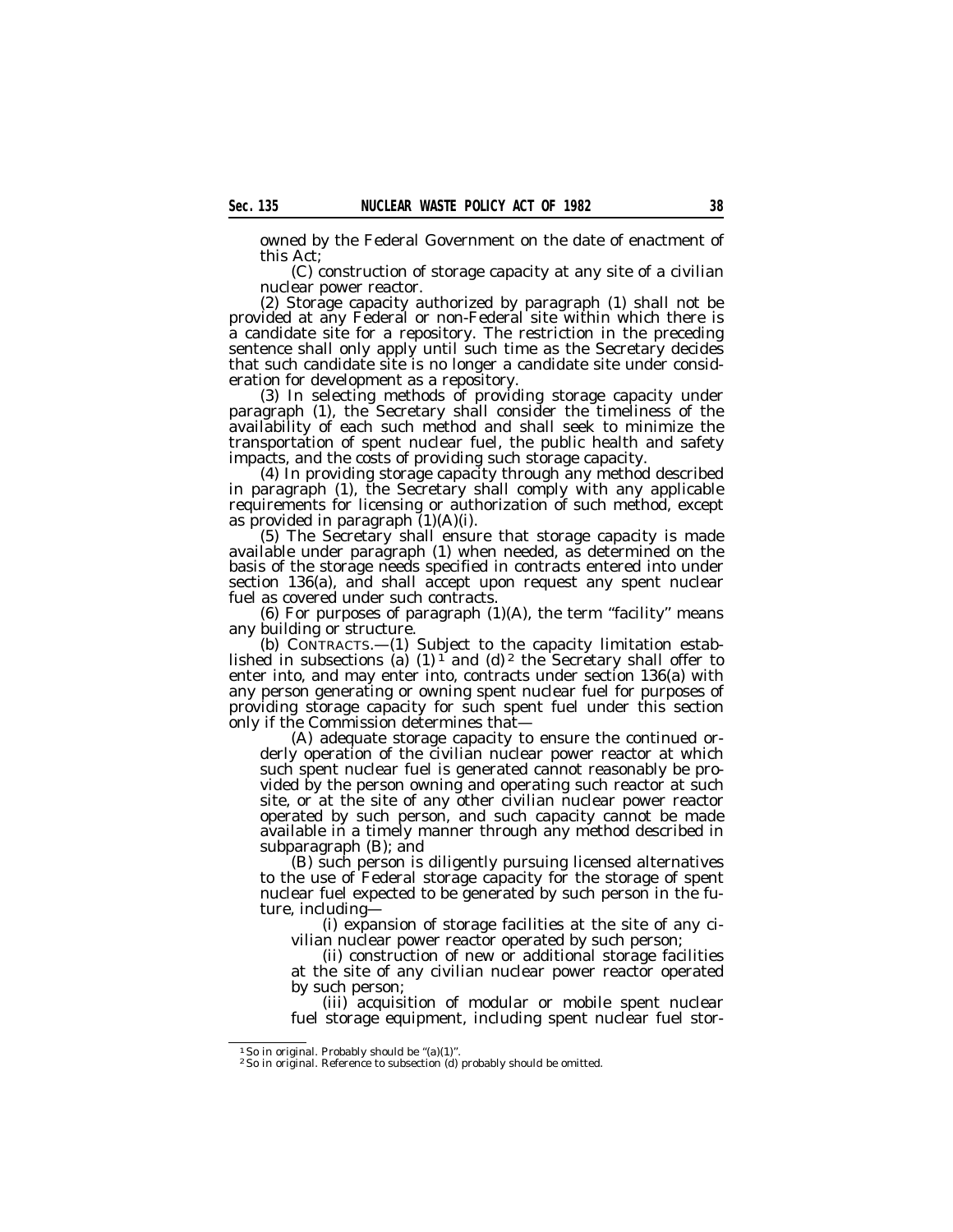owned by the Federal Government on the date of enactment of this Act;

(C) construction of storage capacity at any site of a civilian nuclear power reactor.

(2) Storage capacity authorized by paragraph (1) shall not be provided at any Federal or non-Federal site within which there is a candidate site for a repository. The restriction in the preceding sentence shall only apply until such time as the Secretary decides that such candidate site is no longer a candidate site under consideration for development as a repository.

(3) In selecting methods of providing storage capacity under paragraph (1), the Secretary shall consider the timeliness of the availability of each such method and shall seek to minimize the transportation of spent nuclear fuel, the public health and safety impacts, and the costs of providing such storage capacity.

(4) In providing storage capacity through any method described in paragraph (1), the Secretary shall comply with any applicable requirements for licensing or authorization of such method, except as provided in paragraph  $(1)(A)(i)$ .

(5) The Secretary shall ensure that storage capacity is made available under paragraph (1) when needed, as determined on the basis of the storage needs specified in contracts entered into under section 136(a), and shall accept upon request any spent nuclear fuel as covered under such contracts.

6) For purposes of paragraph  $(1)(A)$ , the term "facility" means any building or structure.

(b) CONTRACTS.—(1) Subject to the capacity limitation established in subsections (a)  $(1)^T$  and  $(d)^2$  the Secretary shall offer to enter into, and may enter into, contracts under section 136(a) with any person generating or owning spent nuclear fuel for purposes of providing storage capacity for such spent fuel under this section only if the Commission determines that—

(A) adequate storage capacity to ensure the continued orderly operation of the civilian nuclear power reactor at which such spent nuclear fuel is generated cannot reasonably be provided by the person owning and operating such reactor at such site, or at the site of any other civilian nuclear power reactor operated by such person, and such capacity cannot be made available in a timely manner through any method described in subparagraph (B); and

(B) such person is diligently pursuing licensed alternatives to the use of Federal storage capacity for the storage of spent nuclear fuel expected to be generated by such person in the future, including—

(i) expansion of storage facilities at the site of any civilian nuclear power reactor operated by such person;

(ii) construction of new or additional storage facilities at the site of any civilian nuclear power reactor operated

by such person; (iii) acquisition of modular or mobile spent nuclear fuel storage equipment, including spent nuclear fuel stor-

<sup>&</sup>lt;sup>1</sup> So in original. Probably should be " $(a)(1)$ ".

<sup>2</sup>So in original. Reference to subsection (d) probably should be omitted.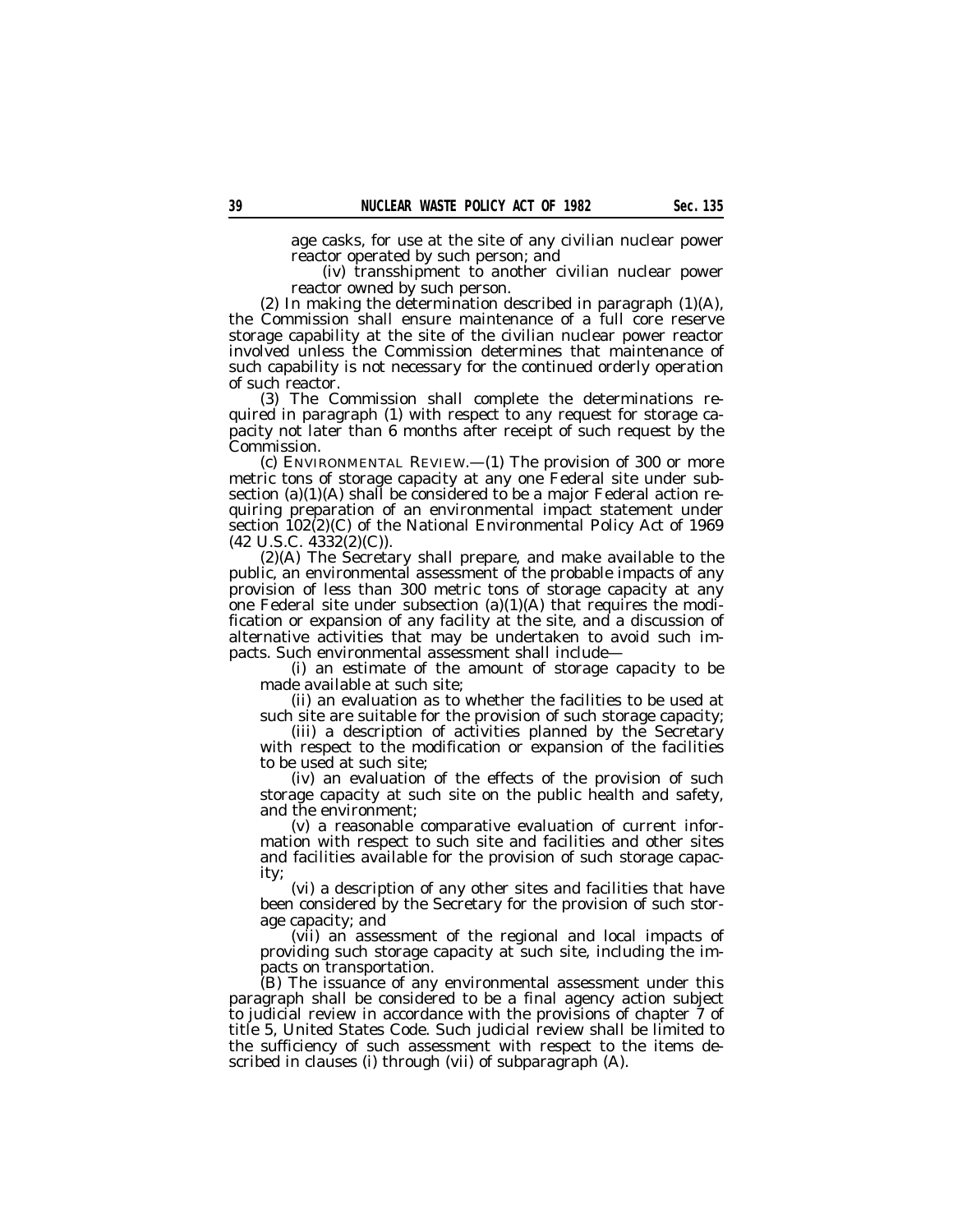age casks, for use at the site of any civilian nuclear power reactor operated by such person; and

(iv) transshipment to another civilian nuclear power reactor owned by such person.

(2) In making the determination described in paragraph (1)(A), the Commission shall ensure maintenance of a full core reserve storage capability at the site of the civilian nuclear power reactor involved unless the Commission determines that maintenance of such capability is not necessary for the continued orderly operation of such reactor.

(3) The Commission shall complete the determinations required in paragraph (1) with respect to any request for storage capacity not later than 6 months after receipt of such request by the Commission.

(c) ENVIRONMENTAL REVIEW.—(1) The provision of 300 or more metric tons of storage capacity at any one Federal site under subsection (a)(1)(A) shall be considered to be a major Federal action requiring preparation of an environmental impact statement under section 102(2)(C) of the National Environmental Policy Act of 1969  $(42 \text{ U.S.C. } 4332(2)(\text{C}))$ .

(2)(A) The Secretary shall prepare, and make available to the public, an environmental assessment of the probable impacts of any provision of less than 300 metric tons of storage capacity at any one Federal site under subsection (a)(1)(A) that requires the modification or expansion of any facility at the site, and a discussion of alternative activities that may be undertaken to avoid such impacts. Such environmental assessment shall include—

(i) an estimate of the amount of storage capacity to be made available at such site;

(ii) an evaluation as to whether the facilities to be used at such site are suitable for the provision of such storage capacity;

(iii) a description of activities planned by the Secretary with respect to the modification or expansion of the facilities to be used at such site;

(iv) an evaluation of the effects of the provision of such storage capacity at such site on the public health and safety, and the environment;

(v) a reasonable comparative evaluation of current information with respect to such site and facilities and other sites and facilities available for the provision of such storage capacity;

(vi) a description of any other sites and facilities that have been considered by the Secretary for the provision of such storage capacity; and

(vii) an assessment of the regional and local impacts of providing such storage capacity at such site, including the impacts on transportation.

(B) The issuance of any environmental assessment under this paragraph shall be considered to be a final agency action subject to judicial review in accordance with the provisions of chapter 7 of title 5, United States Code. Such judicial review shall be limited to the sufficiency of such assessment with respect to the items described in clauses (i) through (vii) of subparagraph (A).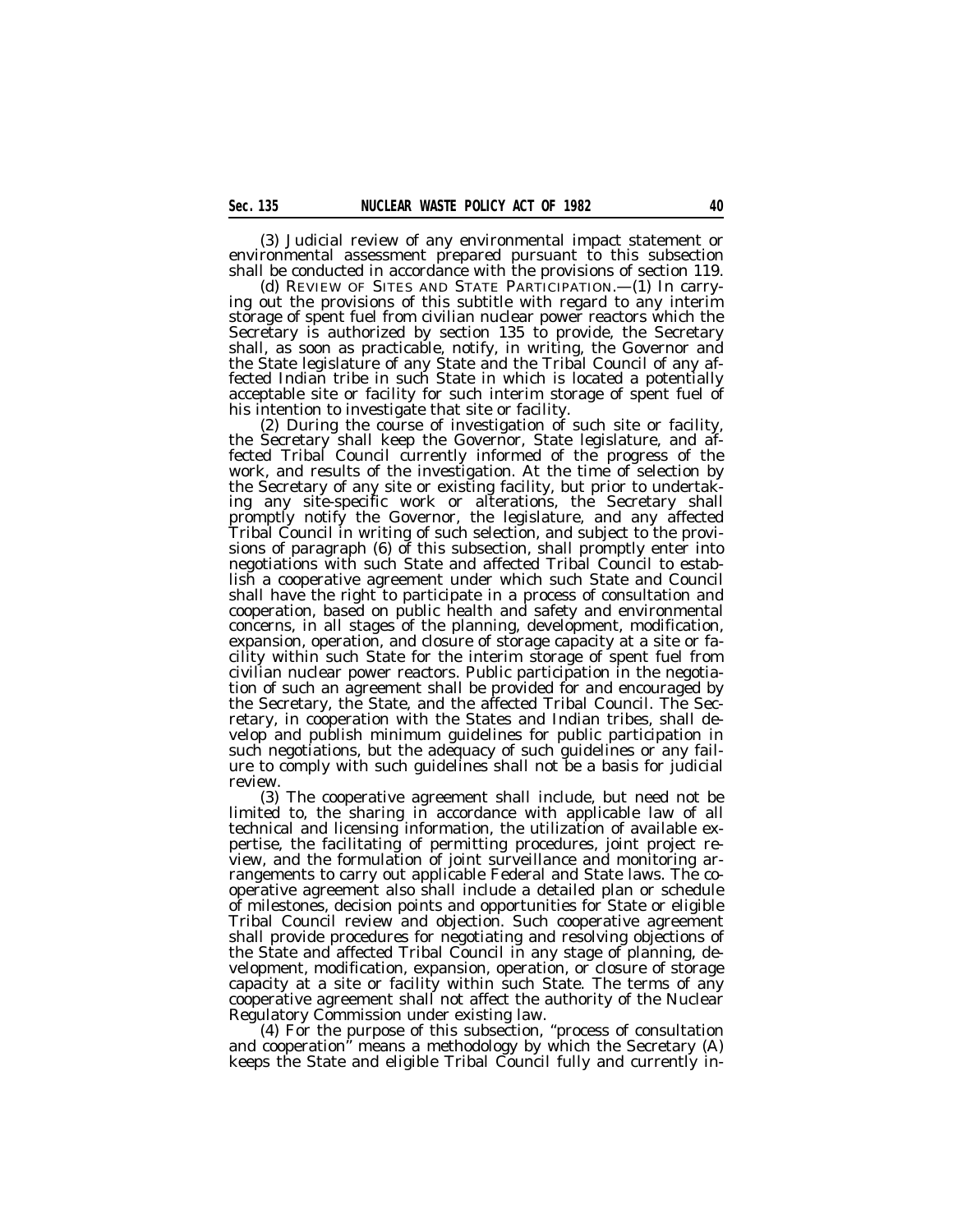(3) Judicial review of any environmental impact statement or environmental assessment prepared pursuant to this subsection

(d) REVIEW OF SITES AND STATE PARTICIPATION.—(1) In carry-<br>ing out the provisions of this subtitle with regard to any interim storage of spent fuel from civilian nuclear power reactors which the Secretary is authorized by section 135 to provide, the Secretary shall, as soon as practicable, notify, in writing, the Governor and the State legislature of any State and the Tribal Council of any affected Indian tribe in such State in which is located a potentially acceptable site or facility for such interim storage of spent fuel of<br>his intention to investigate that site or facility.

his intention to investigate that site or facility. (2) During the course of investigation of such site or facility, the Secretary shall keep the Governor, State legislature, and affected Tribal Council currently informed of the progress of the work, and results of the investigation. At the time of selection by the Secretary of any site or existing facility, but prior to undertaking any site-specific work or alterations, the Secretary shall promptly notify the Governor, the legislature, and any affected Tribal Council in writing of such selection, and subject to the provisions of paragraph (6) of this subsection, shall promptly enter into negotiations with such State and affected Tribal Council to establish a cooperative agreement under which such State and Council shall have the right to participate in a process of consultation and cooperation, based on public health and safety and environmental concerns, in all stages of the planning, development, modification, expansion, operation, and closure of storage capacity at a site or facility within such State for the interim storage of spent fuel from civilian nuclear power reactors. Public participation in the negotiation of such an agreement shall be provided for and encouraged by the Secretary, the State, and the affected Tribal Council. The Secretary, in cooperation with the States and Indian tribes, shall develop and publish minimum guidelines for public participation in such negotiations, but the adequacy of such guidelines or any failure to comply with such guidelines shall not be a basis for judicial review.

(3) The cooperative agreement shall include, but need not be limited to, the sharing in accordance with applicable law of all technical and licensing information, the utilization of available expertise, the facilitating of permitting procedures, joint project review, and the formulation of joint surveillance and monitoring arrangements to carry out applicable Federal and State laws. The cooperative agreement also shall include a detailed plan or schedule of milestones, decision points and opportunities for State or eligible Tribal Council review and objection. Such cooperative agreement shall provide procedures for negotiating and resolving objections of the State and affected Tribal Council in any stage of planning, development, modification, expansion, operation, or closure of storage capacity at a site or facility within such State. The terms of any cooperative agreement shall not affect the authority of the Nuclear Regulatory Commission under existing law.

(4) For the purpose of this subsection, ''process of consultation and cooperation'' means a methodology by which the Secretary (A) keeps the State and eligible Tribal Council fully and currently in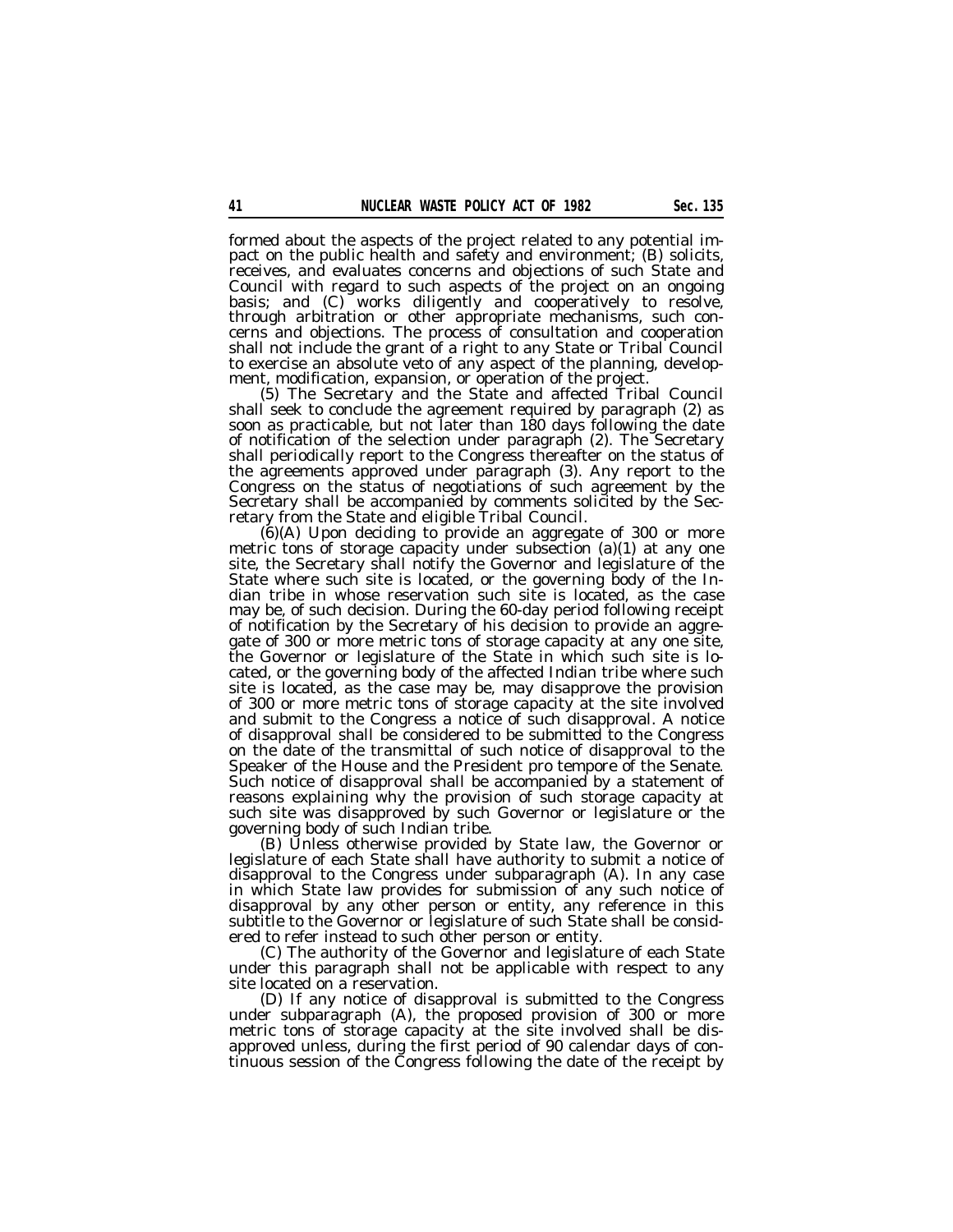formed about the aspects of the project related to any potential impact on the public health and safety and environment; (B) solicits, receives, and evaluates concerns and objections of such State and Council with regard to such aspects of the project on an ongoing basis; and (C) works diligently and cooperatively to resolve, through arbitration or other appropriate mechanisms, such concerns and objections. The process of consultation and cooperation shall not include the grant of a right to any State or Tribal Council to exercise an absolute veto of any aspect of the planning, develop-

 $(5)$  The Secretary and the State and affected Tribal Council shall seek to conclude the agreement required by paragraph  $(2)$  as soon as practicable, but not later than 180 days following the date of notification of the selection under paragraph (2). The Secretary shall periodically report to the Congress thereafter on the status of the agreements approved under paragraph (3). Any report to the Congress on the status of negotiations of such agreement by the Secretary shall be accompanied by comments solicited by the Sec-

retary from the State and eligible Tribal Council. (6)(A) Upon deciding to provide an aggregate of 300 or more metric tons of storage capacity under subsection (a)(1) at any one site, the Secretary shall notify the Governor and legislature of the State where such site is located, or the governing body of the Indian tribe in whose reservation such site is located, as the case may be, of such decision. During the 60-day period following receipt of notification by the Secretary of his decision to provide an aggregate of 300 or more metric tons of storage capacity at any one site, the Governor or legislature of the State in which such site is located, or the governing body of the affected Indian tribe where such site is located, as the case may be, may disapprove the provision of 300 or more metric tons of storage capacity at the site involved and submit to the Congress a notice of such disapproval. A notice of disapproval shall be considered to be submitted to the Congress on the date of the transmittal of such notice of disapproval to the Speaker of the House and the President pro tempore of the Senate. Such notice of disapproval shall be accompanied by a statement of reasons explaining why the provision of such storage capacity at such site was disapproved by such Governor or legislature or the governing body of such Indian tribe.

(B) Unless otherwise provided by State law, the Governor or legislature of each State shall have authority to submit a notice of disapproval to the Congress under subparagraph (A). In any case in which State law provides for submission of any such notice of disapproval by any other person or entity, any reference in this subtitle to the Governor or legislature of such State shall be consid-

ered to refer instead to such other person or entity. (C) The authority of the Governor and legislature of each State under this paragraph shall not be applicable with respect to any

site located on a reservation.<br>(D) If any notice of disapproval is submitted to the Congress under subparagraph (A), the proposed provision of 300 or more metric tons of storage capacity at the site involved shall be disapproved unless, during the first period of 90 calendar days of continuous session of the Congress following the date of the receipt by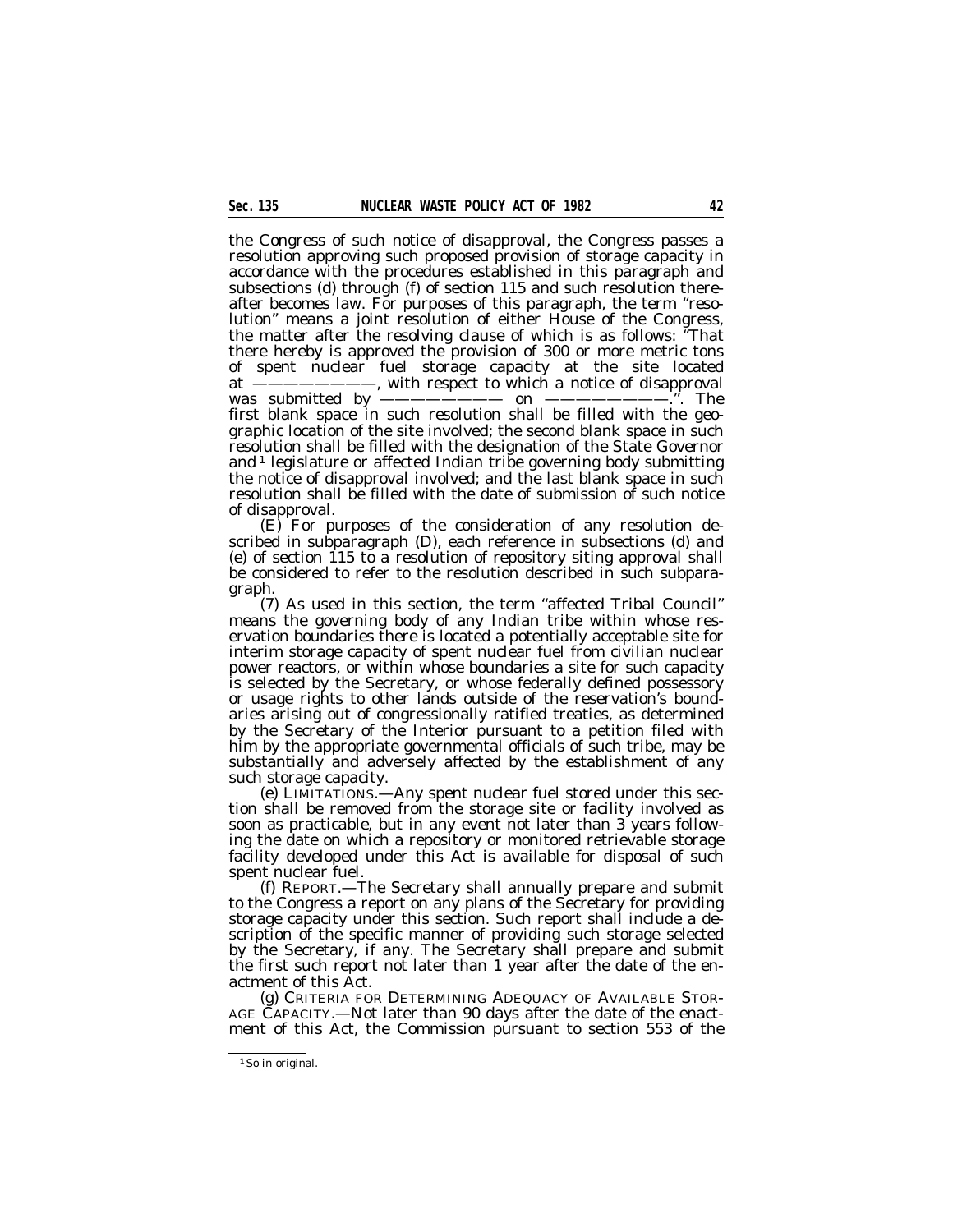the Congress of such notice of disapproval, the Congress passes a resolution approving such proposed provision of storage capacity in accordance with the procedures established in this paragraph and subsections (d) through (f) of section 115 and such resolution thereafter becomes law. For purposes of this paragraph, the term ''resolution'' means a joint resolution of either House of the Congress, the matter after the resolving clause of which is as follows: "That there hereby is approved the provision of 300 or more metric tons of spent nuclear fuel storage capacity at the site located at --------------, with respect to which a notice of disapproval was submitted by ———————— on —————————.<sup>\*\*</sup>. The first blank space in such resolution shall be filled with the geographic location of the site involved; the second blank space in such resolution shall be filled with the designation of the State Governor and 1 legislature or affected Indian tribe governing body submitting the notice of disapproval involved; and the last blank space in such resolution shall be filled with the date of submission of such notice

of disapproval. (E) For purposes of the consideration of any resolution described in subparagraph (D), each reference in subsections (d) and (e) of section 115 to a resolution of repository siting approval shall be considered to refer to the resolution described in such subparagraph.

(7) As used in this section, the term ''affected Tribal Council'' means the governing body of any Indian tribe within whose reservation boundaries there is located a potentially acceptable site for interim storage capacity of spent nuclear fuel from civilian nuclear power reactors, or within whose boundaries a site for such capacity is selected by the Secretary, or whose federally defined possessory or usage rights to other lands outside of the reservation's boundaries arising out of congressionally ratified treaties, as determined by the Secretary of the Interior pursuant to a petition filed with him by the appropriate governmental officials of such tribe, may be substantially and adversely affected by the establishment of any such storage capacity.

(e) LIMITATIONS.—Any spent nuclear fuel stored under this section shall be removed from the storage site or facility involved as soon as practicable, but in any event not later than 3 years following the date on which a repository or monitored retrievable storage facility developed under this Act is available for disposal of such spent nuclear fuel.

(f) REPORT.—The Secretary shall annually prepare and submit to the Congress a report on any plans of the Secretary for providing storage capacity under this section. Such report shall include a description of the specific manner of providing such storage selected by the Secretary, if any. The Secretary shall prepare and submit the first such report not later than 1 year after the date of the enactment of this Act.

(g) CRITERIA FOR DETERMINING ADEQUACY OF AVAILABLE STOR-AGE CAPACITY.—Not later than 90 days after the date of the enactment of this Act, the Commission pursuant to section 553 of the

<sup>&</sup>lt;sup>1</sup> So in original.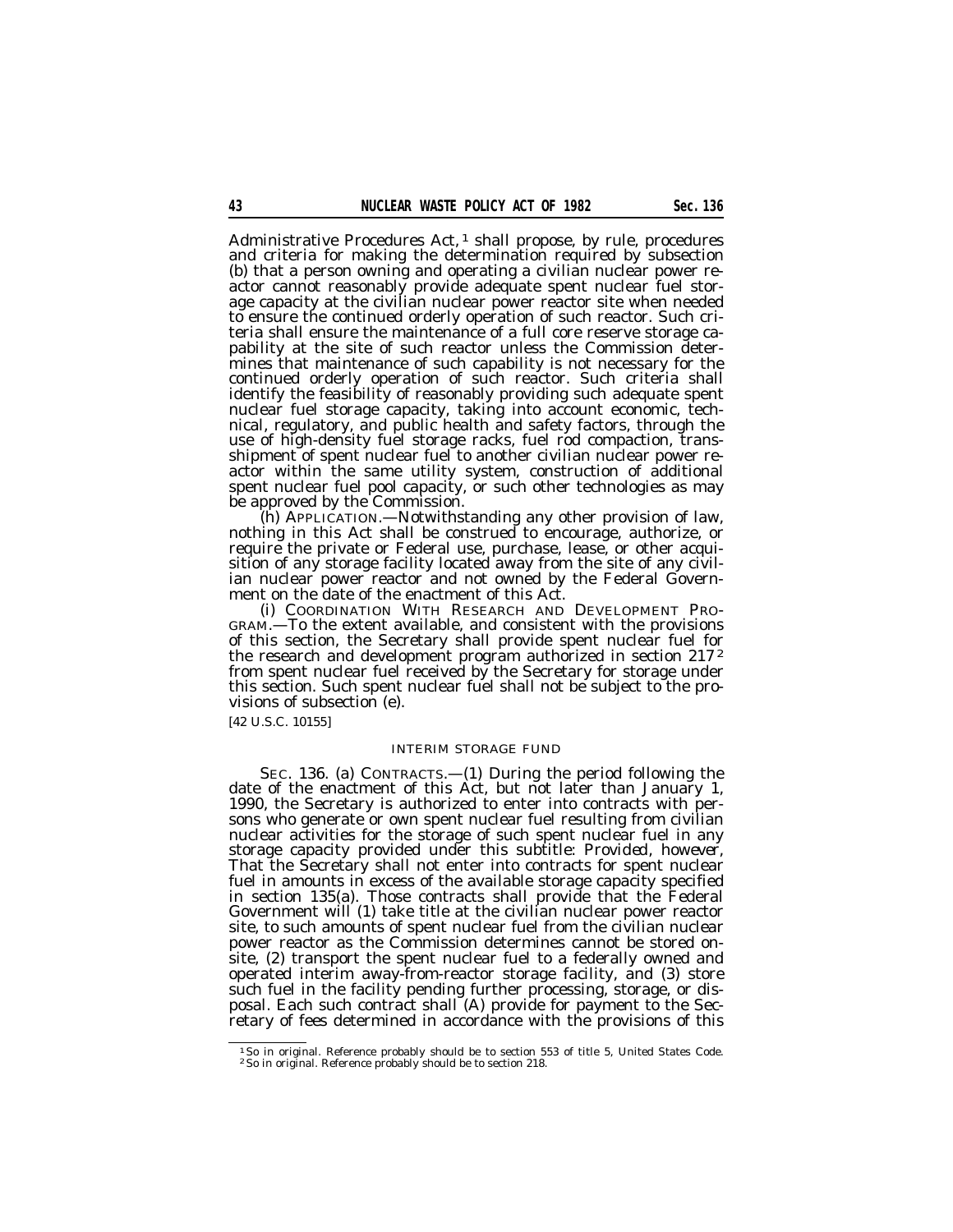Administrative Procedures Act, <sup>1</sup> shall propose, by rule, procedures and criteria for making the determination required by subsection (b) that a person owning and operating a civilian nuclear power reactor cannot reasonably provide adequate spent nuclear fuel storage capacity at the civilian nuclear power reactor site when needed to ensure the continued orderly operation of such reactor. Such criteria shall ensure the maintenance of a full core reserve storage capability at the site of such reactor unless the Commission determines that maintenance of such capability is not necessary for the continued orderly operation of such reactor. Such criteria shall identify the feasibility of reasonably providing such adequate spent nuclear fuel storage capacity, taking into account economic, technical, regulatory, and public health and safety factors, through the use of high-density fuel storage racks, fuel rod compaction, transshipment of spent nuclear fuel to another civilian nuclear power reactor within the same utility system, construction of additional spent nuclear fuel pool capacity, or such other technologies as may<br>be approved by the Commission.

be approved by the Commission. (h) APPLICATION.—Notwithstanding any other provision of law, nothing in this Act shall be construed to encourage, authorize, or require the private or Federal use, purchase, lease, or other acquisition of any storage facility located away from the site of any civilian nuclear power reactor and not owned by the Federal Government on the date of the enactment of this Act.

(i) COORDINATION WITH RESEARCH AND DEVELOPMENT PRO- GRAM.—To the extent available, and consistent with the provisions of this section, the Secretary shall provide spent nuclear fuel for the research and development program authorized in section 217 2 from spent nuclear fuel received by the Secretary for storage under this section. Such spent nuclear fuel shall not be subject to the provisions of subsection (e).

[42 U.S.C. 10155]

#### INTERIM STORAGE FUND

SEC. 136. (a) CONTRACTS.—(1) During the period following the date of the enactment of this Act, but not later than January 1, 1990, the Secretary is authorized to enter into contracts with persons who generate or own spent nuclear fuel resulting from civilian nuclear activities for the storage of such spent nuclear fuel in any storage capacity provided under this subtitle: *Provided, however,* That the Secretary shall not enter into contracts for spent nuclear fuel in amounts in excess of the available storage capacity specified in section 135(a). Those contracts shall provide that the Federal Government will (1) take title at the civilian nuclear power reactor site, to such amounts of spent nuclear fuel from the civilian nuclear power reactor as the Commission determines cannot be stored onsite, (2) transport the spent nuclear fuel to a federally owned and operated interim away-from-reactor storage facility, and (3) store such fuel in the facility pending further processing, storage, or disposal. Each such contract shall (A) provide for payment to the Secretary of fees determined in accordance with the provisions of this

<sup>1</sup>So in original. Reference probably should be to section 553 of title 5, United States Code. 2So in original. Reference probably should be to section 218.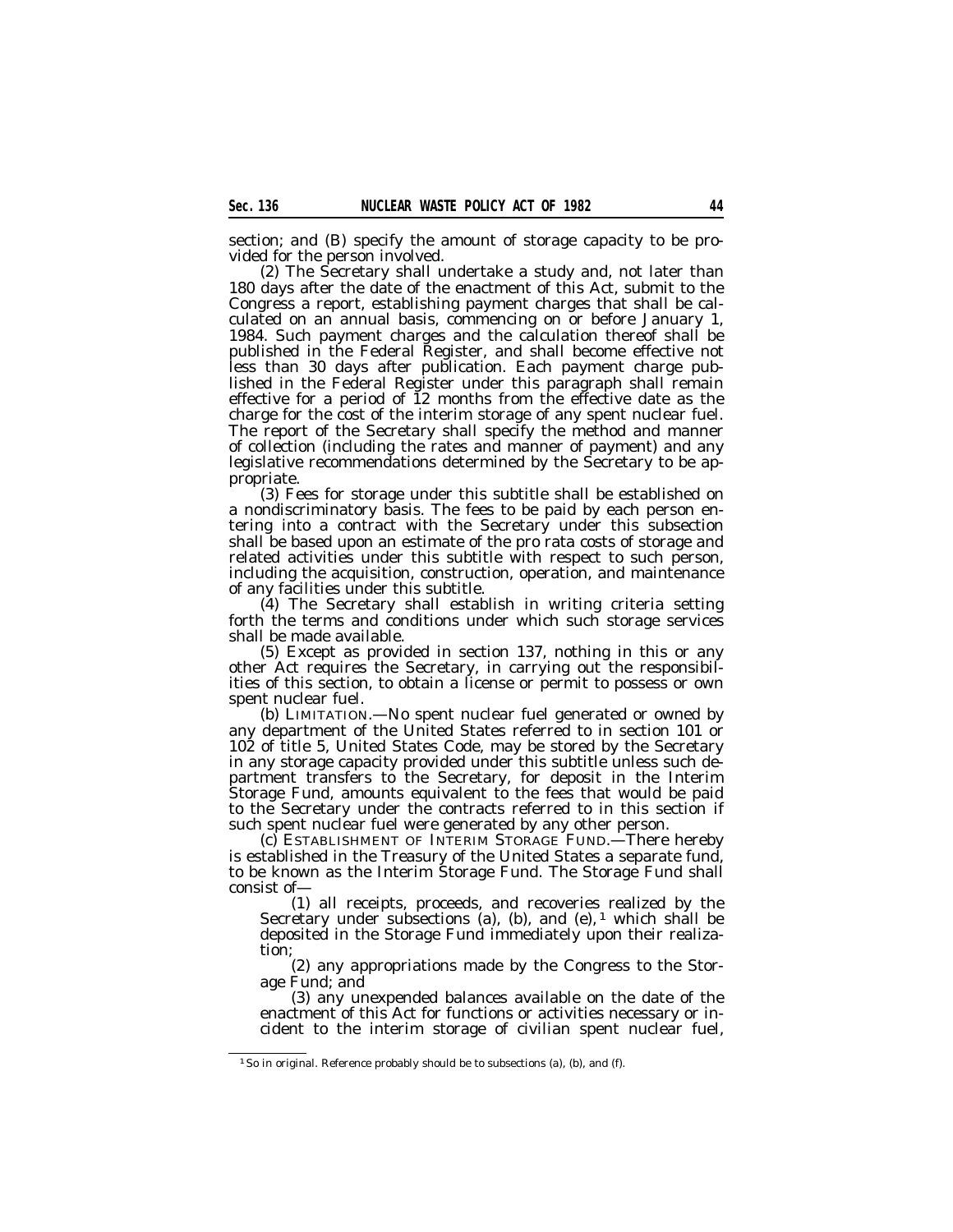section; and (B) specify the amount of storage capacity to be provided for the person involved.

(2) The Secretary shall undertake a study and, not later than 180 days after the date of the enactment of this Act, submit to the Congress a report, establishing payment charges that shall be calculated on an annual basis, commencing on or before January 1, 1984. Such payment charges and the calculation thereof shall be published in the Federal Register, and shall become effective not less than 30 days after publication. Each payment charge published in the Federal Register under this paragraph shall remain effective for a period of 12 months from the effective date as the charge for the cost of the interim storage of any spent nuclear fuel. The report of the Secretary shall specify the method and manner of collection (including the rates and manner of payment) and any legislative recommendations determined by the Secretary to be appropriate.

(3) Fees for storage under this subtitle shall be established on a nondiscriminatory basis. The fees to be paid by each person entering into a contract with the Secretary under this subsection shall be based upon an estimate of the pro rata costs of storage and related activities under this subtitle with respect to such person, including the acquisition, construction, operation, and maintenance of any facilities under this subtitle.

(4) The Secretary shall establish in writing criteria setting forth the terms and conditions under which such storage services shall be made available.

(5) Except as provided in section 137, nothing in this or any other Act requires the Secretary, in carrying out the responsibilities of this section, to obtain a license or permit to possess or own spent nuclear fuel.

(b) LIMITATION.—No spent nuclear fuel generated or owned by any department of the United States referred to in section 101 or 102 of title 5, United States Code, may be stored by the Secretary in any storage capacity provided under this subtitle unless such department transfers to the Secretary, for deposit in the Interim Storage Fund, amounts equivalent to the fees that would be paid to the Secretary under the contracts referred to in this section if such spent nuclear fuel were generated by any other person.

(c) ESTABLISHMENT OF INTERIM STORAGE FUND.—There hereby is established in the Treasury of the United States a separate fund, to be known as the Interim Storage Fund. The Storage Fund shall consist of—

(1) all receipts, proceeds, and recoveries realized by the Secretary under subsections (a), (b), and (e),  $1$  which shall be deposited in the Storage Fund immediately upon their realization;

(2) any appropriations made by the Congress to the Storage Fund; and

(3) any unexpended balances available on the date of the enactment of this Act for functions or activities necessary or incident to the interim storage of civilian spent nuclear fuel,

<sup>&</sup>lt;sup>1</sup> So in original. Reference probably should be to subsections (a), (b), and (f).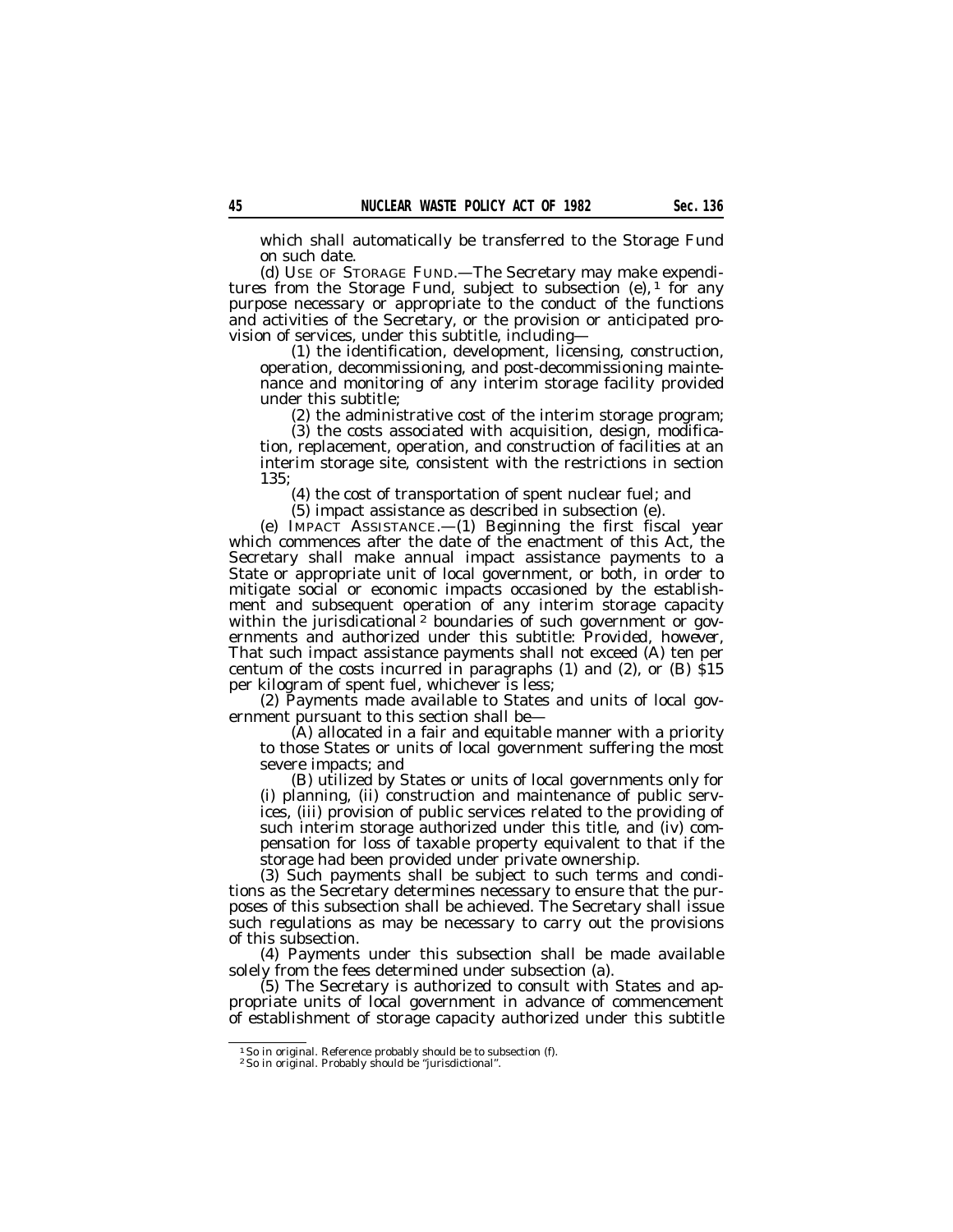which shall automatically be transferred to the Storage Fund on such date.

(d) USE OF STORAGE FUND.—The Secretary may make expenditures from the Storage Fund, subject to subsection  $(e)$ , 1 for any purpose necessary or appropriate to the conduct of the functions and activities of the Secretary, or the provision or anticipated provision of services, under this subtitle, including—

(1) the identification, development, licensing, construction, operation, decommissioning, and post-decommissioning maintenance and monitoring of any interim storage facility provided under this subtitle;

(2) the administrative cost of the interim storage program;

(3) the costs associated with acquisition, design, modification, replacement, operation, and construction of facilities at an interim storage site, consistent with the restrictions in section 135;

(4) the cost of transportation of spent nuclear fuel; and

(5) impact assistance as described in subsection (e).

(e) IMPACT ASSISTANCE.—(1) Beginning the first fiscal year which commences after the date of the enactment of this Act, the Secretary shall make annual impact assistance payments to a State or appropriate unit of local government, or both, in order to mitigate social or economic impacts occasioned by the establishment and subsequent operation of any interim storage capacity within the jurisdicational<sup>2</sup> boundaries of such government or governments and authorized under this subtitle: *Provided, however,* That such impact assistance payments shall not exceed (A) ten per centum of the costs incurred in paragraphs  $(1)$  and  $(2)$ , or  $(B)$  \$15 per kilogram of spent fuel, whichever is less;

(2) Payments made available to States and units of local government pursuant to this section shall be—

(A) allocated in a fair and equitable manner with a priority to those States or units of local government suffering the most severe impacts; and

(B) utilized by States or units of local governments only for (i) planning, (ii) construction and maintenance of public services, (iii) provision of public services related to the providing of such interim storage authorized under this title, and (iv) compensation for loss of taxable property equivalent to that if the storage had been provided under private ownership.

(3) Such payments shall be subject to such terms and conditions as the Secretary determines necessary to ensure that the purposes of this subsection shall be achieved. The Secretary shall issue such regulations as may be necessary to carry out the provisions of this subsection.

(4) Payments under this subsection shall be made available solely from the fees determined under subsection (a).

(5) The Secretary is authorized to consult with States and appropriate units of local government in advance of commencement of establishment of storage capacity authorized under this subtitle

<sup>1</sup>So in original. Reference probably should be to subsection (f). 2So in original. Probably should be ''jurisdictional''.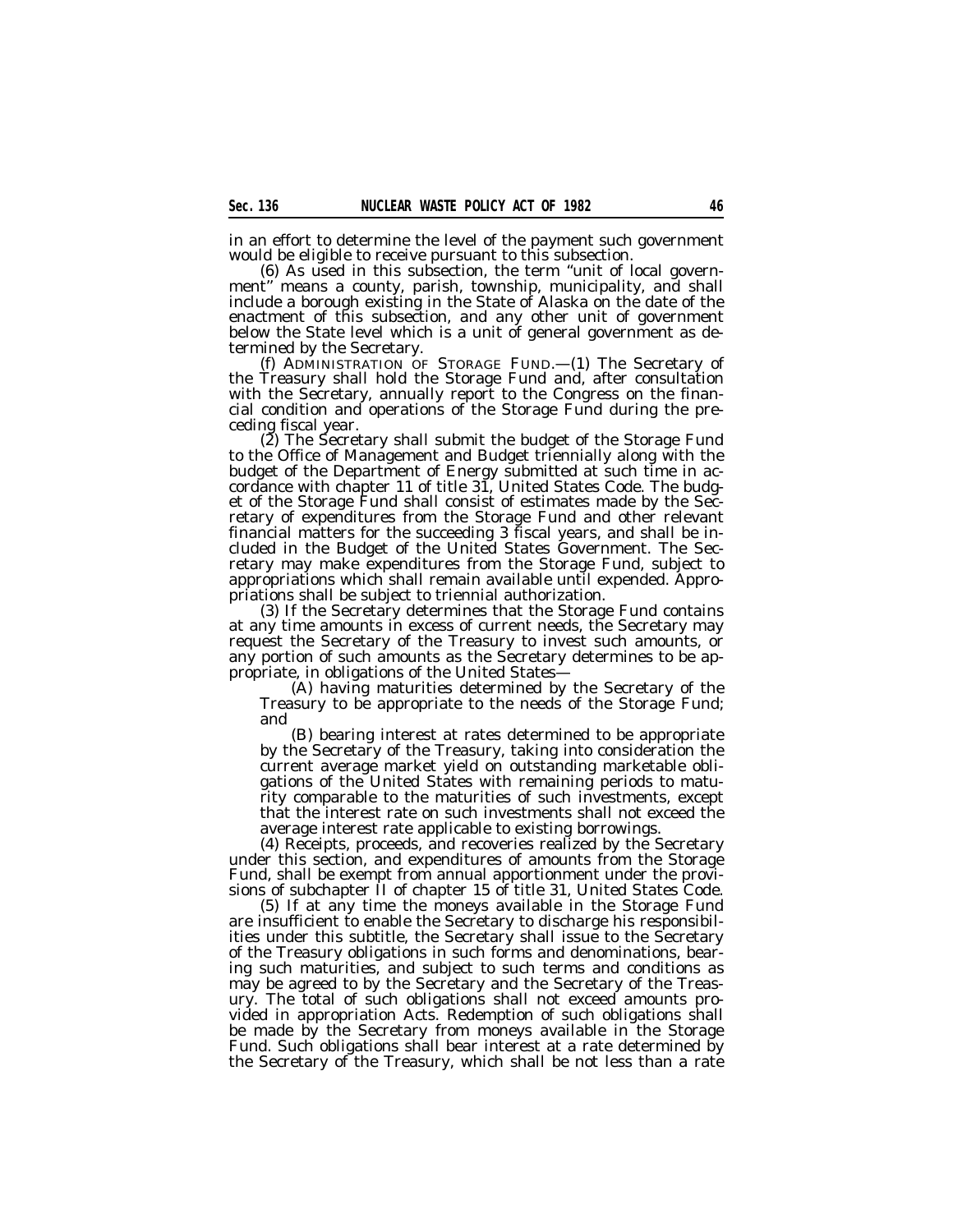in an effort to determine the level of the payment such government<br>would be eligible to receive pursuant to this subsection.

would be eligible to receive pursuant to this subsection. (6) As used in this subsection, the term ''unit of local govern- ment'' means a county, parish, township, municipality, and shall include a borough existing in the State of Alaska on the date of the enactment of this subsection, and any other unit of government below the State level which is a unit of general government as determined by the Secretary.

(f) ADMINISTRATION OF STORAGE FUND.—(1) The Secretary of the Treasury shall hold the Storage Fund and, after consultation with the Secretary, annually report to the Congress on the financial condition and operations of the Storage Fund during the pre-

ceding fiscal year. (2) The Secretary shall submit the budget of the Storage Fund to the Office of Management and Budget triennially along with the budget of the Department of Energy submitted at such time in accordance with chapter 11 of title 31, United States Code. The budget of the Storage Fund shall consist of estimates made by the Secretary of expenditures from the Storage Fund and other relevant financial matters for the succeeding 3 fiscal years, and shall be included in the Budget of the United States Government. The Secretary may make expenditures from the Storage Fund, subject to appropriations which shall remain available until expended. Appro-<br>priations shall be subject to triennial authorization.

 $(3)$  If the Secretary determines that the Storage Fund contains at any time amounts in excess of current needs, the Secretary may request the Secretary of the Treasury to invest such amounts, or any portion of such amounts as the Secretary determines to be appropriate, in obligations of the United States— (A) having maturities determined by the Secretary of the

Treasury to be appropriate to the needs of the Storage Fund; and

(B) bearing interest at rates determined to be appropriate by the Secretary of the Treasury, taking into consideration the current average market yield on outstanding marketable obligations of the United States with remaining periods to maturity comparable to the maturities of such investments, except that the interest rate on such investments shall not exceed the average interest rate applicable to existing borrowings.

(4) Receipts, proceeds, and recoveries realized by the Secretary under this section, and expenditures of amounts from the Storage Fund, shall be exempt from annual apportionment under the provisions of subchapter II of chapter 15 of title 31, United States Code.

(5) If at any time the moneys available in the Storage Fund are insufficient to enable the Secretary to discharge his responsibilities under this subtitle, the Secretary shall issue to the Secretary of the Treasury obligations in such forms and denominations, bearing such maturities, and subject to such terms and conditions as may be agreed to by the Secretary and the Secretary of the Treasury. The total of such obligations shall not exceed amounts provided in appropriation Acts. Redemption of such obligations shall be made by the Secretary from moneys available in the Storage Fund. Such obligations shall bear interest at a rate determined by the Secretary of the Treasury, which shall be not less than a rate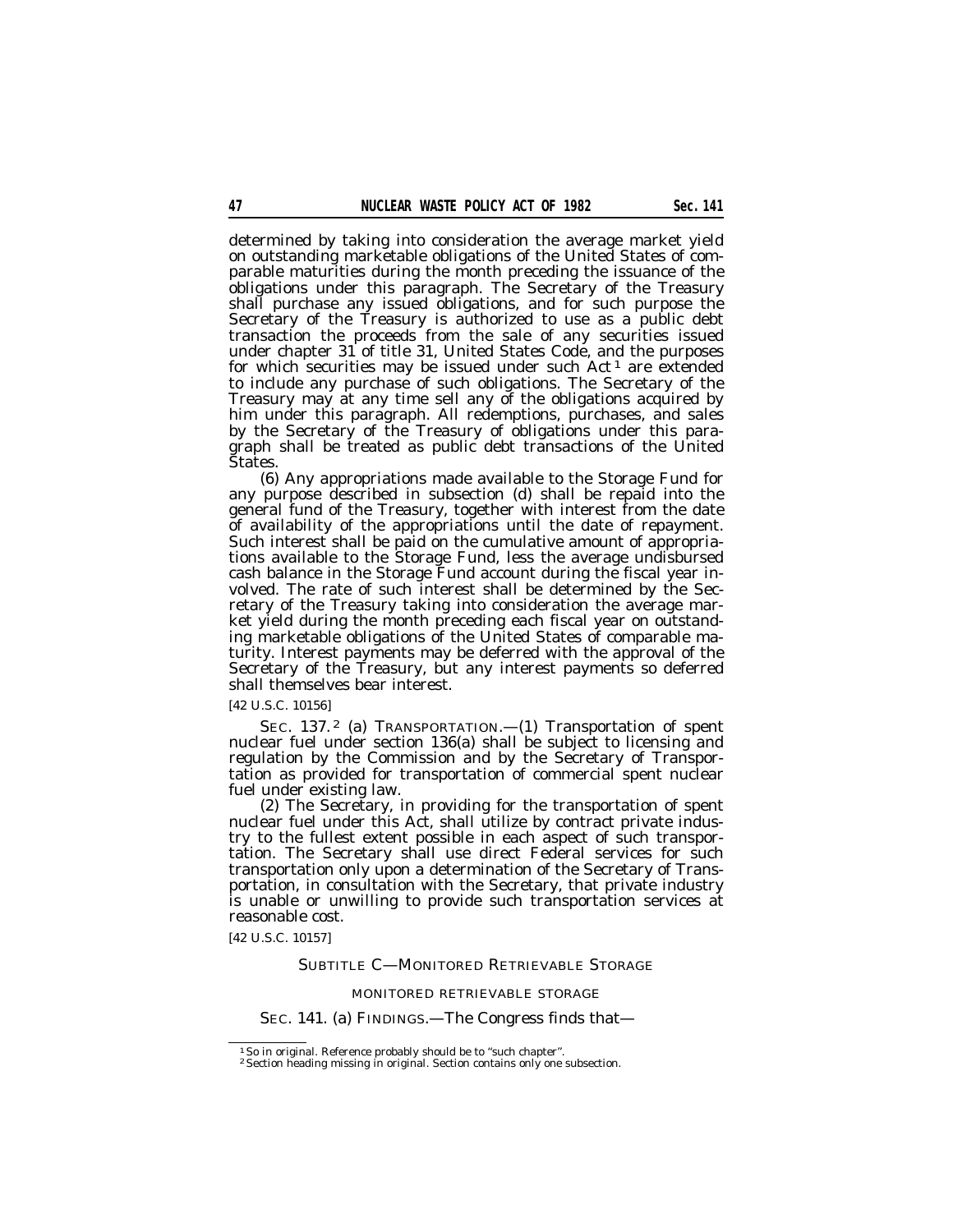determined by taking into consideration the average market yield on outstanding marketable obligations of the United States of comparable maturities during the month preceding the issuance of the obligations under this paragraph. The Secretary of the Treasury shall purchase any issued obligations, and for such purpose the Secretary of the Treasury is authorized to use as a public debt transaction the proceeds from the sale of any securities issued under chapter 31 of title 31, United States Code, and the purposes for which securities may be issued under such Act<sup>1</sup> are extended to include any purchase of such obligations. The Secretary of the Treasury may at any time sell any of the obligations acquired by him under this paragraph. All redemptions, purchases, and sales by the Secretary of the Treasury of obligations under this paragraph shall be treated as public debt transactions of the United States.

(6) Any appropriations made available to the Storage Fund for any purpose described in subsection (d) shall be repaid into the general fund of the Treasury, together with interest from the date of availability of the appropriations until the date of repayment. Such interest shall be paid on the cumulative amount of appropriations available to the Storage Fund, less the average undisbursed cash balance in the Storage Fund account during the fiscal year involved. The rate of such interest shall be determined by the Secretary of the Treasury taking into consideration the average market yield during the month preceding each fiscal year on outstanding marketable obligations of the United States of comparable maturity. Interest payments may be deferred with the approval of the Secretary of the Treasury, but any interest payments so deferred shall themselves bear interest.

[42 U.S.C. 10156]

SEC. 137.<sup>2</sup> (a) TRANSPORTATION.—(1) Transportation of spent nuclear fuel under section 136(a) shall be subject to licensing and regulation by the Commission and by the Secretary of Transportation as provided for transportation of commercial spent nuclear fuel under existing law.

(2) The Secretary, in providing for the transportation of spent nuclear fuel under this Act, shall utilize by contract private industry to the fullest extent possible in each aspect of such transportation. The Secretary shall use direct Federal services for such transportation only upon a determination of the Secretary of Transportation, in consultation with the Secretary, that private industry is unable or unwilling to provide such transportation services at reasonable cost.

[42 U.S.C. 10157]

# SUBTITLE C—MONITORED RETRIEVABLE STORAGE

## MONITORED RETRIEVABLE STORAGE

SEC. 141. (a) FINDINGS.—The Congress finds that—

<sup>&</sup>lt;sup>1</sup>So in original. Reference probably should be to "such chapter".

<sup>2</sup>Section heading missing in original. Section contains only one subsection.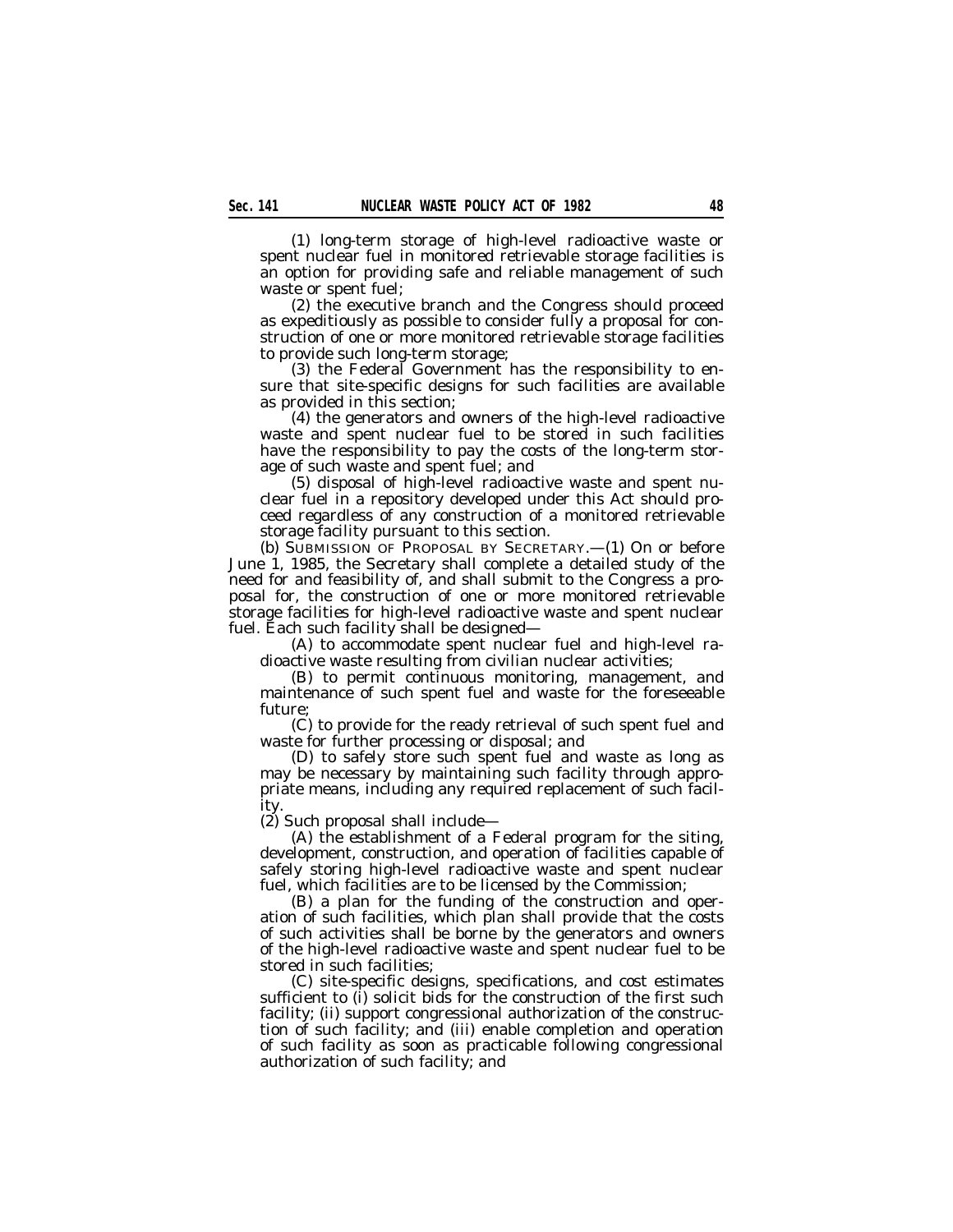(1) long-term storage of high-level radioactive waste or spent nuclear fuel in monitored retrievable storage facilities is an option for providing safe and reliable management of such waste or spent fuel;

(2) the executive branch and the Congress should proceed as expeditiously as possible to consider fully a proposal for construction of one or more monitored retrievable storage facilities to provide such long-term storage;

(3) the Federal Government has the responsibility to ensure that site-specific designs for such facilities are available as provided in this section;

(4) the generators and owners of the high-level radioactive waste and spent nuclear fuel to be stored in such facilities have the responsibility to pay the costs of the long-term storage of such waste and spent fuel; and

(5) disposal of high-level radioactive waste and spent nuclear fuel in a repository developed under this Act should proceed regardless of any construction of a monitored retrievable storage facility pursuant to this section.

(b) SUBMISSION OF PROPOSAL BY SECRETARY.—(1) On or before June 1, 1985, the Secretary shall complete a detailed study of the need for and feasibility of, and shall submit to the Congress a proposal for, the construction of one or more monitored retrievable storage facilities for high-level radioactive waste and spent nuclear fuel. Each such facility shall be designed—

(A) to accommodate spent nuclear fuel and high-level radioactive waste resulting from civilian nuclear activities;

(B) to permit continuous monitoring, management, and maintenance of such spent fuel and waste for the foreseeable future;

(C) to provide for the ready retrieval of such spent fuel and waste for further processing or disposal; and

(D) to safely store such spent fuel and waste as long as may be necessary by maintaining such facility through appropriate means, including any required replacement of such facility.

(2) Such proposal shall include—

(A) the establishment of a Federal program for the siting, development, construction, and operation of facilities capable of safely storing high-level radioactive waste and spent nuclear fuel, which facilities are to be licensed by the Commission;

(B) a plan for the funding of the construction and operation of such facilities, which plan shall provide that the costs of such activities shall be borne by the generators and owners of the high-level radioactive waste and spent nuclear fuel to be stored in such facilities;

(C) site-specific designs, specifications, and cost estimates sufficient to (i) solicit bids for the construction of the first such facility; (ii) support congressional authorization of the construction of such facility; and (iii) enable completion and operation of such facility as soon as practicable following congressional authorization of such facility; and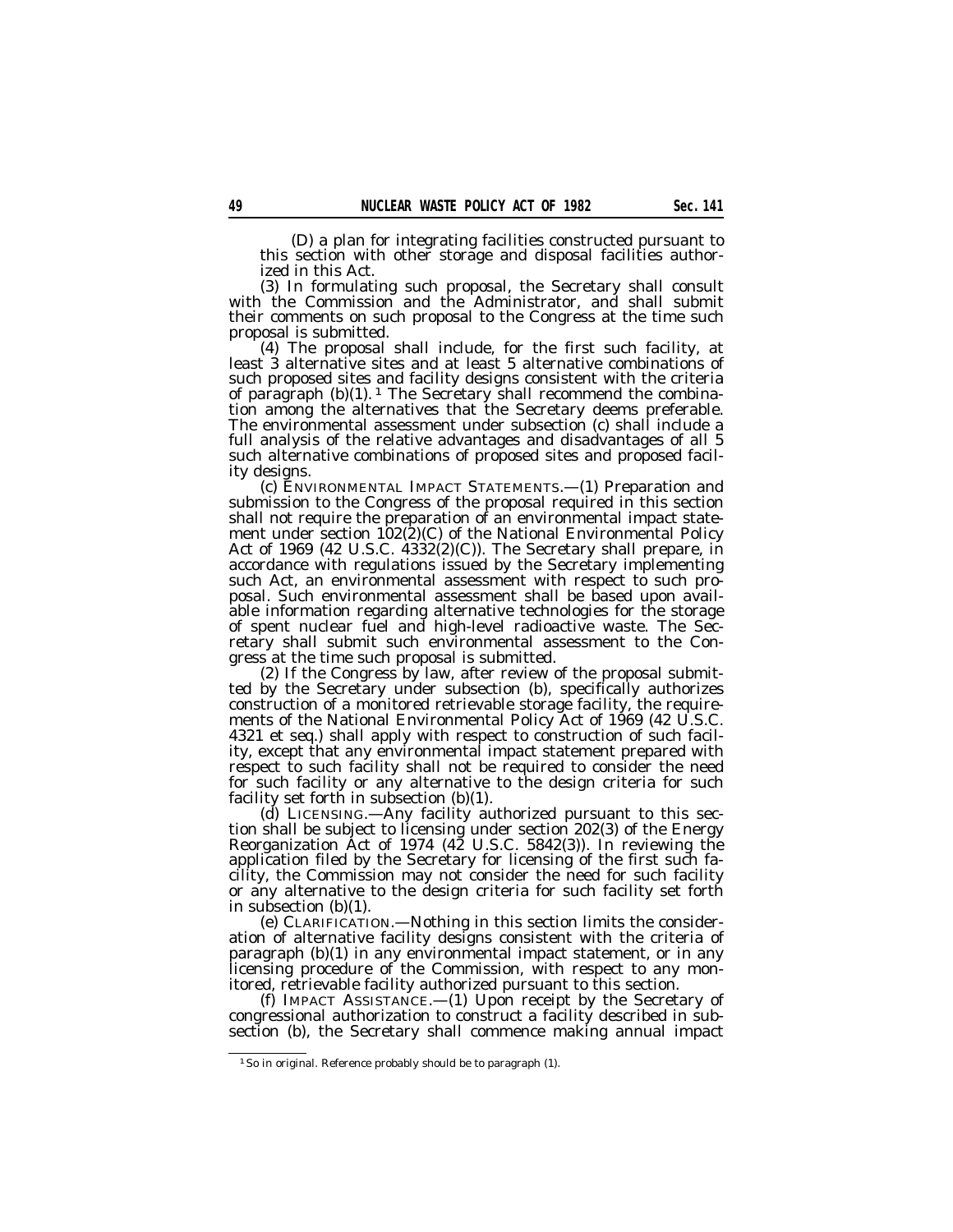(D) a plan for integrating facilities constructed pursuant to this section with other storage and disposal facilities authorized in this Act.

(3) In formulating such proposal, the Secretary shall consult with the Commission and the Administrator, and shall submit their comments on such proposal to the Congress at the time such<br>proposal is submitted.

 $\hat{i}$  (4) The proposal shall include, for the first such facility, at least 3 alternative sites and at least 5 alternative combinations of such proposed sites and facility designs consistent with the criteria of paragraph (b)(1).<sup>1</sup> The Secretary shall recommend the combination among the alternatives that the Secretary deems preferable. The environmental assessment under subsection (c) shall include a full analysis of the relative advantages and disadvantages of all 5 such alternative combinations of proposed sites and proposed facility designs.

(c) ENVIRONMENTAL IMPACT STATEMENTS.—(1) Preparation and submission to the Congress of the proposal required in this section shall not require the preparation of an environmental impact statement under section 102(2)(C) of the National Environmental Policy Act of 1969 (42 U.S.C. 4332(2)(C)). The Secretary shall prepare, in accordance with regulations issued by the Secretary implementing such Act, an environmental assessment with respect to such proposal. Such environmental assessment shall be based upon available information regarding alternative technologies for the storage of spent nuclear fuel and high-level radioactive waste. The Secretary shall submit such environmental assessment to the Congress at the time such proposal is submitted.

(2) If the Congress by law, after review of the proposal submitted by the Secretary under subsection (b), specifically authorizes construction of a monitored retrievable storage facility, the requirements of the National Environmental Policy Act of 1969 (42 U.S.C. 4321 et seq.) shall apply with respect to construction of such facility, except that any environmental impact statement prepared with respect to such facility shall not be required to consider the need for such facility or any alternative to the design criteria for such<br>facility set forth in subsection (b)(1).

facility set forth in subsection (b)(1). (d) LICENSING.—Any facility authorized pursuant to this sec- tion shall be subject to licensing under section 202(3) of the Energy Reorganization Act of 1974 (42 U.S.C. 5842(3)). In reviewing the application filed by the Secretary for licensing of the first such facility, the Commission may not consider the need for such facility or any alternative to the design criteria for such facility set forth in subsection (b)(1).

(e) CLARIFICATION.—Nothing in this section limits the consideration of alternative facility designs consistent with the criteria of paragraph (b)(1) in any environmental impact statement, or in any licensing procedure of the Commission, with respect to any monitored, retrievable facility authorized pursuant to this section.

(f) IMPACT ASSISTANCE.—(1) Upon receipt by the Secretary of congressional authorization to construct a facility described in subsection (b), the Secretary shall commence making annual impact

<sup>&</sup>lt;sup>1</sup> So in original. Reference probably should be to paragraph (1).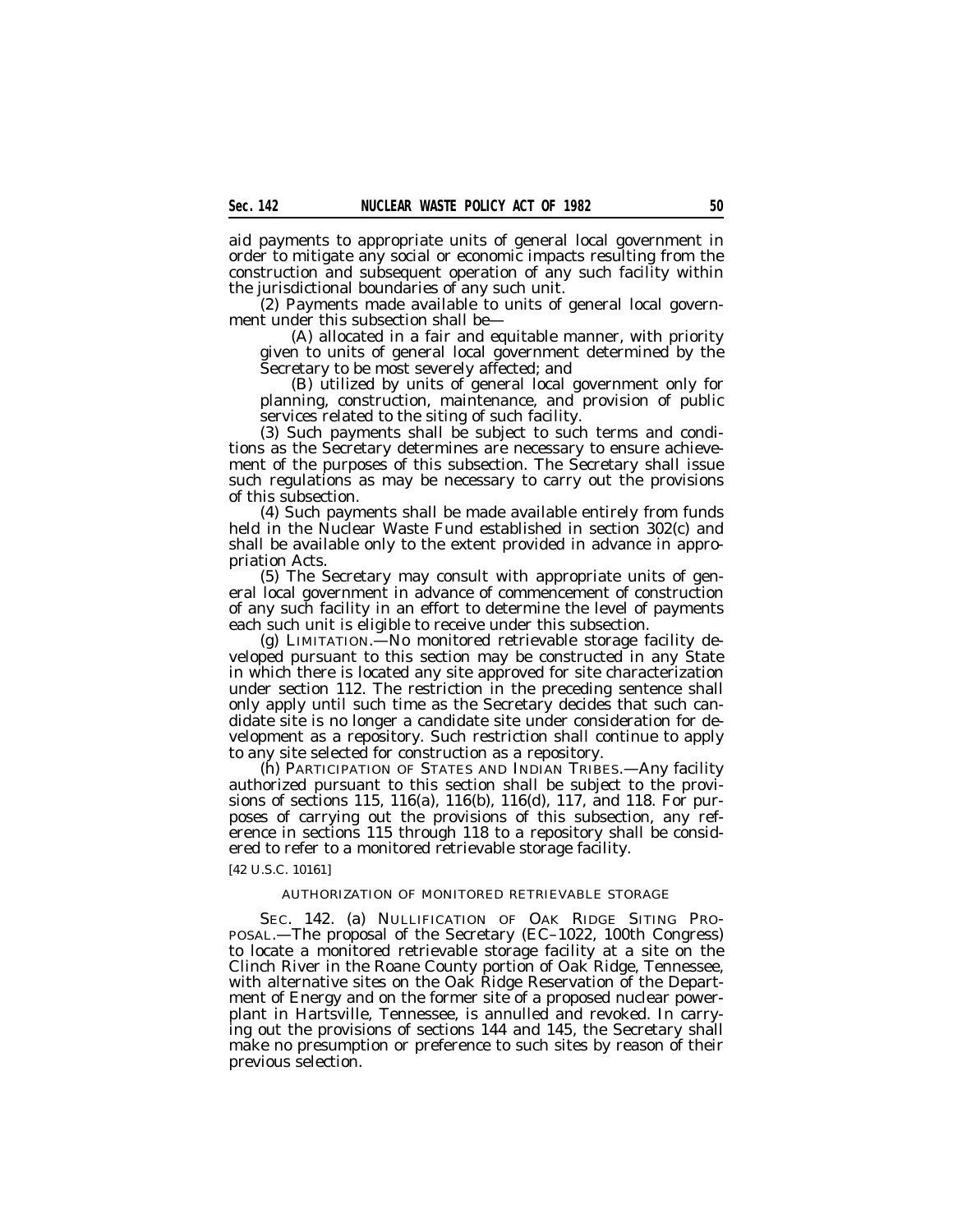aid payments to appropriate units of general local government in order to mitigate any social or economic impacts resulting from the construction and subsequent operation of any such facility within the jurisdictional boundaries of any such unit.

(2) Payments made available to units of general local government under this subsection shall be—

(A) allocated in a fair and equitable manner, with priority given to units of general local government determined by the Secretary to be most severely affected; and

(B) utilized by units of general local government only for planning, construction, maintenance, and provision of public services related to the siting of such facility.

(3) Such payments shall be subject to such terms and conditions as the Secretary determines are necessary to ensure achievement of the purposes of this subsection. The Secretary shall issue such regulations as may be necessary to carry out the provisions of this subsection.

(4) Such payments shall be made available entirely from funds held in the Nuclear Waste Fund established in section 302(c) and shall be available only to the extent provided in advance in appropriation Acts.

(5) The Secretary may consult with appropriate units of general local government in advance of commencement of construction of any such facility in an effort to determine the level of payments each such unit is eligible to receive under this subsection.

(g) LIMITATION.—No monitored retrievable storage facility developed pursuant to this section may be constructed in any State in which there is located any site approved for site characterization under section 112. The restriction in the preceding sentence shall only apply until such time as the Secretary decides that such candidate site is no longer a candidate site under consideration for development as a repository. Such restriction shall continue to apply to any site selected for construction as a repository.

(h) PARTICIPATION OF STATES AND INDIAN TRIBES.—Any facility authorized pursuant to this section shall be subject to the provisions of sections 115, 116(a), 116(b), 116(d), 117, and 118. For purposes of carrying out the provisions of this subsection, any reference in sections 115 through 118 to a repository shall be considered to refer to a monitored retrievable storage facility.

# [42 U.S.C. 10161]

#### AUTHORIZATION OF MONITORED RETRIEVABLE STORAGE

SEC. 142. (a) NULLIFICATION OF OAK RIDGE SITING PRO-POSAL.—The proposal of the Secretary (EC–1022, 100th Congress) to locate a monitored retrievable storage facility at a site on the Clinch River in the Roane County portion of Oak Ridge, Tennessee, with alternative sites on the Oak Ridge Reservation of the Department of Energy and on the former site of a proposed nuclear powerplant in Hartsville, Tennessee, is annulled and revoked. In carrying out the provisions of sections 144 and 145, the Secretary shall make no presumption or preference to such sites by reason of their previous selection.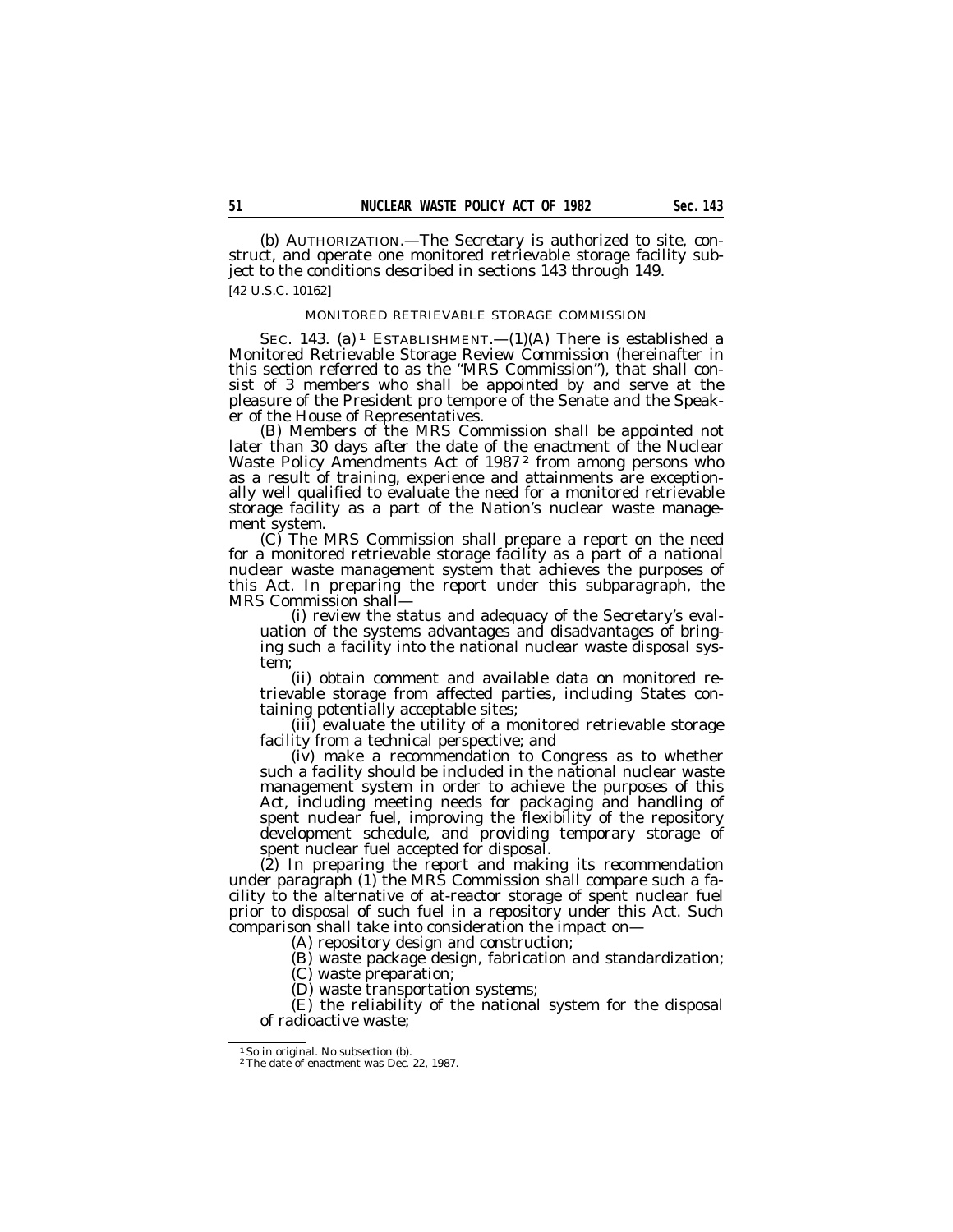(b) AUTHORIZATION.—The Secretary is authorized to site, con- struct, and operate one monitored retrievable storage facility subject to the conditions described in sections 143 through 149. [42 U.S.C. 10162]

## MONITORED RETRIEVABLE STORAGE COMMISSION

SEC. 143. (a)<sup>1</sup> ESTABLISHMENT.— $(1)(A)$  There is established a Monitored Retrievable Storage Review Commission (hereinafter in this section referred to as the ''MRS Commission''), that shall consist of 3 members who shall be appointed by and serve at the pleasure of the President pro tempore of the Senate and the Speak-<br>er of the House of Representatives.

(B) Members of the MRS Commission shall be appointed not later than 30 days after the date of the enactment of the Nuclear<br>Waste Policy Amendments Act of 1987<sup>2</sup> from among persons who as a result of training, experience and attainments are exceptionally well qualified to evaluate the need for a monitored retrievable storage facility as a part of the Nation's nuclear waste manage-

ment system. (C) The MRS Commission shall prepare a report on the need for a monitored retrievable storage facility as a part of a national nuclear waste management system that achieves the purposes of this Act. In preparing the report under this subparagraph, the

MRS Commission shall uation of the systems advantages and disadvantages of bringing such a facility into the national nuclear waste disposal system;

(ii) obtain comment and available data on monitored retrievable storage from affected parties, including States containing potentially acceptable sites;

(iii) evaluate the utility of a monitored retrievable storage facility from a technical perspective; and

(iv) make a recommendation to Congress as to whether such a facility should be included in the national nuclear waste management system in order to achieve the purposes of this Act, including meeting needs for packaging and handling of spent nuclear fuel, improving the flexibility of the repository development schedule, and providing temporary storage of spent nuclear fuel accepted for disposal.

(2) In preparing the report and making its recommendation under paragraph (1) the MRS Commission shall compare such a facility to the alternative of at-reactor storage of spent nuclear fuel prior to disposal of such fuel in a repository under this Act. Such comparison shall take into consideration the impact on—

(A) repository design and construction;

(B) waste package design, fabrication and standardization;

(C) waste preparation;

(D) waste transportation systems;

(E) the reliability of the national system for the disposal of radioactive waste;

<sup>&</sup>lt;sup>1</sup>So in original. No subsection (b).

<sup>2</sup>The date of enactment was Dec. 22, 1987.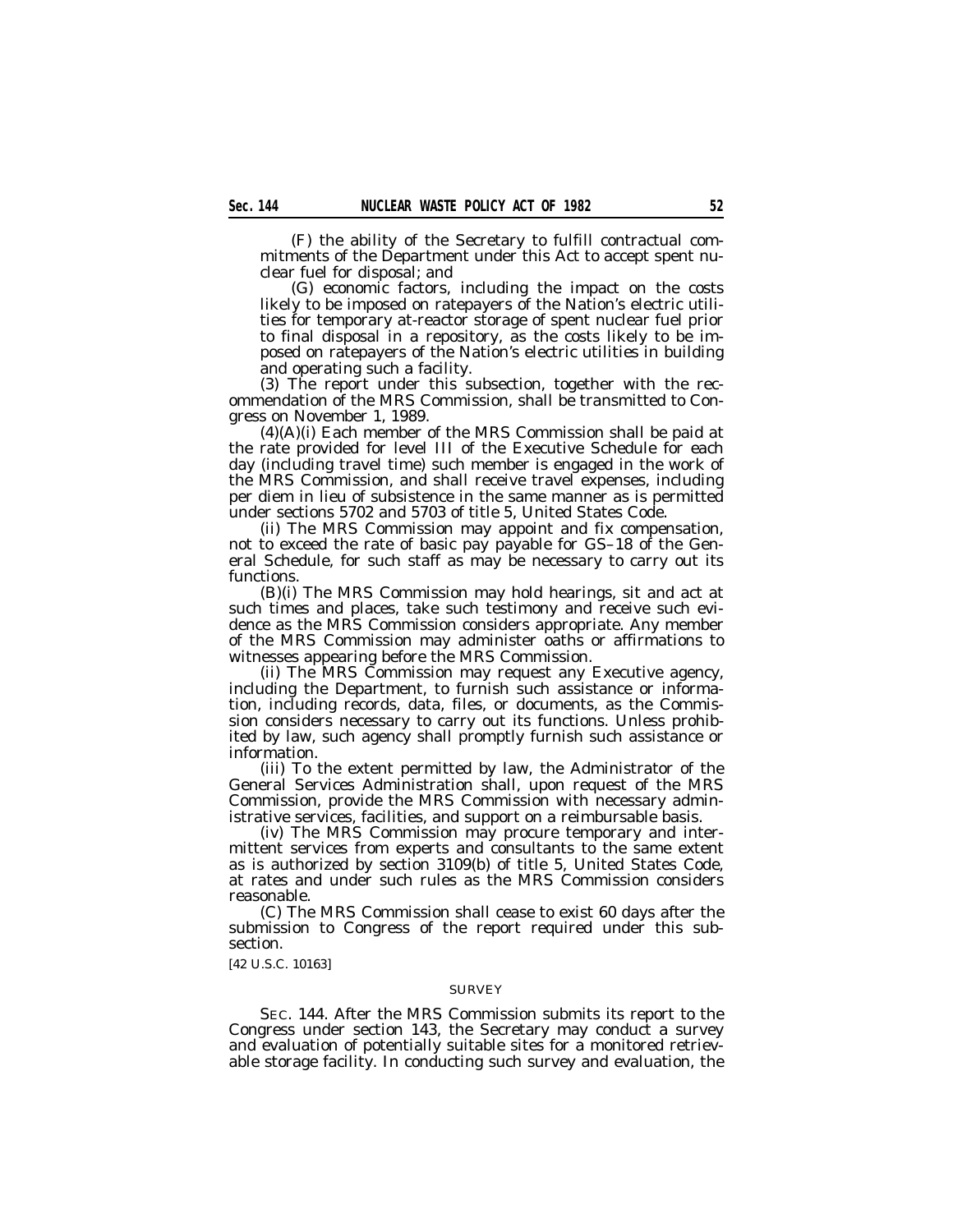(F) the ability of the Secretary to fulfill contractual commitments of the Department under this Act to accept spent nuclear fuel for disposal; and

(G) economic factors, including the impact on the costs likely to be imposed on ratepayers of the Nation's electric utilities for temporary at-reactor storage of spent nuclear fuel prior to final disposal in a repository, as the costs likely to be imposed on ratepayers of the Nation's electric utilities in building and operating such a facility.

(3) The report under this subsection, together with the recommendation of the MRS Commission, shall be transmitted to Congress on November 1, 1989.

(4)(A)(i) Each member of the MRS Commission shall be paid at the rate provided for level III of the Executive Schedule for each day (including travel time) such member is engaged in the work of the MRS Commission, and shall receive travel expenses, including per diem in lieu of subsistence in the same manner as is permitted under sections 5702 and 5703 of title 5, United States Code.

(ii) The MRS Commission may appoint and fix compensation, not to exceed the rate of basic pay payable for GS–18 of the General Schedule, for such staff as may be necessary to carry out its functions.

(B)(i) The MRS Commission may hold hearings, sit and act at such times and places, take such testimony and receive such evidence as the MRS Commission considers appropriate. Any member of the MRS Commission may administer oaths or affirmations to witnesses appearing before the MRS Commission.

(ii) The MRS Commission may request any Executive agency, including the Department, to furnish such assistance or information, including records, data, files, or documents, as the Commission considers necessary to carry out its functions. Unless prohibited by law, such agency shall promptly furnish such assistance or information.

(iii) To the extent permitted by law, the Administrator of the General Services Administration shall, upon request of the MRS Commission, provide the MRS Commission with necessary administrative services, facilities, and support on a reimbursable basis.

(iv) The MRS Commission may procure temporary and intermittent services from experts and consultants to the same extent as is authorized by section 3109(b) of title 5, United States Code, at rates and under such rules as the MRS Commission considers reasonable.

(C) The MRS Commission shall cease to exist 60 days after the submission to Congress of the report required under this subsection.

[42 U.S.C. 10163]

## **SURVEY**

SEC. 144. After the MRS Commission submits its report to the Congress under section 143, the Secretary may conduct a survey and evaluation of potentially suitable sites for a monitored retrievable storage facility. In conducting such survey and evaluation, the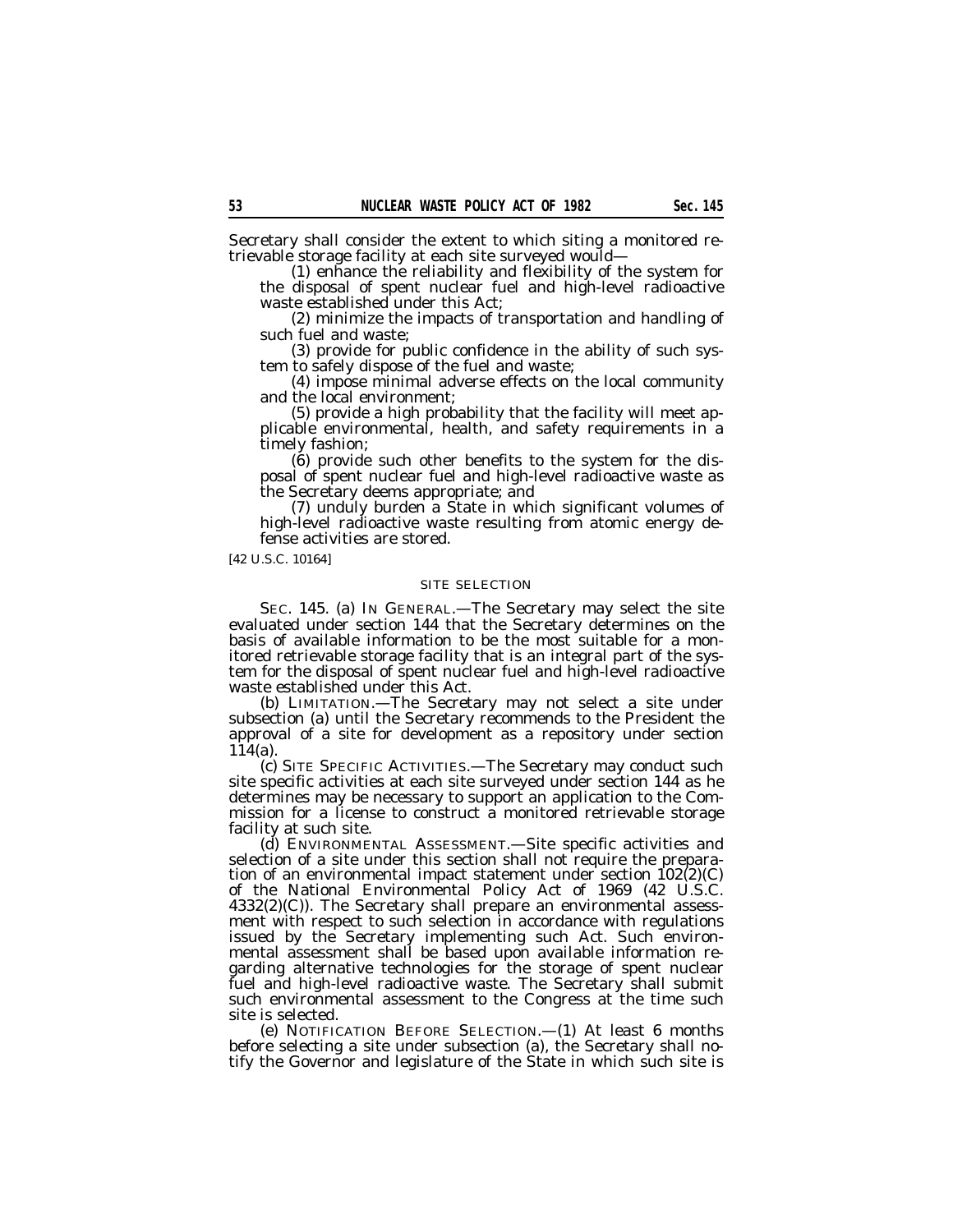Secretary shall consider the extent to which siting a monitored retrievable storage facility at each site surveyed would—

(1) enhance the reliability and flexibility of the system for the disposal of spent nuclear fuel and high-level radioactive waste established under this Act;

(2) minimize the impacts of transportation and handling of such fuel and waste;

(3) provide for public confidence in the ability of such system to safely dispose of the fuel and waste;

(4) impose minimal adverse effects on the local community and the local environment;

(5) provide a high probability that the facility will meet applicable environmental, health, and safety requirements in a timely fashion;

(6) provide such other benefits to the system for the disposal of spent nuclear fuel and high-level radioactive waste as the Secretary deems appropriate; and

(7) unduly burden a State in which significant volumes of high-level radioactive waste resulting from atomic energy defense activities are stored.

[42 U.S.C. 10164]

## SITE SELECTION

SEC. 145. (a) IN GENERAL.—The Secretary may select the site evaluated under section 144 that the Secretary determines on the basis of available information to be the most suitable for a monitored retrievable storage facility that is an integral part of the system for the disposal of spent nuclear fuel and high-level radioactive waste established under this Act.

(b) LIMITATION.—The Secretary may not select a site under subsection (a) until the Secretary recommends to the President the approval of a site for development as a repository under section 114(a).

(c) SITE SPECIFIC ACTIVITIES.—The Secretary may conduct such site specific activities at each site surveyed under section 144 as he determines may be necessary to support an application to the Commission for a license to construct a monitored retrievable storage facility at such site.

(d) ENVIRONMENTAL ASSESSMENT.—Site specific activities and selection of a site under this section shall not require the preparation of an environmental impact statement under section 102(2)(C) of the National Environmental Policy Act of 1969 (42 U.S.C. 4332(2)(C)). The Secretary shall prepare an environmental assessment with respect to such selection in accordance with regulations issued by the Secretary implementing such Act. Such environmental assessment shall be based upon available information regarding alternative technologies for the storage of spent nuclear fuel and high-level radioactive waste. The Secretary shall submit such environmental assessment to the Congress at the time such site is selected.

(e) NOTIFICATION BEFORE SELECTION.—(1) At least 6 months before selecting a site under subsection (a), the Secretary shall notify the Governor and legislature of the State in which such site is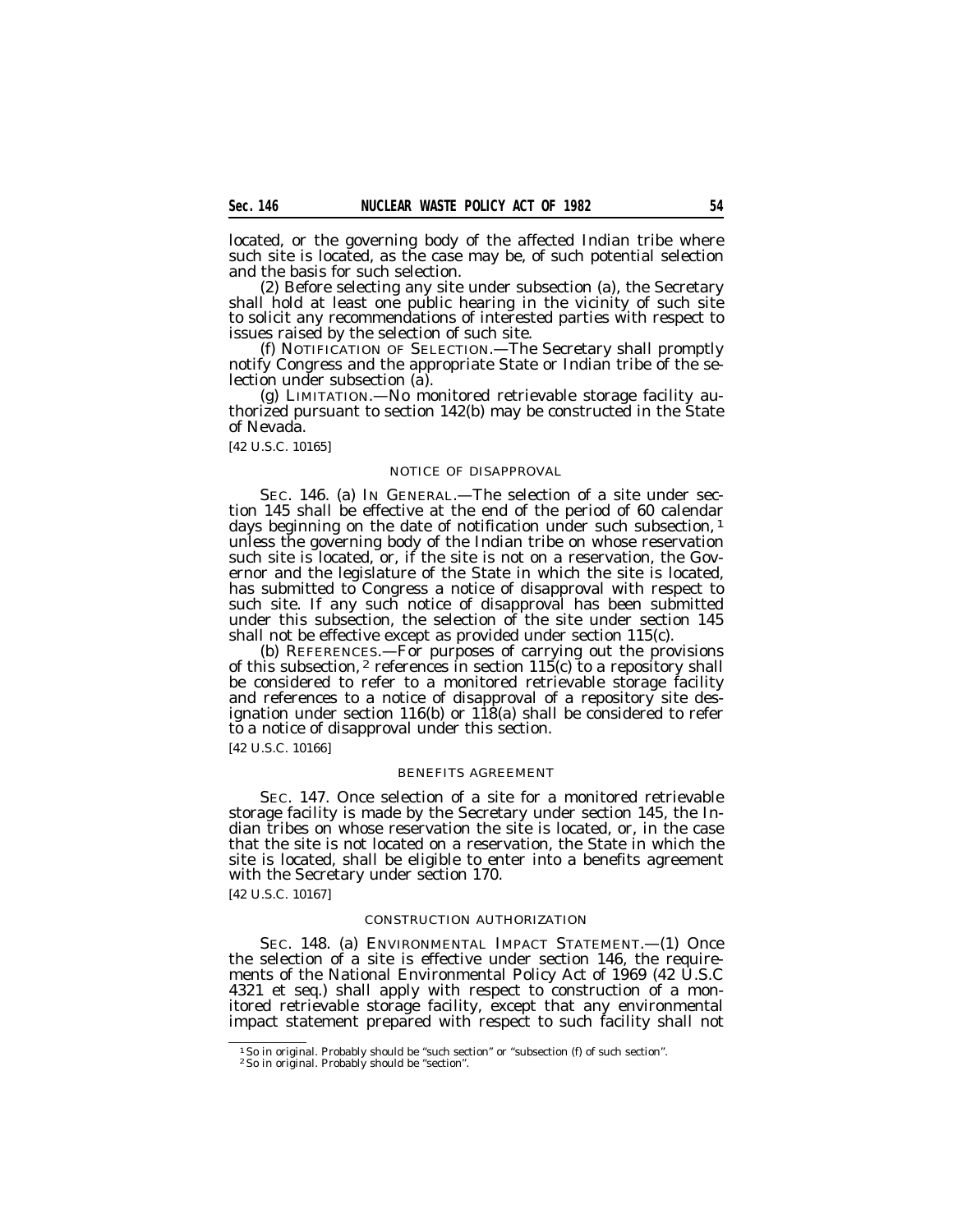located, or the governing body of the affected Indian tribe where such site is located, as the case may be, of such potential selection and the basis for such selection.

(2) Before selecting any site under subsection (a), the Secretary shall hold at least one public hearing in the vicinity of such site to solicit any recommendations of interested parties with respect to issues raised by the selection of such site.

(f) NOTIFICATION OF SELECTION.—The Secretary shall promptly notify Congress and the appropriate State or Indian tribe of the selection under subsection (a).

(g) LIMITATION.—No monitored retrievable storage facility authorized pursuant to section 142(b) may be constructed in the State of Nevada.

[42 U.S.C. 10165]

## NOTICE OF DISAPPROVAL

SEC. 146. (a) IN GENERAL.—The selection of a site under section 145 shall be effective at the end of the period of 60 calendar days beginning on the date of notification under such subsection, 1 unless the governing body of the Indian tribe on whose reservation such site is located, or, if the site is not on a reservation, the Governor and the legislature of the State in which the site is located, has submitted to Congress a notice of disapproval with respect to such site. If any such notice of disapproval has been submitted under this subsection, the selection of the site under section 145 shall not be effective except as provided under section 115(c).

(b) REFERENCES.—For purposes of carrying out the provisions of this subsection,  $2$  references in section  $115(c)$  to a repository shall be considered to refer to a monitored retrievable storage facility and references to a notice of disapproval of a repository site designation under section 116(b) or 118(a) shall be considered to refer to a notice of disapproval under this section.

[42 U.S.C. 10166]

#### BENEFITS AGREEMENT

SEC. 147. Once selection of a site for a monitored retrievable storage facility is made by the Secretary under section 145, the Indian tribes on whose reservation the site is located, or, in the case that the site is not located on a reservation, the State in which the site is located, shall be eligible to enter into a benefits agreement with the Secretary under section 170.

[42 U.S.C. 10167]

#### CONSTRUCTION AUTHORIZATION

SEC. 148. (a) ENVIRONMENTAL IMPACT STATEMENT.—(1) Once the selection of a site is effective under section 146, the requirements of the National Environmental Policy Act of 1969 (42 U.S.C 4321 et seq.) shall apply with respect to construction of a monitored retrievable storage facility, except that any environmental impact statement prepared with respect to such facility shall not

<sup>&</sup>lt;sup>1</sup> So in original. Probably should be "such section" or "subsection (f) of such section".<br><sup>2</sup> So in original. Probably should be "section".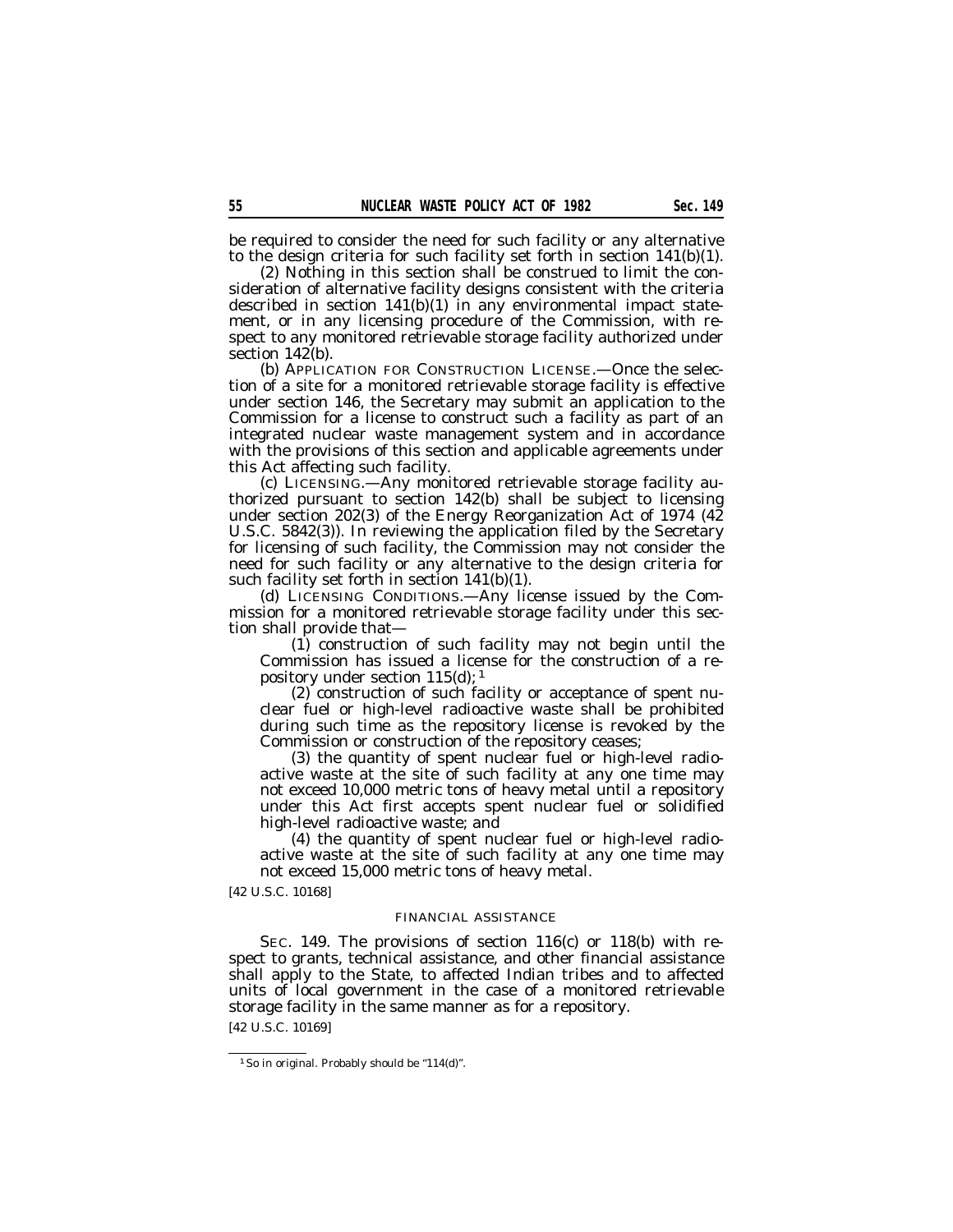be required to consider the need for such facility or any alternative to the design criteria for such facility set forth in section 141(b)(1).

(2) Nothing in this section shall be construed to limit the consideration of alternative facility designs consistent with the criteria described in section 141(b)(1) in any environmental impact statement, or in any licensing procedure of the Commission, with respect to any monitored retrievable storage facility authorized under section 142(b).

(b) APPLICATION FOR CONSTRUCTION LICENSE.—Once the selection of a site for a monitored retrievable storage facility is effective under section 146, the Secretary may submit an application to the Commission for a license to construct such a facility as part of an integrated nuclear waste management system and in accordance with the provisions of this section and applicable agreements under this Act affecting such facility.

(c) LICENSING.—Any monitored retrievable storage facility authorized pursuant to section 142(b) shall be subject to licensing under section 202(3) of the Energy Reorganization Act of 1974 (42 U.S.C. 5842(3)). In reviewing the application filed by the Secretary for licensing of such facility, the Commission may not consider the need for such facility or any alternative to the design criteria for such facility set forth in section 141(b)(1).

(d) LICENSING CONDITIONS.—Any license issued by the Commission for a monitored retrievable storage facility under this section shall provide that—

(1) construction of such facility may not begin until the Commission has issued a license for the construction of a repository under section 115(d); 1

(2) construction of such facility or acceptance of spent nuclear fuel or high-level radioactive waste shall be prohibited during such time as the repository license is revoked by the Commission or construction of the repository ceases;

(3) the quantity of spent nuclear fuel or high-level radioactive waste at the site of such facility at any one time may not exceed 10,000 metric tons of heavy metal until a repository under this Act first accepts spent nuclear fuel or solidified high-level radioactive waste; and

(4) the quantity of spent nuclear fuel or high-level radioactive waste at the site of such facility at any one time may not exceed 15,000 metric tons of heavy metal.

[42 U.S.C. 10168]

# FINANCIAL ASSISTANCE

SEC. 149. The provisions of section 116(c) or 118(b) with respect to grants, technical assistance, and other financial assistance shall apply to the State, to affected Indian tribes and to affected units of local government in the case of a monitored retrievable storage facility in the same manner as for a repository.

[42 U.S.C. 10169]

<sup>&</sup>lt;sup>1</sup> So in original. Probably should be "114(d)".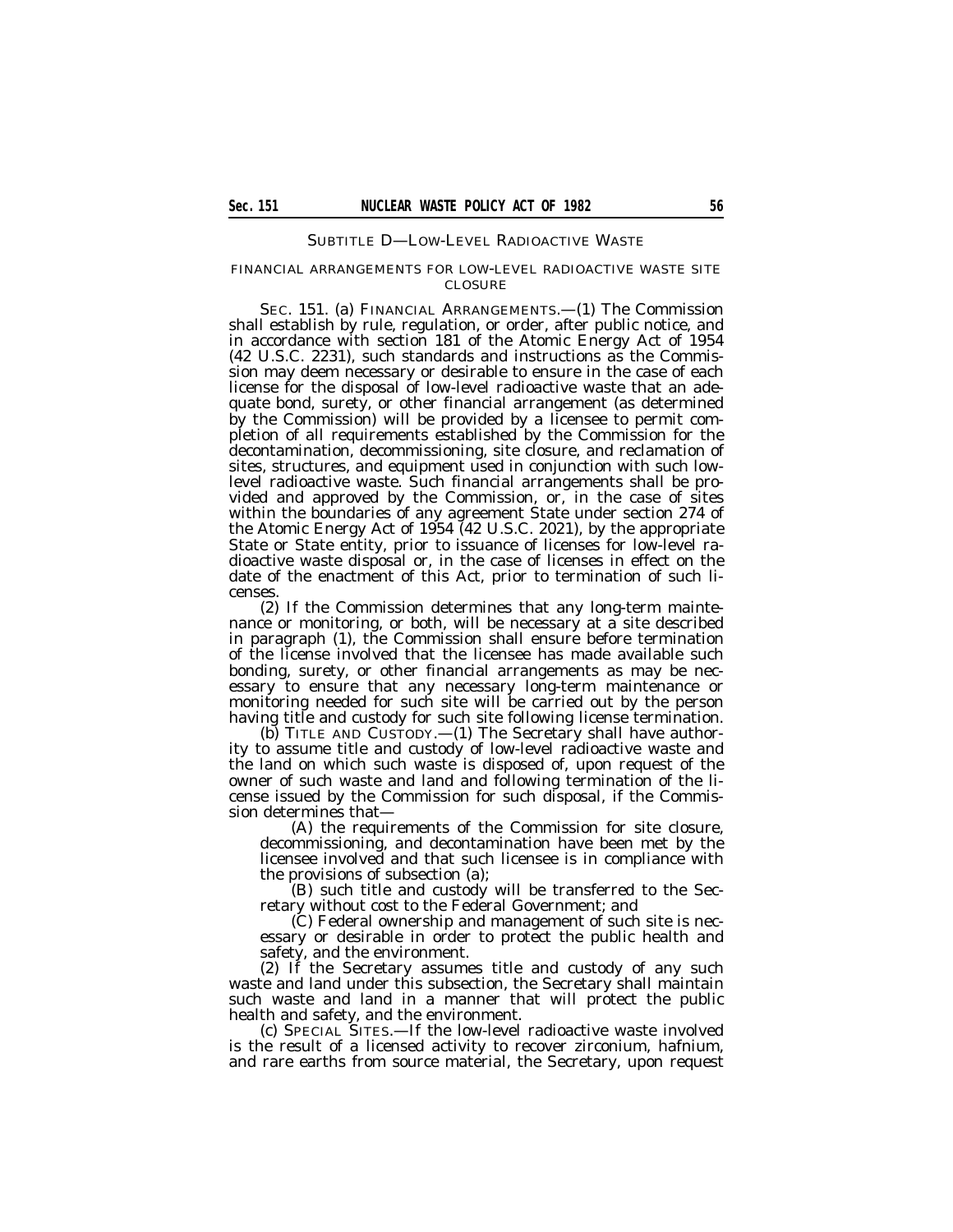#### SUBTITLE D—LOW-LEVEL RADIOACTIVE WASTE

## FINANCIAL ARRANGEMENTS FOR LOW-LEVEL RADIOACTIVE WASTE SITE CLOSURE

SEC. 151. (a) FINANCIAL ARRANGEMENTS.—(1) The Commission shall establish by rule, regulation, or order, after public notice, and in accordance with section 181 of the Atomic Energy Act of 1954 (42 U.S.C. 2231), such standards and instructions as the Commission may deem necessary or desirable to ensure in the case of each license for the disposal of low-level radioactive waste that an adequate bond, surety, or other financial arrangement (as determined by the Commission) will be provided by a licensee to permit completion of all requirements established by the Commission for the decontamination, decommissioning, site closure, and reclamation of sites, structures, and equipment used in conjunction with such lowlevel radioactive waste. Such financial arrangements shall be provided and approved by the Commission, or, in the case of sites within the boundaries of any agreement State under section 274 of the Atomic Energy Act of 1954 (42 U.S.C. 2021), by the appropriate State or State entity, prior to issuance of licenses for low-level radioactive waste disposal or, in the case of licenses in effect on the date of the enactment of this Act, prior to termination of such licenses.

(2) If the Commission determines that any long-term maintenance or monitoring, or both, will be necessary at a site described in paragraph (1), the Commission shall ensure before termination of the license involved that the licensee has made available such bonding, surety, or other financial arrangements as may be necessary to ensure that any necessary long-term maintenance or monitoring needed for such site will be carried out by the person having title and custody for such site following license termination.

(b) TITLE AND CUSTODY.—(1) The Secretary shall have authority to assume title and custody of low-level radioactive waste and the land on which such waste is disposed of, upon request of the owner of such waste and land and following termination of the license issued by the Commission for such disposal, if the Commission determines that—

(A) the requirements of the Commission for site closure, decommissioning, and decontamination have been met by the licensee involved and that such licensee is in compliance with the provisions of subsection (a);

(B) such title and custody will be transferred to the Secretary without cost to the Federal Government; and

(C) Federal ownership and management of such site is necessary or desirable in order to protect the public health and safety, and the environment.

(2) If the Secretary assumes title and custody of any such waste and land under this subsection, the Secretary shall maintain such waste and land in a manner that will protect the public health and safety, and the environment.

(c) SPECIAL SITES.—If the low-level radioactive waste involved is the result of a licensed activity to recover zirconium, hafnium, and rare earths from source material, the Secretary, upon request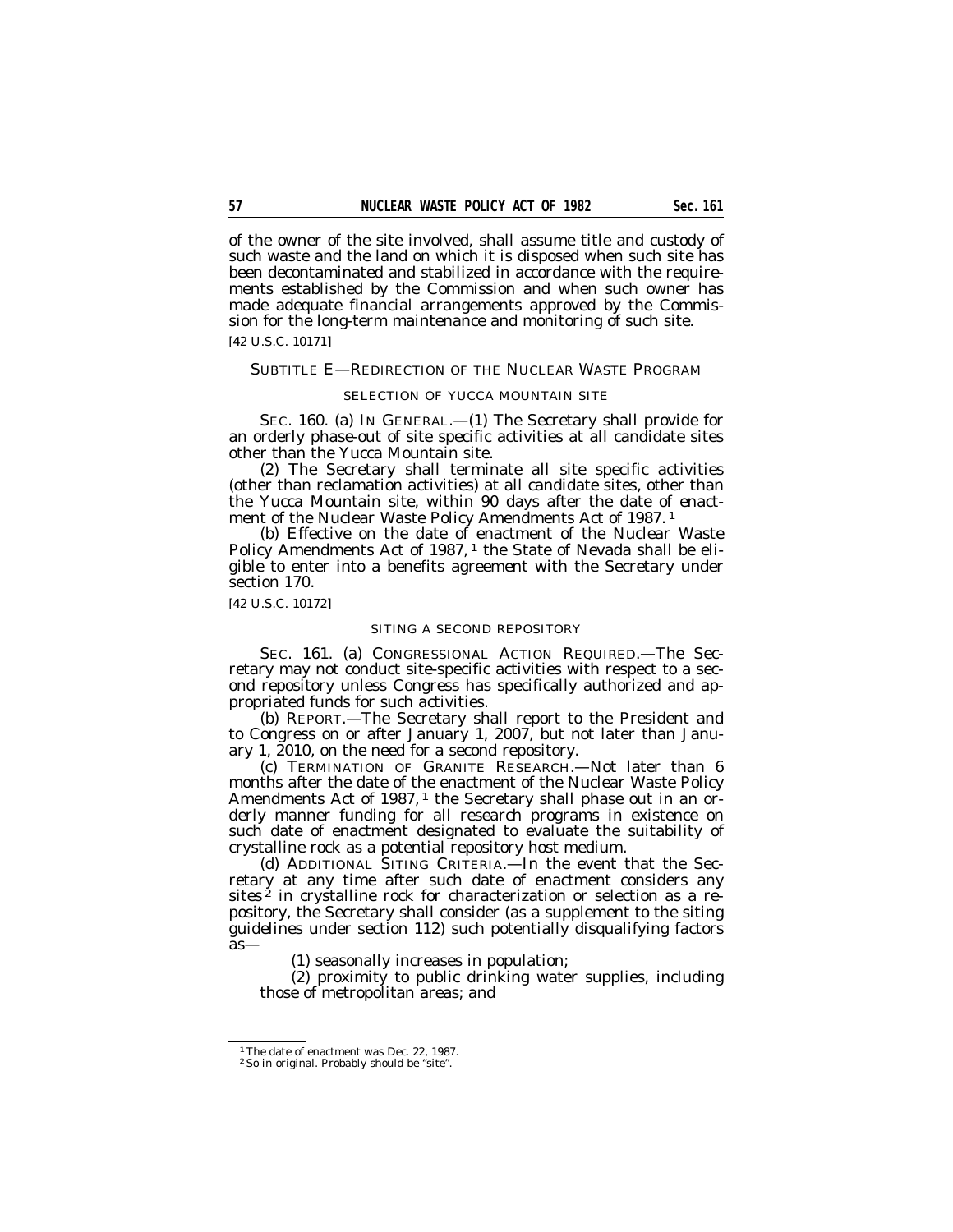of the owner of the site involved, shall assume title and custody of such waste and the land on which it is disposed when such site has been decontaminated and stabilized in accordance with the requirements established by the Commission and when such owner has made adequate financial arrangements approved by the Commission for the long-term maintenance and monitoring of such site.

[42 U.S.C. 10171]

# SUBTITLE E—REDIRECTION OF THE NUCLEAR WASTE PROGRAM

# SELECTION OF YUCCA MOUNTAIN SITE

SEC. 160. (a) IN GENERAL.—(1) The Secretary shall provide for an orderly phase-out of site specific activities at all candidate sites other than the Yucca Mountain site.

(2) The Secretary shall terminate all site specific activities (other than reclamation activities) at all candidate sites, other than the Yucca Mountain site, within 90 days after the date of enactment of the Nuclear Waste Policy Amendments Act of 1987. 1

(b) Effective on the date of enactment of the Nuclear Waste Policy Amendments Act of  $1987$ , <sup>1</sup> the State of Nevada shall be eligible to enter into a benefits agreement with the Secretary under section 170.

[42 U.S.C. 10172]

## SITING A SECOND REPOSITORY

SEC. 161. (a) CONGRESSIONAL ACTION REQUIRED.—The Secretary may not conduct site-specific activities with respect to a second repository unless Congress has specifically authorized and appropriated funds for such activities.

(b) REPORT.—The Secretary shall report to the President and to Congress on or after January 1, 2007, but not later than January 1, 2010, on the need for a second repository.

(c) TERMINATION OF GRANITE RESEARCH.—Not later than 6 months after the date of the enactment of the Nuclear Waste Policy Amendments Act of 1987,<sup>1</sup> the Secretary shall phase out in an orderly manner funding for all research programs in existence on such date of enactment designated to evaluate the suitability of crystalline rock as a potential repository host medium.

(d) ADDITIONAL SITING CRITERIA.—In the event that the Secretary at any time after such date of enactment considers any sites<sup> $\dot{z}$ </sup> in crystalline rock for characterization or selection as a repository, the Secretary shall consider (as a supplement to the siting guidelines under section 112) such potentially disqualifying factors as—

(1) seasonally increases in population;

(2) proximity to public drinking water supplies, including those of metropolitan areas; and

<sup>&</sup>lt;sup>1</sup>The date of enactment was Dec. 22, 1987.

<sup>&</sup>lt;sup>2</sup> So in original. Probably should be "site".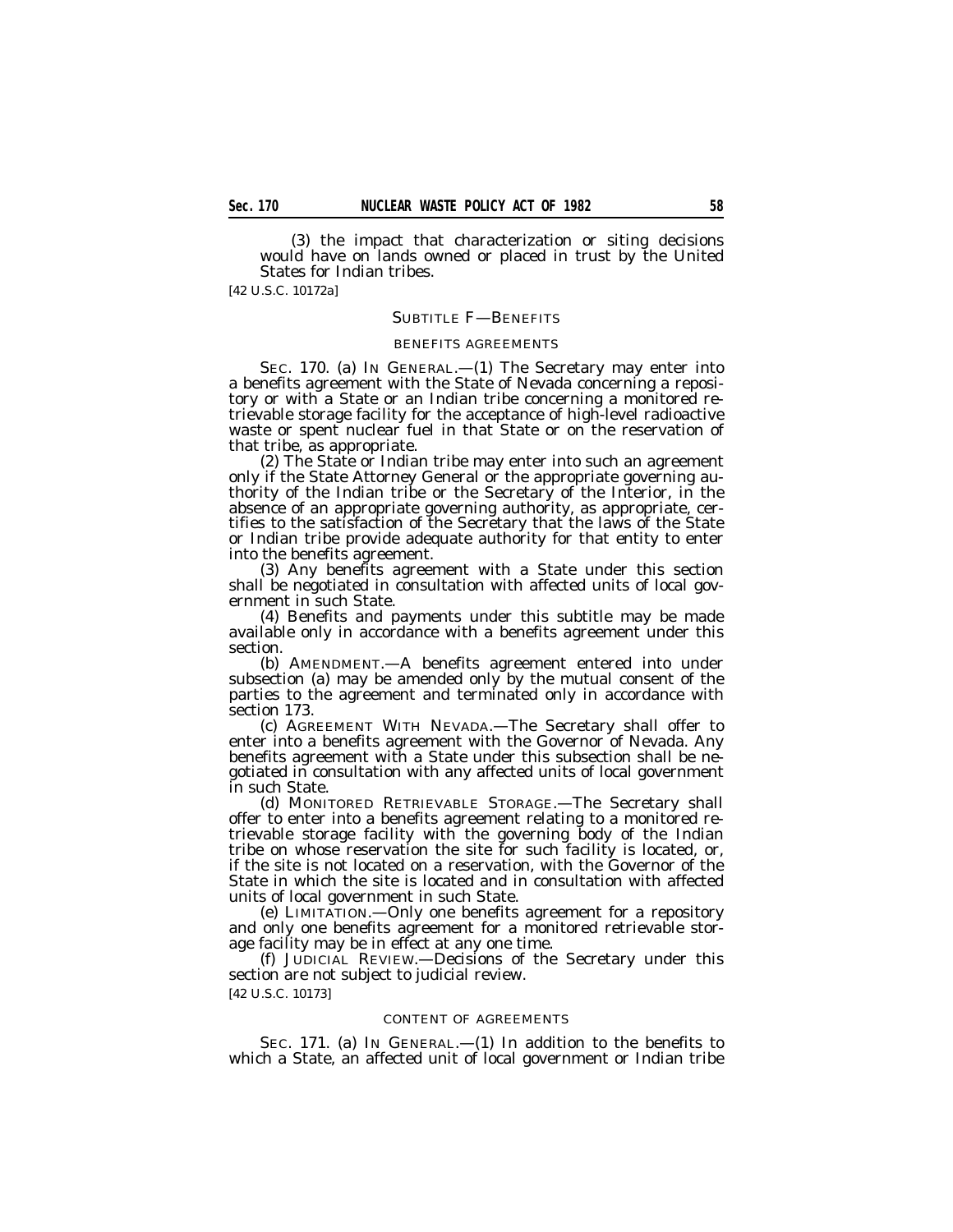(3) the impact that characterization or siting decisions would have on lands owned or placed in trust by the United States for Indian tribes.

[42 U.S.C. 10172a]

# SUBTITLE F—BENEFITS

## BENEFITS AGREEMENTS

SEC. 170. (a) IN GENERAL.—(1) The Secretary may enter into a benefits agreement with the State of Nevada concerning a repository or with a State or an Indian tribe concerning a monitored retrievable storage facility for the acceptance of high-level radioactive waste or spent nuclear fuel in that State or on the reservation of that tribe, as appropriate.

(2) The State or Indian tribe may enter into such an agreement only if the State Attorney General or the appropriate governing authority of the Indian tribe or the Secretary of the Interior, in the absence of an appropriate governing authority, as appropriate, certifies to the satisfaction of the Secretary that the laws of the State or Indian tribe provide adequate authority for that entity to enter into the benefits agreement.

(3) Any benefits agreement with a State under this section shall be negotiated in consultation with affected units of local government in such State.

(4) Benefits and payments under this subtitle may be made available only in accordance with a benefits agreement under this section.

(b) AMENDMENT.—A benefits agreement entered into under subsection (a) may be amended only by the mutual consent of the parties to the agreement and terminated only in accordance with section 173.

(c) AGREEMENT WITH NEVADA.—The Secretary shall offer to enter into a benefits agreement with the Governor of Nevada. Any benefits agreement with a State under this subsection shall be negotiated in consultation with any affected units of local government in such State.

(d) MONITORED RETRIEVABLE STORAGE.—The Secretary shall offer to enter into a benefits agreement relating to a monitored retrievable storage facility with the governing body of the Indian tribe on whose reservation the site for such facility is located, or, if the site is not located on a reservation, with the Governor of the State in which the site is located and in consultation with affected units of local government in such State.

(e) LIMITATION.—Only one benefits agreement for a repository and only one benefits agreement for a monitored retrievable storage facility may be in effect at any one time.

(f) JUDICIAL REVIEW.—Decisions of the Secretary under this section are not subject to judicial review.

[42 U.S.C. 10173]

## CONTENT OF AGREEMENTS

SEC. 171. (a) IN GENERAL.—(1) In addition to the benefits to which a State, an affected unit of local government or Indian tribe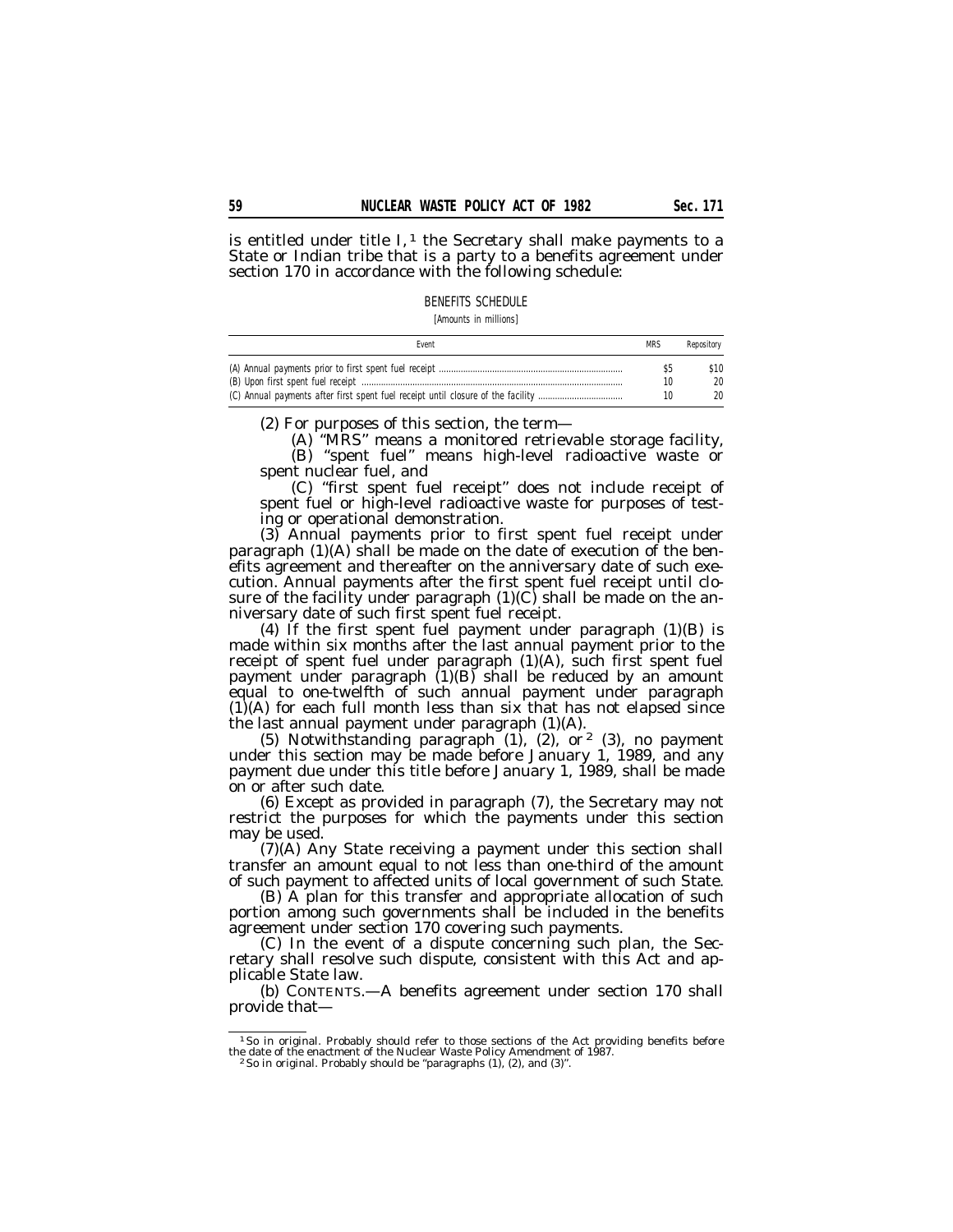is entitled under title I,  $1$  the Secretary shall make payments to a State or Indian tribe that is a party to a benefits agreement under section 170 in accordance with the following schedule:

# BENEFITS SCHEDULE

[Amounts in millions]

| Fvent | <b>MRS</b> | Repository |
|-------|------------|------------|
|       | S5         | \$10       |
|       | 10         | 20         |
|       |            | 20         |

(2) For purposes of this section, the term—

(A) ''MRS'' means a monitored retrievable storage facility, (B) ''spent fuel'' means high-level radioactive waste or spent nuclear fuel, and

(C) ''first spent fuel receipt'' does not include receipt of spent fuel or high-level radioactive waste for purposes of testing or operational demonstration.

(3) Annual payments prior to first spent fuel receipt under paragraph (1)(A) shall be made on the date of execution of the benefits agreement and thereafter on the anniversary date of such execution. Annual payments after the first spent fuel receipt until closure of the facility under paragraph  $(1)$ (C) shall be made on the anniversary date of such first spent fuel receipt.

(4) If the first spent fuel payment under paragraph (1)(B) is made within six months after the last annual payment prior to the receipt of spent fuel under paragraph (1)(A), such first spent fuel payment under paragraph (1)(B) shall be reduced by an amount equal to one-twelfth of such annual payment under paragraph (1)(A) for each full month less than six that has not elapsed since the last annual payment under paragraph (1)(A).

(5) Notwithstanding paragraph  $(1)$ ,  $(2)$ , or  $(3)$ , no payment under this section may be made before January 1, 1989, and any payment due under this title before January 1, 1989, shall be made on or after such date.

(6) Except as provided in paragraph (7), the Secretary may not restrict the purposes for which the payments under this section may be used.

(7)(A) Any State receiving a payment under this section shall transfer an amount equal to not less than one-third of the amount of such payment to affected units of local government of such State.

(B) A plan for this transfer and appropriate allocation of such portion among such governments shall be included in the benefits agreement under section 170 covering such payments.

(C) In the event of a dispute concerning such plan, the Secretary shall resolve such dispute, consistent with this Act and applicable State law.

(b) CONTENTS.—A benefits agreement under section 170 shall provide that—

<sup>&</sup>lt;sup>1</sup> So in original. Probably should refer to those sections of the Act providing benefits before the date of the enactment of the Nuclear Waste Policy Amendment of 1987.<br><sup>2</sup> So in original. Probably should be "paragraphs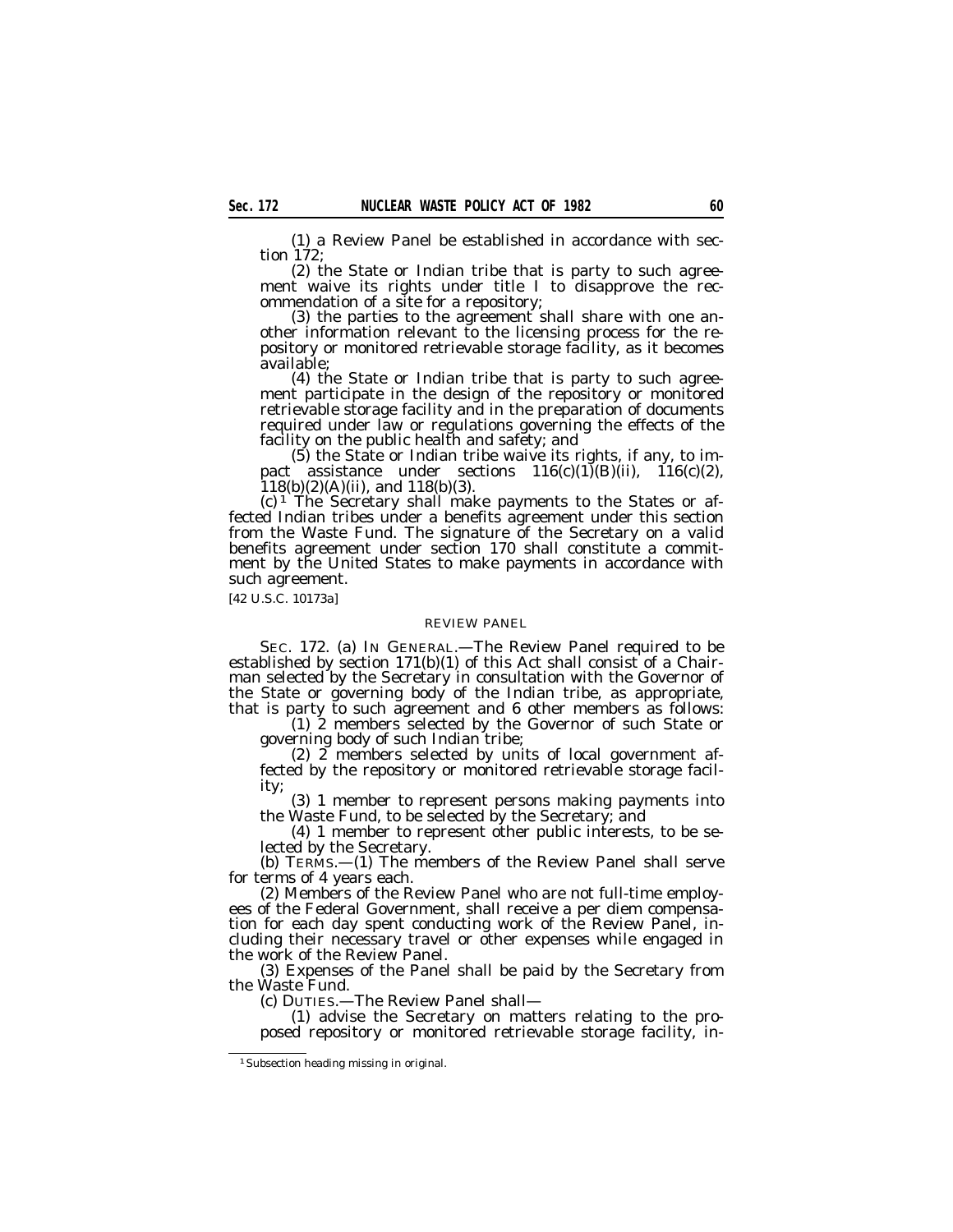(1) a Review Panel be established in accordance with section 172;

(2) the State or Indian tribe that is party to such agree-<br>ment waive its rights under title I to disapprove the rec-<br>ommendation of a site for a repository;

(3) the parties to the agreement shall share with one an-<br>other information relevant to the licensing process for the repository or monitored retrievable storage facility, as it becomes available;<br>(4) the State or Indian tribe that is party to such agree-

ment participate in the design of the repository or monitored retrievable storage facility and in the preparation of documents required under law or regulations governing the effects of the facility on the public health and safety; and

(5) the State or Indian tribe waive its rights, if any, to im-<br>pact assistance under sections  $116(c)(1)(B)(ii)$ ,  $116(c)(2)$ ,  $118(b)(2)(A)(ii)$ , and  $118(b)(3)$ .

 $(c)$ <sup>1</sup> The Secretary shall make payments to the States or affected Indian tribes under a benefits agreement under this section from the Waste Fund. The signature of the Secretary on a valid benefits agreement under section 170 shall constitute a commitment by the United States to make payments in accordance with such agreement.

[42 U.S.C. 10173a]

#### REVIEW PANEL

SEC. 172. (a) IN GENERAL.—The Review Panel required to be established by section 171(b)(1) of this Act shall consist of a Chairman selected by the Secretary in consultation with the Governor of the State or governing body of the Indian tribe, as appropriate,

that is party to such agreement and 6 other members as follows:<br>
(1) 2 members selected by the Governor of such State or<br>
governing body of such Indian tribe;<br>
(2) 2 members selected by units of local government af-<br>
fecte

ity; (3) 1 member to represent persons making payments into the Waste Fund, to be selected by the Secretary; and (4) 1 member to represent other public interests, to be se-

lected by the Secretary.

(b) TERMS.-(1) The members of the Review Panel shall serve

for terms of 4 years each. (2) Members of the Review Panel who are not full-time employ- ees of the Federal Government, shall receive a per diem compensation for each day spent conducting work of the Review Panel, including their necessary travel or other expenses while engaged in the work of the Review Panel.

(3) Expenses of the Panel shall be paid by the Secretary from the Waste Fund.

(c) DUTIES.—The Review Panel shall posed repository or monitored retrievable storage facility, in-

<sup>1</sup>Subsection heading missing in original.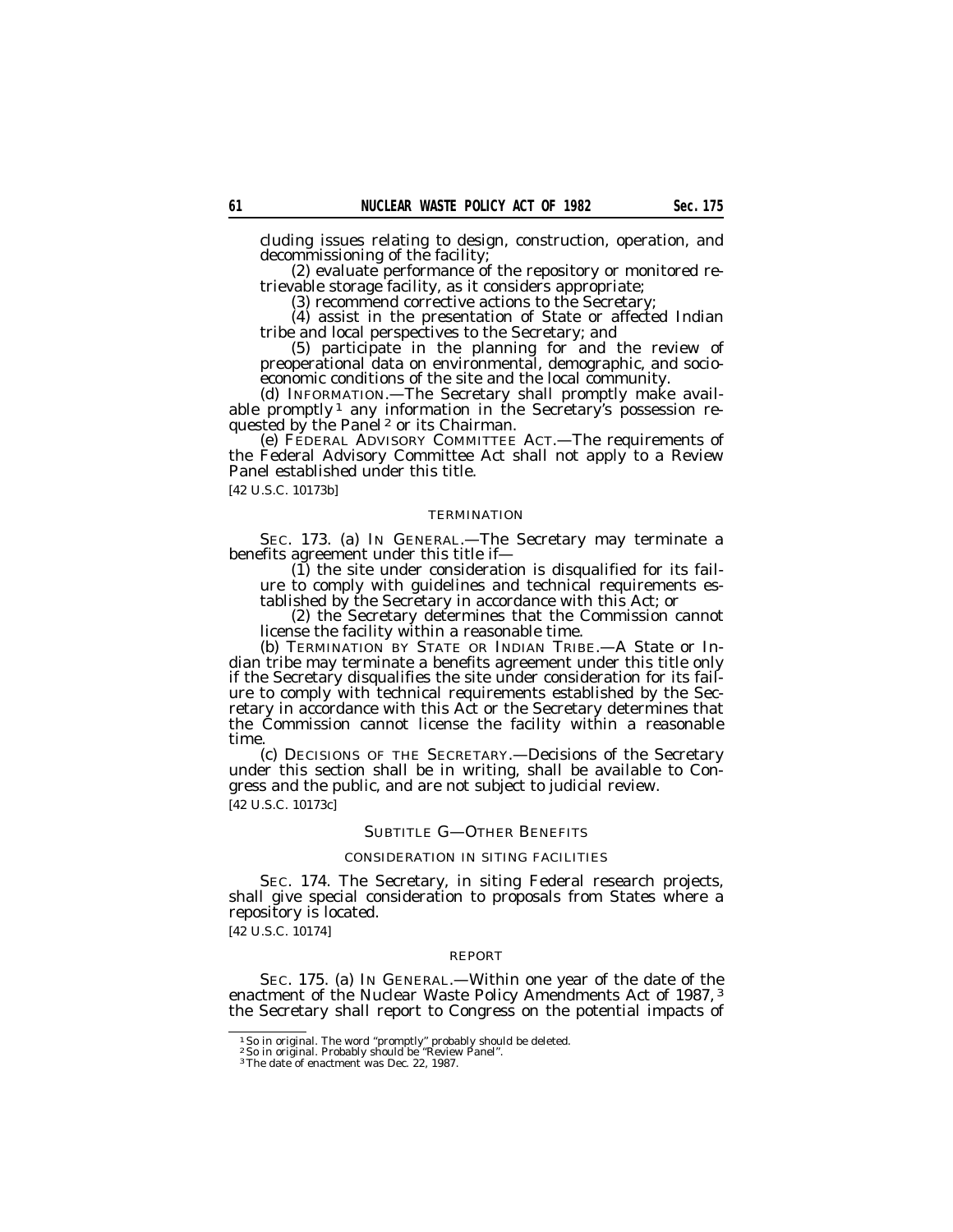cluding issues relating to design, construction, operation, and

(2) evaluate performance of the repository or monitored retrievable storage facility, as it considers appropriate; (3) recommend corrective actions to the Secretary;

(4) assist in the presentation of State or affected Indian

 $(5)$  participate in the planning for and the review of preoperational data on environmental, demographic, and socio-

economic conditions of the site and the local community.<br>(d) INFORMATION.—The Secretary shall promptly make available promptly <sup>1</sup> any information in the Secretary's possession requested by the Panel <sup>2</sup> or its Chairman.

(e) FEDERAL ADVISORY COMMITTEE ACT.—The requirements of the Federal Advisory Committee Act shall not apply to a Review Panel established under this title.

[42 U.S.C. 10173b]

#### **TERMINATION**

SEC. 173. (a) IN GENERAL.—The Secretary may terminate a benefits agreement under this title if— (1) the site under consideration is disqualified for its fail-

ure to comply with guidelines and technical requirements es-<br>tablished by the Secretary in accordance with this Act; or

(2) the Secretary determines that the Commission cannot license the facility within a reasonable time.

(b) TERMINATION BY STATE OR INDIAN TRIBE.—A State or Indian tribe may terminate a benefits agreement under this title only if the Secretary disqualifies the site under consideration for its failure to comply with technical requirements established by the Secretary in accordance with this Act or the Secretary determines that the Commission cannot license the facility within a reasonable

time.<br>(c) DECISIONS OF THE SECRETARY.—Decisions of the Secretary under this section shall be in writing, shall be available to Congress and the public, and are not subject to judicial review. [42 U.S.C. 10173c]

#### SUBTITLE G—OTHER BENEFITS

#### CONSIDERATION IN SITING FACILITIES

SEC. 174. The Secretary, in siting Federal research projects, shall give special consideration to proposals from States where a repository is located.

[42 U.S.C. 10174]

#### REPORT

SEC. 175. (a) IN GENERAL.—Within one year of the date of the enactment of the Nuclear Waste Policy Amendments Act of 1987, 3 the Secretary shall report to Congress on the potential impacts of

<sup>1</sup>So in original. The word ''promptly'' probably should be deleted. 2So in original. Probably should be ''Review Panel''.

<sup>3</sup>The date of enactment was Dec. 22, 1987.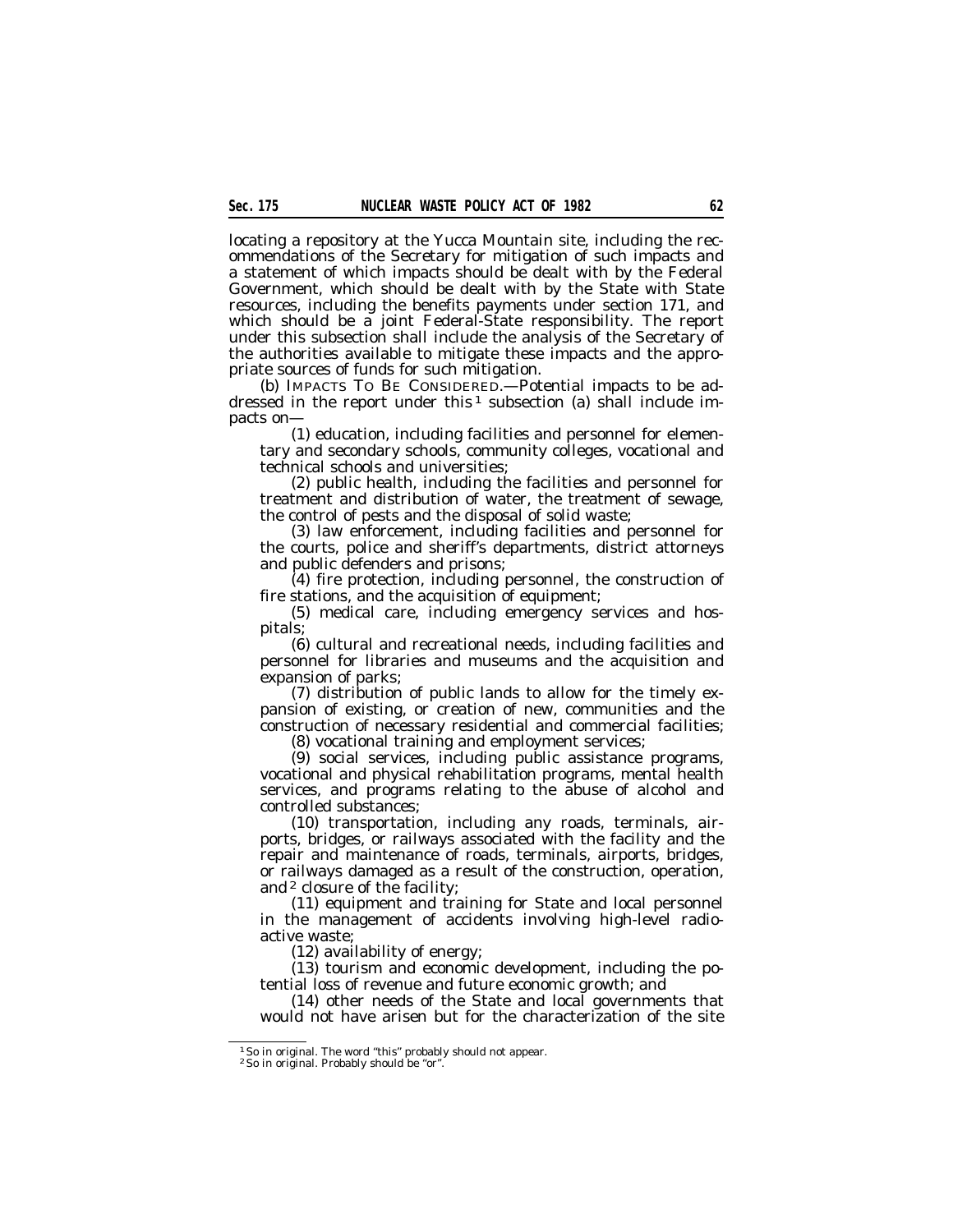locating a repository at the Yucca Mountain site, including the recommendations of the Secretary for mitigation of such impacts and a statement of which impacts should be dealt with by the Federal Government, which should be dealt with by the State with State resources, including the benefits payments under section 171, and which should be a joint Federal-State responsibility. The report under this subsection shall include the analysis of the Secretary of the authorities available to mitigate these impacts and the appropriate sources of funds for such mitigation.

(b) IMPACTS TO BE CONSIDERED.—Potential impacts to be addressed in the report under this  $\frac{1}{1}$  subsection (a) shall include impacts on—

(1) education, including facilities and personnel for elementary and secondary schools, community colleges, vocational and technical schools and universities;

(2) public health, including the facilities and personnel for treatment and distribution of water, the treatment of sewage, the control of pests and the disposal of solid waste;

(3) law enforcement, including facilities and personnel for the courts, police and sheriff's departments, district attorneys and public defenders and prisons;

(4) fire protection, including personnel, the construction of fire stations, and the acquisition of equipment;

(5) medical care, including emergency services and hospitals;

(6) cultural and recreational needs, including facilities and personnel for libraries and museums and the acquisition and expansion of parks;

(7) distribution of public lands to allow for the timely expansion of existing, or creation of new, communities and the construction of necessary residential and commercial facilities;

(8) vocational training and employment services;

(9) social services, including public assistance programs, vocational and physical rehabilitation programs, mental health services, and programs relating to the abuse of alcohol and controlled substances;

(10) transportation, including any roads, terminals, airports, bridges, or railways associated with the facility and the repair and maintenance of roads, terminals, airports, bridges, or railways damaged as a result of the construction, operation, and <sup>2</sup> closure of the facility;

(11) equipment and training for State and local personnel in the management of accidents involving high-level radioactive waste;

(12) availability of energy;

(13) tourism and economic development, including the potential loss of revenue and future economic growth; and

(14) other needs of the State and local governments that would not have arisen but for the characterization of the site

<sup>&</sup>lt;sup>1</sup> So in original. The word "this" probably should not appear.

<sup>&</sup>lt;sup>2</sup> So in original. Probably should be "or".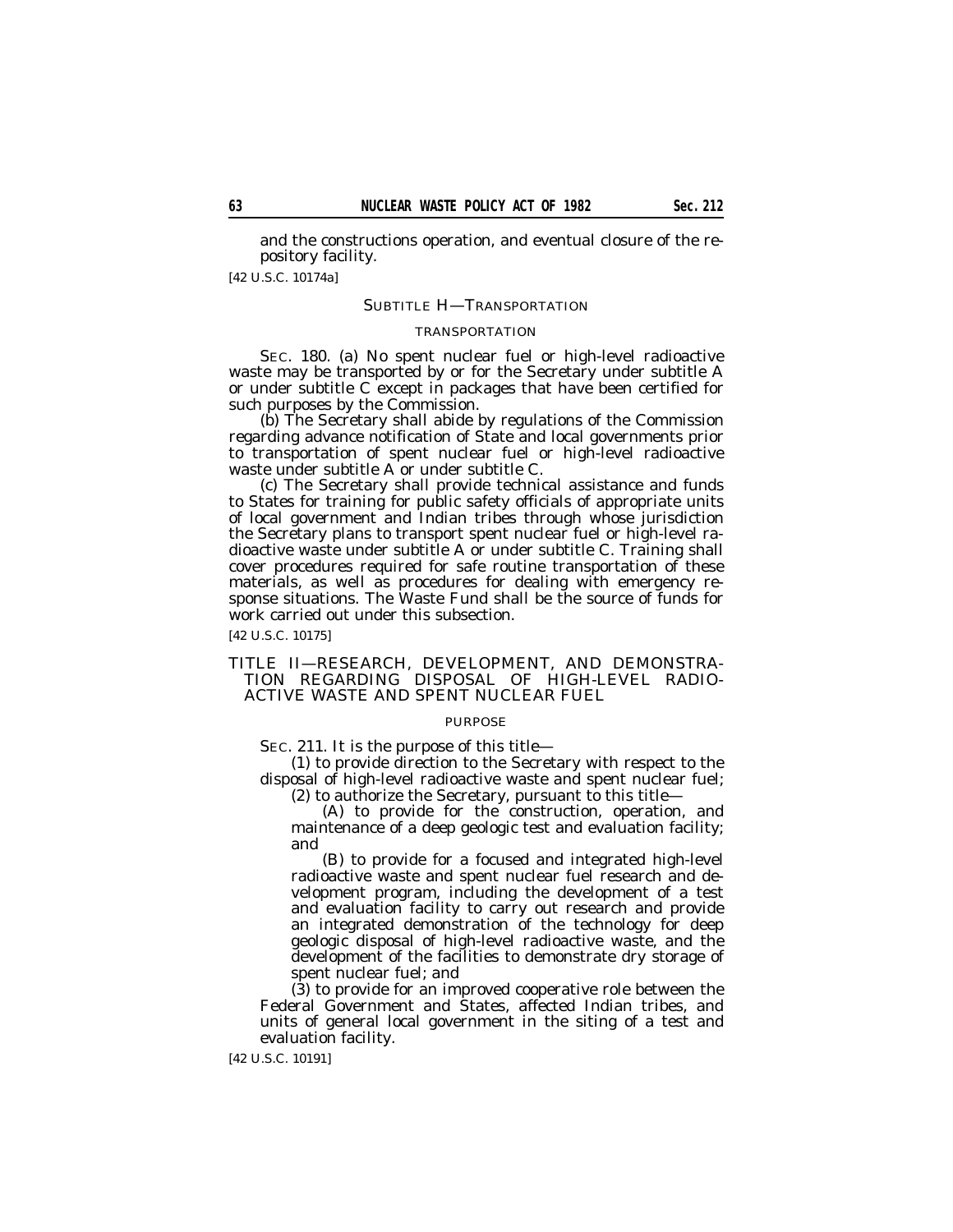and the constructions operation, and eventual closure of the repository facility.

[42 U.S.C. 10174a]

# SUBTITLE H—TRANSPORTATION

# TRANSPORTATION

SEC. 180. (a) No spent nuclear fuel or high-level radioactive waste may be transported by or for the Secretary under subtitle A or under subtitle C except in packages that have been certified for such purposes by the Commission.

(b) The Secretary shall abide by regulations of the Commission regarding advance notification of State and local governments prior to transportation of spent nuclear fuel or high-level radioactive waste under subtitle A or under subtitle C.

(c) The Secretary shall provide technical assistance and funds to States for training for public safety officials of appropriate units of local government and Indian tribes through whose jurisdiction the Secretary plans to transport spent nuclear fuel or high-level radioactive waste under subtitle A or under subtitle C. Training shall cover procedures required for safe routine transportation of these materials, as well as procedures for dealing with emergency response situations. The Waste Fund shall be the source of funds for work carried out under this subsection.

[42 U.S.C. 10175]

# TITLE II—RESEARCH, DEVELOPMENT, AND DEMONSTRA-TION REGARDING DISPOSAL OF HIGH-LEVEL RADIO-ACTIVE WASTE AND SPENT NUCLEAR FUEL

#### PURPOSE

SEC. 211. It is the purpose of this title—

(1) to provide direction to the Secretary with respect to the disposal of high-level radioactive waste and spent nuclear fuel; (2) to authorize the Secretary, pursuant to this title—

(A) to provide for the construction, operation, and maintenance of a deep geologic test and evaluation facility; and

(B) to provide for a focused and integrated high-level radioactive waste and spent nuclear fuel research and development program, including the development of a test and evaluation facility to carry out research and provide an integrated demonstration of the technology for deep geologic disposal of high-level radioactive waste, and the development of the facilities to demonstrate dry storage of spent nuclear fuel; and

(3) to provide for an improved cooperative role between the Federal Government and States, affected Indian tribes, and units of general local government in the siting of a test and evaluation facility.

<sup>[42</sup> U.S.C. 10191]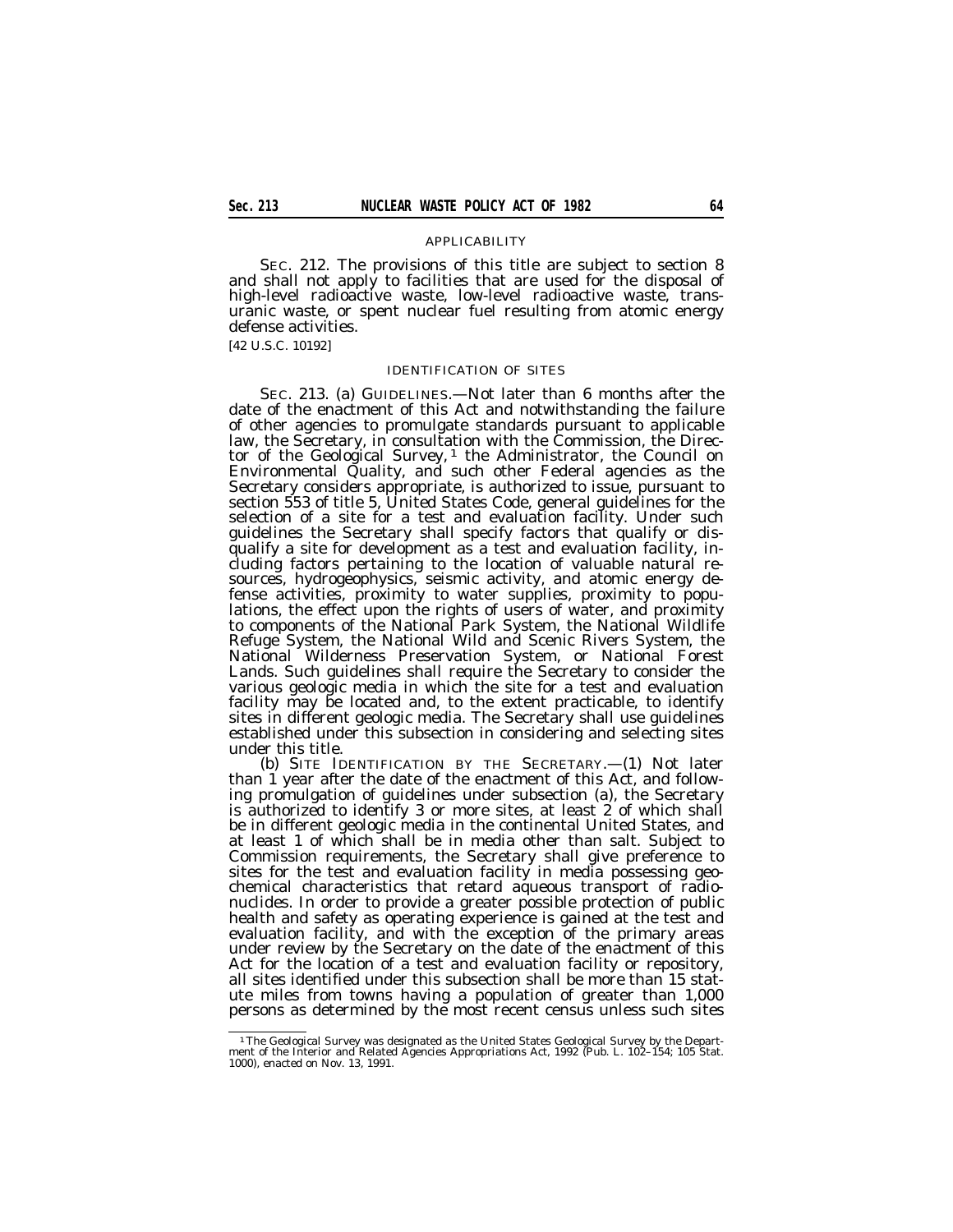#### APPLICABILITY

SEC. 212. The provisions of this title are subject to section 8 and shall not apply to facilities that are used for the disposal of high-level radioactive waste, low-level radioactive waste, transuranic waste, or spent nuclear fuel resulting from atomic energy defense activities.

[42 U.S.C. 10192]

#### IDENTIFICATION OF SITES

SEC. 213. (a) GUIDELINES.—Not later than 6 months after the date of the enactment of this Act and notwithstanding the failure of other agencies to promulgate standards pursuant to applicable law, the Secretary, in consultation with the Commission, the Director of the Geological Survey,<sup>1</sup> the Administrator, the Council on Environmental Quality, and such other Federal agencies as the Secretary considers appropriate, is authorized to issue, pursuant to section 553 of title 5, United States Code, general guidelines for the selection of a site for a test and evaluation facility. Under such guidelines the Secretary shall specify factors that qualify or disqualify a site for development as a test and evaluation facility, including factors pertaining to the location of valuable natural resources, hydrogeophysics, seismic activity, and atomic energy defense activities, proximity to water supplies, proximity to populations, the effect upon the rights of users of water, and proximity to components of the National Park System, the National Wildlife Refuge System, the National Wild and Scenic Rivers System, the National Wilderness Preservation System, or National Forest Lands. Such guidelines shall require the Secretary to consider the various geologic media in which the site for a test and evaluation facility may be located and, to the extent practicable, to identify sites in different geologic media. The Secretary shall use guidelines established under this subsection in considering and selecting sites under this title.

(b) SITE IDENTIFICATION BY THE SECRETARY.—(1) Not later than 1 year after the date of the enactment of this Act, and following promulgation of guidelines under subsection (a), the Secretary is authorized to identify 3 or more sites, at least 2 of which shall be in different geologic media in the continental United States, and at least 1 of which shall be in media other than salt. Subject to Commission requirements, the Secretary shall give preference to sites for the test and evaluation facility in media possessing geochemical characteristics that retard aqueous transport of radionuclides. In order to provide a greater possible protection of public health and safety as operating experience is gained at the test and evaluation facility, and with the exception of the primary areas under review by the Secretary on the date of the enactment of this Act for the location of a test and evaluation facility or repository, all sites identified under this subsection shall be more than 15 statute miles from towns having a population of greater than 1,000 persons as determined by the most recent census unless such sites

<sup>1</sup>The Geological Survey was designated as the United States Geological Survey by the Depart- ment of the Interior and Related Agencies Appropriations Act, 1992 (Pub. L. 102–154; 105 Stat. 1000), enacted on Nov. 13, 1991.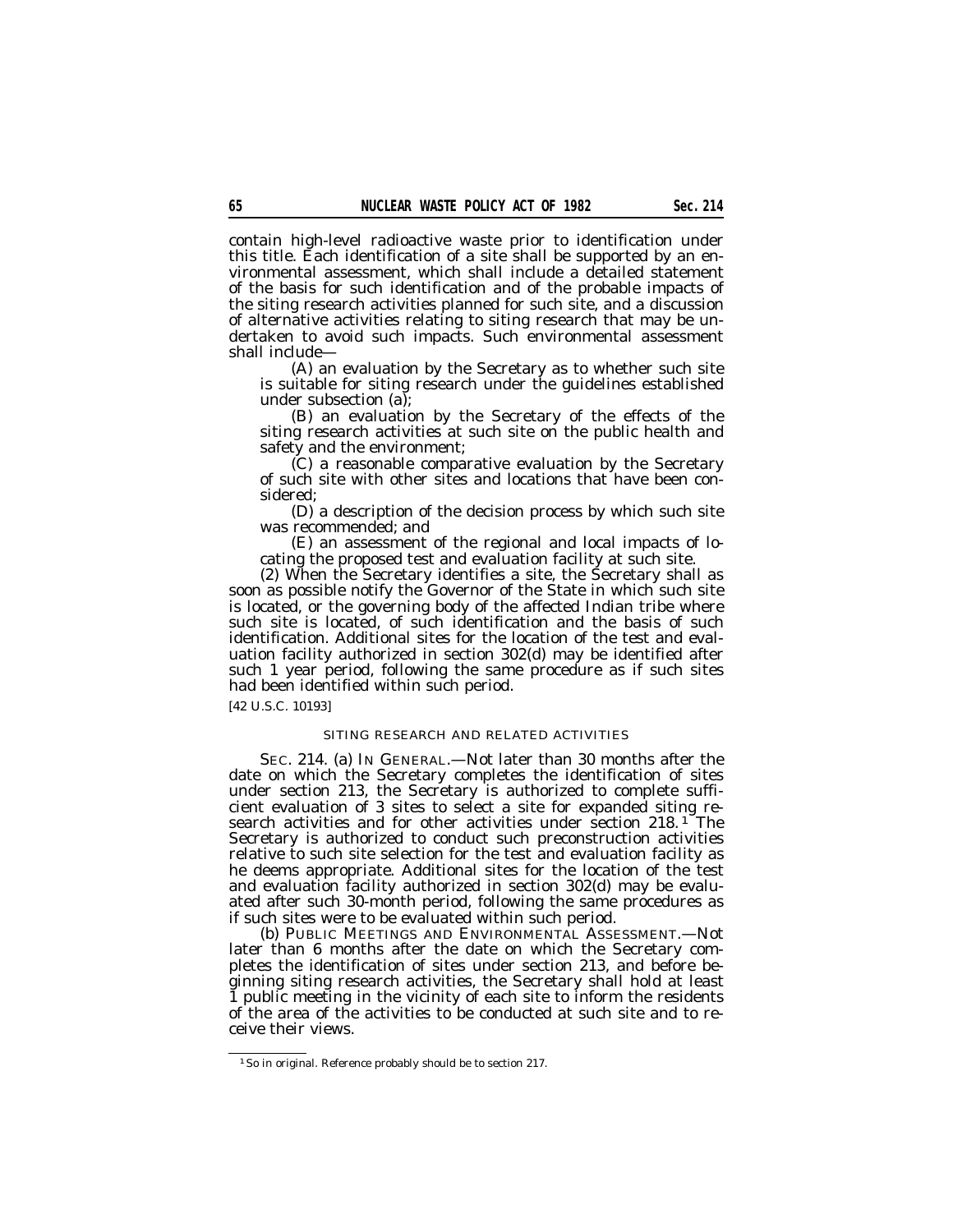contain high-level radioactive waste prior to identification under this title. Each identification of a site shall be supported by an environmental assessment, which shall include a detailed statement of the basis for such identification and of the probable impacts of the siting research activities planned for such site, and a discussion of alternative activities relating to siting research that may be undertaken to avoid such impacts. Such environmental assessment shall include—

(A) an evaluation by the Secretary as to whether such site is suitable for siting research under the guidelines established under subsection (a);

(B) an evaluation by the Secretary of the effects of the siting research activities at such site on the public health and safety and the environment;

(C) a reasonable comparative evaluation by the Secretary of such site with other sites and locations that have been considered;

(D) a description of the decision process by which such site was recommended; and

(E) an assessment of the regional and local impacts of locating the proposed test and evaluation facility at such site.

(2) When the Secretary identifies a site, the Secretary shall as soon as possible notify the Governor of the State in which such site is located, or the governing body of the affected Indian tribe where such site is located, of such identification and the basis of such identification. Additional sites for the location of the test and evaluation facility authorized in section 302(d) may be identified after such 1 year period, following the same procedure as if such sites had been identified within such period.

[42 U.S.C. 10193]

# SITING RESEARCH AND RELATED ACTIVITIES

SEC. 214. (a) IN GENERAL.—Not later than 30 months after the date on which the Secretary completes the identification of sites under section 213, the Secretary is authorized to complete sufficient evaluation of 3 sites to select a site for expanded siting research activities and for other activities under section 218. 1 The Secretary is authorized to conduct such preconstruction activities relative to such site selection for the test and evaluation facility as he deems appropriate. Additional sites for the location of the test and evaluation facility authorized in section 302(d) may be evaluated after such 30-month period, following the same procedures as if such sites were to be evaluated within such period.

(b) PUBLIC MEETINGS AND ENVIRONMENTAL ASSESSMENT.—Not later than 6 months after the date on which the Secretary completes the identification of sites under section 213, and before beginning siting research activities, the Secretary shall hold at least 1 public meeting in the vicinity of each site to inform the residents of the area of the activities to be conducted at such site and to receive their views.

<sup>1</sup>So in original. Reference probably should be to section 217.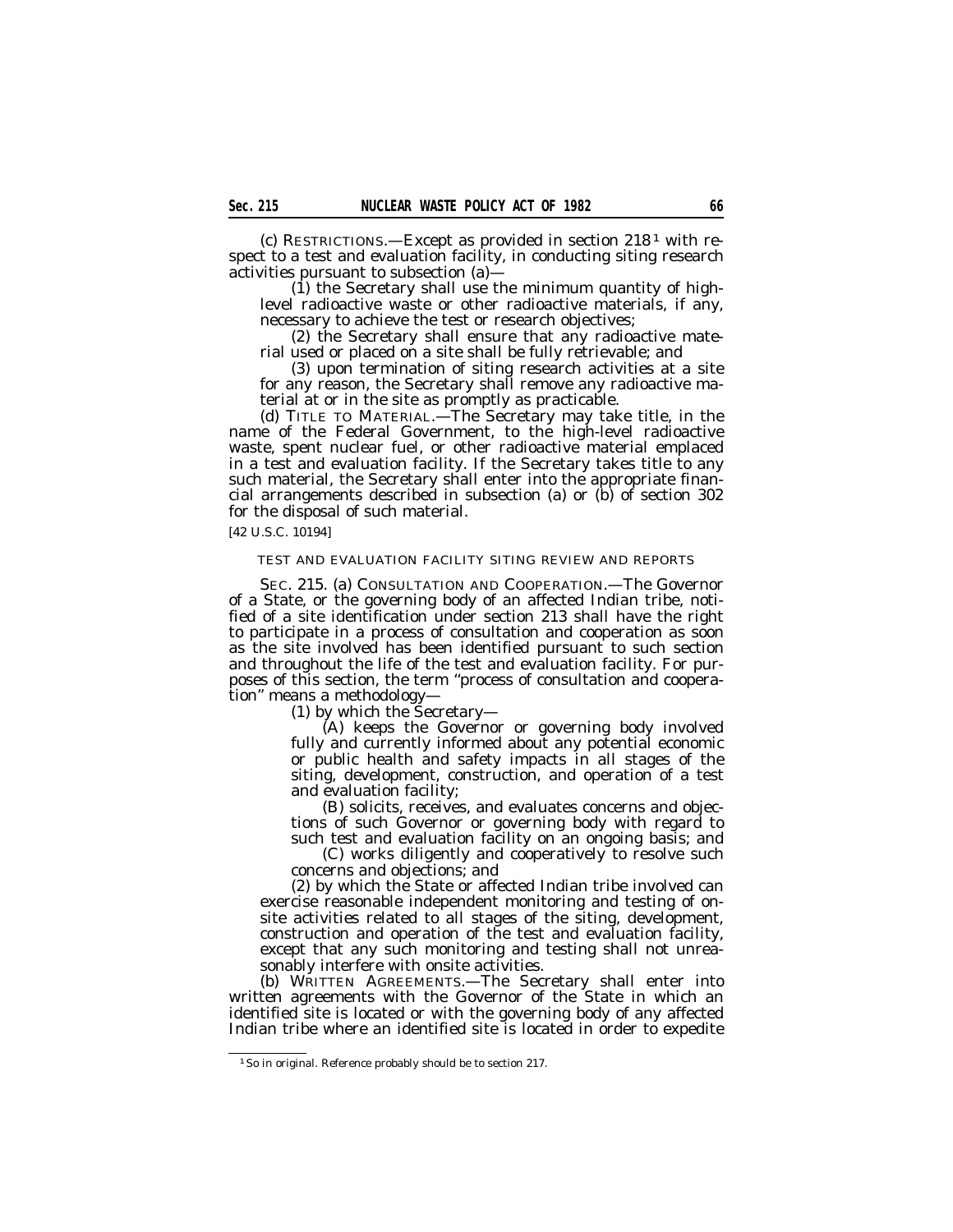(c) RESTRICTIONS.—Except as provided in section  $218<sup>1</sup>$  with respect to a test and evaluation facility, in conducting siting research activities pursuant to subsection (a)—

 $(1)$  the Secretary shall use the minimum quantity of highlevel radioactive waste or other radioactive materials, if any, necessary to achieve the test or research objectives;

(2) the Secretary shall ensure that any radioactive material used or placed on a site shall be fully retrievable; and

(3) upon termination of siting research activities at a site for any reason, the Secretary shall remove any radioactive material at or in the site as promptly as practicable.

(d) TITLE TO MATERIAL.—The Secretary may take title, in the name of the Federal Government, to the high-level radioactive waste, spent nuclear fuel, or other radioactive material emplaced in a test and evaluation facility. If the Secretary takes title to any such material, the Secretary shall enter into the appropriate financial arrangements described in subsection (a) or (b) of section 302 for the disposal of such material.

[42 U.S.C. 10194]

#### TEST AND EVALUATION FACILITY SITING REVIEW AND REPORTS

SEC. 215. (a) CONSULTATION AND COOPERATION.—The Governor of a State, or the governing body of an affected Indian tribe, notified of a site identification under section 213 shall have the right to participate in a process of consultation and cooperation as soon as the site involved has been identified pursuant to such section and throughout the life of the test and evaluation facility. For purposes of this section, the term ''process of consultation and cooperation'' means a methodology—

(1) by which the Secretary—

(A) keeps the Governor or governing body involved fully and currently informed about any potential economic or public health and safety impacts in all stages of the siting, development, construction, and operation of a test and evaluation facility;

(B) solicits, receives, and evaluates concerns and objections of such Governor or governing body with regard to such test and evaluation facility on an ongoing basis; and

(C) works diligently and cooperatively to resolve such concerns and objections; and

(2) by which the State or affected Indian tribe involved can exercise reasonable independent monitoring and testing of onsite activities related to all stages of the siting, development, construction and operation of the test and evaluation facility, except that any such monitoring and testing shall not unreasonably interfere with onsite activities.

(b) WRITTEN AGREEMENTS.—The Secretary shall enter into written agreements with the Governor of the State in which an identified site is located or with the governing body of any affected Indian tribe where an identified site is located in order to expedite

<sup>1</sup>So in original. Reference probably should be to section 217.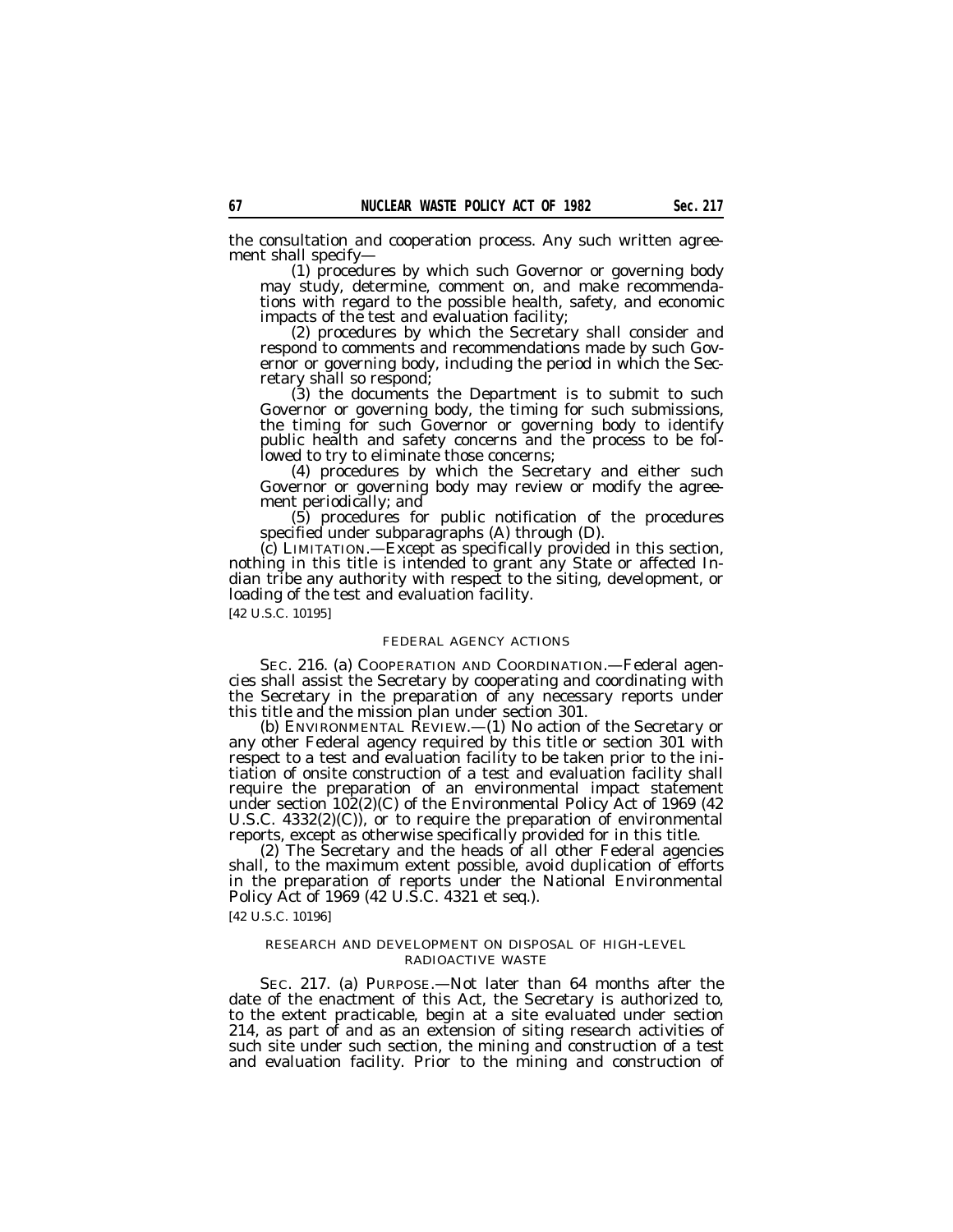the consultation and cooperation process. Any such written agree-

ment shall specify— (1) procedures by which such Governor or governing body may study, determine, comment on, and make recommendations with regard to the possible health, safety, and economic

impacts of the test and evaluation facility; (2) procedures by which the Secretary shall consider and respond to comments and recommendations made by such Governor or governing body, including the period in which the Secretary shall so respond; (3) the documents the Department is to submit to such

Governor or governing body, the timing for such submissions, the timing for such Governor or governing body to identify public health and safety concerns and the process to be fol-

lowed to try to eliminate those concerns;<br>
(4) procedures by which the Secretary and either such<br>
Governor or governing body may review or modify the agree-<br>
ment periodically; and

 $(5)$  procedures for public notification of the procedures specified under subparagraphs  $(A)$  through  $(D)$ .

(c) LIMITATION.—Except as specifically provided in this section, nothing in this title is intended to grant any State or affected Indian tribe any authority with respect to the siting, development, or loading of the test and evaluation facility.

[42 U.S.C. 10195]

# FEDERAL AGENCY ACTIONS

SEC. 216. (a) COOPERATION AND COORDINATION.—Federal agen- cies shall assist the Secretary by cooperating and coordinating with the Secretary in the preparation of any necessary reports under this title and the mission plan under section 301.

(b) ENVIRONMENTAL REVIEW.— $(1)$  No action of the Secretary or any other Federal agency required by this title or section 301 with respect to a test and evaluation facility to be taken prior to the initiation of onsite construction of a test and evaluation facility shall require the preparation of an environmental impact statement under section 102(2)(C) of the Environmental Policy Act of 1969 (42 U.S.C. 4332(2)(C)), or to require the preparation of environmental reports, except as otherwise specifically provided for in this title.

(2) The Secretary and the heads of all other Federal agencies shall, to the maximum extent possible, avoid duplication of efforts in the preparation of reports under the National Environmental Policy Act of 1969 (42 U.S.C. 4321 et seq.).

[42 U.S.C. 10196]

# RESEARCH AND DEVELOPMENT ON DISPOSAL OF HIGH-LEVEL RADIOACTIVE WASTE

SEC. 217. (a) PURPOSE.—Not later than 64 months after the date of the enactment of this Act, the Secretary is authorized to, to the extent practicable, begin at a site evaluated under section 214, as part of and as an extension of siting research activities of such site under such section, the mining and construction of a test and evaluation facility. Prior to the mining and construction of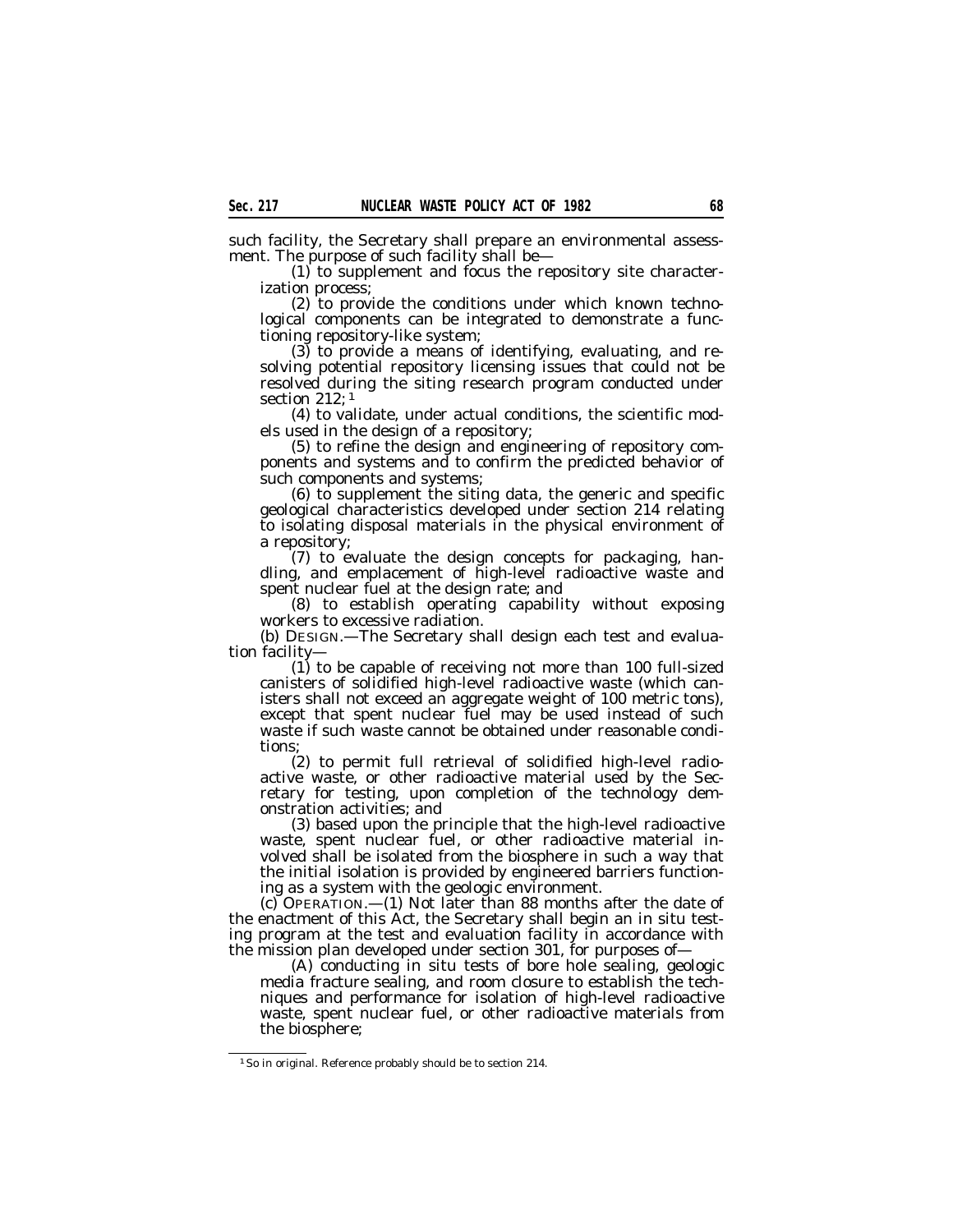such facility, the Secretary shall prepare an environmental assessment. The purpose of such facility shall be—

(1) to supplement and focus the repository site characterization process;

(2) to provide the conditions under which known technological components can be integrated to demonstrate a functioning repository-like system;

(3) to provide a means of identifying, evaluating, and resolving potential repository licensing issues that could not be resolved during the siting research program conducted under section 212; 1

(4) to validate, under actual conditions, the scientific models used in the design of a repository;

(5) to refine the design and engineering of repository components and systems and to confirm the predicted behavior of such components and systems;

(6) to supplement the siting data, the generic and specific geological characteristics developed under section 214 relating to isolating disposal materials in the physical environment of a repository;

(7) to evaluate the design concepts for packaging, handling, and emplacement of high-level radioactive waste and spent nuclear fuel at the design rate; and

(8) to establish operating capability without exposing workers to excessive radiation.

(b) DESIGN.—The Secretary shall design each test and evaluation facility—

(1) to be capable of receiving not more than 100 full-sized canisters of solidified high-level radioactive waste (which canisters shall not exceed an aggregate weight of 100 metric tons), except that spent nuclear fuel may be used instead of such waste if such waste cannot be obtained under reasonable conditions;

(2) to permit full retrieval of solidified high-level radioactive waste, or other radioactive material used by the Secretary for testing, upon completion of the technology demonstration activities; and

(3) based upon the principle that the high-level radioactive waste, spent nuclear fuel, or other radioactive material involved shall be isolated from the biosphere in such a way that the initial isolation is provided by engineered barriers functioning as a system with the geologic environment.

(c) OPERATION.—(1) Not later than 88 months after the date of the enactment of this Act, the Secretary shall begin an in situ testing program at the test and evaluation facility in accordance with the mission plan developed under section 301, for purposes of—

(A) conducting in situ tests of bore hole sealing, geologic media fracture sealing, and room closure to establish the techniques and performance for isolation of high-level radioactive waste, spent nuclear fuel, or other radioactive materials from the biosphere;

<sup>1</sup>So in original. Reference probably should be to section 214.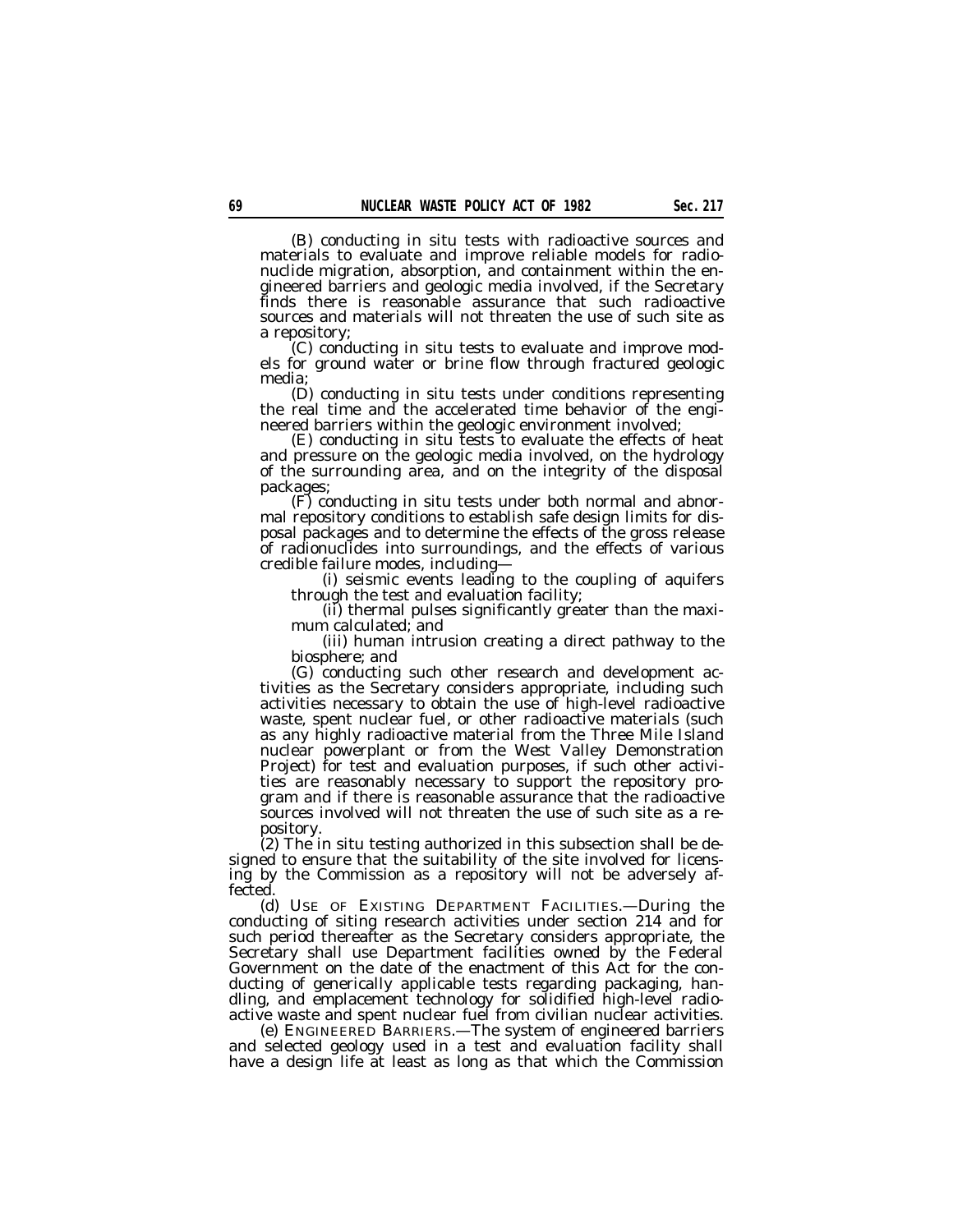(B) conducting in situ tests with radioactive sources and materials to evaluate and improve reliable models for radionuclide migration, absorption, and containment within the engineered barriers and geologic media involved, if the Secretary finds there is reasonable assurance that such radioactive sources and materials will not threaten the use of such site as

(C) conducting in situ tests to evaluate and improve mod-<br>els for ground water or brine flow through fractured geologic media;

(D) conducting in situ tests under conditions representing the real time and the accelerated time behavior of the engi-

neered barriers within the geologic environment involved; (E) conducting in situ tests to evaluate the effects of heat and pressure on the geologic media involved, on the hydrology of the surrounding area, and on the integrity of the disposal

packages; (F) conducting in situ tests under both normal and abnor- mal repository conditions to establish safe design limits for disposal packages and to determine the effects of the gross release of radionuclides into surroundings, and the effects of various credible failure modes, including—

(i) seismic events leading to the coupling of aquifers through the test and evaluation facility;

(ii) thermal pulses significantly greater than the maximum calculated; and

(iii) human intrusion creating a direct pathway to the biosphere; and

(G) conducting such other research and development activities as the Secretary considers appropriate, including such activities necessary to obtain the use of high-level radioactive waste, spent nuclear fuel, or other radioactive materials (such as any highly radioactive material from the Three Mile Island nuclear powerplant or from the West Valley Demonstration Project) for test and evaluation purposes, if such other activities are reasonably necessary to support the repository program and if there is reasonable assurance that the radioactive sources involved will not threaten the use of such site as a repository.

(2) The in situ testing authorized in this subsection shall be designed to ensure that the suitability of the site involved for licensing by the Commission as a repository will not be adversely affected.

(d) USE OF EXISTING DEPARTMENT FACILITIES.—During the conducting of siting research activities under section 214 and for such period thereafter as the Secretary considers appropriate, the Secretary shall use Department facilities owned by the Federal Government on the date of the enactment of this Act for the conducting of generically applicable tests regarding packaging, handling, and emplacement technology for solidified high-level radioactive waste and spent nuclear fuel from civilian nuclear activities.

(e) ENGINEERED BARRIERS.—The system of engineered barriers and selected geology used in a test and evaluation facility shall have a design life at least as long as that which the Commission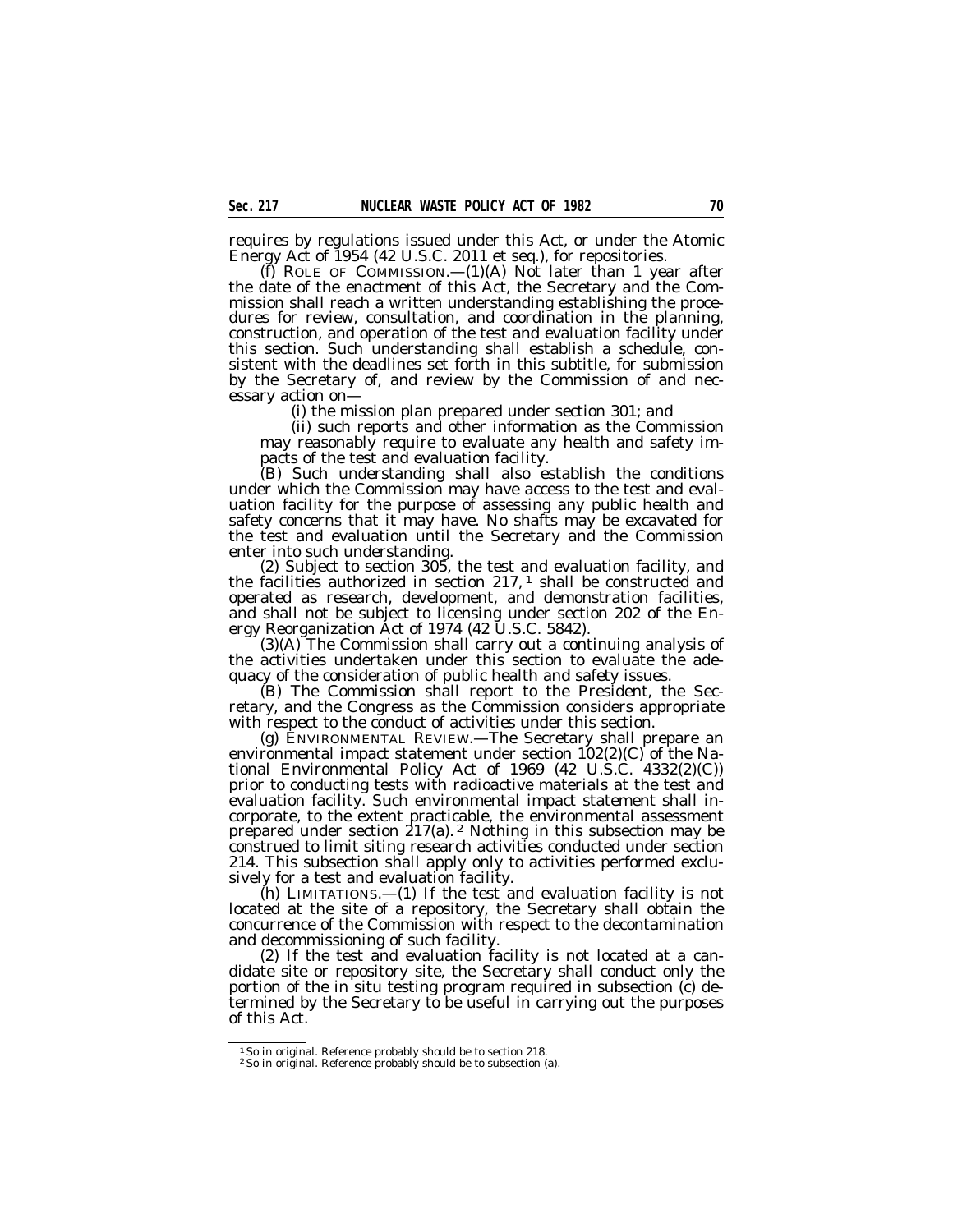requires by regulations issued under this Act, or under the Atomic Energy Act of 1954 (42 U.S.C. 2011 et seq.), for repositories.

(f) ROLE OF COMMISSION.—(1)(A) Not later than 1 year after the date of the enactment of this Act, the Secretary and the Commission shall reach a written understanding establishing the procedures for review, consultation, and coordination in the planning, construction, and operation of the test and evaluation facility under this section. Such understanding shall establish a schedule, consistent with the deadlines set forth in this subtitle, for submission by the Secretary of, and review by the Commission of and necessary action on—

(i) the mission plan prepared under section 301; and

(ii) such reports and other information as the Commission may reasonably require to evaluate any health and safety impacts of the test and evaluation facility.

(B) Such understanding shall also establish the conditions under which the Commission may have access to the test and evaluation facility for the purpose of assessing any public health and safety concerns that it may have. No shafts may be excavated for the test and evaluation until the Secretary and the Commission enter into such understanding.

(2) Subject to section 305, the test and evaluation facility, and the facilities authorized in section 217, 1 shall be constructed and operated as research, development, and demonstration facilities, and shall not be subject to licensing under section 202 of the Energy Reorganization Act of 1974 (42 U.S.C. 5842).

(3)(A) The Commission shall carry out a continuing analysis of the activities undertaken under this section to evaluate the adequacy of the consideration of public health and safety issues.

(B) The Commission shall report to the President, the Secretary, and the Congress as the Commission considers appropriate with respect to the conduct of activities under this section.

(g) ENVIRONMENTAL REVIEW.—The Secretary shall prepare an environmental impact statement under section 102(2)(C) of the National Environmental Policy Act of 1969 (42 U.S.C. 4332(2)(C)) prior to conducting tests with radioactive materials at the test and evaluation facility. Such environmental impact statement shall incorporate, to the extent practicable, the environmental assessment prepared under section  $217(a)$ . <sup>2</sup> Nothing in this subsection may be construed to limit siting research activities conducted under section 214. This subsection shall apply only to activities performed exclusively for a test and evaluation facility.

(h) LIMITATIONS.—(1) If the test and evaluation facility is not located at the site of a repository, the Secretary shall obtain the concurrence of the Commission with respect to the decontamination and decommissioning of such facility.

(2) If the test and evaluation facility is not located at a candidate site or repository site, the Secretary shall conduct only the portion of the in situ testing program required in subsection (c) determined by the Secretary to be useful in carrying out the purposes of this Act.

<sup>&</sup>lt;sup>1</sup> So in original. Reference probably should be to section 218.

<sup>2</sup>So in original. Reference probably should be to subsection (a).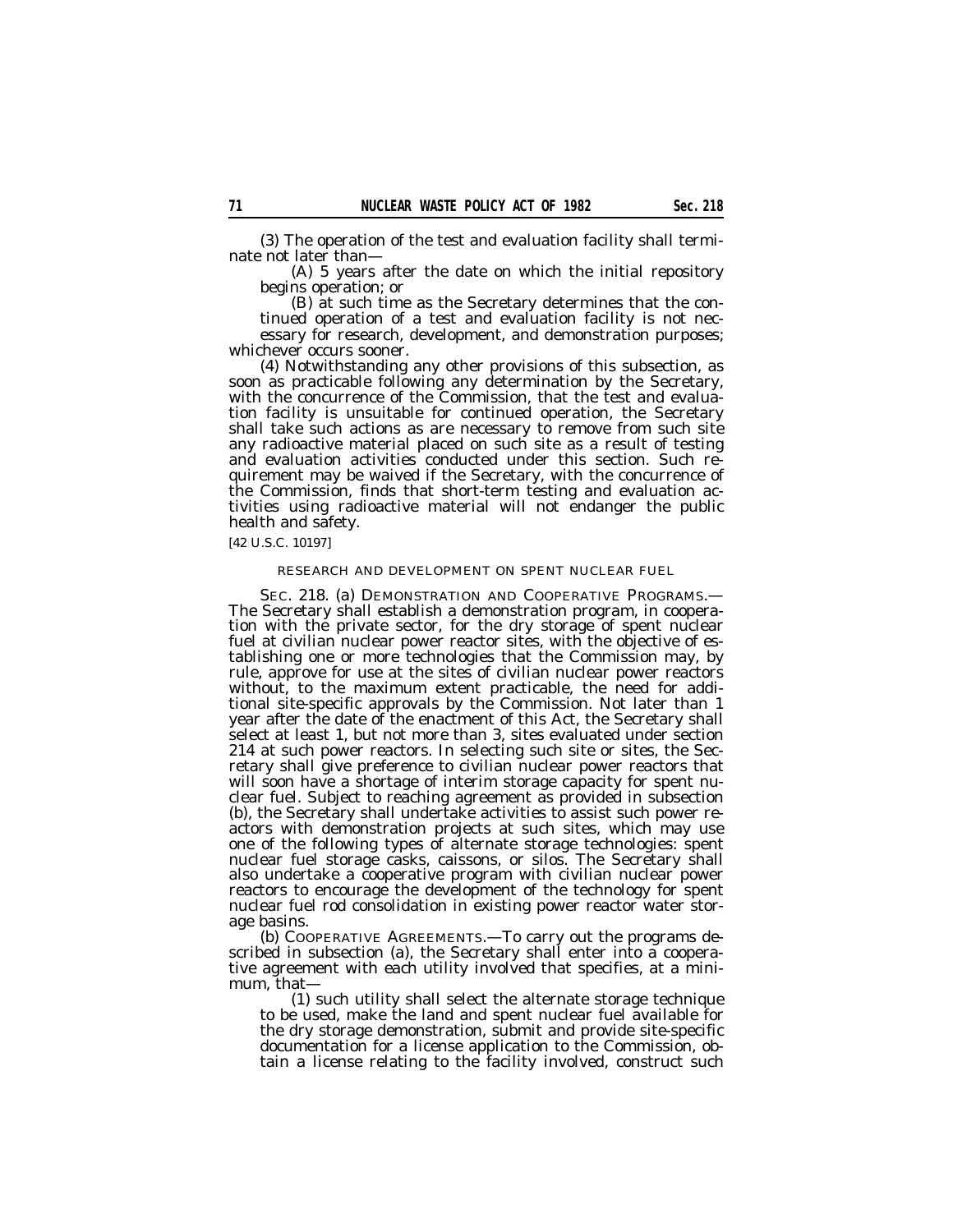(3) The operation of the test and evaluation facility shall terminate not later than—

(A) 5 years after the date on which the initial repository begins operation; or

(B) at such time as the Secretary determines that the continued operation of a test and evaluation facility is not necessary for research, development, and demonstration purposes; whichever occurs sooner.

(4) Notwithstanding any other provisions of this subsection, as soon as practicable following any determination by the Secretary, with the concurrence of the Commission, that the test and evaluation facility is unsuitable for continued operation, the Secretary shall take such actions as are necessary to remove from such site any radioactive material placed on such site as a result of testing and evaluation activities conducted under this section. Such requirement may be waived if the Secretary, with the concurrence of the Commission, finds that short-term testing and evaluation activities using radioactive material will not endanger the public health and safety.

[42 U.S.C. 10197]

### RESEARCH AND DEVELOPMENT ON SPENT NUCLEAR FUEL

SEC. 218. (a) DEMONSTRATION AND COOPERATIVE PROGRAMS.— The Secretary shall establish a demonstration program, in cooperation with the private sector, for the dry storage of spent nuclear fuel at civilian nuclear power reactor sites, with the objective of establishing one or more technologies that the Commission may, by rule, approve for use at the sites of civilian nuclear power reactors without, to the maximum extent practicable, the need for additional site-specific approvals by the Commission. Not later than 1 year after the date of the enactment of this Act, the Secretary shall select at least 1, but not more than 3, sites evaluated under section 214 at such power reactors. In selecting such site or sites, the Secretary shall give preference to civilian nuclear power reactors that will soon have a shortage of interim storage capacity for spent nuclear fuel. Subject to reaching agreement as provided in subsection (b), the Secretary shall undertake activities to assist such power reactors with demonstration projects at such sites, which may use one of the following types of alternate storage technologies: spent nuclear fuel storage casks, caissons, or silos. The Secretary shall also undertake a cooperative program with civilian nuclear power reactors to encourage the development of the technology for spent nuclear fuel rod consolidation in existing power reactor water storage basins.

(b) COOPERATIVE AGREEMENTS.—To carry out the programs described in subsection (a), the Secretary shall enter into a cooperative agreement with each utility involved that specifies, at a minimum, that—

(1) such utility shall select the alternate storage technique to be used, make the land and spent nuclear fuel available for the dry storage demonstration, submit and provide site-specific documentation for a license application to the Commission, obtain a license relating to the facility involved, construct such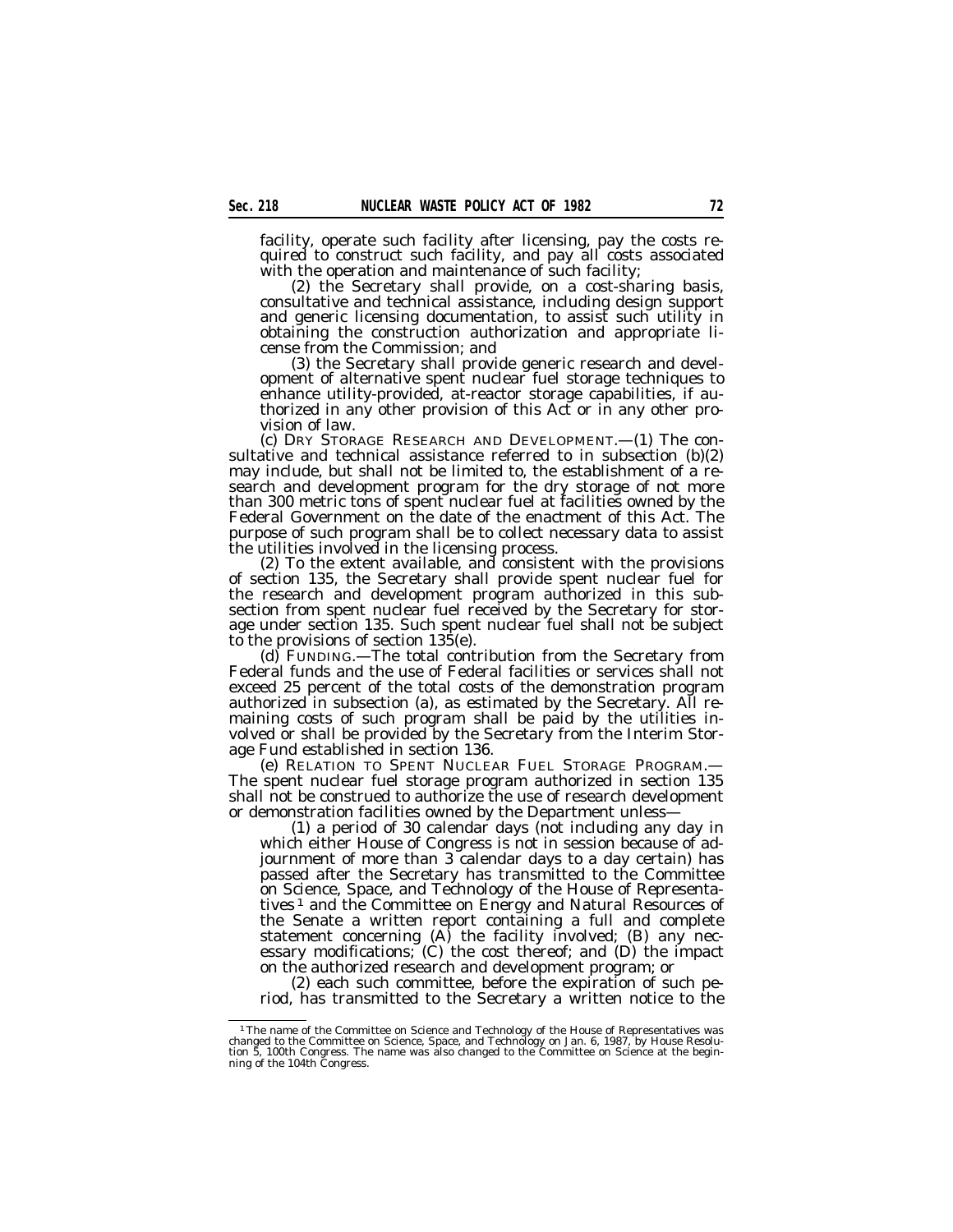facility, operate such facility after licensing, pay the costs required to construct such facility, and pay all costs associated with the operation and maintenance of such facility;

with the operation and maintenance of such facility; (2) the Secretary shall provide, on a cost-sharing basis, consultative and technical assistance, including design support and generic licensing documentation, to assist such utility in obtaining the construction authorization and appropriate license from the Commission; and

(3) the Secretary shall provide generic research and devel- opment of alternative spent nuclear fuel storage techniques to enhance utility-provided, at-reactor storage capabilities, if authorized in any other provision of this Act or in any other provision of law.

(c) DRY STORAGE RESEARCH AND DEVELOPMENT.—(1) The consultative and technical assistance referred to in subsection (b)(2) may include, but shall not be limited to, the establishment of a research and development program for the dry storage of not more than 300 metric tons of spent nuclear fuel at facilities owned by the Federal Government on the date of the enactment of this Act. The purpose of such program shall be to collect necessary data to assist

the utilities involved in the licensing process. (2) To the extent available, and consistent with the provisions of section 135, the Secretary shall provide spent nuclear fuel for the research and development program authorized in this subsection from spent nuclear fuel received by the Secretary for storage under section 135. Such spent nuclear fuel shall not be subject to the provisions of section 135(e).

(d) FUNDING.—The total contribution from the Secretary from Federal funds and the use of Federal facilities or services shall not exceed 25 percent of the total costs of the demonstration program authorized in subsection (a), as estimated by the Secretary. All remaining costs of such program shall be paid by the utilities involved or shall be provided by the Secretary from the Interim Storage Fund established in section 136.

(e) RELATION TO SPENT NUCLEAR FUEL STORAGE PROGRAM.— The spent nuclear fuel storage program authorized in section 135 shall not be construed to authorize the use of research development or demonstration facilities owned by the Department unless-

(1) a period of 30 calendar days (not including any day in which either House of Congress is not in session because of adjournment of more than 3 calendar days to a day certain) has passed after the Secretary has transmitted to the Committee on Science, Space, and Technology of the House of Representatives<sup>1</sup> and the Committee on Energy and Natural Resources of the Senate a written report containing a full and complete statement concerning (A) the facility involved; (B) any necessary modifications; (C) the cost thereof; and (D) the impact on the authorized research and development program; or

 $(2)$  each such committee, before the expiration of such period, has transmitted to the Secretary a written notice to the

<sup>&</sup>lt;sup>1</sup>The name of the Committee on Science and Technology of the House of Representatives was changed to the Committee on Science, Space, and Technology on Jan. 6, 1987, by House Resolution 5, 100th Congress. The name was al ning of the 104th Congress.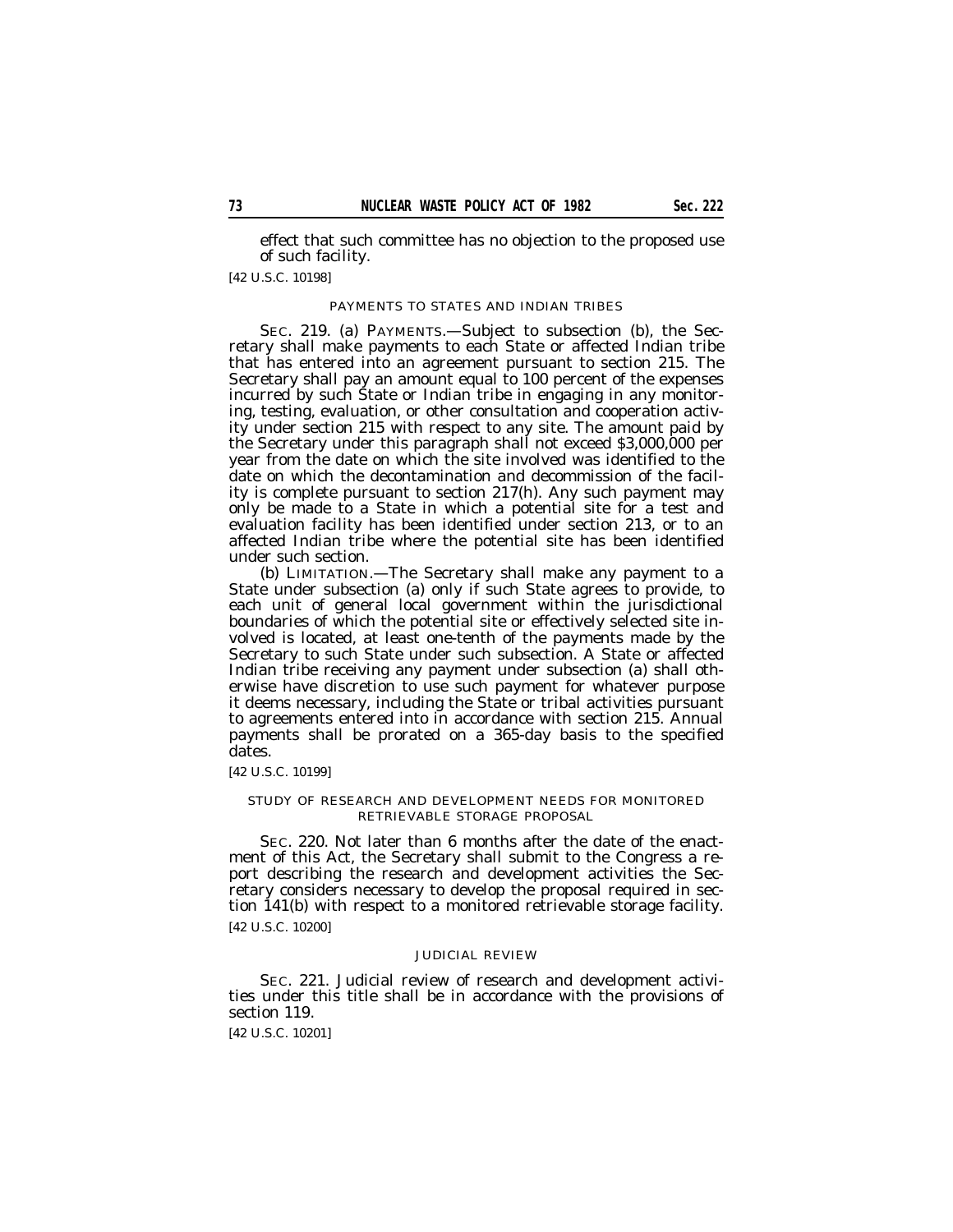effect that such committee has no objection to the proposed use of such facility.

[42 U.S.C. 10198]

## PAYMENTS TO STATES AND INDIAN TRIBES

SEC. 219. (a) PAYMENTS.—Subject to subsection (b), the Secretary shall make payments to each State or affected Indian tribe that has entered into an agreement pursuant to section 215. The Secretary shall pay an amount equal to 100 percent of the expenses incurred by such State or Indian tribe in engaging in any monitoring, testing, evaluation, or other consultation and cooperation activity under section 215 with respect to any site. The amount paid by the Secretary under this paragraph shall not exceed \$3,000,000 per year from the date on which the site involved was identified to the date on which the decontamination and decommission of the facility is complete pursuant to section 217(h). Any such payment may only be made to a State in which a potential site for a test and evaluation facility has been identified under section 213, or to an affected Indian tribe where the potential site has been identified under such section.

(b) LIMITATION.—The Secretary shall make any payment to a State under subsection (a) only if such State agrees to provide, to each unit of general local government within the jurisdictional boundaries of which the potential site or effectively selected site involved is located, at least one-tenth of the payments made by the Secretary to such State under such subsection. A State or affected Indian tribe receiving any payment under subsection (a) shall otherwise have discretion to use such payment for whatever purpose it deems necessary, including the State or tribal activities pursuant to agreements entered into in accordance with section 215. Annual payments shall be prorated on a 365-day basis to the specified dates.

[42 U.S.C. 10199]

# STUDY OF RESEARCH AND DEVELOPMENT NEEDS FOR MONITORED RETRIEVABLE STORAGE PROPOSAL

SEC. 220. Not later than 6 months after the date of the enactment of this Act, the Secretary shall submit to the Congress a report describing the research and development activities the Secretary considers necessary to develop the proposal required in section 141(b) with respect to a monitored retrievable storage facility. [42 U.S.C. 10200]

#### JUDICIAL REVIEW

SEC. 221. Judicial review of research and development activities under this title shall be in accordance with the provisions of section 119.

[42 U.S.C. 10201]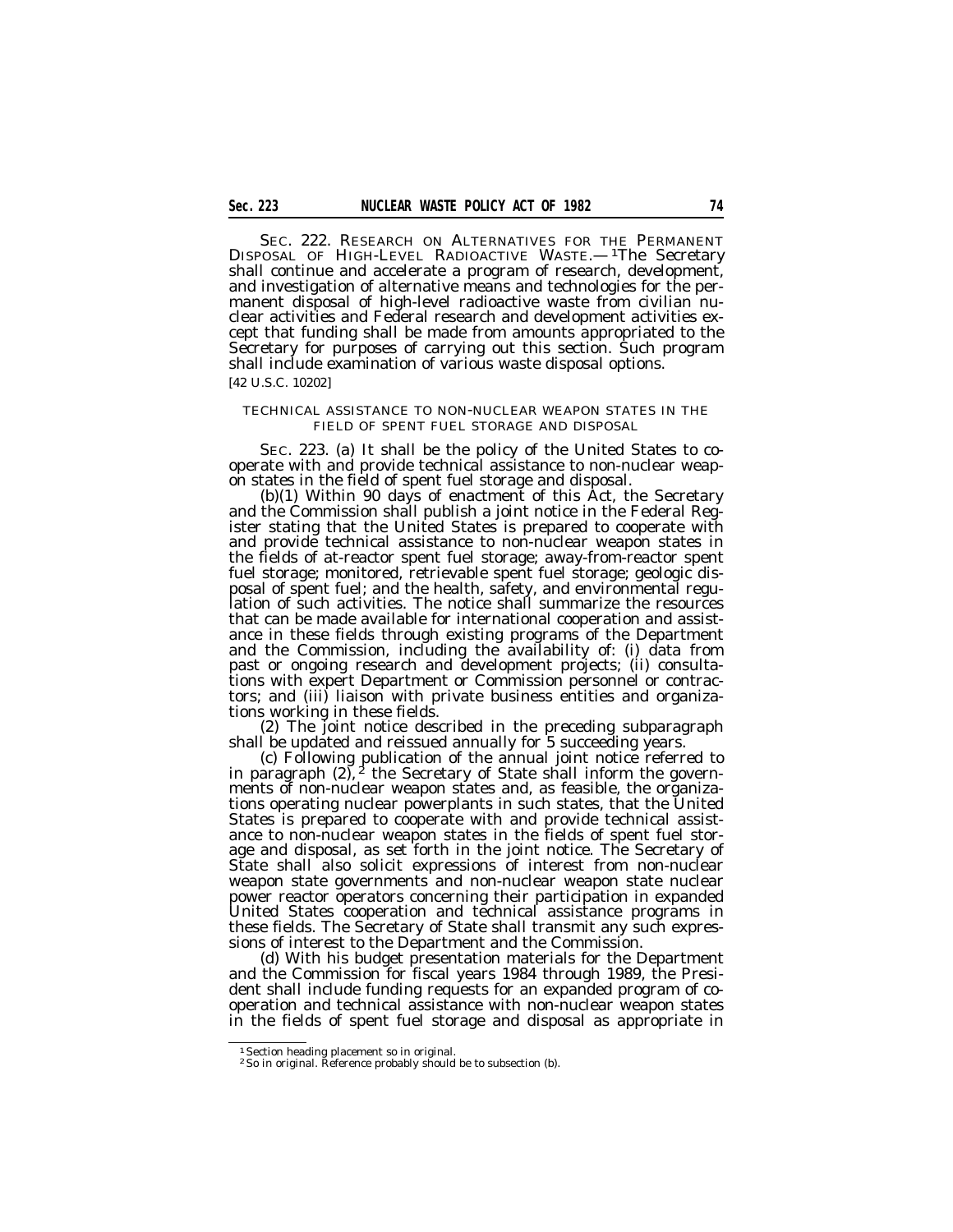SEC. 222. RESEARCH ON ALTERNATIVES FOR THE PERMANENT<br>DISPOSAL OF HIGH-LEVEL RADIOACTIVE WASTE.— <sup>1</sup>The Secretary shall continue and accelerate a program of research, development, and investigation of alternative means and technologies for the permanent disposal of high-level radioactive waste from civilian nuclear activities and Federal research and development activities except that funding shall be made from amounts appropriated to the Secretary for purposes of carrying out this section. Such program shall include examination of various waste disposal options.

[42 U.S.C. 10202]

### TECHNICAL ASSISTANCE TO NON-NUCLEAR WEAPON STATES IN THE FIELD OF SPENT FUEL STORAGE AND DISPOSAL

SEC. 223. (a) It shall be the policy of the United States to co-<br>operate with and provide technical assistance to non-nuclear weap-<br>on states in the field of spent fuel storage and disposal.

on states in the field of spent fuel storage and disposal. (b)(1) Within 90 days of enactment of this Act, the Secretary and the Commission shall publish a joint notice in the Federal Register stating that the United States is prepared to cooperate with and provide technical assistance to non-nuclear weapon states in the fields of at-reactor spent fuel storage; away-from-reactor spent fuel storage; monitored, retrievable spent fuel storage; geologic disposal of spent fuel; and the health, safety, and environmental regulation of such activities. The notice shall summarize the resources that can be made available for international cooperation and assistance in these fields through existing programs of the Department and the Commission, including the availability of: (i) data from past or ongoing research and development projects; (ii) consultations with expert Department or Commission personnel or contractors; and (iii) liaison with private business entities and organiza-

tions working in these fields.<br>
(2) The joint notice described in the preceding subparagraph<br>
shall be updated and reissued annually for 5 succeeding years.<br>
(c) Following publication of the annual joint notice referred t tions operating nuclear powerplants in such states, that the United States is prepared to cooperate with and provide technical assistance to non-nuclear weapon states in the fields of spent fuel storage and disposal, as set forth in the joint notice. The Secretary of State shall also solicit expressions of interest from non-nuclear weapon state governments and non-nuclear weapon state nuclear power reactor operators concerning their participation in expanded United States cooperation and technical assistance programs in these fields. The Secretary of State shall transmit any such expressions of interest to the Department and the Commission.

(d) With his budget presentation materials for the Department and the Commission for fiscal years 1984 through 1989, the President shall include funding requests for an expanded program of cooperation and technical assistance with non-nuclear weapon states in the fields of spent fuel storage and disposal as appropriate in

<sup>&</sup>lt;sup>1</sup> Section heading placement so in original.<br><sup>2</sup> So in original. Reference probably should be to subsection (b).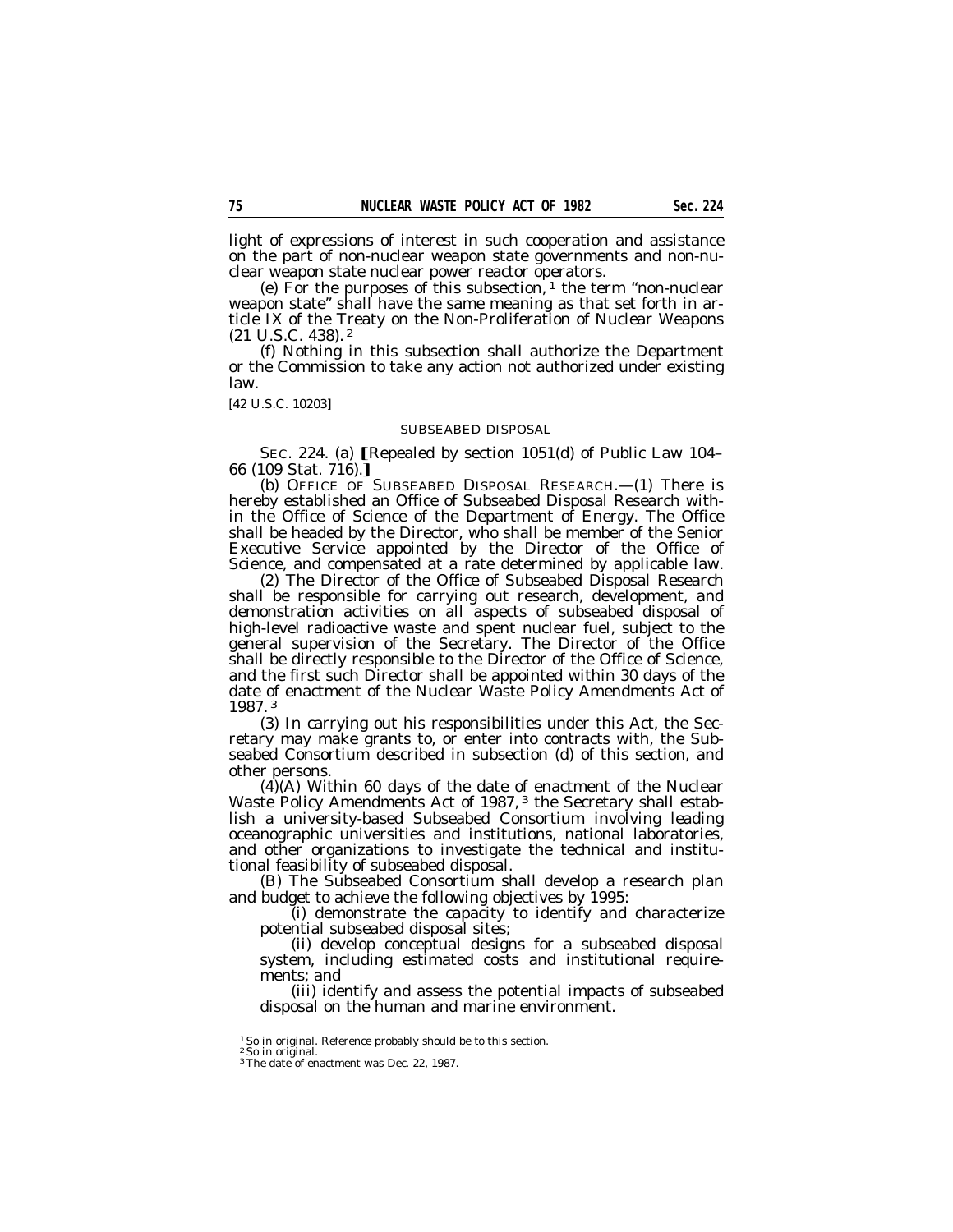light of expressions of interest in such cooperation and assistance on the part of non-nuclear weapon state governments and non-nuclear weapon state nuclear power reactor operators.

(e) For the purposes of this subsection,  $1$  the term "non-nuclear" weapon state'' shall have the same meaning as that set forth in article IX of the Treaty on the Non-Proliferation of Nuclear Weapons (21 U.S.C. 438). 2

(f) Nothing in this subsection shall authorize the Department or the Commission to take any action not authorized under existing law.

[42 U.S.C. 10203]

### SUBSEABED DISPOSAL

SEC. 224. (a) [Repealed by section 1051(d) of Public Law  $104-$ 66 (109 Stat. 716).]

(b) OFFICE OF SUBSEABED DISPOSAL RESEARCH.—(1) There is hereby established an Office of Subseabed Disposal Research within the Office of Science of the Department of Energy. The Office shall be headed by the Director, who shall be member of the Senior Executive Service appointed by the Director of the Office of Science, and compensated at a rate determined by applicable law.

(2) The Director of the Office of Subseabed Disposal Research shall be responsible for carrying out research, development, and demonstration activities on all aspects of subseabed disposal of high-level radioactive waste and spent nuclear fuel, subject to the general supervision of the Secretary. The Director of the Office shall be directly responsible to the Director of the Office of Science, and the first such Director shall be appointed within 30 days of the date of enactment of the Nuclear Waste Policy Amendments Act of 1987. 3

(3) In carrying out his responsibilities under this Act, the Secretary may make grants to, or enter into contracts with, the Subseabed Consortium described in subsection (d) of this section, and other persons.

 $(4)$ (A) Within 60 days of the date of enactment of the Nuclear Waste Policy Amendments Act of 1987, 3 the Secretary shall establish a university-based Subseabed Consortium involving leading oceanographic universities and institutions, national laboratories, and other organizations to investigate the technical and institutional feasibility of subseabed disposal.

(B) The Subseabed Consortium shall develop a research plan and budget to achieve the following objectives by 1995:

(i) demonstrate the capacity to identify and characterize potential subseabed disposal sites;

(ii) develop conceptual designs for a subseabed disposal system, including estimated costs and institutional requirements; and

(iii) identify and assess the potential impacts of subseabed disposal on the human and marine environment.

<sup>&</sup>lt;sup>1</sup> So in original. Reference probably should be to this section. 2So in original.

<sup>3</sup>The date of enactment was Dec. 22, 1987.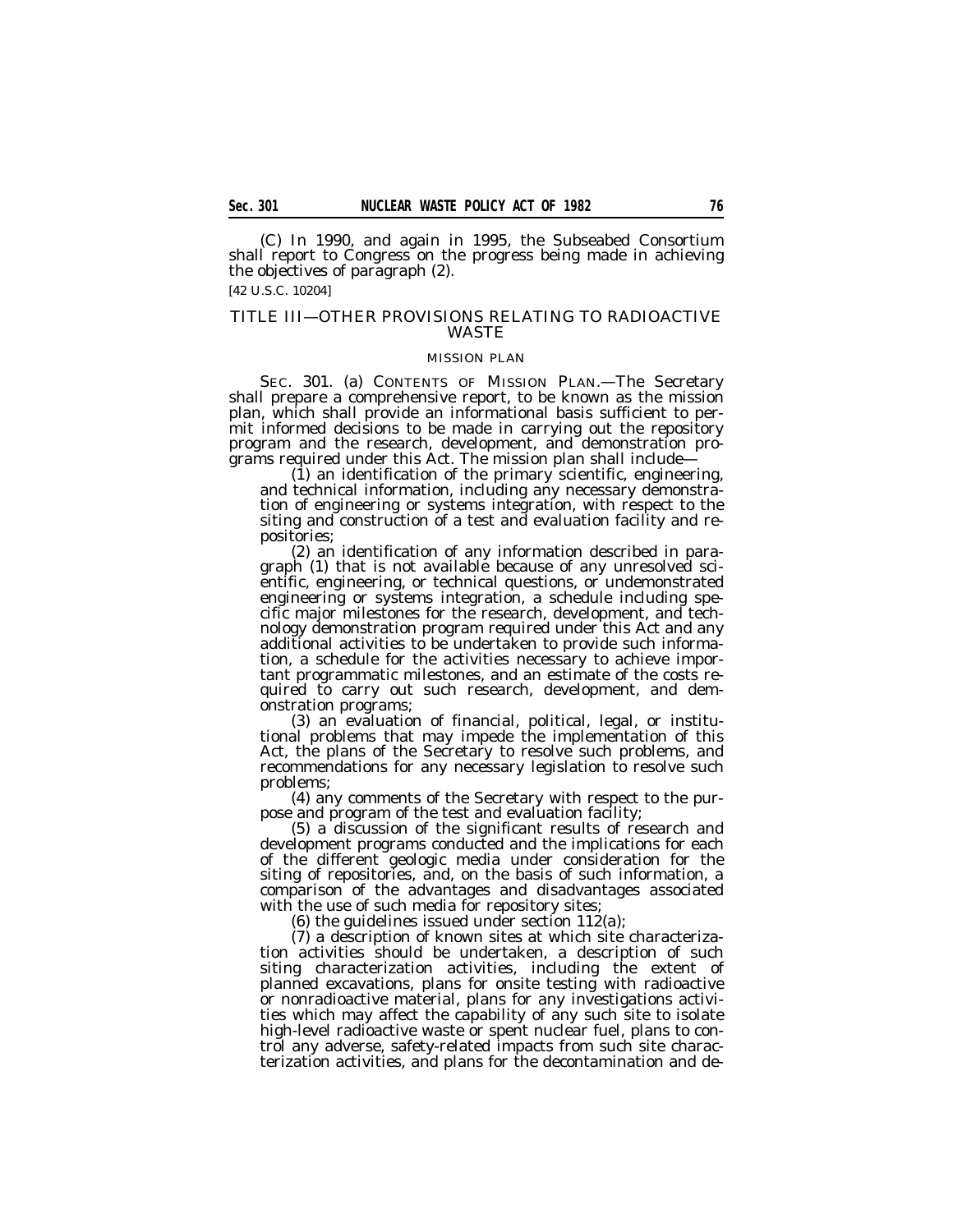(C) In 1990, and again in 1995, the Subseabed Consortium shall report to Congress on the progress being made in achieving the objectives of paragraph (2).

[42 U.S.C. 10204]

# TITLE III—OTHER PROVISIONS RELATING TO RADIOACTIVE WASTE

# MISSION PLAN

SEC. 301. (a) CONTENTS OF MISSION PLAN.—The Secretary shall prepare a comprehensive report, to be known as the mission plan, which shall provide an informational basis sufficient to permit informed decisions to be made in carrying out the repository program and the research, development, and demonstration pro-

grams required under this Act. The mission plan shall include— (1) an identification of the primary scientific, engineering, and technical information, including any necessary demonstration of engineering or systems integration, with respect to the siting and construction of a test and evaluation facility and re-

positories;<br>
(2) an identification of any information described in para-<br>
graph (1) that is not available because of any unresolved scientific, engineering, or technical questions, or undemonstrated engineering or systems integration, a schedule including specific major milestones for the research, development, and technology demonstration program required under this Act and any additional activities to be undertaken to provide such information, a schedule for the activities necessary to achieve important programmatic milestones, and an estimate of the costs required to carry out such research, development, and dem-

onstration programs; (3) an evaluation of financial, political, legal, or institu- tional problems that may impede the implementation of this Act, the plans of the Secretary to resolve such problems, and recommendations for any necessary legislation to resolve such

problems;<br>(4) any comments of the Secretary with respect to the pur-<br>pose and program of the test and evaluation facility;<br>(5) a discussion of the significant results of research and<br>development programs conducted and the of the different geologic media under consideration for the siting of repositories, and, on the basis of such information, a comparison of the advantages and disadvantages associated with the use of such media for repository sites;<br>(6) the guidelines issued under section 112(a);

(7) a description of known sites at which site characterization activities should be undertaken, a description of such siting characterization activities, including the extent of planned excavations, plans for onsite testing with radioactive or nonradioactive material, plans for any investigations activities which may affect the capability of any such site to isolate high-level radioactive waste or spent nuclear fuel, plans to control any adverse, safety-related impacts from such site characterization activities, and plans for the decontamination and de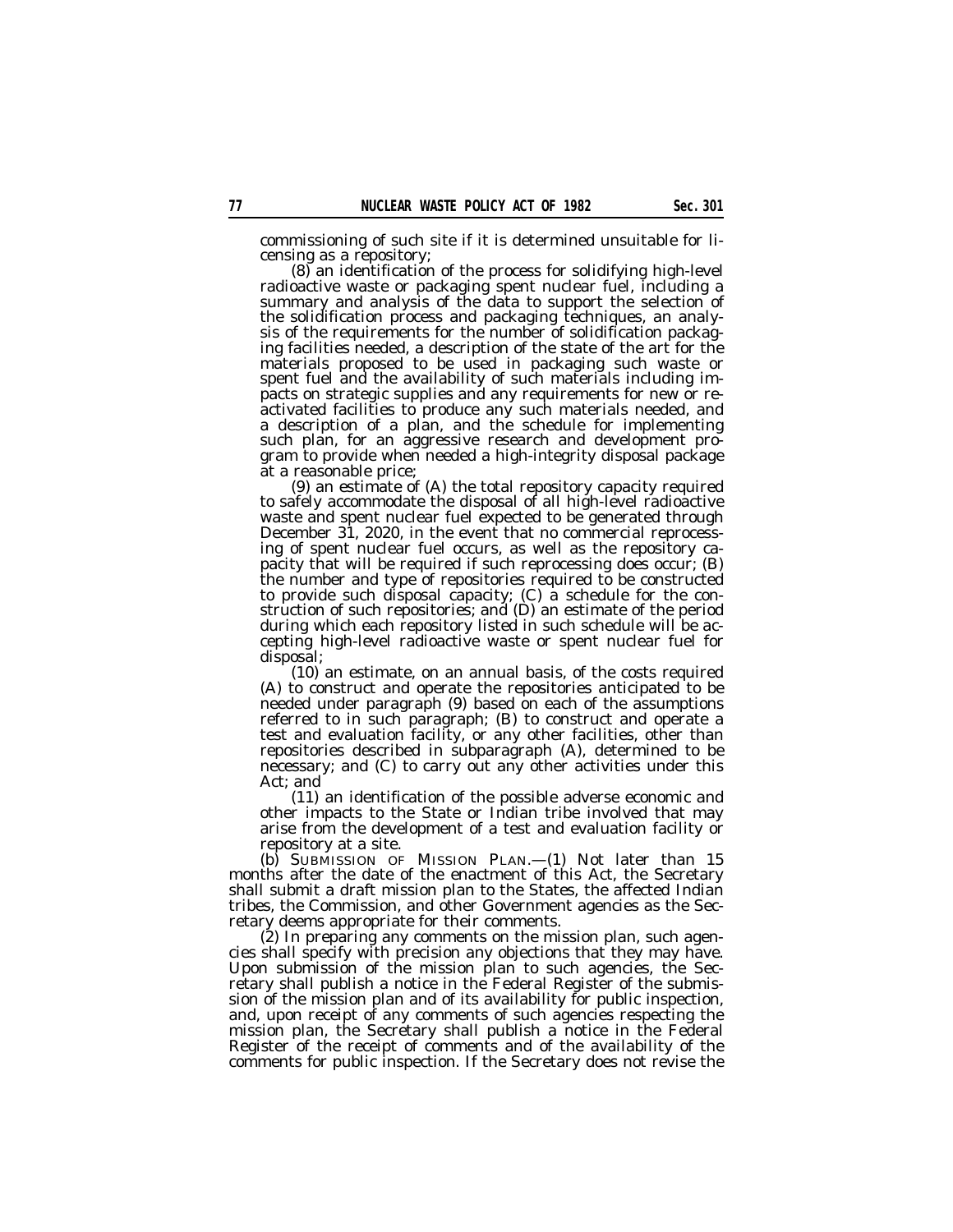commissioning of such site if it is determined unsuitable for li-

censing as a repository; (8) an identification of the process for solidifying high-level radioactive waste or packaging spent nuclear fuel, including a summary and analysis of the data to support the selection of the solidification process and packaging techniques, an analysis of the requirements for the number of solidification packaging facilities needed, a description of the state of the art for the materials proposed to be used in packaging such waste or spent fuel and the availability of such materials including impacts on strategic supplies and any requirements for new or reactivated facilities to produce any such materials needed, and a description of a plan, and the schedule for implementing such plan, for an aggressive research and development program to provide when needed a high-integrity disposal package<br>at a reasonable price;

(9) an estimate of (A) the total repository capacity required to safely accommodate the disposal of all high-level radioactive waste and spent nuclear fuel expected to be generated through December 31, 2020, in the event that no commercial reprocessing of spent nuclear fuel occurs, as well as the repository capacity that will be required if such reprocessing does occur; (B) the number and type of repositories required to be constructed to provide such disposal capacity; (C) a schedule for the construction of such repositories; and (D) an estimate of the period during which each repository listed in such schedule will be accepting high-level radioactive waste or spent nuclear fuel for disposal;

(10) an estimate, on an annual basis, of the costs required (A) to construct and operate the repositories anticipated to be needed under paragraph (9) based on each of the assumptions referred to in such paragraph; (B) to construct and operate a test and evaluation facility, or any other facilities, other than repositories described in subparagraph (A), determined to be necessary; and (C) to carry out any other activities under this Act; and

(11) an identification of the possible adverse economic and other impacts to the State or Indian tribe involved that may arise from the development of a test and evaluation facility or repository at a site.

(b) SUBMISSION OF MISSION PLAN.—(1) Not later than 15 months after the date of the enactment of this Act, the Secretary shall submit a draft mission plan to the States, the affected Indian tribes, the Commission, and other Government agencies as the Secretary deems appropriate for their comments.

(2) In preparing any comments on the mission plan, such agencies shall specify with precision any objections that they may have. Upon submission of the mission plan to such agencies, the Secretary shall publish a notice in the Federal Register of the submission of the mission plan and of its availability for public inspection, and, upon receipt of any comments of such agencies respecting the mission plan, the Secretary shall publish a notice in the Federal Register of the receipt of comments and of the availability of the comments for public inspection. If the Secretary does not revise the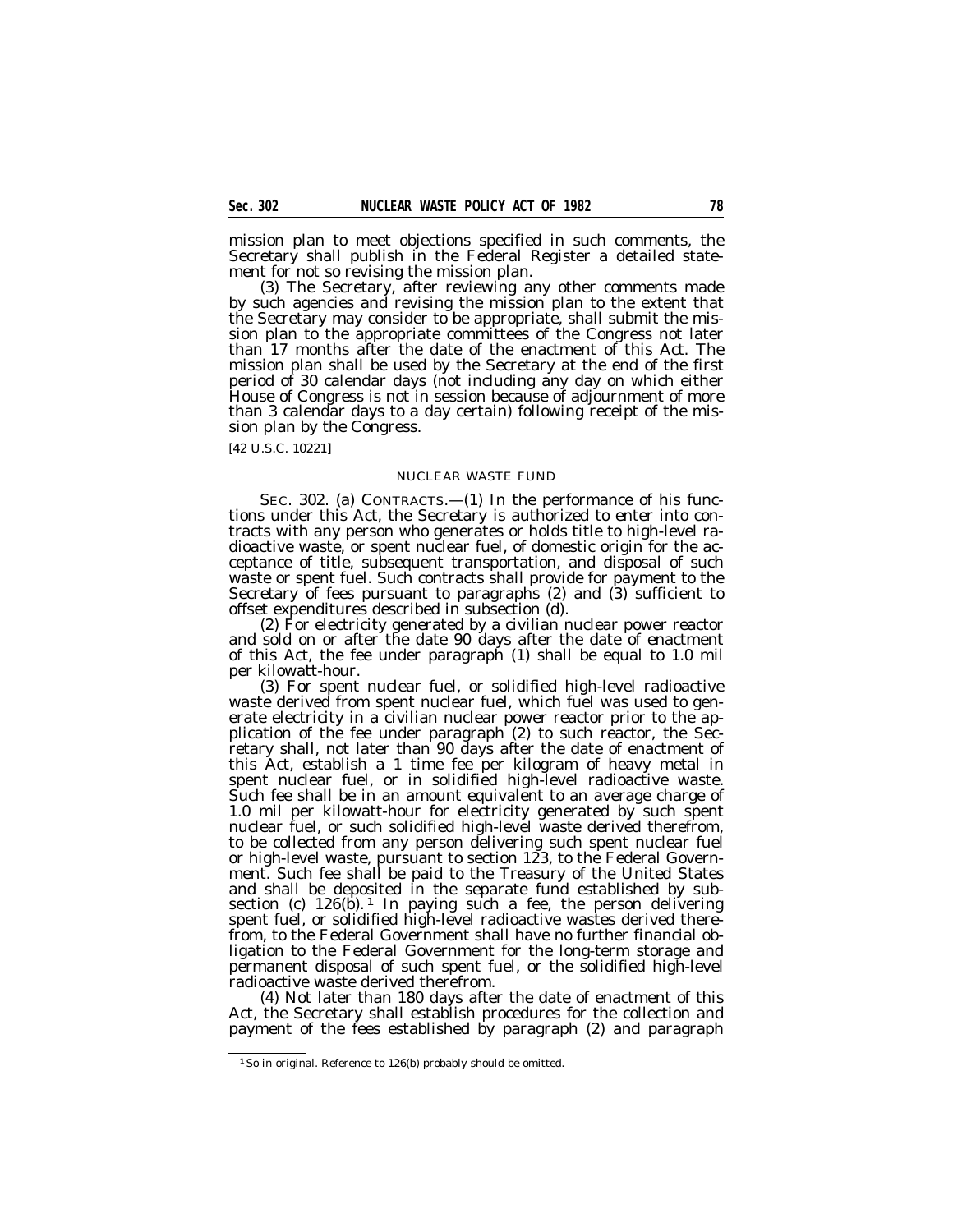mission plan to meet objections specified in such comments, the Secretary shall publish in the Federal Register a detailed statement for not so revising the mission plan.

(3) The Secretary, after reviewing any other comments made by such agencies and revising the mission plan to the extent that the Secretary may consider to be appropriate, shall submit the mission plan to the appropriate committees of the Congress not later than 17 months after the date of the enactment of this Act. The mission plan shall be used by the Secretary at the end of the first period of 30 calendar days (not including any day on which either House of Congress is not in session because of adjournment of more than 3 calendar days to a day certain) following receipt of the mission plan by the Congress.

[42 U.S.C. 10221]

### NUCLEAR WASTE FUND

SEC. 302. (a) CONTRACTS.—(1) In the performance of his functions under this Act, the Secretary is authorized to enter into contracts with any person who generates or holds title to high-level radioactive waste, or spent nuclear fuel, of domestic origin for the acceptance of title, subsequent transportation, and disposal of such waste or spent fuel. Such contracts shall provide for payment to the Secretary of fees pursuant to paragraphs (2) and (3) sufficient to offset expenditures described in subsection (d).

(2) For electricity generated by a civilian nuclear power reactor and sold on or after the date 90 days after the date of enactment of this Act, the fee under paragraph (1) shall be equal to 1.0 mil per kilowatt-hour.

(3) For spent nuclear fuel, or solidified high-level radioactive waste derived from spent nuclear fuel, which fuel was used to generate electricity in a civilian nuclear power reactor prior to the application of the fee under paragraph (2) to such reactor, the Secretary shall, not later than 90 days after the date of enactment of this Act, establish a 1 time fee per kilogram of heavy metal in spent nuclear fuel, or in solidified high-level radioactive waste. Such fee shall be in an amount equivalent to an average charge of 1.0 mil per kilowatt-hour for electricity generated by such spent nuclear fuel, or such solidified high-level waste derived therefrom, to be collected from any person delivering such spent nuclear fuel or high-level waste, pursuant to section 123, to the Federal Government. Such fee shall be paid to the Treasury of the United States and shall be deposited in the separate fund established by subsection (c)  $126(b)$ . In paying such a fee, the person delivering spent fuel, or solidified high-level radioactive wastes derived therefrom, to the Federal Government shall have no further financial obligation to the Federal Government for the long-term storage and permanent disposal of such spent fuel, or the solidified high-level radioactive waste derived therefrom.

(4) Not later than 180 days after the date of enactment of this Act, the Secretary shall establish procedures for the collection and payment of the fees established by paragraph (2) and paragraph

<sup>1</sup>So in original. Reference to 126(b) probably should be omitted.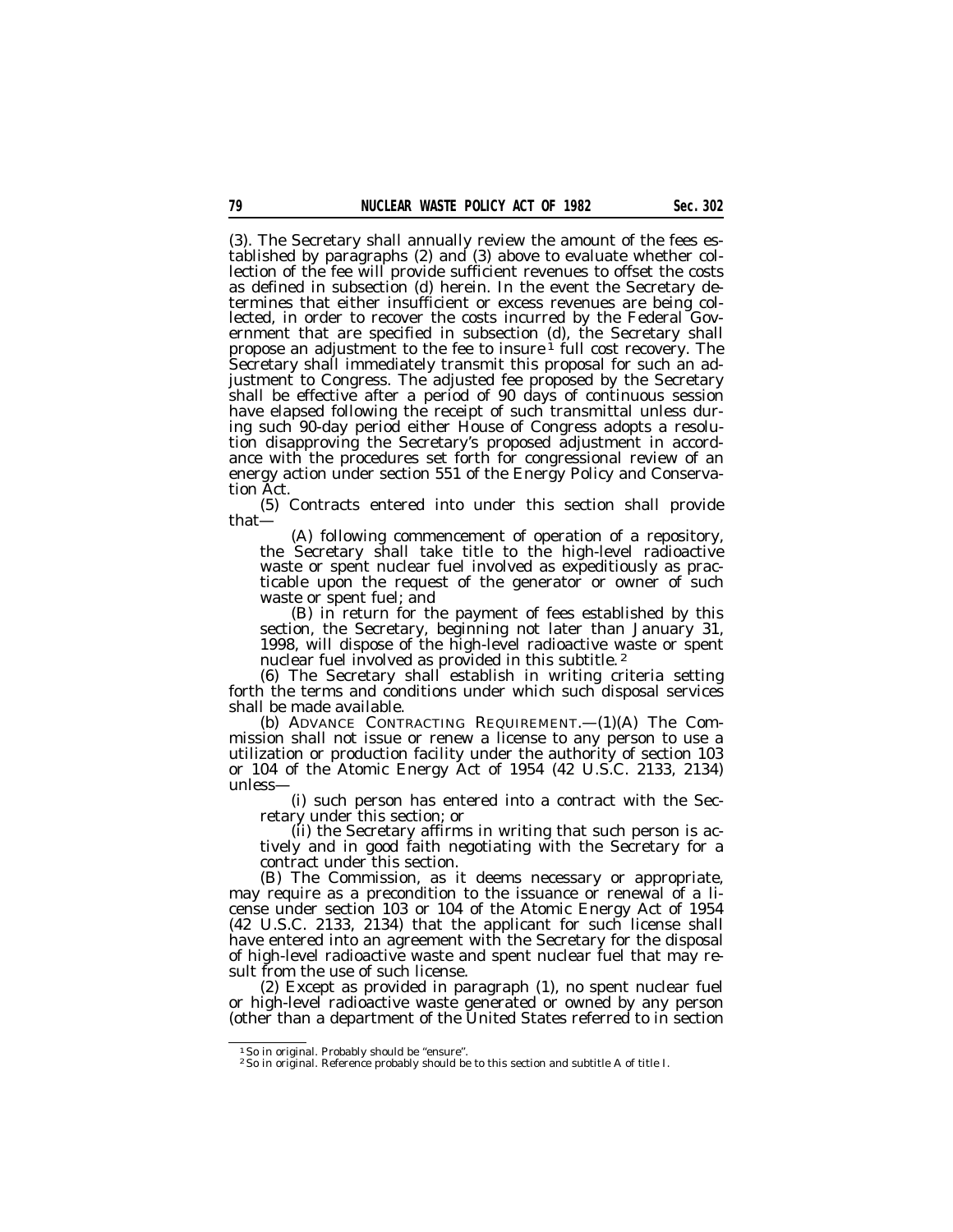(3). The Secretary shall annually review the amount of the fees established by paragraphs (2) and (3) above to evaluate whether collection of the fee will provide sufficient revenues to offset the costs as defined in subsection (d) herein. In the event the Secretary determines that either insufficient or excess revenues are being collected, in order to recover the costs incurred by the Federal Government that are specified in subsection (d), the Secretary shall propose an adjustment to the fee to insure <sup>1</sup> full cost recovery. The Secretary shall immediately transmit this proposal for such an adjustment to Congress. The adjusted fee proposed by the Secretary shall be effective after a period of 90 days of continuous session have elapsed following the receipt of such transmittal unless during such 90-day period either House of Congress adopts a resolution disapproving the Secretary's proposed adjustment in accordance with the procedures set forth for congressional review of an energy action under section 551 of the Energy Policy and Conservation Act.

(5) Contracts entered into under this section shall provide that—

(A) following commencement of operation of a repository, the Secretary shall take title to the high-level radioactive waste or spent nuclear fuel involved as expeditiously as practicable upon the request of the generator or owner of such waste or spent fuel; and

(B) in return for the payment of fees established by this section, the Secretary, beginning not later than January 31, 1998, will dispose of the high-level radioactive waste or spent nuclear fuel involved as provided in this subtitle. 2

(6) The Secretary shall establish in writing criteria setting forth the terms and conditions under which such disposal services shall be made available.

(b) ADVANCE CONTRACTING REQUIREMENT.—(1)(A) The Commission shall not issue or renew a license to any person to use a utilization or production facility under the authority of section 103 or 104 of the Atomic Energy Act of 1954 (42 U.S.C. 2133, 2134) unless—

(i) such person has entered into a contract with the Secretary under this section; or

(ii) the Secretary affirms in writing that such person is actively and in good faith negotiating with the Secretary for a contract under this section.

(B) The Commission, as it deems necessary or appropriate, may require as a precondition to the issuance or renewal of a license under section 103 or 104 of the Atomic Energy Act of 1954 (42 U.S.C. 2133, 2134) that the applicant for such license shall have entered into an agreement with the Secretary for the disposal of high-level radioactive waste and spent nuclear fuel that may result from the use of such license.

(2) Except as provided in paragraph (1), no spent nuclear fuel or high-level radioactive waste generated or owned by any person (other than a department of the United States referred to in section

<sup>&</sup>lt;sup>1</sup> So in original. Probably should be "ensure".

<sup>2</sup>So in original. Reference probably should be to this section and subtitle A of title I.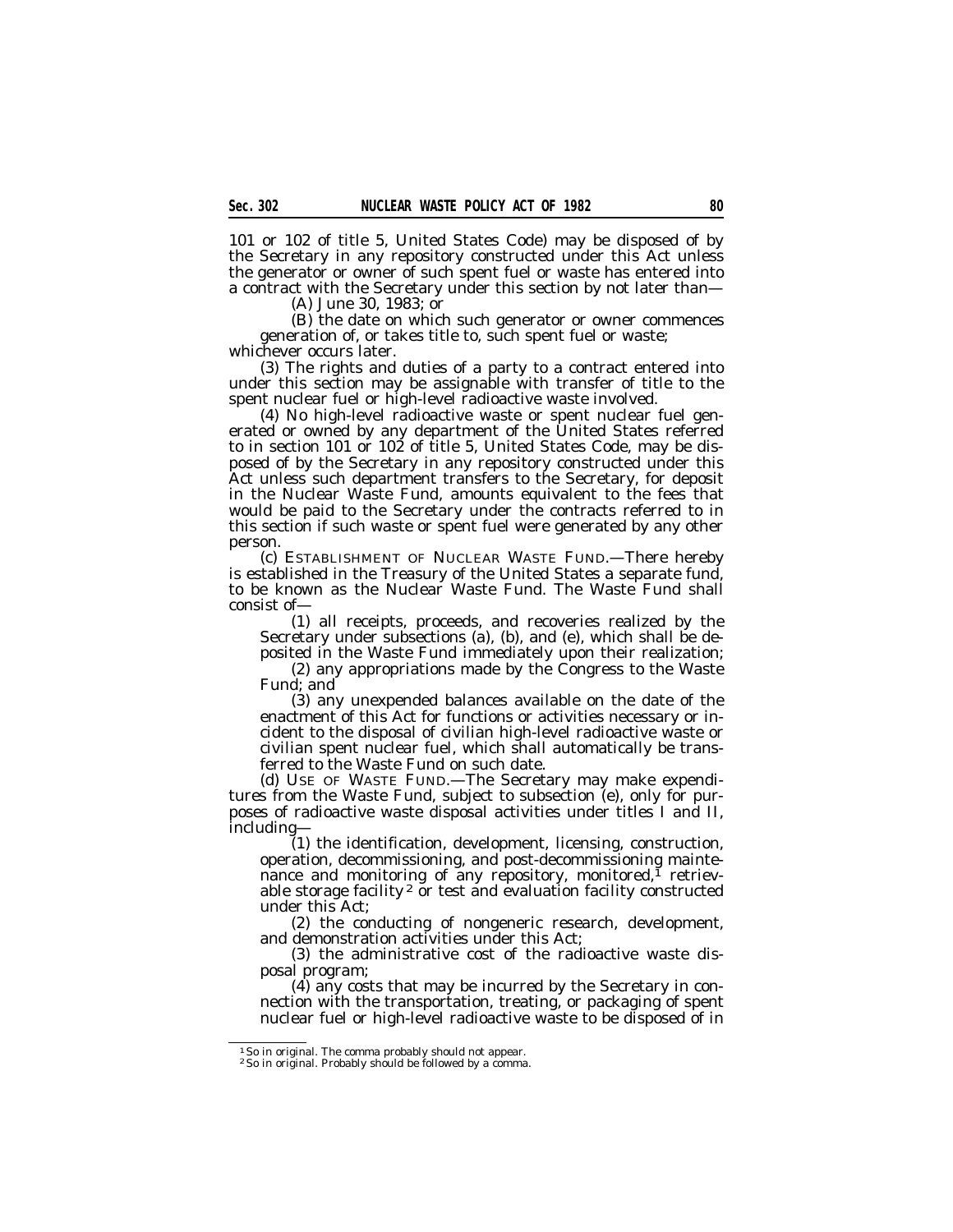101 or 102 of title 5, United States Code) may be disposed of by the Secretary in any repository constructed under this Act unless the generator or owner of such spent fuel or waste has entered into a contract with the Secretary under this section by not later than—

(A) June 30, 1983; or

(B) the date on which such generator or owner commences generation of, or takes title to, such spent fuel or waste;

whichever occurs later.

(3) The rights and duties of a party to a contract entered into under this section may be assignable with transfer of title to the spent nuclear fuel or high-level radioactive waste involved.

(4) No high-level radioactive waste or spent nuclear fuel generated or owned by any department of the United States referred to in section 101 or 102 of title 5, United States Code, may be disposed of by the Secretary in any repository constructed under this Act unless such department transfers to the Secretary, for deposit in the Nuclear Waste Fund, amounts equivalent to the fees that would be paid to the Secretary under the contracts referred to in this section if such waste or spent fuel were generated by any other person.

(c) ESTABLISHMENT OF NUCLEAR WASTE FUND.—There hereby is established in the Treasury of the United States a separate fund, to be known as the Nuclear Waste Fund. The Waste Fund shall consist of—

(1) all receipts, proceeds, and recoveries realized by the Secretary under subsections (a), (b), and (e), which shall be deposited in the Waste Fund immediately upon their realization; (2) any appropriations made by the Congress to the Waste

Fund; and (3) any unexpended balances available on the date of the enactment of this Act for functions or activities necessary or in-

cident to the disposal of civilian high-level radioactive waste or civilian spent nuclear fuel, which shall automatically be transferred to the Waste Fund on such date.

(d) USE OF WASTE FUND.—The Secretary may make expenditures from the Waste Fund, subject to subsection (e), only for purposes of radioactive waste disposal activities under titles I and II, including—

(1) the identification, development, licensing, construction, operation, decommissioning, and post-decommissioning maintenance and monitoring of any repository, monitored, $<sup>1</sup>$  retriev-</sup> able storage facility<sup>2</sup> or test and evaluation facility constructed under this Act;

(2) the conducting of nongeneric research, development, and demonstration activities under this Act;

(3) the administrative cost of the radioactive waste disposal program;

(4) any costs that may be incurred by the Secretary in connection with the transportation, treating, or packaging of spent nuclear fuel or high-level radioactive waste to be disposed of in

<sup>&</sup>lt;sup>1</sup>So in original. The comma probably should not appear.

<sup>2</sup>So in original. Probably should be followed by a comma.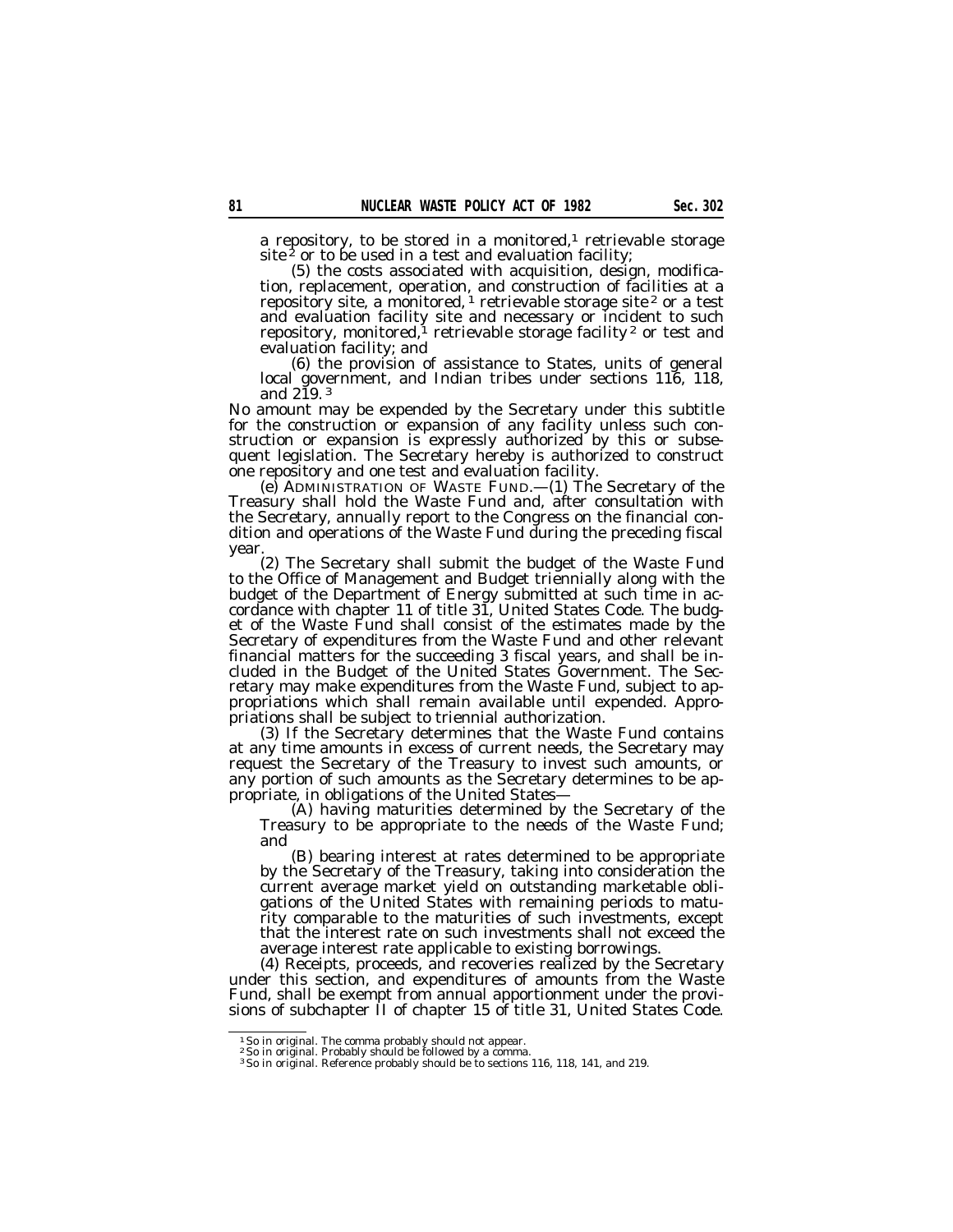a repository, to be stored in a monitored,<sup>1</sup> retrievable storage site  $\hat{z}$  or to be used in a test and evaluation facility;

(5) the costs associated with acquisition, design, modifica- tion, replacement, operation, and construction of facilities at a repository site, a monitored,  $\frac{1}{2}$  retrievable storage site  $\frac{2}{3}$  or a test and evaluation facility site and necessary or incident to such repository, monitored, i retrievable storage facility 2 or test and evaluation facility; and

evaluation facility; and (6) the provision of assistance to States, units of general local government, and Indian tribes under sections 116, 118, and 219. 3

No amount may be expended by the Secretary under this subtitle for the construction or expansion of any facility unless such construction or expansion is expressly authorized by this or subsequent legislation. The Secretary hereby is authorized to construct one repository and one test and evaluation facility.

one repository and one test and evaluation facility. (e) ADMINISTRATION OF WASTE FUND.—(1) The Secretary of the Treasury shall hold the Waste Fund and, after consultation with the Secretary, annually report to the Congress on the financial condition and operations of the Waste Fund during the preceding fiscal

year.(2) The Secretary shall submit the budget of the Waste Fund to the Office of Management and Budget triennially along with the budget of the Department of Energy submitted at such time in accordance with chapter 11 of title 31, United States Code. The budget of the Waste Fund shall consist of the estimates made by the Secretary of expenditures from the Waste Fund and other relevant financial matters for the succeeding 3 fiscal years, and shall be included in the Budget of the United States Government. The Secretary may make expenditures from the Waste Fund, subject to appropriations which shall remain available until expended. Appro-<br>priations shall be subject to triennial authorization.

primation Secretary determines that the Waste Fund contains at any time amounts in excess of current needs, the Secretary may request the Secretary of the Treasury to invest such amounts, or any portion of such amounts as the Secretary determines to be ap-

propriate, in obligations of the United States— (A) having maturities determined by the Secretary of the Treasury to be appropriate to the needs of the Waste Fund; and

(B) bearing interest at rates determined to be appropriate by the Secretary of the Treasury, taking into consideration the current average market yield on outstanding marketable obligations of the United States with remaining periods to maturity comparable to the maturities of such investments, except that the interest rate on such investments shall not exceed the average interest rate applicable to existing borrowings.

(4) Receipts, proceeds, and recoveries realized by the Secretary under this section, and expenditures of amounts from the Waste Fund, shall be exempt from annual apportionment under the provisions of subchapter II of chapter 15 of title 31, United States Code.

<sup>1</sup>So in original. The comma probably should not appear. 2So in original. Probably should be followed by a comma. 3So in original. Reference probably should be to sections 116, 118, 141, and 219.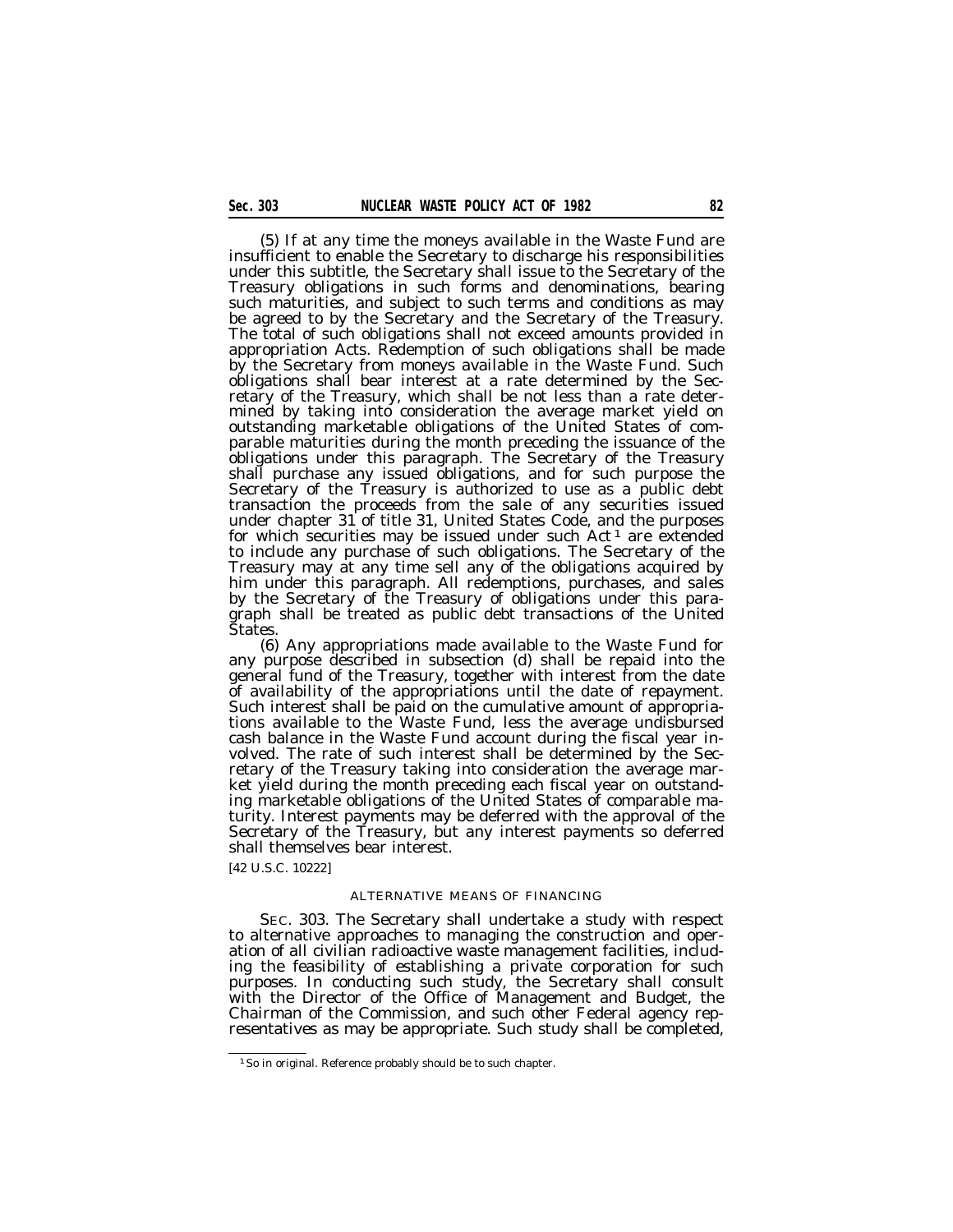(5) If at any time the moneys available in the Waste Fund are insufficient to enable the Secretary to discharge his responsibilities under this subtitle, the Secretary shall issue to the Secretary of the Treasury obligations in such forms and denominations, bearing such maturities, and subject to such terms and conditions as may be agreed to by the Secretary and the Secretary of the Treasury. The total of such obligations shall not exceed amounts provided in appropriation Acts. Redemption of such obligations shall be made by the Secretary from moneys available in the Waste Fund. Such obligations shall bear interest at a rate determined by the Secretary of the Treasury, which shall be not less than a rate determined by taking into consideration the average market yield on outstanding marketable obligations of the United States of comparable maturities during the month preceding the issuance of the obligations under this paragraph. The Secretary of the Treasury shall purchase any issued obligations, and for such purpose the Secretary of the Treasury is authorized to use as a public debt transaction the proceeds from the sale of any securities issued under chapter 31 of title 31, United States Code, and the purposes for which securities may be issued under such  $Act<sup>1</sup>$  are extended to include any purchase of such obligations. The Secretary of the Treasury may at any time sell any of the obligations acquired by him under this paragraph. All redemptions, purchases, and sales by the Secretary of the Treasury of obligations under this paragraph shall be treated as public debt transactions of the United States.

(6) Any appropriations made available to the Waste Fund for any purpose described in subsection (d) shall be repaid into the general fund of the Treasury, together with interest from the date of availability of the appropriations until the date of repayment. Such interest shall be paid on the cumulative amount of appropriations available to the Waste Fund, less the average undisbursed cash balance in the Waste Fund account during the fiscal year involved. The rate of such interest shall be determined by the Secretary of the Treasury taking into consideration the average market yield during the month preceding each fiscal year on outstanding marketable obligations of the United States of comparable maturity. Interest payments may be deferred with the approval of the Secretary of the Treasury, but any interest payments so deferred shall themselves bear interest.

[42 U.S.C. 10222]

# ALTERNATIVE MEANS OF FINANCING

SEC. 303. The Secretary shall undertake a study with respect to alternative approaches to managing the construction and operation of all civilian radioactive waste management facilities, including the feasibility of establishing a private corporation for such purposes. In conducting such study, the Secretary shall consult with the Director of the Office of Management and Budget, the Chairman of the Commission, and such other Federal agency representatives as may be appropriate. Such study shall be completed,

<sup>&</sup>lt;sup>1</sup>So in original. Reference probably should be to such chapter.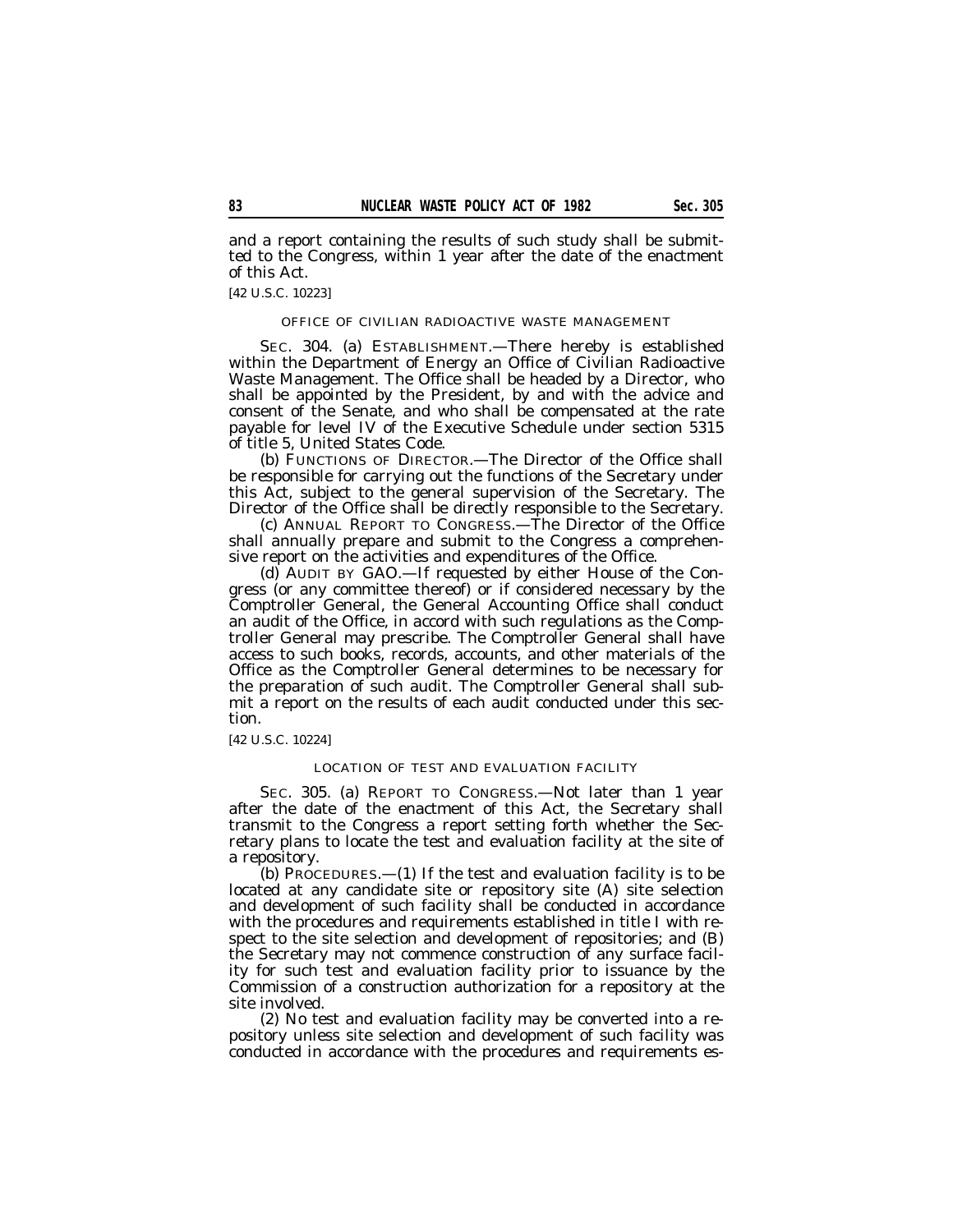and a report containing the results of such study shall be submitted to the Congress, within 1 year after the date of the enactment of this Act.

[42 U.S.C. 10223]

## OFFICE OF CIVILIAN RADIOACTIVE WASTE MANAGEMENT

SEC. 304. (a) ESTABLISHMENT.—There hereby is established within the Department of Energy an Office of Civilian Radioactive Waste Management. The Office shall be headed by a Director, who shall be appointed by the President, by and with the advice and consent of the Senate, and who shall be compensated at the rate payable for level IV of the Executive Schedule under section 5315 of title 5, United States Code.

(b) FUNCTIONS OF DIRECTOR.—The Director of the Office shall be responsible for carrying out the functions of the Secretary under this Act, subject to the general supervision of the Secretary. The Director of the Office shall be directly responsible to the Secretary.

(c) ANNUAL REPORT TO CONGRESS.—The Director of the Office shall annually prepare and submit to the Congress a comprehensive report on the activities and expenditures of the Office.

(d) AUDIT BY GAO.—If requested by either House of the Congress (or any committee thereof) or if considered necessary by the Comptroller General, the General Accounting Office shall conduct an audit of the Office, in accord with such regulations as the Comptroller General may prescribe. The Comptroller General shall have access to such books, records, accounts, and other materials of the Office as the Comptroller General determines to be necessary for the preparation of such audit. The Comptroller General shall submit a report on the results of each audit conducted under this section.

[42 U.S.C. 10224]

#### LOCATION OF TEST AND EVALUATION FACILITY

SEC. 305. (a) REPORT TO CONGRESS.—Not later than 1 year after the date of the enactment of this Act, the Secretary shall transmit to the Congress a report setting forth whether the Secretary plans to locate the test and evaluation facility at the site of a repository.

(b) PROCEDURES.—(1) If the test and evaluation facility is to be located at any candidate site or repository site (A) site selection and development of such facility shall be conducted in accordance with the procedures and requirements established in title I with respect to the site selection and development of repositories; and (B) the Secretary may not commence construction of any surface facility for such test and evaluation facility prior to issuance by the Commission of a construction authorization for a repository at the site involved.

(2) No test and evaluation facility may be converted into a repository unless site selection and development of such facility was conducted in accordance with the procedures and requirements es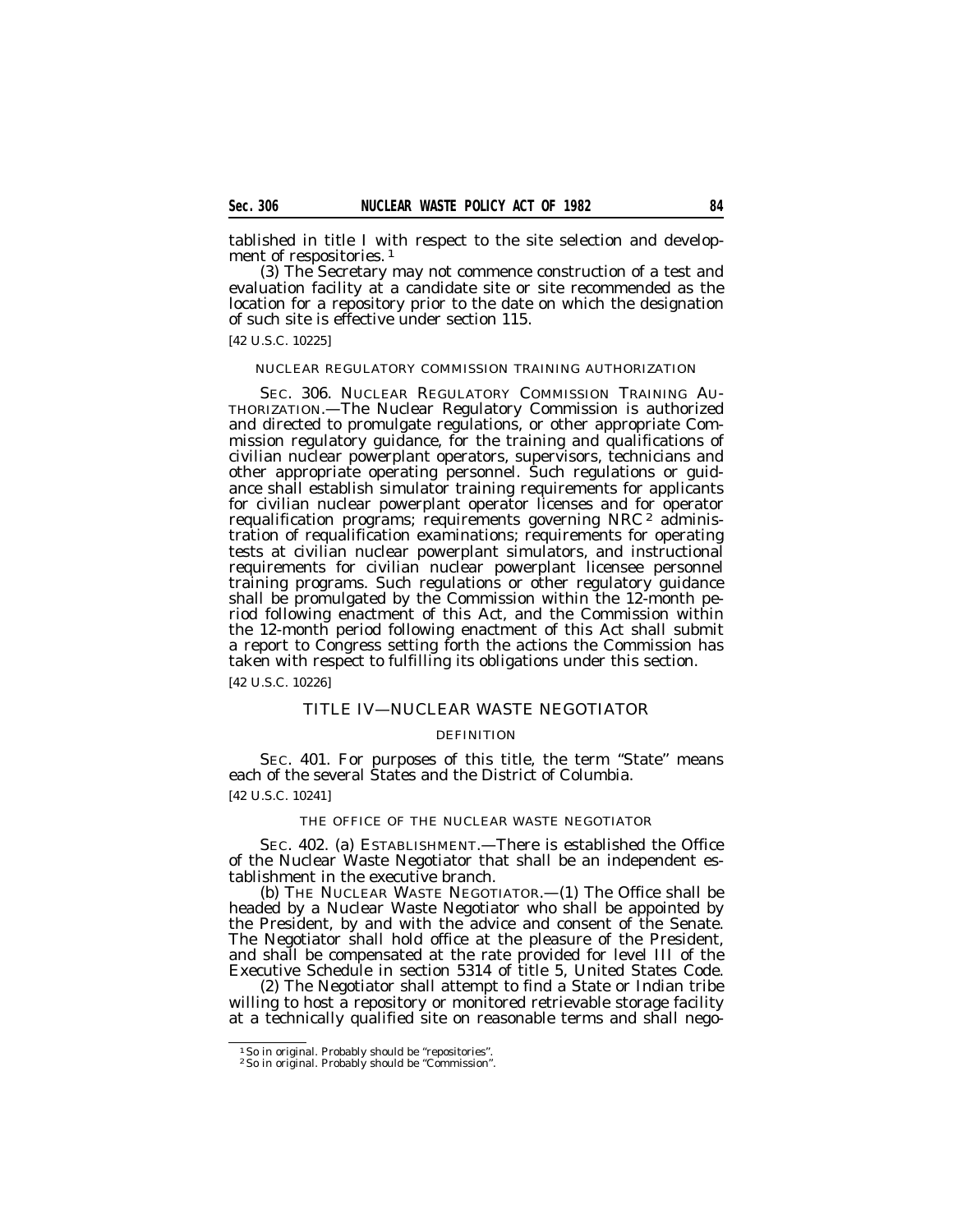tablished in title I with respect to the site selection and development of respositories.<sup>1</sup>

(3) The Secretary may not commence construction of a test and evaluation facility at a candidate site or site recommended as the location for a repository prior to the date on which the designation of such site is effective under section 115.

[42 U.S.C. 10225]

### NUCLEAR REGULATORY COMMISSION TRAINING AUTHORIZATION

SEC. 306. NUCLEAR REGULATORY COMMISSION TRAINING AU-THORIZATION.—The Nuclear Regulatory Commission is authorized and directed to promulgate regulations, or other appropriate Commission regulatory guidance, for the training and qualifications of civilian nuclear powerplant operators, supervisors, technicians and other appropriate operating personnel. Such regulations or guidance shall establish simulator training requirements for applicants for civilian nuclear powerplant operator licenses and for operator requalification programs; requirements governing NRC<sup>2</sup> administration of requalification examinations; requirements for operating tests at civilian nuclear powerplant simulators, and instructional requirements for civilian nuclear powerplant licensee personnel training programs. Such regulations or other regulatory guidance shall be promulgated by the Commission within the 12-month period following enactment of this Act, and the Commission within the 12-month period following enactment of this Act shall submit a report to Congress setting forth the actions the Commission has taken with respect to fulfilling its obligations under this section.

[42 U.S.C. 10226]

## TITLE IV—NUCLEAR WASTE NEGOTIATOR

#### DEFINITION

SEC. 401. For purposes of this title, the term ''State'' means each of the several States and the District of Columbia. [42 U.S.C. 10241]

# THE OFFICE OF THE NUCLEAR WASTE NEGOTIATOR

SEC. 402. (a) ESTABLISHMENT.—There is established the Office of the Nuclear Waste Negotiator that shall be an independent establishment in the executive branch.

(b) THE NUCLEAR WASTE NEGOTIATOR.—(1) The Office shall be headed by a Nuclear Waste Negotiator who shall be appointed by the President, by and with the advice and consent of the Senate. The Negotiator shall hold office at the pleasure of the President, and shall be compensated at the rate provided for level III of the Executive Schedule in section 5314 of title 5, United States Code.

(2) The Negotiator shall attempt to find a State or Indian tribe willing to host a repository or monitored retrievable storage facility at a technically qualified site on reasonable terms and shall nego-

<sup>&</sup>lt;sup>1</sup> So in original. Probably should be "repositories".<br><sup>2</sup> So in original. Probably should be "Commission".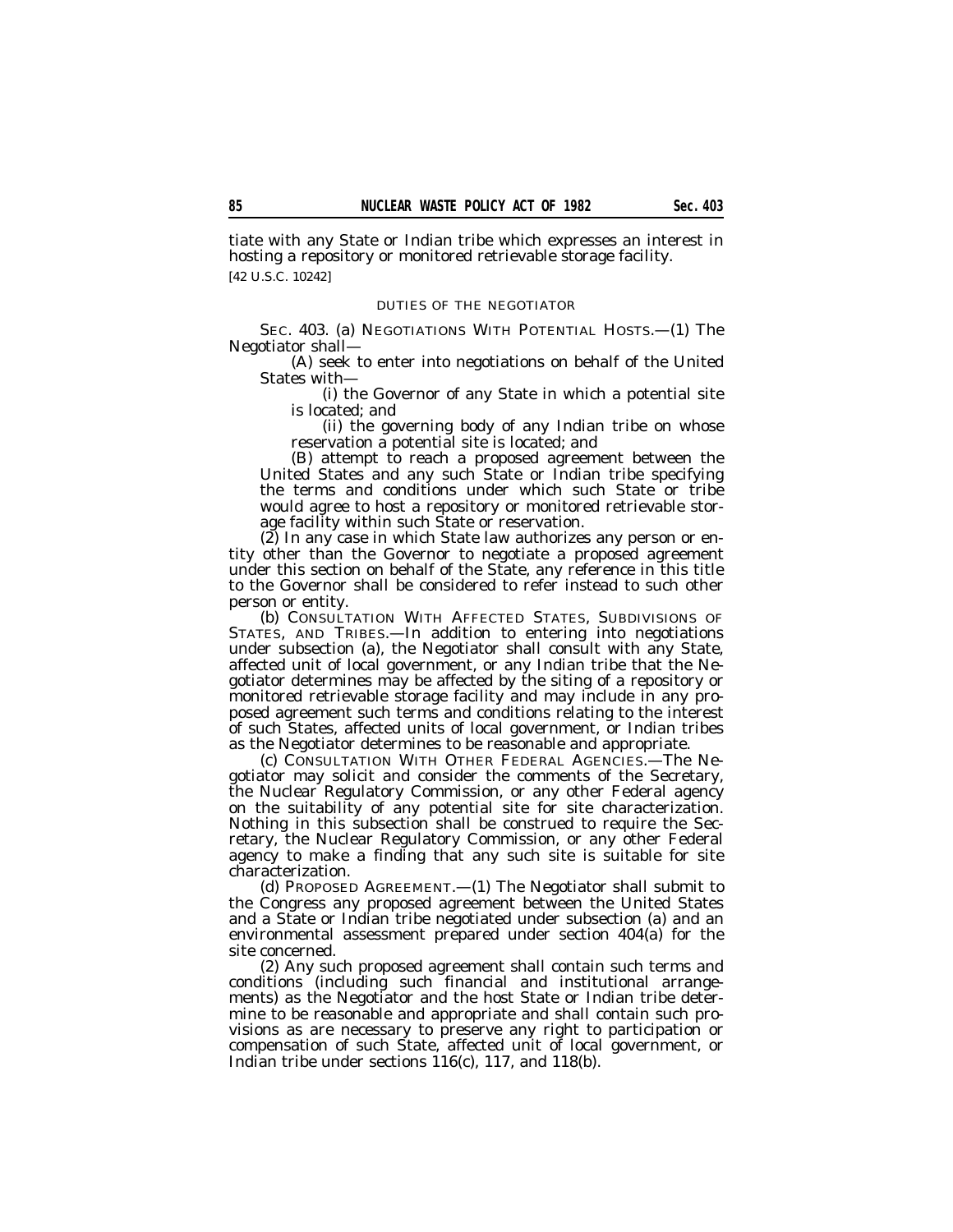tiate with any State or Indian tribe which expresses an interest in hosting a repository or monitored retrievable storage facility. [42 U.S.C. 10242]

### DUTIES OF THE NEGOTIATOR

SEC. 403. (a) NEGOTIATIONS WITH POTENTIAL HOSTS.—(1) The Negotiator shall—

(A) seek to enter into negotiations on behalf of the United States with—

(i) the Governor of any State in which a potential site is located; and

(ii) the governing body of any Indian tribe on whose reservation a potential site is located; and

(B) attempt to reach a proposed agreement between the United States and any such State or Indian tribe specifying the terms and conditions under which such State or tribe would agree to host a repository or monitored retrievable storage facility within such State or reservation.

(2) In any case in which State law authorizes any person or entity other than the Governor to negotiate a proposed agreement under this section on behalf of the State, any reference in this title to the Governor shall be considered to refer instead to such other person or entity.

(b) CONSULTATION WITH AFFECTED STATES, SUBDIVISIONS OF STATES, AND TRIBES.—In addition to entering into negotiations under subsection (a), the Negotiator shall consult with any State, affected unit of local government, or any Indian tribe that the Negotiator determines may be affected by the siting of a repository or monitored retrievable storage facility and may include in any proposed agreement such terms and conditions relating to the interest of such States, affected units of local government, or Indian tribes as the Negotiator determines to be reasonable and appropriate.

(c) CONSULTATION WITH OTHER FEDERAL AGENCIES.—The Negotiator may solicit and consider the comments of the Secretary, the Nuclear Regulatory Commission, or any other Federal agency on the suitability of any potential site for site characterization. Nothing in this subsection shall be construed to require the Secretary, the Nuclear Regulatory Commission, or any other Federal agency to make a finding that any such site is suitable for site characterization.

(d) PROPOSED AGREEMENT.—(1) The Negotiator shall submit to the Congress any proposed agreement between the United States and a State or Indian tribe negotiated under subsection (a) and an environmental assessment prepared under section 404(a) for the site concerned.

(2) Any such proposed agreement shall contain such terms and conditions (including such financial and institutional arrangements) as the Negotiator and the host State or Indian tribe determine to be reasonable and appropriate and shall contain such provisions as are necessary to preserve any right to participation or compensation of such State, affected unit of local government, or Indian tribe under sections 116(c), 117, and 118(b).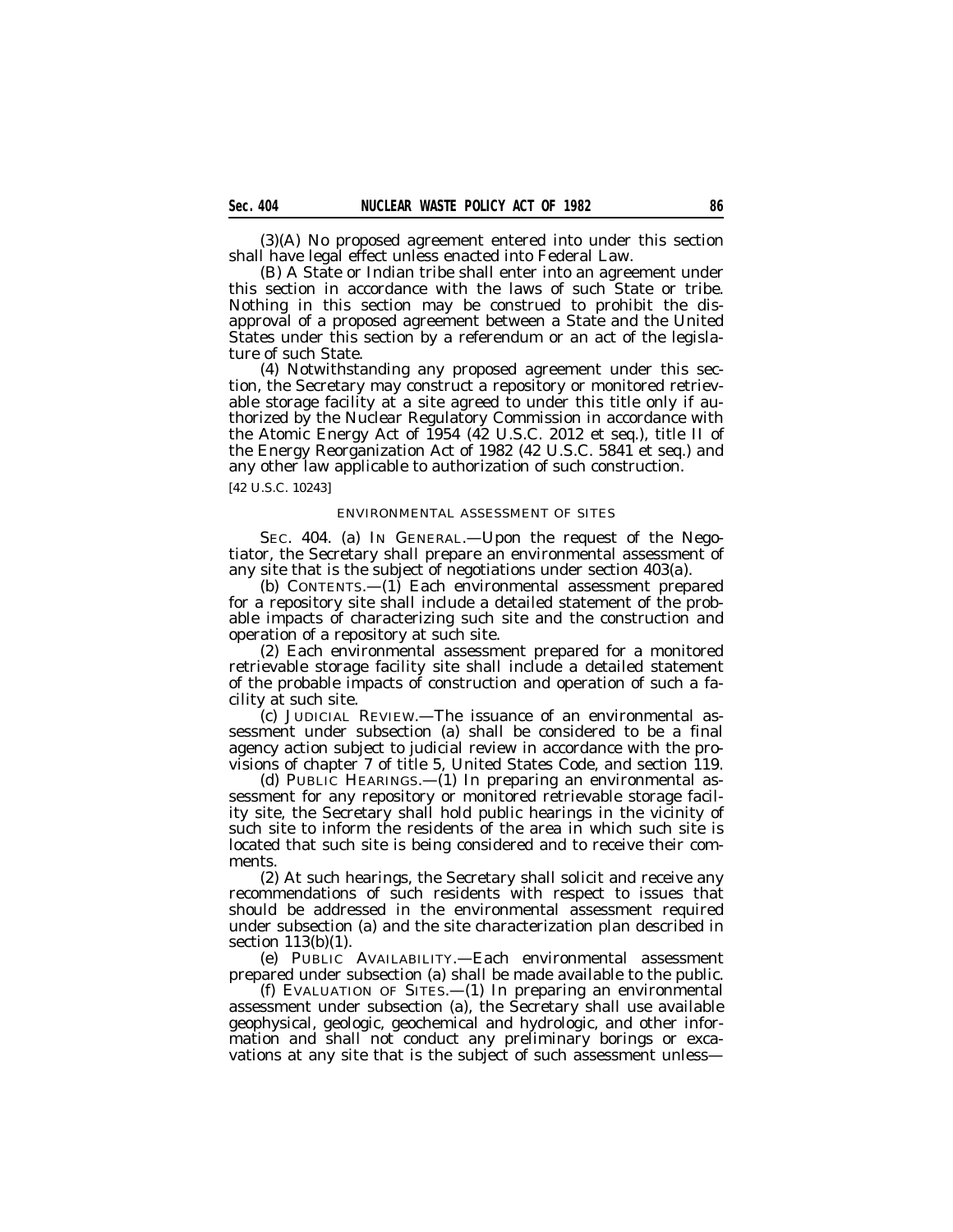(3)(A) No proposed agreement entered into under this section shall have legal effect unless enacted into Federal Law.

(B) A State or Indian tribe shall enter into an agreement under this section in accordance with the laws of such State or tribe. Nothing in this section may be construed to prohibit the disapproval of a proposed agreement between a State and the United States under this section by a referendum or an act of the legislature of such State.

(4) Notwithstanding any proposed agreement under this section, the Secretary may construct a repository or monitored retrievable storage facility at a site agreed to under this title only if authorized by the Nuclear Regulatory Commission in accordance with the Atomic Energy Act of 1954 (42 U.S.C. 2012 et seq.), title II of the Energy Reorganization Act of 1982 (42 U.S.C. 5841 et seq.) and any other law applicable to authorization of such construction.

[42 U.S.C. 10243]

# ENVIRONMENTAL ASSESSMENT OF SITES

SEC. 404. (a) IN GENERAL.—Upon the request of the Negotiator, the Secretary shall prepare an environmental assessment of any site that is the subject of negotiations under section 403(a).

(b) CONTENTS.—(1) Each environmental assessment prepared for a repository site shall include a detailed statement of the probable impacts of characterizing such site and the construction and operation of a repository at such site.

(2) Each environmental assessment prepared for a monitored retrievable storage facility site shall include a detailed statement of the probable impacts of construction and operation of such a facility at such site.

(c) JUDICIAL REVIEW.—The issuance of an environmental assessment under subsection (a) shall be considered to be a final agency action subject to judicial review in accordance with the provisions of chapter 7 of title 5, United States Code, and section 119.

(d) PUBLIC HEARINGS.—(1) In preparing an environmental assessment for any repository or monitored retrievable storage facility site, the Secretary shall hold public hearings in the vicinity of such site to inform the residents of the area in which such site is located that such site is being considered and to receive their comments.

(2) At such hearings, the Secretary shall solicit and receive any recommendations of such residents with respect to issues that should be addressed in the environmental assessment required under subsection (a) and the site characterization plan described in section 113(b)(1).

(e) PUBLIC AVAILABILITY.—Each environmental assessment prepared under subsection (a) shall be made available to the public.

(f) EVALUATION OF SITES.—(1) In preparing an environmental assessment under subsection (a), the Secretary shall use available geophysical, geologic, geochemical and hydrologic, and other information and shall not conduct any preliminary borings or excavations at any site that is the subject of such assessment unless—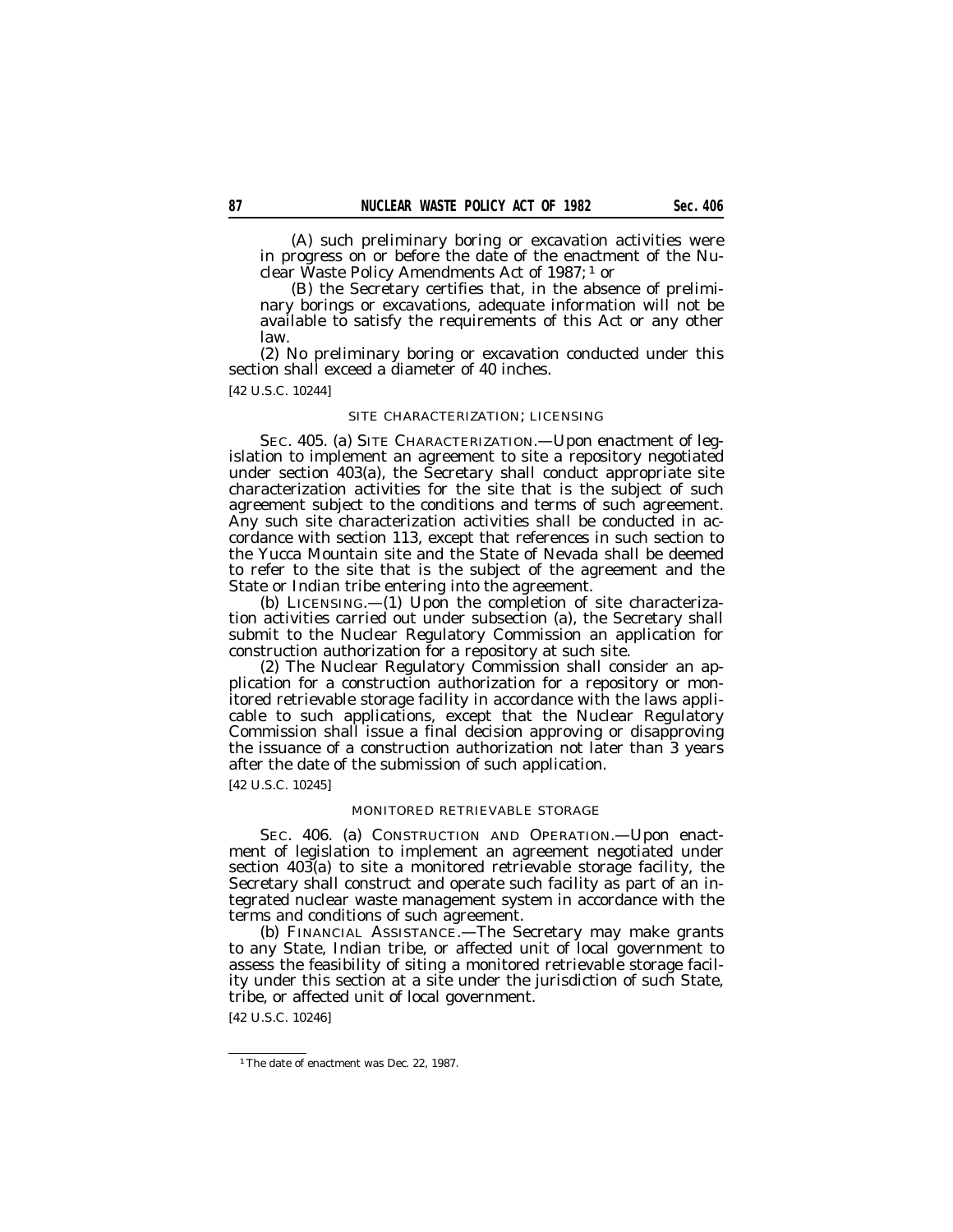(A) such preliminary boring or excavation activities were in progress on or before the date of the enactment of the Nuclear Waste Policy Amendments Act of 1987; 1 or

(B) the Secretary certifies that, in the absence of preliminary borings or excavations, adequate information will not be available to satisfy the requirements of this Act or any other law.

(2) No preliminary boring or excavation conducted under this section shall exceed a diameter of 40 inches.

[42 U.S.C. 10244]

### SITE CHARACTERIZATION; LICENSING

SEC. 405. (a) SITE CHARACTERIZATION.—Upon enactment of legislation to implement an agreement to site a repository negotiated under section 403(a), the Secretary shall conduct appropriate site characterization activities for the site that is the subject of such agreement subject to the conditions and terms of such agreement. Any such site characterization activities shall be conducted in accordance with section 113, except that references in such section to the Yucca Mountain site and the State of Nevada shall be deemed to refer to the site that is the subject of the agreement and the State or Indian tribe entering into the agreement.

(b) LICENSING.—(1) Upon the completion of site characterization activities carried out under subsection (a), the Secretary shall submit to the Nuclear Regulatory Commission an application for construction authorization for a repository at such site.

(2) The Nuclear Regulatory Commission shall consider an application for a construction authorization for a repository or monitored retrievable storage facility in accordance with the laws applicable to such applications, except that the Nuclear Regulatory Commission shall issue a final decision approving or disapproving the issuance of a construction authorization not later than 3 years after the date of the submission of such application.

[42 U.S.C. 10245]

# MONITORED RETRIEVABLE STORAGE

SEC. 406. (a) CONSTRUCTION AND OPERATION.—Upon enactment of legislation to implement an agreement negotiated under section 403(a) to site a monitored retrievable storage facility, the Secretary shall construct and operate such facility as part of an integrated nuclear waste management system in accordance with the terms and conditions of such agreement.

(b) FINANCIAL ASSISTANCE.—The Secretary may make grants to any State, Indian tribe, or affected unit of local government to assess the feasibility of siting a monitored retrievable storage facility under this section at a site under the jurisdiction of such State, tribe, or affected unit of local government.

[42 U.S.C. 10246]

<sup>&</sup>lt;sup>1</sup>The date of enactment was Dec. 22, 1987.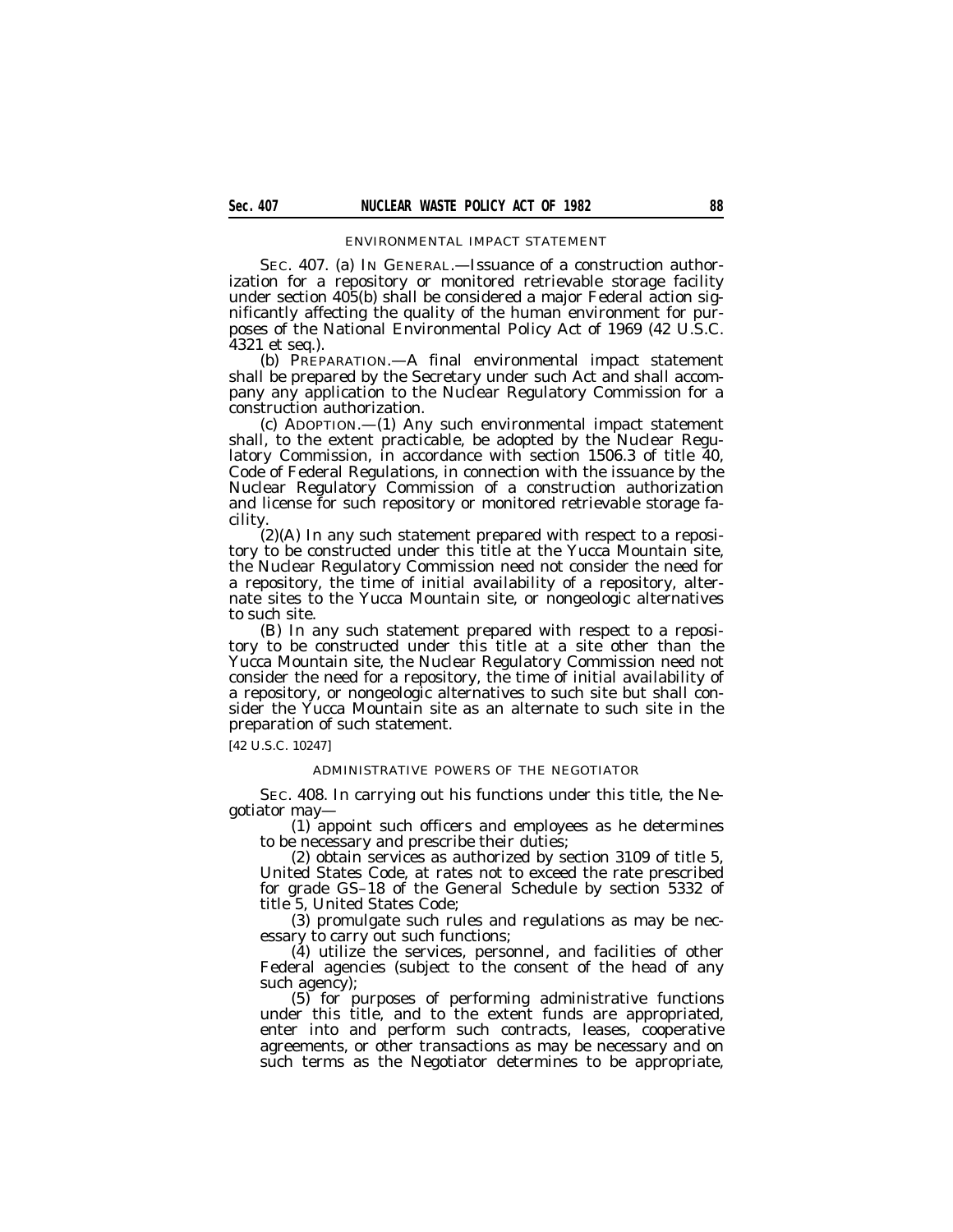#### ENVIRONMENTAL IMPACT STATEMENT

SEC. 407. (a) IN GENERAL.—Issuance of a construction authorization for a repository or monitored retrievable storage facility under section 405(b) shall be considered a major Federal action significantly affecting the quality of the human environment for purposes of the National Environmental Policy Act of 1969 (42 U.S.C. 4321 et seq.).

(b) PREPARATION.—A final environmental impact statement shall be prepared by the Secretary under such Act and shall accompany any application to the Nuclear Regulatory Commission for a construction authorization.

(c) ADOPTION.—(1) Any such environmental impact statement shall, to the extent practicable, be adopted by the Nuclear Regulatory Commission, in accordance with section 1506.3 of title 40, Code of Federal Regulations, in connection with the issuance by the Nuclear Regulatory Commission of a construction authorization and license for such repository or monitored retrievable storage facility.

(2)(A) In any such statement prepared with respect to a repository to be constructed under this title at the Yucca Mountain site, the Nuclear Regulatory Commission need not consider the need for a repository, the time of initial availability of a repository, alternate sites to the Yucca Mountain site, or nongeologic alternatives to such site.

(B) In any such statement prepared with respect to a repository to be constructed under this title at a site other than the Yucca Mountain site, the Nuclear Regulatory Commission need not consider the need for a repository, the time of initial availability of a repository, or nongeologic alternatives to such site but shall consider the Yucca Mountain site as an alternate to such site in the preparation of such statement.

[42 U.S.C. 10247]

#### ADMINISTRATIVE POWERS OF THE NEGOTIATOR

SEC. 408. In carrying out his functions under this title, the Negotiator may—

(1) appoint such officers and employees as he determines to be necessary and prescribe their duties;

(2) obtain services as authorized by section 3109 of title 5, United States Code, at rates not to exceed the rate prescribed for grade GS–18 of the General Schedule by section 5332 of title 5, United States Code;

(3) promulgate such rules and regulations as may be necessary to carry out such functions;

(4) utilize the services, personnel, and facilities of other Federal agencies (subject to the consent of the head of any such agency);

(5) for purposes of performing administrative functions under this title, and to the extent funds are appropriated, enter into and perform such contracts, leases, cooperative agreements, or other transactions as may be necessary and on such terms as the Negotiator determines to be appropriate,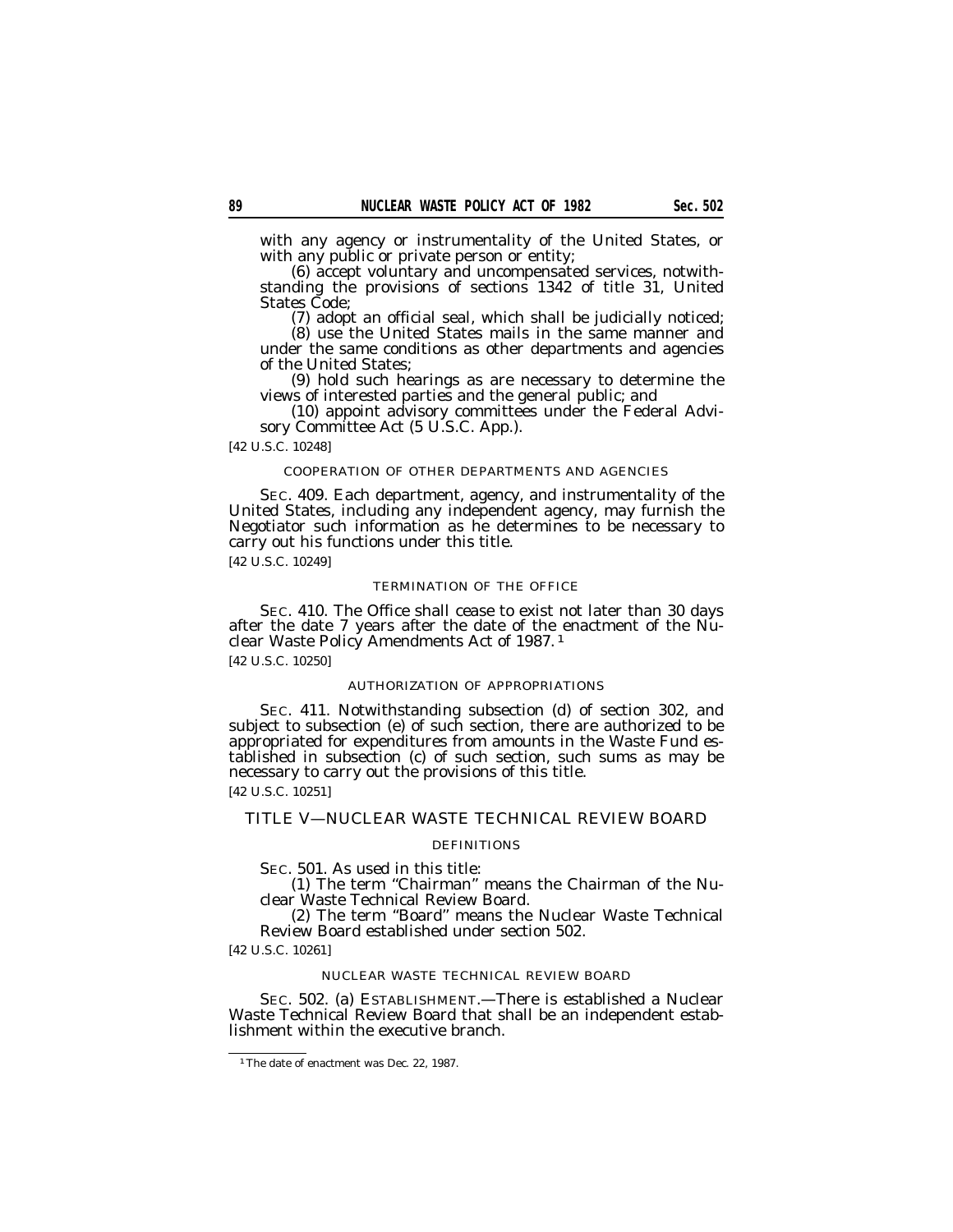with any agency or instrumentality of the United States, or with any public or private person or entity;

(6) accept voluntary and uncompensated services, notwithstanding the provisions of sections 1342 of title 31, United States Code;

(7) adopt an official seal, which shall be judicially noticed; (8) use the United States mails in the same manner and under the same conditions as other departments and agencies of the United States;

(9) hold such hearings as are necessary to determine the views of interested parties and the general public; and

(10) appoint advisory committees under the Federal Advisory Committee Act (5 U.S.C. App.).

[42 U.S.C. 10248]

## COOPERATION OF OTHER DEPARTMENTS AND AGENCIES

SEC. 409. Each department, agency, and instrumentality of the United States, including any independent agency, may furnish the Negotiator such information as he determines to be necessary to carry out his functions under this title.

[42 U.S.C. 10249]

#### TERMINATION OF THE OFFICE

SEC. 410. The Office shall cease to exist not later than 30 days after the date 7 years after the date of the enactment of the Nuclear Waste Policy Amendments Act of 1987. 1

[42 U.S.C. 10250]

# AUTHORIZATION OF APPROPRIATIONS

SEC. 411. Notwithstanding subsection (d) of section 302, and subject to subsection (e) of such section, there are authorized to be appropriated for expenditures from amounts in the Waste Fund established in subsection (c) of such section, such sums as may be necessary to carry out the provisions of this title.

[42 U.S.C. 10251]

# TITLE V—NUCLEAR WASTE TECHNICAL REVIEW BOARD

# DEFINITIONS

SEC. 501. As used in this title:

(1) The term "Chairman" means the Chairman of the Nuclear Waste Technical Review Board.

(2) The term ''Board'' means the Nuclear Waste Technical Review Board established under section 502.

[42 U.S.C. 10261]

## NUCLEAR WASTE TECHNICAL REVIEW BOARD

SEC. 502. (a) ESTABLISHMENT.—There is established a Nuclear Waste Technical Review Board that shall be an independent establishment within the executive branch.

<sup>&</sup>lt;sup>1</sup>The date of enactment was Dec. 22, 1987.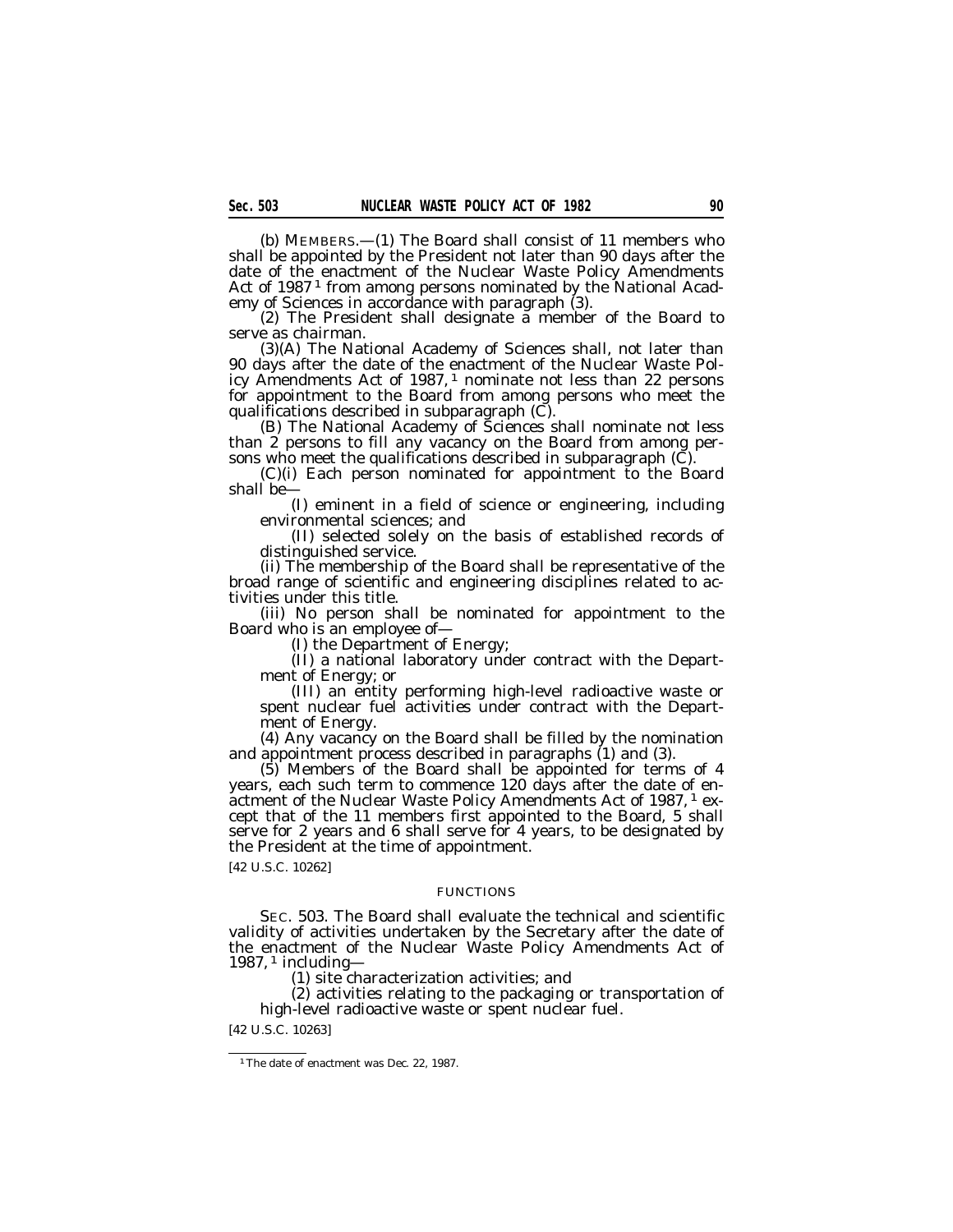(b) MEMBERS.—(1) The Board shall consist of 11 members who shall be appointed by the President not later than 90 days after the date of the enactment of the Nuclear Waste Policy Amendments Act of 1987<sup>1</sup> from among persons nominated by the National Academy of Sciences in accordance with paragraph (3).

(2) The President shall designate a member of the Board to serve as chairman.

(3)(A) The National Academy of Sciences shall, not later than 90 days after the date of the enactment of the Nuclear Waste Policy Amendments Act of 1987, 1 nominate not less than 22 persons for appointment to the Board from among persons who meet the qualifications described in subparagraph (C).

(B) The National Academy of Sciences shall nominate not less than 2 persons to fill any vacancy on the Board from among persons who meet the qualifications described in subparagraph (C).

(C)(i) Each person nominated for appointment to the Board shall be—

(I) eminent in a field of science or engineering, including environmental sciences; and

(II) selected solely on the basis of established records of distinguished service.

(ii) The membership of the Board shall be representative of the broad range of scientific and engineering disciplines related to activities under this title.

(iii) No person shall be nominated for appointment to the Board who is an employee of-

(I) the Department of Energy;

(II) a national laboratory under contract with the Department of Energy; or

(III) an entity performing high-level radioactive waste or spent nuclear fuel activities under contract with the Department of Energy.

(4) Any vacancy on the Board shall be filled by the nomination and appointment process described in paragraphs (1) and (3).

(5) Members of the Board shall be appointed for terms of 4 years, each such term to commence 120 days after the date of enactment of the Nuclear Waste Policy Amendments Act of 1987, 1 except that of the 11 members first appointed to the Board, 5 shall serve for 2 years and 6 shall serve for 4 years, to be designated by the President at the time of appointment.

[42 U.S.C. 10262]

## FUNCTIONS

SEC. 503. The Board shall evaluate the technical and scientific validity of activities undertaken by the Secretary after the date of the enactment of the Nuclear Waste Policy Amendments Act of 1987,  $1$  including-

(1) site characterization activities; and

(2) activities relating to the packaging or transportation of high-level radioactive waste or spent nuclear fuel.

[42 U.S.C. 10263]

<sup>&</sup>lt;sup>1</sup>The date of enactment was Dec. 22, 1987.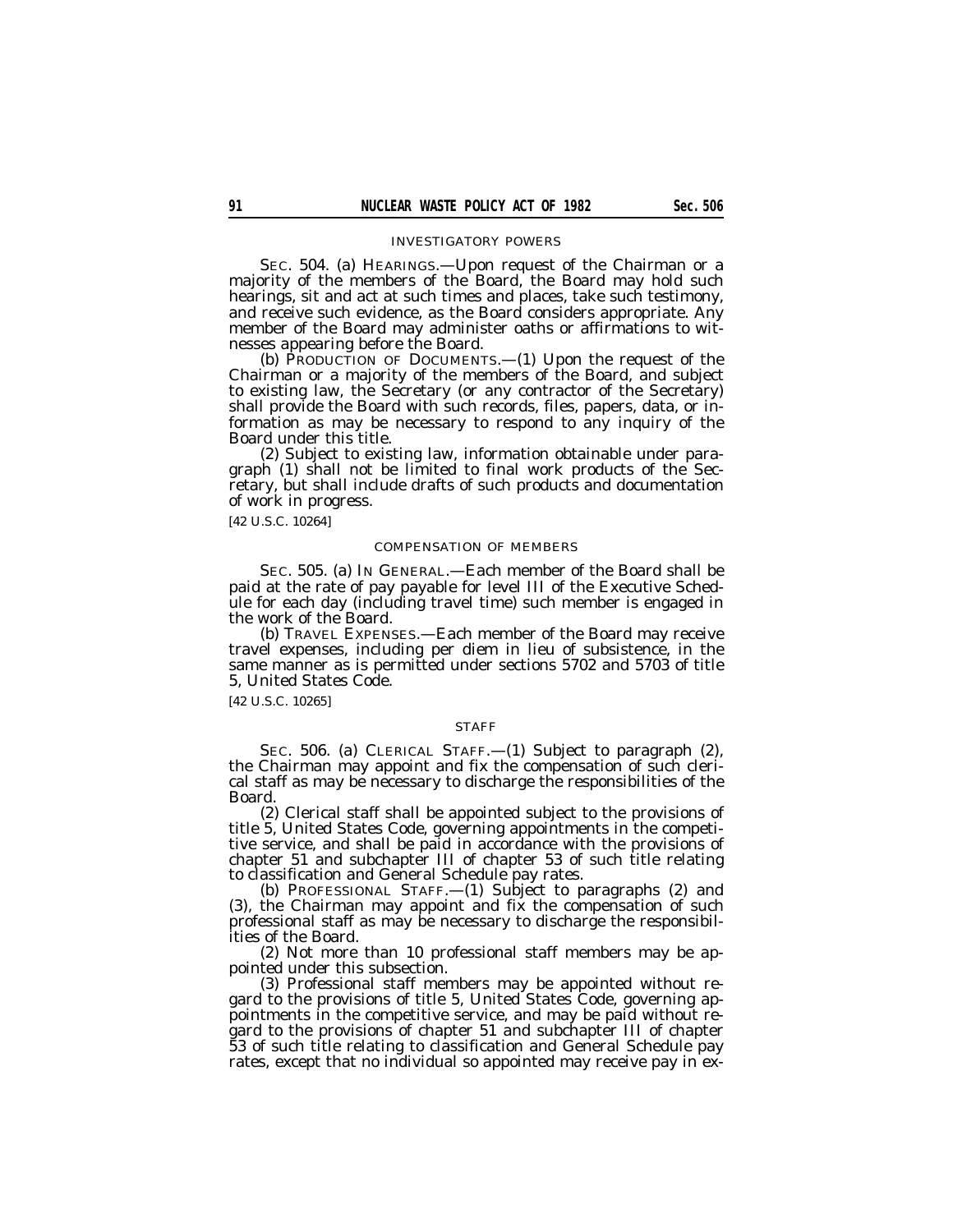# INVESTIGATORY POWERS

SEC. 504. (a) HEARINGS.—Upon request of the Chairman or a majority of the members of the Board, the Board may hold such hearings, sit and act at such times and places, take such testimony, and receive such evidence, as the Board considers appropriate. Any member of the Board may administer oaths or affirmations to witnesses appearing before the Board.

(b) PRODUCTION OF DOCUMENTS.—(1) Upon the request of the Chairman or a majority of the members of the Board, and subject to existing law, the Secretary (or any contractor of the Secretary) shall provide the Board with such records, files, papers, data, or information as may be necessary to respond to any inquiry of the Board under this title.

(2) Subject to existing law, information obtainable under paragraph (1) shall not be limited to final work products of the Secretary, but shall include drafts of such products and documentation of work in progress.

[42 U.S.C. 10264]

### COMPENSATION OF MEMBERS

SEC. 505. (a) IN GENERAL.—Each member of the Board shall be paid at the rate of pay payable for level III of the Executive Schedule for each day (including travel time) such member is engaged in the work of the Board.

(b) TRAVEL EXPENSES.—Each member of the Board may receive travel expenses, including per diem in lieu of subsistence, in the same manner as is permitted under sections 5702 and 5703 of title 5, United States Code.

[42 U.S.C. 10265]

# STAFF

SEC. 506. (a) CLERICAL STAFF.—(1) Subject to paragraph (2), the Chairman may appoint and fix the compensation of such clerical staff as may be necessary to discharge the responsibilities of the Board.

(2) Clerical staff shall be appointed subject to the provisions of title 5, United States Code, governing appointments in the competitive service, and shall be paid in accordance with the provisions of chapter 51 and subchapter III of chapter 53 of such title relating to classification and General Schedule pay rates.

(b) PROFESSIONAL STAFF.—(1) Subject to paragraphs (2) and (3), the Chairman may appoint and fix the compensation of such professional staff as may be necessary to discharge the responsibilities of the Board.

(2) Not more than 10 professional staff members may be appointed under this subsection.

(3) Professional staff members may be appointed without regard to the provisions of title 5, United States Code, governing appointments in the competitive service, and may be paid without regard to the provisions of chapter 51 and subchapter III of chapter 53 of such title relating to classification and General Schedule pay rates, except that no individual so appointed may receive pay in ex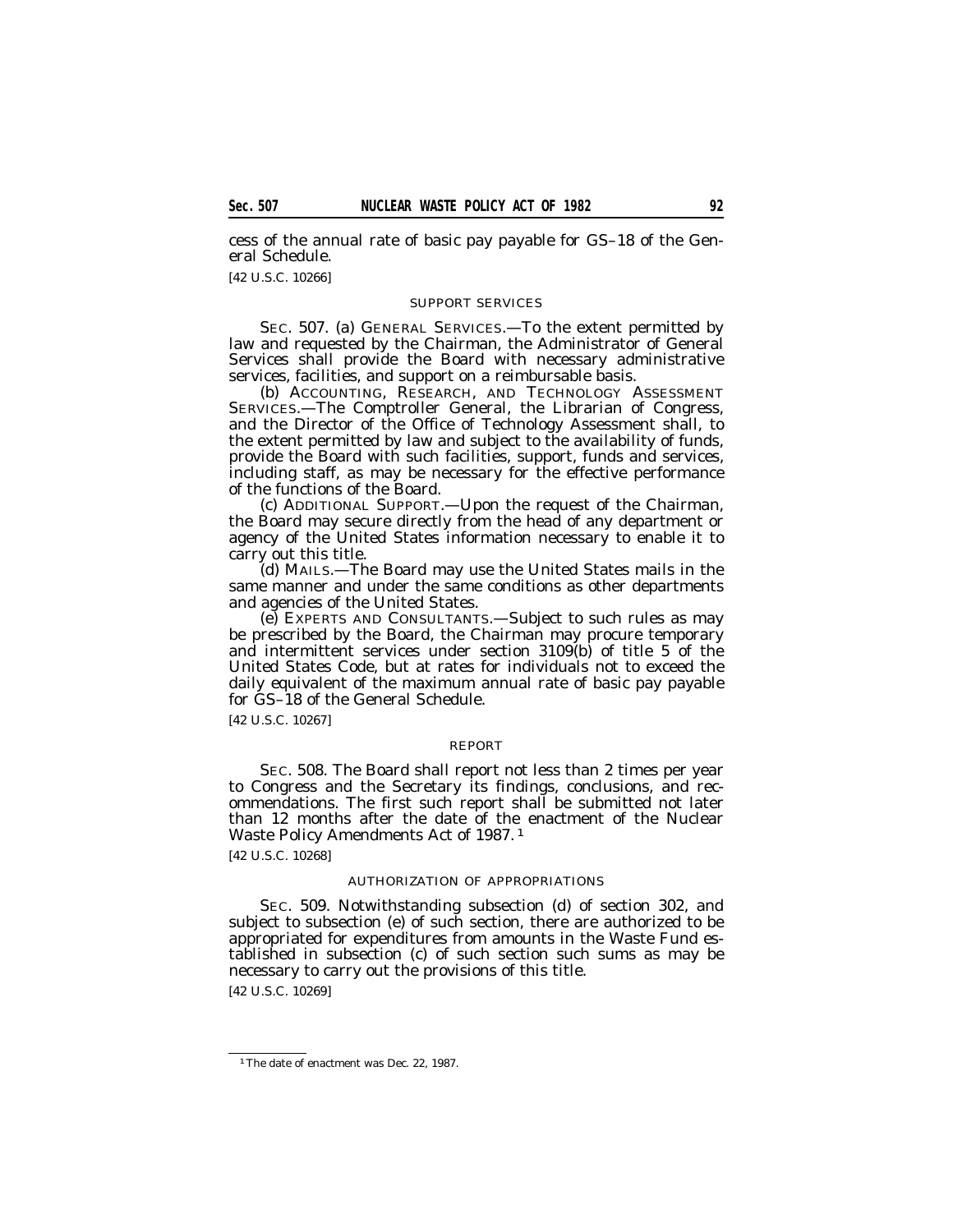cess of the annual rate of basic pay payable for GS–18 of the General Schedule.

[42 U.S.C. 10266]

### SUPPORT SERVICES

SEC. 507. (a) GENERAL SERVICES.—To the extent permitted by law and requested by the Chairman, the Administrator of General Services shall provide the Board with necessary administrative services, facilities, and support on a reimbursable basis.

(b) ACCOUNTING, RESEARCH, AND TECHNOLOGY ASSESSMENT SERVICES.—The Comptroller General, the Librarian of Congress, and the Director of the Office of Technology Assessment shall, to the extent permitted by law and subject to the availability of funds, provide the Board with such facilities, support, funds and services, including staff, as may be necessary for the effective performance of the functions of the Board.

(c) ADDITIONAL SUPPORT.—Upon the request of the Chairman, the Board may secure directly from the head of any department or agency of the United States information necessary to enable it to carry out this title.

(d) MAILS.—The Board may use the United States mails in the same manner and under the same conditions as other departments and agencies of the United States.

(e) EXPERTS AND CONSULTANTS.—Subject to such rules as may be prescribed by the Board, the Chairman may procure temporary and intermittent services under section 3109(b) of title 5 of the United States Code, but at rates for individuals not to exceed the daily equivalent of the maximum annual rate of basic pay payable for GS–18 of the General Schedule.

[42 U.S.C. 10267]

#### REPORT

SEC. 508. The Board shall report not less than 2 times per year to Congress and the Secretary its findings, conclusions, and recommendations. The first such report shall be submitted not later than 12 months after the date of the enactment of the Nuclear Waste Policy Amendments Act of 1987. 1

[42 U.S.C. 10268]

# AUTHORIZATION OF APPROPRIATIONS

SEC. 509. Notwithstanding subsection (d) of section 302, and subject to subsection (e) of such section, there are authorized to be appropriated for expenditures from amounts in the Waste Fund established in subsection (c) of such section such sums as may be necessary to carry out the provisions of this title.

[42 U.S.C. 10269]

<sup>&</sup>lt;sup>1</sup>The date of enactment was Dec. 22, 1987.